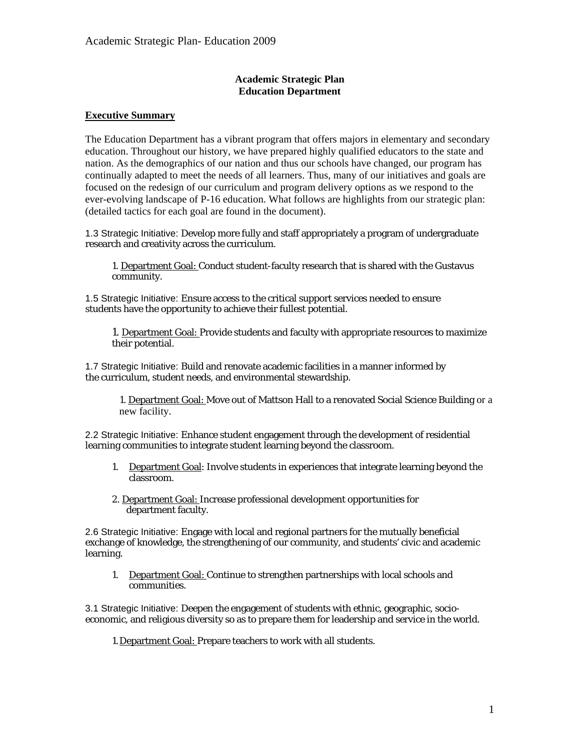# **Academic Strategic Plan Education Department**

# **Executive Summary**

The Education Department has a vibrant program that offers majors in elementary and secondary education. Throughout our history, we have prepared highly qualified educators to the state and nation. As the demographics of our nation and thus our schools have changed, our program has continually adapted to meet the needs of all learners. Thus, many of our initiatives and goals are focused on the redesign of our curriculum and program delivery options as we respond to the ever-evolving landscape of P-16 education. What follows are highlights from our strategic plan: (detailed tactics for each goal are found in the document).

1.3 Strategic Initiative: Develop more fully and staff appropriately a program of undergraduate research and creativity across the curriculum.

1. Department Goal: Conduct student-faculty research that is shared with the Gustavus community.

1.5 Strategic Initiative: Ensure access to the critical support services needed to ensure students have the opportunity to achieve their fullest potential.

1. Department Goal: Provide students and faculty with appropriate resources to maximize their potential.

1.7 Strategic Initiative: Build and renovate academic facilities in a manner informed by the curriculum, student needs, and environmental stewardship.

1. Department Goal: Move out of Mattson Hall to a renovated Social Science Building or a new facility.

2.2 Strategic Initiative: Enhance student engagement through the development of residential learning communities to integrate student learning beyond the classroom.

- 1. Department Goal: Involve students in experiences that integrate learning beyond the classroom.
- 2. Department Goal: Increase professional development opportunities for department faculty.

2.6 Strategic Initiative: Engage with local and regional partners for the mutually beneficial exchange of knowledge, the strengthening of our community, and students' civic and academic learning.

1. Department Goal: Continue to strengthen partnerships with local schools and communities.

3.1 Strategic Initiative: Deepen the engagement of students with ethnic, geographic, socioeconomic, and religious diversity so as to prepare them for leadership and service in the world.

1. Department Goal: Prepare teachers to work with all students.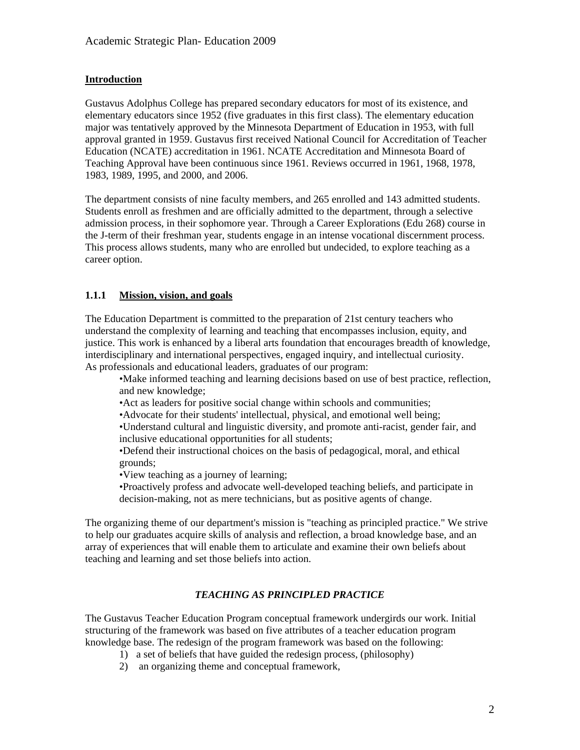# **Introduction**

Gustavus Adolphus College has prepared secondary educators for most of its existence, and elementary educators since 1952 (five graduates in this first class). The elementary education major was tentatively approved by the Minnesota Department of Education in 1953, with full approval granted in 1959. Gustavus first received National Council for Accreditation of Teacher Education (NCATE) accreditation in 1961. NCATE Accreditation and Minnesota Board of Teaching Approval have been continuous since 1961. Reviews occurred in 1961, 1968, 1978, 1983, 1989, 1995, and 2000, and 2006.

The department consists of nine faculty members, and 265 enrolled and 143 admitted students. Students enroll as freshmen and are officially admitted to the department, through a selective admission process, in their sophomore year. Through a Career Explorations (Edu 268) course in the J-term of their freshman year, students engage in an intense vocational discernment process. This process allows students, many who are enrolled but undecided, to explore teaching as a career option.

### **1.1.1 Mission, vision, and goals**

The Education Department is committed to the preparation of 21st century teachers who understand the complexity of learning and teaching that encompasses inclusion, equity, and justice. This work is enhanced by a liberal arts foundation that encourages breadth of knowledge, interdisciplinary and international perspectives, engaged inquiry, and intellectual curiosity. As professionals and educational leaders, graduates of our program:

•Make informed teaching and learning decisions based on use of best practice, reflection, and new knowledge;

•Act as leaders for positive social change within schools and communities;

•Advocate for their students' intellectual, physical, and emotional well being;

•Understand cultural and linguistic diversity, and promote anti-racist, gender fair, and inclusive educational opportunities for all students;

•Defend their instructional choices on the basis of pedagogical, moral, and ethical grounds;

•View teaching as a journey of learning;

•Proactively profess and advocate well-developed teaching beliefs, and participate in decision-making, not as mere technicians, but as positive agents of change.

The organizing theme of our department's mission is "teaching as principled practice." We strive to help our graduates acquire skills of analysis and reflection, a broad knowledge base, and an array of experiences that will enable them to articulate and examine their own beliefs about teaching and learning and set those beliefs into action.

# *TEACHING AS PRINCIPLED PRACTICE*

The Gustavus Teacher Education Program conceptual framework undergirds our work. Initial structuring of the framework was based on five attributes of a teacher education program knowledge base. The redesign of the program framework was based on the following:

- 1) a set of beliefs that have guided the redesign process, (philosophy)
- 2) an organizing theme and conceptual framework,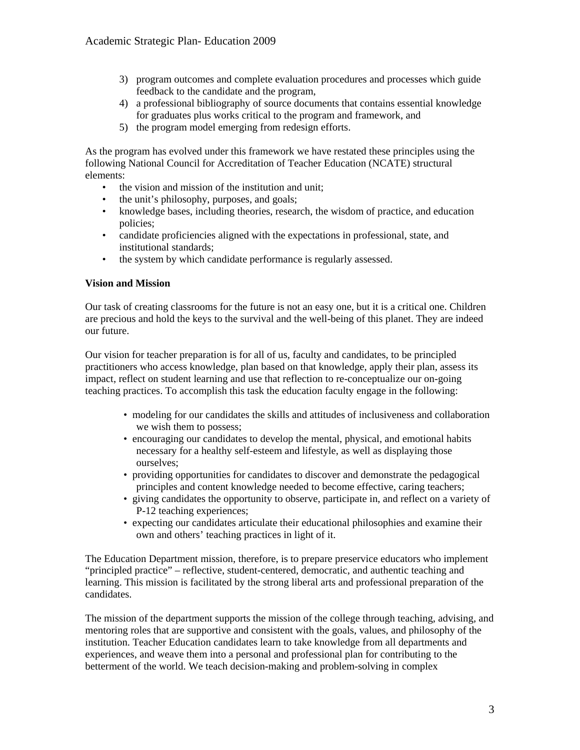- 3) program outcomes and complete evaluation procedures and processes which guide feedback to the candidate and the program,
- 4) a professional bibliography of source documents that contains essential knowledge for graduates plus works critical to the program and framework, and
- 5) the program model emerging from redesign efforts.

As the program has evolved under this framework we have restated these principles using the following National Council for Accreditation of Teacher Education (NCATE) structural elements:

- the vision and mission of the institution and unit;
- the unit's philosophy, purposes, and goals;
- knowledge bases, including theories, research, the wisdom of practice, and education policies;
- candidate proficiencies aligned with the expectations in professional, state, and institutional standards;
- the system by which candidate performance is regularly assessed.

#### **Vision and Mission**

Our task of creating classrooms for the future is not an easy one, but it is a critical one. Children are precious and hold the keys to the survival and the well-being of this planet. They are indeed our future.

Our vision for teacher preparation is for all of us, faculty and candidates, to be principled practitioners who access knowledge, plan based on that knowledge, apply their plan, assess its impact, reflect on student learning and use that reflection to re-conceptualize our on-going teaching practices. To accomplish this task the education faculty engage in the following:

- modeling for our candidates the skills and attitudes of inclusiveness and collaboration we wish them to possess;
- encouraging our candidates to develop the mental, physical, and emotional habits necessary for a healthy self-esteem and lifestyle, as well as displaying those ourselves;
- providing opportunities for candidates to discover and demonstrate the pedagogical principles and content knowledge needed to become effective, caring teachers;
- giving candidates the opportunity to observe, participate in, and reflect on a variety of P-12 teaching experiences;
- expecting our candidates articulate their educational philosophies and examine their own and others' teaching practices in light of it.

The Education Department mission, therefore, is to prepare preservice educators who implement "principled practice" – reflective, student-centered, democratic, and authentic teaching and learning. This mission is facilitated by the strong liberal arts and professional preparation of the candidates.

The mission of the department supports the mission of the college through teaching, advising, and mentoring roles that are supportive and consistent with the goals, values, and philosophy of the institution. Teacher Education candidates learn to take knowledge from all departments and experiences, and weave them into a personal and professional plan for contributing to the betterment of the world. We teach decision-making and problem-solving in complex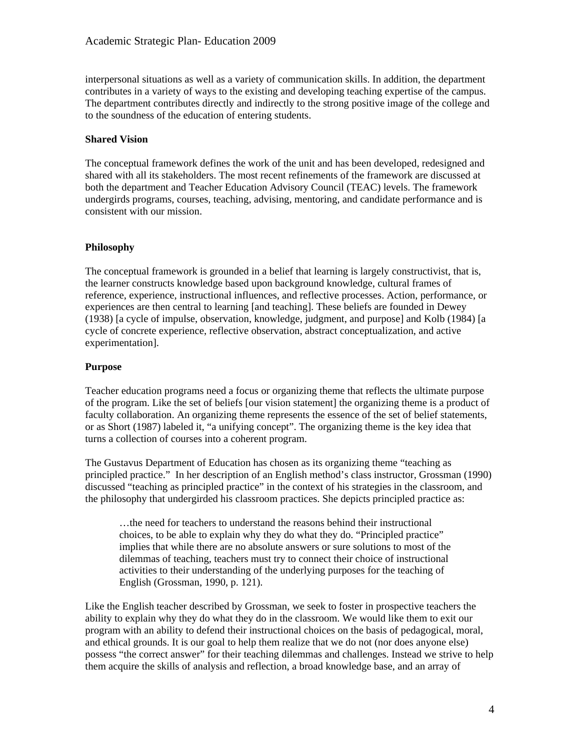interpersonal situations as well as a variety of communication skills. In addition, the department contributes in a variety of ways to the existing and developing teaching expertise of the campus. The department contributes directly and indirectly to the strong positive image of the college and to the soundness of the education of entering students.

#### **Shared Vision**

The conceptual framework defines the work of the unit and has been developed, redesigned and shared with all its stakeholders. The most recent refinements of the framework are discussed at both the department and Teacher Education Advisory Council (TEAC) levels. The framework undergirds programs, courses, teaching, advising, mentoring, and candidate performance and is consistent with our mission.

### **Philosophy**

The conceptual framework is grounded in a belief that learning is largely constructivist, that is, the learner constructs knowledge based upon background knowledge, cultural frames of reference, experience, instructional influences, and reflective processes. Action, performance, or experiences are then central to learning [and teaching]. These beliefs are founded in Dewey (1938) [a cycle of impulse, observation, knowledge, judgment, and purpose] and Kolb (1984) [a cycle of concrete experience, reflective observation, abstract conceptualization, and active experimentation].

### **Purpose**

Teacher education programs need a focus or organizing theme that reflects the ultimate purpose of the program. Like the set of beliefs [our vision statement] the organizing theme is a product of faculty collaboration. An organizing theme represents the essence of the set of belief statements, or as Short (1987) labeled it, "a unifying concept". The organizing theme is the key idea that turns a collection of courses into a coherent program.

The Gustavus Department of Education has chosen as its organizing theme "teaching as principled practice." In her description of an English method's class instructor, Grossman (1990) discussed "teaching as principled practice" in the context of his strategies in the classroom, and the philosophy that undergirded his classroom practices. She depicts principled practice as:

…the need for teachers to understand the reasons behind their instructional choices, to be able to explain why they do what they do. "Principled practice" implies that while there are no absolute answers or sure solutions to most of the dilemmas of teaching, teachers must try to connect their choice of instructional activities to their understanding of the underlying purposes for the teaching of English (Grossman, 1990, p. 121).

Like the English teacher described by Grossman, we seek to foster in prospective teachers the ability to explain why they do what they do in the classroom. We would like them to exit our program with an ability to defend their instructional choices on the basis of pedagogical, moral, and ethical grounds. It is our goal to help them realize that we do not (nor does anyone else) possess "the correct answer" for their teaching dilemmas and challenges. Instead we strive to help them acquire the skills of analysis and reflection, a broad knowledge base, and an array of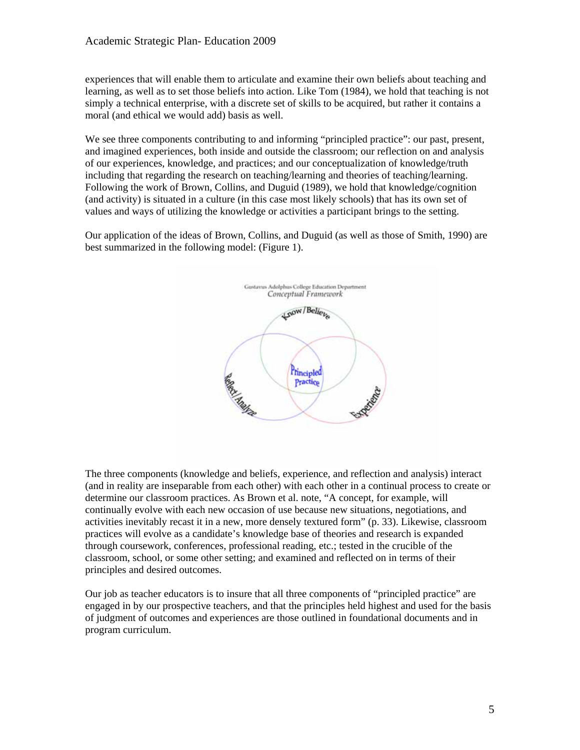experiences that will enable them to articulate and examine their own beliefs about teaching and learning, as well as to set those beliefs into action. Like Tom (1984), we hold that teaching is not simply a technical enterprise, with a discrete set of skills to be acquired, but rather it contains a moral (and ethical we would add) basis as well.

We see three components contributing to and informing "principled practice": our past, present, and imagined experiences, both inside and outside the classroom; our reflection on and analysis of our experiences, knowledge, and practices; and our conceptualization of knowledge/truth including that regarding the research on teaching/learning and theories of teaching/learning. Following the work of Brown, Collins, and Duguid (1989), we hold that knowledge/cognition (and activity) is situated in a culture (in this case most likely schools) that has its own set of values and ways of utilizing the knowledge or activities a participant brings to the setting.

Our application of the ideas of Brown, Collins, and Duguid (as well as those of Smith, 1990) are best summarized in the following model: (Figure 1).



The three components (knowledge and beliefs, experience, and reflection and analysis) interact (and in reality are inseparable from each other) with each other in a continual process to create or determine our classroom practices. As Brown et al. note, "A concept, for example, will continually evolve with each new occasion of use because new situations, negotiations, and activities inevitably recast it in a new, more densely textured form" (p. 33). Likewise, classroom practices will evolve as a candidate's knowledge base of theories and research is expanded through coursework, conferences, professional reading, etc.; tested in the crucible of the classroom, school, or some other setting; and examined and reflected on in terms of their principles and desired outcomes.

Our job as teacher educators is to insure that all three components of "principled practice" are engaged in by our prospective teachers, and that the principles held highest and used for the basis of judgment of outcomes and experiences are those outlined in foundational documents and in program curriculum.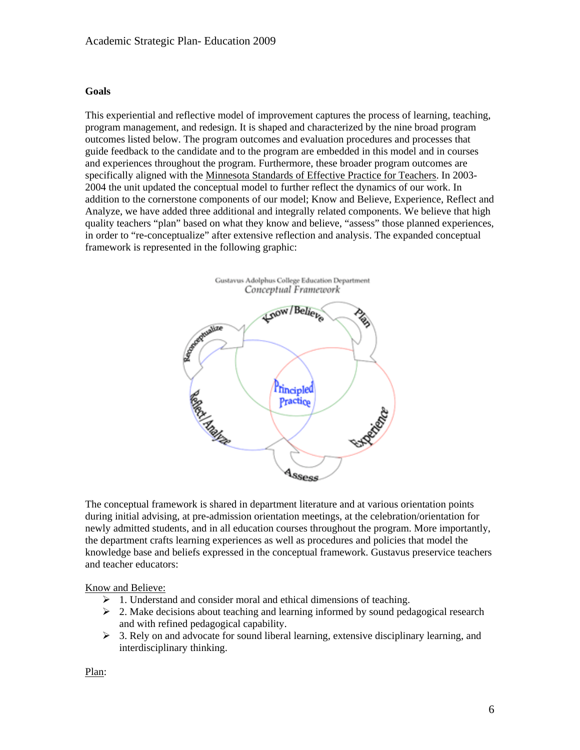#### **Goals**

This experiential and reflective model of improvement captures the process of learning, teaching, program management, and redesign. It is shaped and characterized by the nine broad program outcomes listed below. The program outcomes and evaluation procedures and processes that guide feedback to the candidate and to the program are embedded in this model and in courses and experiences throughout the program. Furthermore, these broader program outcomes are specifically aligned with the Minnesota Standards of Effective Practice for Teachers. In 2003- 2004 the unit updated the conceptual model to further reflect the dynamics of our work. In addition to the cornerstone components of our model; Know and Believe, Experience, Reflect and Analyze, we have added three additional and integrally related components. We believe that high quality teachers "plan" based on what they know and believe, "assess" those planned experiences, in order to "re-conceptualize" after extensive reflection and analysis. The expanded conceptual framework is represented in the following graphic:



The conceptual framework is shared in department literature and at various orientation points during initial advising, at pre-admission orientation meetings, at the celebration/orientation for newly admitted students, and in all education courses throughout the program. More importantly, the department crafts learning experiences as well as procedures and policies that model the knowledge base and beliefs expressed in the conceptual framework. Gustavus preservice teachers and teacher educators:

#### Know and Believe:

- $\geq 1$ . Understand and consider moral and ethical dimensions of teaching.
- $\geq$  2. Make decisions about teaching and learning informed by sound pedagogical research and with refined pedagogical capability.
- $\geq$  3. Rely on and advocate for sound liberal learning, extensive disciplinary learning, and interdisciplinary thinking.

Plan: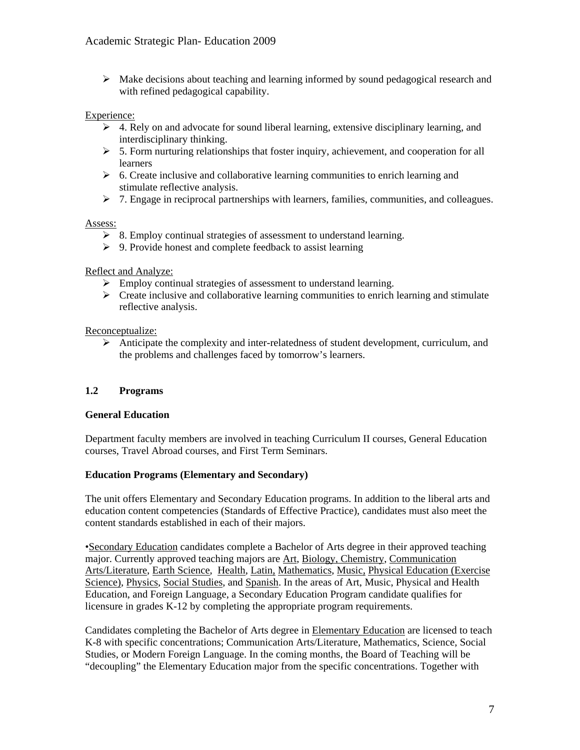$\triangleright$  Make decisions about teaching and learning informed by sound pedagogical research and with refined pedagogical capability.

#### Experience:

- $\triangleright$  4. Rely on and advocate for sound liberal learning, extensive disciplinary learning, and interdisciplinary thinking.
- $5.$  Form nurturing relationships that foster inquiry, achievement, and cooperation for all learners
- $\triangleright$  6. Create inclusive and collaborative learning communities to enrich learning and stimulate reflective analysis.
- $\geq 7$ . Engage in reciprocal partnerships with learners, families, communities, and colleagues.

#### Assess:

- $\geq$  8. Employ continual strategies of assessment to understand learning.
- $\triangleright$  9. Provide honest and complete feedback to assist learning

#### Reflect and Analyze:

- $\triangleright$  Employ continual strategies of assessment to understand learning.
- $\triangleright$  Create inclusive and collaborative learning communities to enrich learning and stimulate reflective analysis.

#### Reconceptualize:

 Anticipate the complexity and inter-relatedness of student development, curriculum, and the problems and challenges faced by tomorrow's learners.

### **1.2 Programs**

#### **General Education**

Department faculty members are involved in teaching Curriculum II courses, General Education courses, Travel Abroad courses, and First Term Seminars.

#### **Education Programs (Elementary and Secondary)**

The unit offers Elementary and Secondary Education programs. In addition to the liberal arts and education content competencies (Standards of Effective Practice), candidates must also meet the content standards established in each of their majors.

•Secondary Education candidates complete a Bachelor of Arts degree in their approved teaching major. Currently approved teaching majors are Art, Biology, Chemistry, Communication Arts/Literature, Earth Science, Health, Latin, Mathematics, Music, Physical Education (Exercise Science), Physics, Social Studies, and Spanish. In the areas of Art, Music, Physical and Health Education, and Foreign Language, a Secondary Education Program candidate qualifies for licensure in grades K-12 by completing the appropriate program requirements.

Candidates completing the Bachelor of Arts degree in Elementary Education are licensed to teach K-8 with specific concentrations; Communication Arts/Literature, Mathematics, Science, Social Studies, or Modern Foreign Language. In the coming months, the Board of Teaching will be "decoupling" the Elementary Education major from the specific concentrations. Together with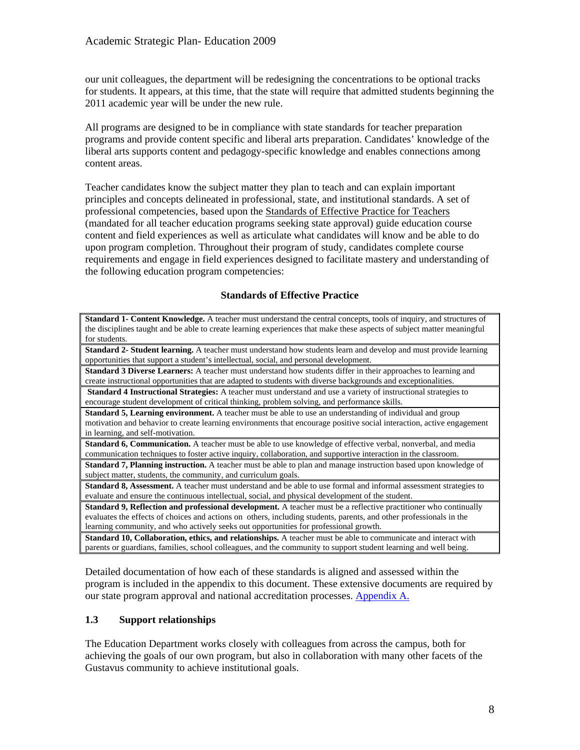our unit colleagues, the department will be redesigning the concentrations to be optional tracks for students. It appears, at this time, that the state will require that admitted students beginning the 2011 academic year will be under the new rule.

All programs are designed to be in compliance with state standards for teacher preparation programs and provide content specific and liberal arts preparation. Candidates' knowledge of the liberal arts supports content and pedagogy-specific knowledge and enables connections among content areas.

Teacher candidates know the subject matter they plan to teach and can explain important principles and concepts delineated in professional, state, and institutional standards. A set of professional competencies, based upon the Standards of Effective Practice for Teachers (mandated for all teacher education programs seeking state approval) guide education course content and field experiences as well as articulate what candidates will know and be able to do upon program completion. Throughout their program of study, candidates complete course requirements and engage in field experiences designed to facilitate mastery and understanding of the following education program competencies:

### **Standards of Effective Practice**

**Standard 1- Content Knowledge.** A teacher must understand the central concepts, tools of inquiry, and structures of the disciplines taught and be able to create learning experiences that make these aspects of subject matter meaningful for students.

**Standard 2- Student learning.** A teacher must understand how students learn and develop and must provide learning opportunities that support a student's intellectual, social, and personal development.

**Standard 3 Diverse Learners:** A teacher must understand how students differ in their approaches to learning and create instructional opportunities that are adapted to students with diverse backgrounds and exceptionalities.

**Standard 4 Instructional Strategies:** A teacher must understand and use a variety of instructional strategies to encourage student development of critical thinking, problem solving, and performance skills.

**Standard 5, Learning environment.** A teacher must be able to use an understanding of individual and group motivation and behavior to create learning environments that encourage positive social interaction, active engagement in learning, and self-motivation.

**Standard 6, Communication.** A teacher must be able to use knowledge of effective verbal, nonverbal, and media communication techniques to foster active inquiry, collaboration, and supportive interaction in the classroom.

**Standard 7, Planning instruction.** A teacher must be able to plan and manage instruction based upon knowledge of subject matter, students, the community, and curriculum goals.

**Standard 8, Assessment.** A teacher must understand and be able to use formal and informal assessment strategies to evaluate and ensure the continuous intellectual, social, and physical development of the student.

**Standard 9, Reflection and professional development.** A teacher must be a reflective practitioner who continually evaluates the effects of choices and actions on others, including students, parents, and other professionals in the learning community, and who actively seeks out opportunities for professional growth.

**Standard 10, Collaboration, ethics, and relationships.** A teacher must be able to communicate and interact with parents or guardians, families, school colleagues, and the community to support student learning and well being.

Detailed documentation of how each of these standards is aligned and assessed within the program is included in the appendix to this document. These extensive documents are required by our state program approval and national accreditation processes. Appendix A.

# **1.3 Support relationships**

The Education Department works closely with colleagues from across the campus, both for achieving the goals of our own program, but also in collaboration with many other facets of the Gustavus community to achieve institutional goals.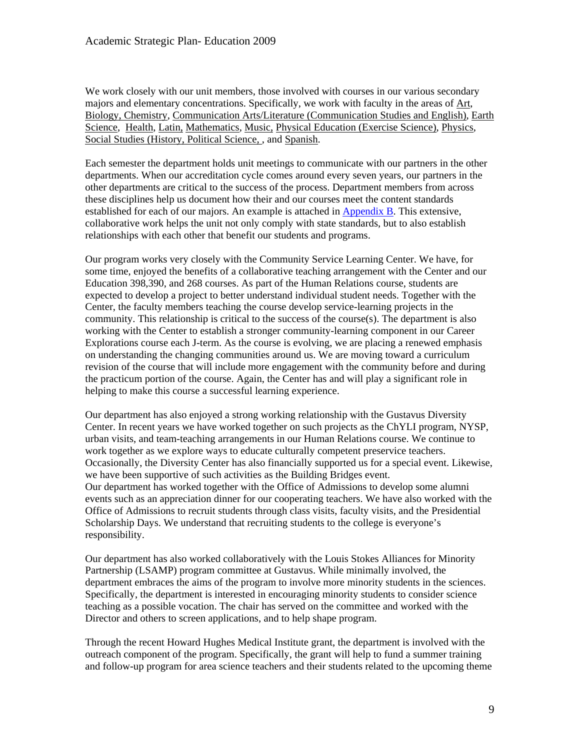We work closely with our unit members, those involved with courses in our various secondary majors and elementary concentrations. Specifically, we work with faculty in the areas of Art, Biology, Chemistry, Communication Arts/Literature (Communication Studies and English), Earth Science, Health, Latin, Mathematics, Music, Physical Education (Exercise Science), Physics, Social Studies (History, Political Science, , and Spanish.

Each semester the department holds unit meetings to communicate with our partners in the other departments. When our accreditation cycle comes around every seven years, our partners in the other departments are critical to the success of the process. Department members from across these disciplines help us document how their and our courses meet the content standards established for each of our majors. An example is attached in Appendix B. This extensive, collaborative work helps the unit not only comply with state standards, but to also establish relationships with each other that benefit our students and programs.

Our program works very closely with the Community Service Learning Center. We have, for some time, enjoyed the benefits of a collaborative teaching arrangement with the Center and our Education 398,390, and 268 courses. As part of the Human Relations course, students are expected to develop a project to better understand individual student needs. Together with the Center, the faculty members teaching the course develop service-learning projects in the community. This relationship is critical to the success of the course(s). The department is also working with the Center to establish a stronger community-learning component in our Career Explorations course each J-term. As the course is evolving, we are placing a renewed emphasis on understanding the changing communities around us. We are moving toward a curriculum revision of the course that will include more engagement with the community before and during the practicum portion of the course. Again, the Center has and will play a significant role in helping to make this course a successful learning experience.

Our department has also enjoyed a strong working relationship with the Gustavus Diversity Center. In recent years we have worked together on such projects as the ChYLI program, NYSP, urban visits, and team-teaching arrangements in our Human Relations course. We continue to work together as we explore ways to educate culturally competent preservice teachers. Occasionally, the Diversity Center has also financially supported us for a special event. Likewise, we have been supportive of such activities as the Building Bridges event. Our department has worked together with the Office of Admissions to develop some alumni events such as an appreciation dinner for our cooperating teachers. We have also worked with the Office of Admissions to recruit students through class visits, faculty visits, and the Presidential Scholarship Days. We understand that recruiting students to the college is everyone's responsibility.

Our department has also worked collaboratively with the Louis Stokes Alliances for Minority Partnership (LSAMP) program committee at Gustavus. While minimally involved, the department embraces the aims of the program to involve more minority students in the sciences. Specifically, the department is interested in encouraging minority students to consider science teaching as a possible vocation. The chair has served on the committee and worked with the Director and others to screen applications, and to help shape program.

Through the recent Howard Hughes Medical Institute grant, the department is involved with the outreach component of the program. Specifically, the grant will help to fund a summer training and follow-up program for area science teachers and their students related to the upcoming theme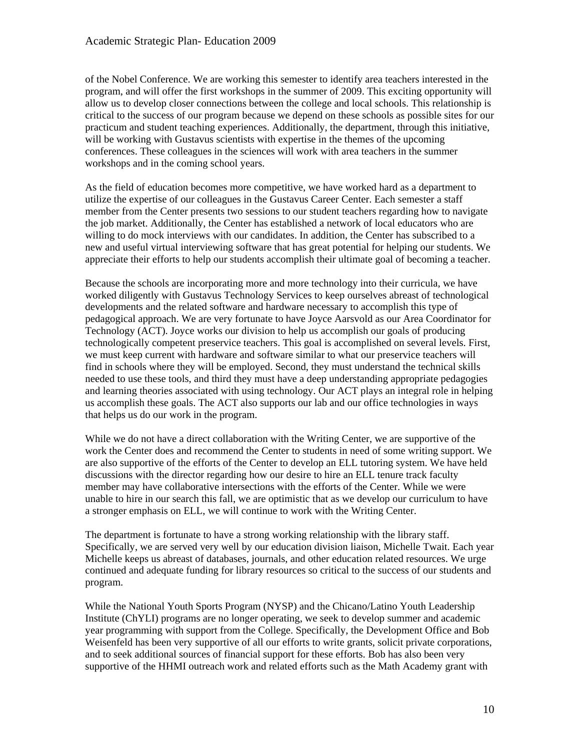of the Nobel Conference. We are working this semester to identify area teachers interested in the program, and will offer the first workshops in the summer of 2009. This exciting opportunity will allow us to develop closer connections between the college and local schools. This relationship is critical to the success of our program because we depend on these schools as possible sites for our practicum and student teaching experiences. Additionally, the department, through this initiative, will be working with Gustavus scientists with expertise in the themes of the upcoming conferences. These colleagues in the sciences will work with area teachers in the summer workshops and in the coming school years.

As the field of education becomes more competitive, we have worked hard as a department to utilize the expertise of our colleagues in the Gustavus Career Center. Each semester a staff member from the Center presents two sessions to our student teachers regarding how to navigate the job market. Additionally, the Center has established a network of local educators who are willing to do mock interviews with our candidates. In addition, the Center has subscribed to a new and useful virtual interviewing software that has great potential for helping our students. We appreciate their efforts to help our students accomplish their ultimate goal of becoming a teacher.

Because the schools are incorporating more and more technology into their curricula, we have worked diligently with Gustavus Technology Services to keep ourselves abreast of technological developments and the related software and hardware necessary to accomplish this type of pedagogical approach. We are very fortunate to have Joyce Aarsvold as our Area Coordinator for Technology (ACT). Joyce works our division to help us accomplish our goals of producing technologically competent preservice teachers. This goal is accomplished on several levels. First, we must keep current with hardware and software similar to what our preservice teachers will find in schools where they will be employed. Second, they must understand the technical skills needed to use these tools, and third they must have a deep understanding appropriate pedagogies and learning theories associated with using technology. Our ACT plays an integral role in helping us accomplish these goals. The ACT also supports our lab and our office technologies in ways that helps us do our work in the program.

While we do not have a direct collaboration with the Writing Center, we are supportive of the work the Center does and recommend the Center to students in need of some writing support. We are also supportive of the efforts of the Center to develop an ELL tutoring system. We have held discussions with the director regarding how our desire to hire an ELL tenure track faculty member may have collaborative intersections with the efforts of the Center. While we were unable to hire in our search this fall, we are optimistic that as we develop our curriculum to have a stronger emphasis on ELL, we will continue to work with the Writing Center.

The department is fortunate to have a strong working relationship with the library staff. Specifically, we are served very well by our education division liaison, Michelle Twait. Each year Michelle keeps us abreast of databases, journals, and other education related resources. We urge continued and adequate funding for library resources so critical to the success of our students and program.

While the National Youth Sports Program (NYSP) and the Chicano/Latino Youth Leadership Institute (ChYLI) programs are no longer operating, we seek to develop summer and academic year programming with support from the College. Specifically, the Development Office and Bob Weisenfeld has been very supportive of all our efforts to write grants, solicit private corporations, and to seek additional sources of financial support for these efforts. Bob has also been very supportive of the HHMI outreach work and related efforts such as the Math Academy grant with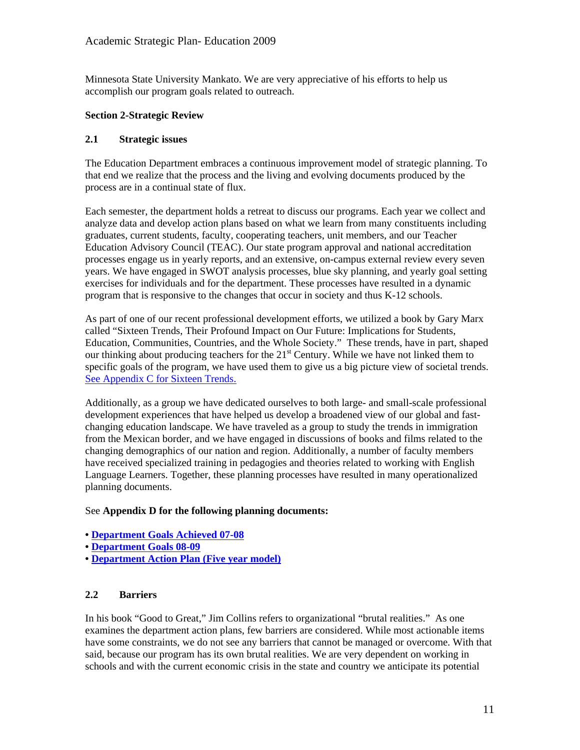Minnesota State University Mankato. We are very appreciative of his efforts to help us accomplish our program goals related to outreach.

#### **Section 2-Strategic Review**

#### **2.1 Strategic issues**

The Education Department embraces a continuous improvement model of strategic planning. To that end we realize that the process and the living and evolving documents produced by the process are in a continual state of flux.

Each semester, the department holds a retreat to discuss our programs. Each year we collect and analyze data and develop action plans based on what we learn from many constituents including graduates, current students, faculty, cooperating teachers, unit members, and our Teacher Education Advisory Council (TEAC). Our state program approval and national accreditation processes engage us in yearly reports, and an extensive, on-campus external review every seven years. We have engaged in SWOT analysis processes, blue sky planning, and yearly goal setting exercises for individuals and for the department. These processes have resulted in a dynamic program that is responsive to the changes that occur in society and thus K-12 schools.

As part of one of our recent professional development efforts, we utilized a book by Gary Marx called "Sixteen Trends, Their Profound Impact on Our Future: Implications for Students, Education, Communities, Countries, and the Whole Society." These trends, have in part, shaped our thinking about producing teachers for the  $21<sup>st</sup>$  Century. While we have not linked them to specific goals of the program, we have used them to give us a big picture view of societal trends. See Appendix C for Sixteen Trends.

Additionally, as a group we have dedicated ourselves to both large- and small-scale professional development experiences that have helped us develop a broadened view of our global and fastchanging education landscape. We have traveled as a group to study the trends in immigration from the Mexican border, and we have engaged in discussions of books and films related to the changing demographics of our nation and region. Additionally, a number of faculty members have received specialized training in pedagogies and theories related to working with English Language Learners. Together, these planning processes have resulted in many operationalized planning documents.

#### See **Appendix D for the following planning documents:**

- **Department Goals Achieved 07-08**
- **Department Goals 08-09**
- **Department Action Plan (Five year model)**

# **2.2 Barriers**

In his book "Good to Great," Jim Collins refers to organizational "brutal realities." As one examines the department action plans, few barriers are considered. While most actionable items have some constraints, we do not see any barriers that cannot be managed or overcome. With that said, because our program has its own brutal realities. We are very dependent on working in schools and with the current economic crisis in the state and country we anticipate its potential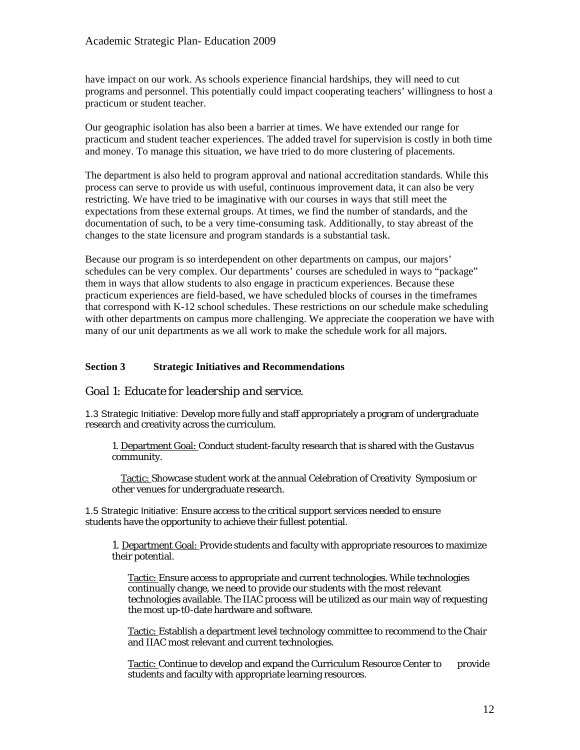have impact on our work. As schools experience financial hardships, they will need to cut programs and personnel. This potentially could impact cooperating teachers' willingness to host a practicum or student teacher.

Our geographic isolation has also been a barrier at times. We have extended our range for practicum and student teacher experiences. The added travel for supervision is costly in both time and money. To manage this situation, we have tried to do more clustering of placements.

The department is also held to program approval and national accreditation standards. While this process can serve to provide us with useful, continuous improvement data, it can also be very restricting. We have tried to be imaginative with our courses in ways that still meet the expectations from these external groups. At times, we find the number of standards, and the documentation of such, to be a very time-consuming task. Additionally, to stay abreast of the changes to the state licensure and program standards is a substantial task.

Because our program is so interdependent on other departments on campus, our majors' schedules can be very complex. Our departments' courses are scheduled in ways to "package" them in ways that allow students to also engage in practicum experiences. Because these practicum experiences are field-based, we have scheduled blocks of courses in the timeframes that correspond with K-12 school schedules. These restrictions on our schedule make scheduling with other departments on campus more challenging. We appreciate the cooperation we have with many of our unit departments as we all work to make the schedule work for all majors.

#### **Section 3 Strategic Initiatives and Recommendations**

# *Goal 1: Educate for leadership and service.*

1.3 Strategic Initiative: Develop more fully and staff appropriately a program of undergraduate research and creativity across the curriculum.

1. Department Goal: Conduct student-faculty research that is shared with the Gustavus community.

 Tactic: Showcase student work at the annual Celebration of Creativity Symposium or other venues for undergraduate research.

1.5 Strategic Initiative: Ensure access to the critical support services needed to ensure students have the opportunity to achieve their fullest potential.

1. Department Goal: Provide students and faculty with appropriate resources to maximize their potential.

Tactic: Ensure access to appropriate and current technologies. While technologies continually change, we need to provide our students with the most relevant technologies available. The IIAC process will be utilized as our main way of requesting the most up-t0-date hardware and software.

Tactic: Establish a department level technology committee to recommend to the Chair and IIAC most relevant and current technologies.

Tactic: Continue to develop and expand the Curriculum Resource Center to provide students and faculty with appropriate learning resources.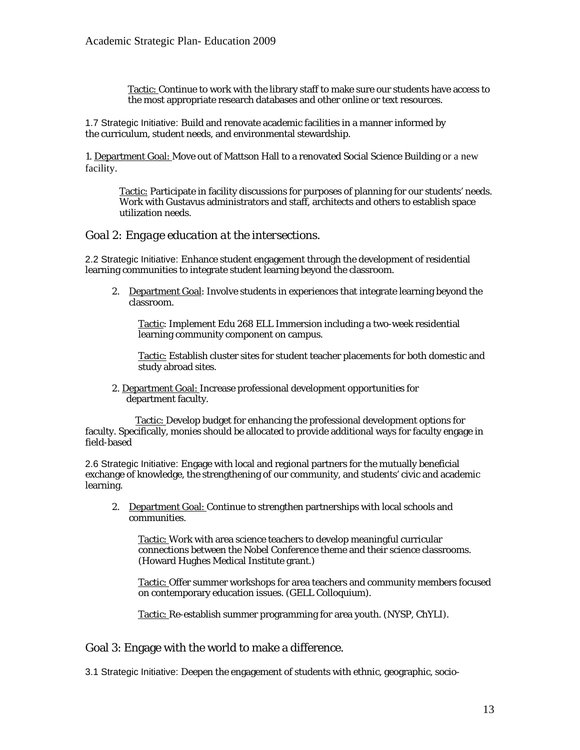Tactic: Continue to work with the library staff to make sure our students have access to the most appropriate research databases and other online or text resources.

1.7 Strategic Initiative: Build and renovate academic facilities in a manner informed by the curriculum, student needs, and environmental stewardship.

1. Department Goal: Move out of Mattson Hall to a renovated Social Science Building or a new facility.

Tactic: Participate in facility discussions for purposes of planning for our students' needs. Work with Gustavus administrators and staff, architects and others to establish space utilization needs.

#### *Goal 2: Engage education at the intersections.*

2.2 Strategic Initiative: Enhance student engagement through the development of residential learning communities to integrate student learning beyond the classroom.

2. Department Goal: Involve students in experiences that integrate learning beyond the classroom.

Tactic: Implement Edu 268 ELL Immersion including a two-week residential learning community component on campus.

Tactic: Establish cluster sites for student teacher placements for both domestic and study abroad sites.

 2. Department Goal: Increase professional development opportunities for department faculty.

 Tactic: Develop budget for enhancing the professional development options for faculty. Specifically, monies should be allocated to provide additional ways for faculty engage in field-based

2.6 Strategic Initiative: Engage with local and regional partners for the mutually beneficial exchange of knowledge, the strengthening of our community, and students' civic and academic learning.

2. Department Goal: Continue to strengthen partnerships with local schools and communities.

Tactic: Work with area science teachers to develop meaningful curricular connections between the Nobel Conference theme and their science classrooms. (Howard Hughes Medical Institute grant.)

Tactic: Offer summer workshops for area teachers and community members focused on contemporary education issues. (GELL Colloquium).

Tactic: Re-establish summer programming for area youth. (NYSP, ChYLI).

Goal 3: Engage with the world to make a difference.

3.1 Strategic Initiative: Deepen the engagement of students with ethnic, geographic, socio-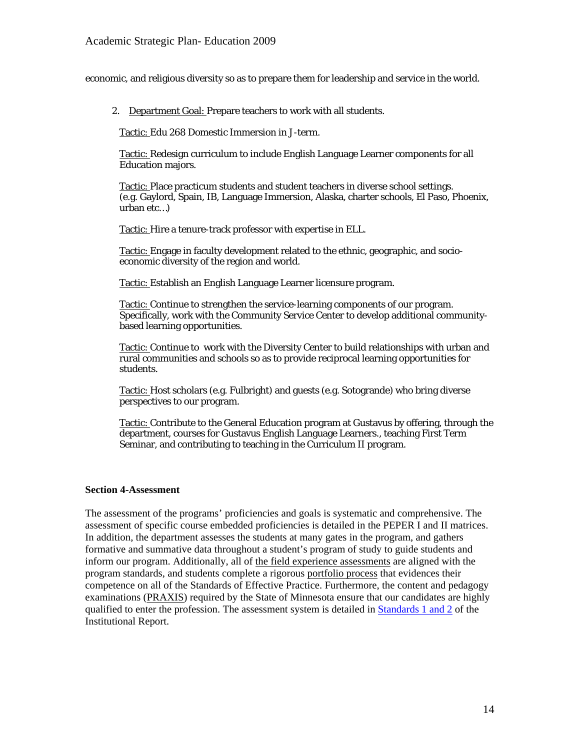economic, and religious diversity so as to prepare them for leadership and service in the world.

2. Department Goal: Prepare teachers to work with all students.

Tactic: Edu 268 Domestic Immersion in J-term.

Tactic: Redesign curriculum to include English Language Learner components for all Education majors.

 Tactic: Place practicum students and student teachers in diverse school settings. (e.g. Gaylord, Spain, IB, Language Immersion, Alaska, charter schools, El Paso, Phoenix, urban etc…)

Tactic: Hire a tenure-track professor with expertise in ELL.

Tactic: Engage in faculty development related to the ethnic, geographic, and socioeconomic diversity of the region and world.

Tactic: Establish an English Language Learner licensure program.

Tactic: Continue to strengthen the service-learning components of our program. Specifically, work with the Community Service Center to develop additional communitybased learning opportunities.

Tactic: Continue to work with the Diversity Center to build relationships with urban and rural communities and schools so as to provide reciprocal learning opportunities for students.

Tactic: Host scholars (e.g. Fulbright) and guests (e.g. Sotogrande) who bring diverse perspectives to our program.

Tactic: Contribute to the General Education program at Gustavus by offering, through the department, courses for Gustavus English Language Learners., teaching First Term Seminar, and contributing to teaching in the Curriculum II program.

#### **Section 4-Assessment**

The assessment of the programs' proficiencies and goals is systematic and comprehensive. The assessment of specific course embedded proficiencies is detailed in the PEPER I and II matrices. In addition, the department assesses the students at many gates in the program, and gathers formative and summative data throughout a student's program of study to guide students and inform our program. Additionally, all of the field experience assessments are aligned with the program standards, and students complete a rigorous portfolio process that evidences their competence on all of the Standards of Effective Practice. Furthermore, the content and pedagogy examinations (PRAXIS) required by the State of Minnesota ensure that our candidates are highly qualified to enter the profession. The assessment system is detailed in Standards 1 and 2 of the Institutional Report.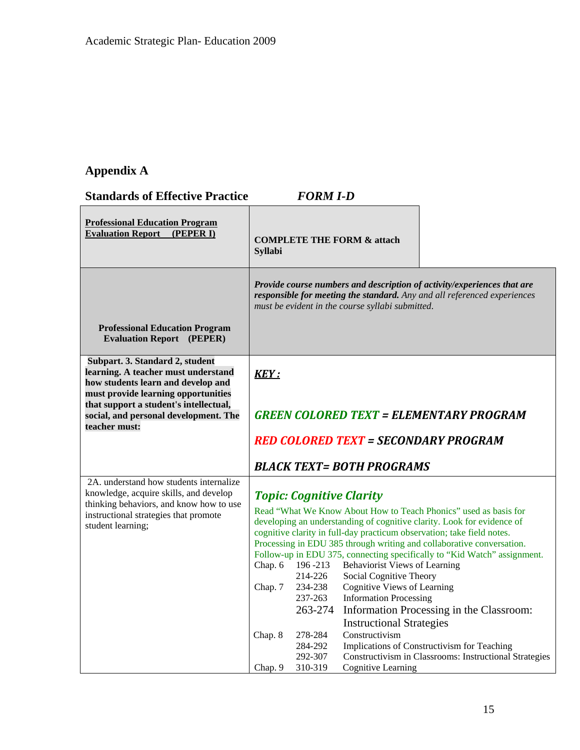# **Appendix A**

**Standards of Effective Practice** *FORM I-D*

| <b>Professional Education Program</b><br><b>Evaluation Report</b><br>(PEPER I)                                                          | <b>Syllabi</b> |                                 | <b>COMPLETE THE FORM &amp; attach</b>                           |                                                                                                                                                                                                                      |
|-----------------------------------------------------------------------------------------------------------------------------------------|----------------|---------------------------------|-----------------------------------------------------------------|----------------------------------------------------------------------------------------------------------------------------------------------------------------------------------------------------------------------|
| <b>Professional Education Program</b>                                                                                                   |                |                                 | must be evident in the course syllabi submitted.                | Provide course numbers and description of activity/experiences that are<br>responsible for meeting the standard. Any and all referenced experiences                                                                  |
| <b>Evaluation Report</b> (PEPER)                                                                                                        |                |                                 |                                                                 |                                                                                                                                                                                                                      |
| Subpart. 3. Standard 2, student<br>learning. A teacher must understand<br>how students learn and develop and                            | <b>KEY:</b>    |                                 |                                                                 |                                                                                                                                                                                                                      |
| must provide learning opportunities<br>that support a student's intellectual,<br>social, and personal development. The<br>teacher must: |                |                                 |                                                                 | <b>GREEN COLORED TEXT = ELEMENTARY PROGRAM</b>                                                                                                                                                                       |
|                                                                                                                                         |                |                                 |                                                                 | <b>RED COLORED TEXT = SECONDARY PROGRAM</b>                                                                                                                                                                          |
|                                                                                                                                         |                |                                 | <b>BLACK TEXT= BOTH PROGRAMS</b>                                |                                                                                                                                                                                                                      |
| 2A. understand how students internalize                                                                                                 |                |                                 |                                                                 |                                                                                                                                                                                                                      |
| knowledge, acquire skills, and develop                                                                                                  |                | <b>Topic: Cognitive Clarity</b> |                                                                 |                                                                                                                                                                                                                      |
| thinking behaviors, and know how to use<br>instructional strategies that promote<br>student learning;                                   |                |                                 |                                                                 | Read "What We Know About How to Teach Phonics" used as basis for<br>developing an understanding of cognitive clarity. Look for evidence of<br>cognitive clarity in full-day practicum observation; take field notes. |
|                                                                                                                                         |                |                                 |                                                                 | Processing in EDU 385 through writing and collaborative conversation.                                                                                                                                                |
|                                                                                                                                         |                |                                 |                                                                 | Follow-up in EDU 375, connecting specifically to "Kid Watch" assignment.                                                                                                                                             |
|                                                                                                                                         | Chap. 6        | 196 - 213<br>214-226            | <b>Behaviorist Views of Learning</b><br>Social Cognitive Theory |                                                                                                                                                                                                                      |
|                                                                                                                                         | Chap. 7        | 234-238                         | <b>Cognitive Views of Learning</b>                              |                                                                                                                                                                                                                      |
|                                                                                                                                         |                | 237-263                         | <b>Information Processing</b>                                   |                                                                                                                                                                                                                      |
|                                                                                                                                         |                | 263-274                         |                                                                 | Information Processing in the Classroom:                                                                                                                                                                             |
|                                                                                                                                         | Chap. 8        | 278-284                         | <b>Instructional Strategies</b><br>Constructivism               |                                                                                                                                                                                                                      |
|                                                                                                                                         |                | 284-292                         |                                                                 | Implications of Constructivism for Teaching                                                                                                                                                                          |
|                                                                                                                                         |                | 292-307                         |                                                                 | Constructivism in Classrooms: Instructional Strategies                                                                                                                                                               |
|                                                                                                                                         | Chap. 9        | 310-319                         | <b>Cognitive Learning</b>                                       |                                                                                                                                                                                                                      |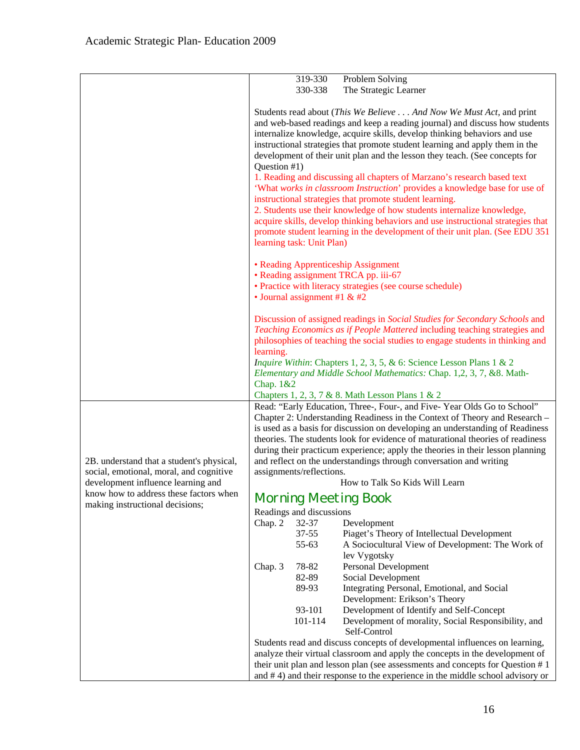|                                                                              | 319-330<br>Problem Solving                                                                                                                                                                                                                                                                                                                                                                                                                                                                                  |  |  |
|------------------------------------------------------------------------------|-------------------------------------------------------------------------------------------------------------------------------------------------------------------------------------------------------------------------------------------------------------------------------------------------------------------------------------------------------------------------------------------------------------------------------------------------------------------------------------------------------------|--|--|
|                                                                              | The Strategic Learner<br>330-338                                                                                                                                                                                                                                                                                                                                                                                                                                                                            |  |  |
|                                                                              |                                                                                                                                                                                                                                                                                                                                                                                                                                                                                                             |  |  |
|                                                                              | Students read about (This We Believe And Now We Must Act, and print<br>and web-based readings and keep a reading journal) and discuss how students<br>internalize knowledge, acquire skills, develop thinking behaviors and use<br>instructional strategies that promote student learning and apply them in the                                                                                                                                                                                             |  |  |
|                                                                              | development of their unit plan and the lesson they teach. (See concepts for                                                                                                                                                                                                                                                                                                                                                                                                                                 |  |  |
|                                                                              | Question #1)<br>1. Reading and discussing all chapters of Marzano's research based text<br>'What works in classroom Instruction' provides a knowledge base for use of<br>instructional strategies that promote student learning.<br>2. Students use their knowledge of how students internalize knowledge,<br>acquire skills, develop thinking behaviors and use instructional strategies that<br>promote student learning in the development of their unit plan. (See EDU 351<br>learning task: Unit Plan) |  |  |
|                                                                              |                                                                                                                                                                                                                                                                                                                                                                                                                                                                                                             |  |  |
|                                                                              | • Reading Apprenticeship Assignment<br>• Reading assignment TRCA pp. iii-67                                                                                                                                                                                                                                                                                                                                                                                                                                 |  |  |
|                                                                              | • Practice with literacy strategies (see course schedule)<br>• Journal assignment #1 & #2                                                                                                                                                                                                                                                                                                                                                                                                                   |  |  |
|                                                                              | Discussion of assigned readings in Social Studies for Secondary Schools and<br>Teaching Economics as if People Mattered including teaching strategies and<br>philosophies of teaching the social studies to engage students in thinking and                                                                                                                                                                                                                                                                 |  |  |
|                                                                              | learning.<br><i>Inquire Within: Chapters 1, 2, 3, 5, &amp; 6: Science Lesson Plans 1 &amp; 2</i><br>Elementary and Middle School Mathematics: Chap. 1,2, 3, 7, &8. Math-<br>Chap. 1&2                                                                                                                                                                                                                                                                                                                       |  |  |
|                                                                              | Chapters 1, 2, 3, 7 & 8. Math Lesson Plans 1 & 2                                                                                                                                                                                                                                                                                                                                                                                                                                                            |  |  |
|                                                                              | Read: "Early Education, Three-, Four-, and Five-Year Olds Go to School"<br>Chapter 2: Understanding Readiness in the Context of Theory and Research -<br>is used as a basis for discussion on developing an understanding of Readiness<br>theories. The students look for evidence of maturational theories of readiness                                                                                                                                                                                    |  |  |
|                                                                              | during their practicum experience; apply the theories in their lesson planning                                                                                                                                                                                                                                                                                                                                                                                                                              |  |  |
| 2B. understand that a student's physical,                                    | and reflect on the understandings through conversation and writing                                                                                                                                                                                                                                                                                                                                                                                                                                          |  |  |
| social, emotional, moral, and cognitive                                      | assignments/reflections.                                                                                                                                                                                                                                                                                                                                                                                                                                                                                    |  |  |
| development influence learning and<br>know how to address these factors when | How to Talk So Kids Will Learn<br><b>Morning Meeting Book</b>                                                                                                                                                                                                                                                                                                                                                                                                                                               |  |  |
| making instructional decisions;                                              |                                                                                                                                                                                                                                                                                                                                                                                                                                                                                                             |  |  |
|                                                                              | Readings and discussions<br>Chap. 2<br>32-37<br>Development<br>$37 - 55$<br>Piaget's Theory of Intellectual Development<br>55-63<br>A Sociocultural View of Development: The Work of<br>lev Vygotsky                                                                                                                                                                                                                                                                                                        |  |  |
|                                                                              | 78-82<br>Personal Development<br>Chap. 3<br>82-89<br>Social Development<br>89-93<br>Integrating Personal, Emotional, and Social                                                                                                                                                                                                                                                                                                                                                                             |  |  |
|                                                                              | Development: Erikson's Theory<br>93-101<br>Development of Identify and Self-Concept<br>101-114<br>Development of morality, Social Responsibility, and<br>Self-Control                                                                                                                                                                                                                                                                                                                                       |  |  |
|                                                                              | Students read and discuss concepts of developmental influences on learning,                                                                                                                                                                                                                                                                                                                                                                                                                                 |  |  |
|                                                                              | analyze their virtual classroom and apply the concepts in the development of<br>their unit plan and lesson plan (see assessments and concepts for Question #1                                                                                                                                                                                                                                                                                                                                               |  |  |
|                                                                              | and $# 4$ ) and their response to the experience in the middle school advisory or                                                                                                                                                                                                                                                                                                                                                                                                                           |  |  |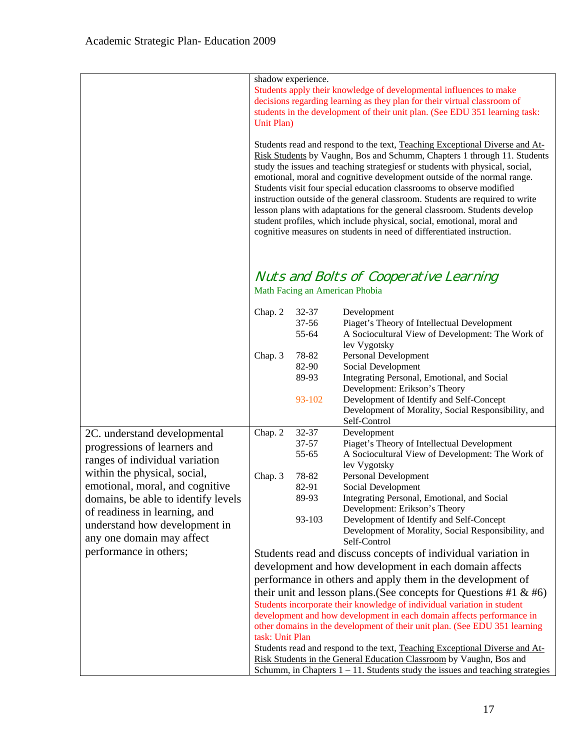|                                                            | Unit Plan)                                                                                                                                                             | shadow experience.                | Students apply their knowledge of developmental influences to make<br>decisions regarding learning as they plan for their virtual classroom of<br>students in the development of their unit plan. (See EDU 351 learning task:                                                                                                                                                                                                                                                                                                                                                                                                                                                                              |
|------------------------------------------------------------|------------------------------------------------------------------------------------------------------------------------------------------------------------------------|-----------------------------------|------------------------------------------------------------------------------------------------------------------------------------------------------------------------------------------------------------------------------------------------------------------------------------------------------------------------------------------------------------------------------------------------------------------------------------------------------------------------------------------------------------------------------------------------------------------------------------------------------------------------------------------------------------------------------------------------------------|
|                                                            |                                                                                                                                                                        |                                   | Students read and respond to the text, Teaching Exceptional Diverse and At-<br>Risk Students by Vaughn, Bos and Schumm, Chapters 1 through 11. Students<br>study the issues and teaching strategiesf or students with physical, social,<br>emotional, moral and cognitive development outside of the normal range.<br>Students visit four special education classrooms to observe modified<br>instruction outside of the general classroom. Students are required to write<br>lesson plans with adaptations for the general classroom. Students develop<br>student profiles, which include physical, social, emotional, moral and<br>cognitive measures on students in need of differentiated instruction. |
|                                                            |                                                                                                                                                                        |                                   | Nuts and Bolts of Cooperative Learning<br>Math Facing an American Phobia                                                                                                                                                                                                                                                                                                                                                                                                                                                                                                                                                                                                                                   |
|                                                            | Chap. 2                                                                                                                                                                | 32-37<br>37-56<br>55-64           | Development<br>Piaget's Theory of Intellectual Development<br>A Sociocultural View of Development: The Work of<br>lev Vygotsky                                                                                                                                                                                                                                                                                                                                                                                                                                                                                                                                                                             |
|                                                            | Chap. 3                                                                                                                                                                | 78-82<br>82-90<br>89-93<br>93-102 | Personal Development<br>Social Development<br>Integrating Personal, Emotional, and Social<br>Development: Erikson's Theory<br>Development of Identify and Self-Concept                                                                                                                                                                                                                                                                                                                                                                                                                                                                                                                                     |
|                                                            |                                                                                                                                                                        |                                   | Development of Morality, Social Responsibility, and<br>Self-Control                                                                                                                                                                                                                                                                                                                                                                                                                                                                                                                                                                                                                                        |
| 2C. understand developmental                               | Chap. 2                                                                                                                                                                | 32-37                             | Development                                                                                                                                                                                                                                                                                                                                                                                                                                                                                                                                                                                                                                                                                                |
| progressions of learners and                               |                                                                                                                                                                        | $37 - 57$                         | Piaget's Theory of Intellectual Development                                                                                                                                                                                                                                                                                                                                                                                                                                                                                                                                                                                                                                                                |
| ranges of individual variation                             |                                                                                                                                                                        | 55-65                             | A Sociocultural View of Development: The Work of                                                                                                                                                                                                                                                                                                                                                                                                                                                                                                                                                                                                                                                           |
| within the physical, social,                               | Chap. 3                                                                                                                                                                | 78-82                             | lev Vygotsky<br>Personal Development                                                                                                                                                                                                                                                                                                                                                                                                                                                                                                                                                                                                                                                                       |
| emotional, moral, and cognitive                            |                                                                                                                                                                        | 82-91                             | Social Development                                                                                                                                                                                                                                                                                                                                                                                                                                                                                                                                                                                                                                                                                         |
| domains, be able to identify levels                        |                                                                                                                                                                        | 89-93                             | Integrating Personal, Emotional, and Social                                                                                                                                                                                                                                                                                                                                                                                                                                                                                                                                                                                                                                                                |
| of readiness in learning, and                              |                                                                                                                                                                        |                                   | Development: Erikson's Theory                                                                                                                                                                                                                                                                                                                                                                                                                                                                                                                                                                                                                                                                              |
| understand how development in<br>any one domain may affect |                                                                                                                                                                        | 93-103                            | Development of Identify and Self-Concept<br>Development of Morality, Social Responsibility, and<br>Self-Control                                                                                                                                                                                                                                                                                                                                                                                                                                                                                                                                                                                            |
| performance in others;                                     |                                                                                                                                                                        |                                   | Students read and discuss concepts of individual variation in                                                                                                                                                                                                                                                                                                                                                                                                                                                                                                                                                                                                                                              |
|                                                            |                                                                                                                                                                        |                                   | development and how development in each domain affects                                                                                                                                                                                                                                                                                                                                                                                                                                                                                                                                                                                                                                                     |
|                                                            |                                                                                                                                                                        |                                   | performance in others and apply them in the development of                                                                                                                                                                                                                                                                                                                                                                                                                                                                                                                                                                                                                                                 |
|                                                            |                                                                                                                                                                        |                                   | their unit and lesson plans. (See concepts for Questions #1 $\&$ #6)                                                                                                                                                                                                                                                                                                                                                                                                                                                                                                                                                                                                                                       |
|                                                            |                                                                                                                                                                        |                                   | Students incorporate their knowledge of individual variation in student                                                                                                                                                                                                                                                                                                                                                                                                                                                                                                                                                                                                                                    |
|                                                            | development and how development in each domain affects performance in<br>other domains in the development of their unit plan. (See EDU 351 learning<br>task: Unit Plan |                                   |                                                                                                                                                                                                                                                                                                                                                                                                                                                                                                                                                                                                                                                                                                            |
|                                                            | Students read and respond to the text, Teaching Exceptional Diverse and At-                                                                                            |                                   |                                                                                                                                                                                                                                                                                                                                                                                                                                                                                                                                                                                                                                                                                                            |
|                                                            | Risk Students in the General Education Classroom by Vaughn, Bos and                                                                                                    |                                   |                                                                                                                                                                                                                                                                                                                                                                                                                                                                                                                                                                                                                                                                                                            |
|                                                            |                                                                                                                                                                        |                                   | Schumm, in Chapters $1 - 11$ . Students study the issues and teaching strategies                                                                                                                                                                                                                                                                                                                                                                                                                                                                                                                                                                                                                           |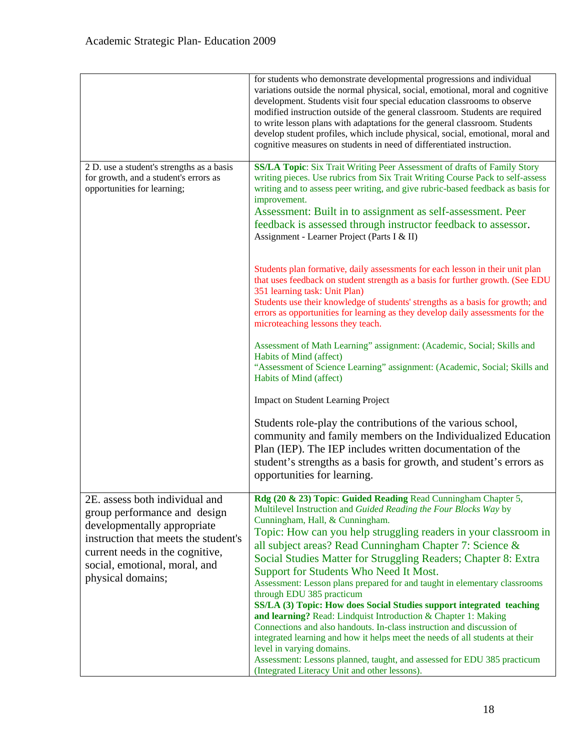|                                                                                                                                                                                                                                | for students who demonstrate developmental progressions and individual<br>variations outside the normal physical, social, emotional, moral and cognitive<br>development. Students visit four special education classrooms to observe<br>modified instruction outside of the general classroom. Students are required<br>to write lesson plans with adaptations for the general classroom. Students<br>develop student profiles, which include physical, social, emotional, moral and<br>cognitive measures on students in need of differentiated instruction.                                                                                                                                                                                                                                                                                                                                                                                                                         |
|--------------------------------------------------------------------------------------------------------------------------------------------------------------------------------------------------------------------------------|---------------------------------------------------------------------------------------------------------------------------------------------------------------------------------------------------------------------------------------------------------------------------------------------------------------------------------------------------------------------------------------------------------------------------------------------------------------------------------------------------------------------------------------------------------------------------------------------------------------------------------------------------------------------------------------------------------------------------------------------------------------------------------------------------------------------------------------------------------------------------------------------------------------------------------------------------------------------------------------|
| 2 D. use a student's strengths as a basis<br>for growth, and a student's errors as<br>opportunities for learning;                                                                                                              | SS/LA Topic: Six Trait Writing Peer Assessment of drafts of Family Story<br>writing pieces. Use rubrics from Six Trait Writing Course Pack to self-assess<br>writing and to assess peer writing, and give rubric-based feedback as basis for<br>improvement.<br>Assessment: Built in to assignment as self-assessment. Peer<br>feedback is assessed through instructor feedback to assessor.<br>Assignment - Learner Project (Parts I & II)                                                                                                                                                                                                                                                                                                                                                                                                                                                                                                                                           |
|                                                                                                                                                                                                                                | Students plan formative, daily assessments for each lesson in their unit plan<br>that uses feedback on student strength as a basis for further growth. (See EDU<br>351 learning task: Unit Plan)<br>Students use their knowledge of students' strengths as a basis for growth; and<br>errors as opportunities for learning as they develop daily assessments for the<br>microteaching lessons they teach.                                                                                                                                                                                                                                                                                                                                                                                                                                                                                                                                                                             |
|                                                                                                                                                                                                                                | Assessment of Math Learning" assignment: (Academic, Social; Skills and<br>Habits of Mind (affect)<br>"Assessment of Science Learning" assignment: (Academic, Social; Skills and<br>Habits of Mind (affect)                                                                                                                                                                                                                                                                                                                                                                                                                                                                                                                                                                                                                                                                                                                                                                            |
|                                                                                                                                                                                                                                | <b>Impact on Student Learning Project</b>                                                                                                                                                                                                                                                                                                                                                                                                                                                                                                                                                                                                                                                                                                                                                                                                                                                                                                                                             |
|                                                                                                                                                                                                                                | Students role-play the contributions of the various school,<br>community and family members on the Individualized Education<br>Plan (IEP). The IEP includes written documentation of the<br>student's strengths as a basis for growth, and student's errors as<br>opportunities for learning.                                                                                                                                                                                                                                                                                                                                                                                                                                                                                                                                                                                                                                                                                         |
| 2E. assess both individual and<br>group performance and design<br>developmentally appropriate<br>instruction that meets the student's<br>current needs in the cognitive,<br>social, emotional, moral, and<br>physical domains; | Rdg (20 & 23) Topic: Guided Reading Read Cunningham Chapter 5,<br>Multilevel Instruction and Guided Reading the Four Blocks Way by<br>Cunningham, Hall, & Cunningham.<br>Topic: How can you help struggling readers in your classroom in<br>all subject areas? Read Cunningham Chapter 7: Science &<br>Social Studies Matter for Struggling Readers; Chapter 8: Extra<br>Support for Students Who Need It Most.<br>Assessment: Lesson plans prepared for and taught in elementary classrooms<br>through EDU 385 practicum<br>SS/LA (3) Topic: How does Social Studies support integrated teaching<br>and learning? Read: Lindquist Introduction & Chapter 1: Making<br>Connections and also handouts. In-class instruction and discussion of<br>integrated learning and how it helps meet the needs of all students at their<br>level in varying domains.<br>Assessment: Lessons planned, taught, and assessed for EDU 385 practicum<br>(Integrated Literacy Unit and other lessons). |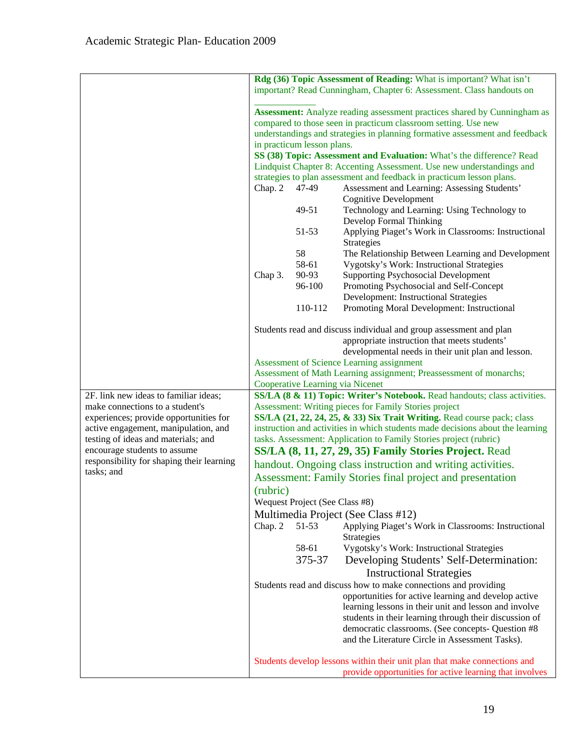|                                                                             |                                                                                                                                               |                                | Rdg (36) Topic Assessment of Reading: What is important? What isn't                                                                                 |
|-----------------------------------------------------------------------------|-----------------------------------------------------------------------------------------------------------------------------------------------|--------------------------------|-----------------------------------------------------------------------------------------------------------------------------------------------------|
|                                                                             | important? Read Cunningham, Chapter 6: Assessment. Class handouts on                                                                          |                                |                                                                                                                                                     |
|                                                                             | <b>Assessment:</b> Analyze reading assessment practices shared by Cunningham as                                                               |                                |                                                                                                                                                     |
|                                                                             | compared to those seen in practicum classroom setting. Use new<br>understandings and strategies in planning formative assessment and feedback |                                |                                                                                                                                                     |
|                                                                             |                                                                                                                                               | in practicum lesson plans.     |                                                                                                                                                     |
|                                                                             |                                                                                                                                               |                                | SS (38) Topic: Assessment and Evaluation: What's the difference? Read                                                                               |
|                                                                             |                                                                                                                                               |                                | Lindquist Chapter 8: Accenting Assessment. Use new understandings and                                                                               |
|                                                                             |                                                                                                                                               |                                | strategies to plan assessment and feedback in practicum lesson plans.                                                                               |
|                                                                             | Chap. 2                                                                                                                                       | 47-49                          | Assessment and Learning: Assessing Students'<br><b>Cognitive Development</b>                                                                        |
|                                                                             |                                                                                                                                               | 49-51                          | Technology and Learning: Using Technology to<br>Develop Formal Thinking                                                                             |
|                                                                             |                                                                                                                                               | 51-53                          | Applying Piaget's Work in Classrooms: Instructional<br>Strategies                                                                                   |
|                                                                             |                                                                                                                                               | 58                             | The Relationship Between Learning and Development                                                                                                   |
|                                                                             |                                                                                                                                               | 58-61                          | Vygotsky's Work: Instructional Strategies                                                                                                           |
|                                                                             | Chap 3.                                                                                                                                       | 90-93                          | <b>Supporting Psychosocial Development</b>                                                                                                          |
|                                                                             |                                                                                                                                               | 96-100                         | Promoting Psychosocial and Self-Concept                                                                                                             |
|                                                                             |                                                                                                                                               |                                | Development: Instructional Strategies                                                                                                               |
|                                                                             |                                                                                                                                               | 110-112                        | Promoting Moral Development: Instructional                                                                                                          |
|                                                                             |                                                                                                                                               |                                | Students read and discuss individual and group assessment and plan                                                                                  |
|                                                                             |                                                                                                                                               |                                | appropriate instruction that meets students'                                                                                                        |
|                                                                             |                                                                                                                                               |                                | developmental needs in their unit plan and lesson.                                                                                                  |
|                                                                             |                                                                                                                                               |                                | Assessment of Science Learning assignment                                                                                                           |
|                                                                             | Assessment of Math Learning assignment; Preassessment of monarchs;<br>Cooperative Learning via Nicenet                                        |                                |                                                                                                                                                     |
| 2F. link new ideas to familiar ideas;                                       |                                                                                                                                               |                                | SS/LA (8 & 11) Topic: Writer's Notebook. Read handouts; class activities.                                                                           |
| make connections to a student's                                             |                                                                                                                                               |                                | Assessment: Writing pieces for Family Stories project                                                                                               |
| experiences; provide opportunities for                                      |                                                                                                                                               |                                | SS/LA (21, 22, 24, 25, & 33) Six Trait Writing. Read course pack; class                                                                             |
| active engagement, manipulation, and<br>testing of ideas and materials; and |                                                                                                                                               |                                | instruction and activities in which students made decisions about the learning<br>tasks. Assessment: Application to Family Stories project (rubric) |
| encourage students to assume                                                |                                                                                                                                               |                                | SS/LA (8, 11, 27, 29, 35) Family Stories Project. Read                                                                                              |
| responsibility for shaping their learning                                   |                                                                                                                                               |                                | handout. Ongoing class instruction and writing activities.                                                                                          |
| tasks; and                                                                  |                                                                                                                                               |                                | <b>Assessment: Family Stories final project and presentation</b>                                                                                    |
|                                                                             | (rubric)                                                                                                                                      |                                |                                                                                                                                                     |
|                                                                             |                                                                                                                                               | Wequest Project (See Class #8) |                                                                                                                                                     |
|                                                                             |                                                                                                                                               |                                | Multimedia Project (See Class #12)                                                                                                                  |
|                                                                             | Chap. 2                                                                                                                                       | 51-53                          | Applying Piaget's Work in Classrooms: Instructional                                                                                                 |
|                                                                             |                                                                                                                                               |                                | Strategies                                                                                                                                          |
|                                                                             |                                                                                                                                               | 58-61                          | Vygotsky's Work: Instructional Strategies                                                                                                           |
|                                                                             |                                                                                                                                               | 375-37                         | Developing Students' Self-Determination:                                                                                                            |
|                                                                             |                                                                                                                                               |                                | <b>Instructional Strategies</b>                                                                                                                     |
|                                                                             |                                                                                                                                               |                                | Students read and discuss how to make connections and providing                                                                                     |
|                                                                             |                                                                                                                                               |                                | opportunities for active learning and develop active                                                                                                |
|                                                                             |                                                                                                                                               |                                | learning lessons in their unit and lesson and involve                                                                                               |
|                                                                             |                                                                                                                                               |                                | students in their learning through their discussion of<br>democratic classrooms. (See concepts- Question #8                                         |
|                                                                             |                                                                                                                                               |                                | and the Literature Circle in Assessment Tasks).                                                                                                     |
|                                                                             |                                                                                                                                               |                                |                                                                                                                                                     |
|                                                                             |                                                                                                                                               |                                | Students develop lessons within their unit plan that make connections and<br>provide opportunities for active learning that involves                |
|                                                                             |                                                                                                                                               |                                |                                                                                                                                                     |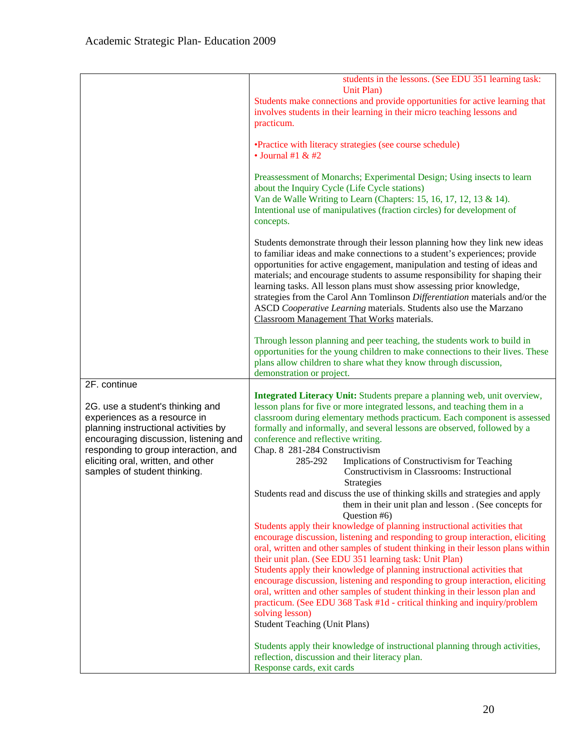|                                                                                                                                                                                                                                                                 | students in the lessons. (See EDU 351 learning task:<br>Unit Plan)                                                                                                                                                                                                                                                                                                                                                                                                                                                                                                                                                                                                                                                                                                                                                                                       |
|-----------------------------------------------------------------------------------------------------------------------------------------------------------------------------------------------------------------------------------------------------------------|----------------------------------------------------------------------------------------------------------------------------------------------------------------------------------------------------------------------------------------------------------------------------------------------------------------------------------------------------------------------------------------------------------------------------------------------------------------------------------------------------------------------------------------------------------------------------------------------------------------------------------------------------------------------------------------------------------------------------------------------------------------------------------------------------------------------------------------------------------|
|                                                                                                                                                                                                                                                                 | Students make connections and provide opportunities for active learning that<br>involves students in their learning in their micro teaching lessons and<br>practicum.                                                                                                                                                                                                                                                                                                                                                                                                                                                                                                                                                                                                                                                                                    |
|                                                                                                                                                                                                                                                                 | • Practice with literacy strategies (see course schedule)<br>$\bullet$ Journal #1 & #2                                                                                                                                                                                                                                                                                                                                                                                                                                                                                                                                                                                                                                                                                                                                                                   |
|                                                                                                                                                                                                                                                                 | Preassessment of Monarchs; Experimental Design; Using insects to learn<br>about the Inquiry Cycle (Life Cycle stations)<br>Van de Walle Writing to Learn (Chapters: 15, 16, 17, 12, 13 & 14).<br>Intentional use of manipulatives (fraction circles) for development of<br>concepts.                                                                                                                                                                                                                                                                                                                                                                                                                                                                                                                                                                     |
|                                                                                                                                                                                                                                                                 | Students demonstrate through their lesson planning how they link new ideas<br>to familiar ideas and make connections to a student's experiences; provide<br>opportunities for active engagement, manipulation and testing of ideas and<br>materials; and encourage students to assume responsibility for shaping their<br>learning tasks. All lesson plans must show assessing prior knowledge,<br>strategies from the Carol Ann Tomlinson Differentiation materials and/or the<br>ASCD Cooperative Learning materials. Students also use the Marzano<br>Classroom Management That Works materials.                                                                                                                                                                                                                                                      |
|                                                                                                                                                                                                                                                                 | Through lesson planning and peer teaching, the students work to build in<br>opportunities for the young children to make connections to their lives. These<br>plans allow children to share what they know through discussion,<br>demonstration or project.                                                                                                                                                                                                                                                                                                                                                                                                                                                                                                                                                                                              |
| 2F. continue                                                                                                                                                                                                                                                    |                                                                                                                                                                                                                                                                                                                                                                                                                                                                                                                                                                                                                                                                                                                                                                                                                                                          |
| 2G. use a student's thinking and<br>experiences as a resource in<br>planning instructional activities by<br>encouraging discussion, listening and<br>responding to group interaction, and<br>eliciting oral, written, and other<br>samples of student thinking. | Integrated Literacy Unit: Students prepare a planning web, unit overview,<br>lesson plans for five or more integrated lessons, and teaching them in a<br>classroom during elementary methods practicum. Each component is assessed<br>formally and informally, and several lessons are observed, followed by a<br>conference and reflective writing.<br>Chap. 8 281-284 Constructivism<br>285-292<br>Implications of Constructivism for Teaching<br>Constructivism in Classrooms: Instructional<br><b>Strategies</b>                                                                                                                                                                                                                                                                                                                                     |
|                                                                                                                                                                                                                                                                 | Students read and discuss the use of thinking skills and strategies and apply<br>them in their unit plan and lesson. (See concepts for<br>Question #6)<br>Students apply their knowledge of planning instructional activities that<br>encourage discussion, listening and responding to group interaction, eliciting<br>oral, written and other samples of student thinking in their lesson plans within<br>their unit plan. (See EDU 351 learning task: Unit Plan)<br>Students apply their knowledge of planning instructional activities that<br>encourage discussion, listening and responding to group interaction, eliciting<br>oral, written and other samples of student thinking in their lesson plan and<br>practicum. (See EDU 368 Task #1d - critical thinking and inquiry/problem<br>solving lesson)<br><b>Student Teaching (Unit Plans)</b> |
|                                                                                                                                                                                                                                                                 | Students apply their knowledge of instructional planning through activities,<br>reflection, discussion and their literacy plan.<br>Response cards, exit cards                                                                                                                                                                                                                                                                                                                                                                                                                                                                                                                                                                                                                                                                                            |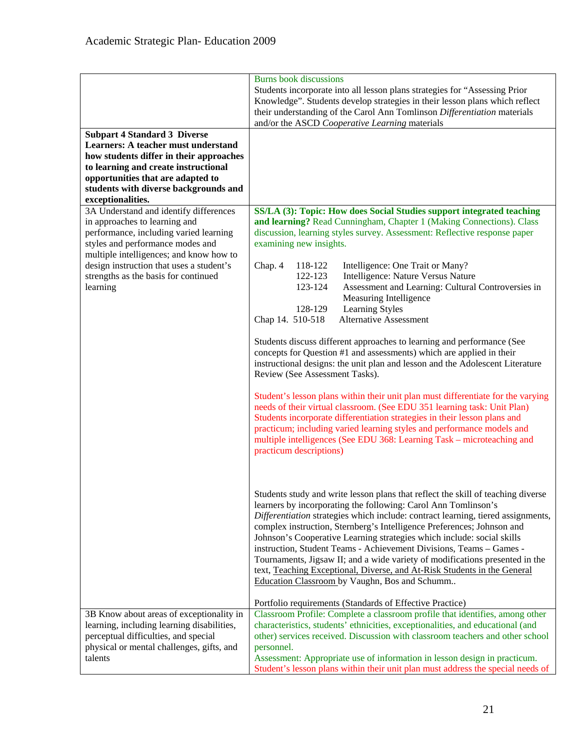|                                                                                                                                                                                                                                                    | <b>Burns book discussions</b>                                                                                                                                                                                                                                                                                                                                                                                                                                                                                                                                                                                                                                                  |
|----------------------------------------------------------------------------------------------------------------------------------------------------------------------------------------------------------------------------------------------------|--------------------------------------------------------------------------------------------------------------------------------------------------------------------------------------------------------------------------------------------------------------------------------------------------------------------------------------------------------------------------------------------------------------------------------------------------------------------------------------------------------------------------------------------------------------------------------------------------------------------------------------------------------------------------------|
|                                                                                                                                                                                                                                                    | Students incorporate into all lesson plans strategies for "Assessing Prior<br>Knowledge". Students develop strategies in their lesson plans which reflect<br>their understanding of the Carol Ann Tomlinson Differentiation materials<br>and/or the ASCD Cooperative Learning materials                                                                                                                                                                                                                                                                                                                                                                                        |
| <b>Subpart 4 Standard 3 Diverse</b><br><b>Learners: A teacher must understand</b><br>how students differ in their approaches<br>to learning and create instructional<br>opportunities that are adapted to<br>students with diverse backgrounds and |                                                                                                                                                                                                                                                                                                                                                                                                                                                                                                                                                                                                                                                                                |
| exceptionalities.<br>3A Understand and identify differences<br>in approaches to learning and<br>performance, including varied learning<br>styles and performance modes and<br>multiple intelligences; and know how to                              | SS/LA (3): Topic: How does Social Studies support integrated teaching<br>and learning? Read Cunningham, Chapter 1 (Making Connections). Class<br>discussion, learning styles survey. Assessment: Reflective response paper<br>examining new insights.                                                                                                                                                                                                                                                                                                                                                                                                                          |
| design instruction that uses a student's<br>strengths as the basis for continued<br>learning                                                                                                                                                       | Chap. 4<br>118-122<br>Intelligence: One Trait or Many?<br>122-123<br>Intelligence: Nature Versus Nature<br>123-124<br>Assessment and Learning: Cultural Controversies in<br>Measuring Intelligence<br>128-129<br>Learning Styles<br>Chap 14. 510-518<br><b>Alternative Assessment</b>                                                                                                                                                                                                                                                                                                                                                                                          |
|                                                                                                                                                                                                                                                    | Students discuss different approaches to learning and performance (See<br>concepts for Question #1 and assessments) which are applied in their<br>instructional designs: the unit plan and lesson and the Adolescent Literature<br>Review (See Assessment Tasks).                                                                                                                                                                                                                                                                                                                                                                                                              |
|                                                                                                                                                                                                                                                    | Student's lesson plans within their unit plan must differentiate for the varying<br>needs of their virtual classroom. (See EDU 351 learning task: Unit Plan)<br>Students incorporate differentiation strategies in their lesson plans and<br>practicum; including varied learning styles and performance models and<br>multiple intelligences (See EDU 368: Learning Task – microteaching and<br>practicum descriptions)                                                                                                                                                                                                                                                       |
|                                                                                                                                                                                                                                                    | Students study and write lesson plans that reflect the skill of teaching diverse<br>learners by incorporating the following: Carol Ann Tomlinson's<br>Differentiation strategies which include: contract learning, tiered assignments,<br>complex instruction, Sternberg's Intelligence Preferences; Johnson and<br>Johnson's Cooperative Learning strategies which include: social skills<br>instruction, Student Teams - Achievement Divisions, Teams - Games -<br>Tournaments, Jigsaw II; and a wide variety of modifications presented in the<br>text, Teaching Exceptional, Diverse, and At-Risk Students in the General<br>Education Classroom by Vaughn, Bos and Schumm |
|                                                                                                                                                                                                                                                    | Portfolio requirements (Standards of Effective Practice)                                                                                                                                                                                                                                                                                                                                                                                                                                                                                                                                                                                                                       |
| 3B Know about areas of exceptionality in<br>learning, including learning disabilities,<br>perceptual difficulties, and special<br>physical or mental challenges, gifts, and<br>talents                                                             | Classroom Profile: Complete a classroom profile that identifies, among other<br>characteristics, students' ethnicities, exceptionalities, and educational (and<br>other) services received. Discussion with classroom teachers and other school<br>personnel.<br>Assessment: Appropriate use of information in lesson design in practicum.<br>Student's lesson plans within their unit plan must address the special needs of                                                                                                                                                                                                                                                  |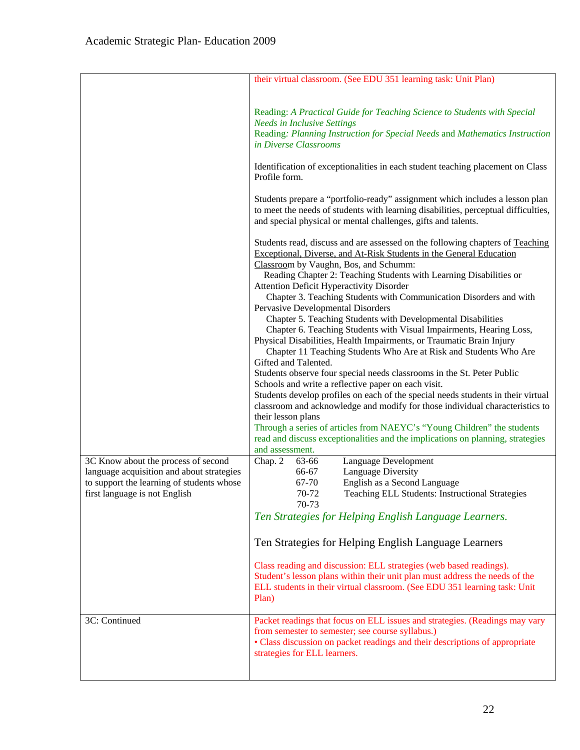|                                           | their virtual classroom. (See EDU 351 learning task: Unit Plan)                                                                                                                                                                     |
|-------------------------------------------|-------------------------------------------------------------------------------------------------------------------------------------------------------------------------------------------------------------------------------------|
|                                           |                                                                                                                                                                                                                                     |
|                                           | Reading: A Practical Guide for Teaching Science to Students with Special<br><b>Needs in Inclusive Settings</b>                                                                                                                      |
|                                           | Reading: Planning Instruction for Special Needs and Mathematics Instruction<br>in Diverse Classrooms                                                                                                                                |
|                                           | Identification of exceptionalities in each student teaching placement on Class<br>Profile form.                                                                                                                                     |
|                                           | Students prepare a "portfolio-ready" assignment which includes a lesson plan<br>to meet the needs of students with learning disabilities, perceptual difficulties,<br>and special physical or mental challenges, gifts and talents. |
|                                           | Students read, discuss and are assessed on the following chapters of Teaching<br>Exceptional, Diverse, and At-Risk Students in the General Education<br>Classroom by Vaughn, Bos, and Schumm:                                       |
|                                           | Reading Chapter 2: Teaching Students with Learning Disabilities or<br><b>Attention Deficit Hyperactivity Disorder</b>                                                                                                               |
|                                           | Chapter 3. Teaching Students with Communication Disorders and with                                                                                                                                                                  |
|                                           | Pervasive Developmental Disorders                                                                                                                                                                                                   |
|                                           | Chapter 5. Teaching Students with Developmental Disabilities<br>Chapter 6. Teaching Students with Visual Impairments, Hearing Loss,                                                                                                 |
|                                           | Physical Disabilities, Health Impairments, or Traumatic Brain Injury<br>Chapter 11 Teaching Students Who Are at Risk and Students Who Are<br>Gifted and Talented.                                                                   |
|                                           | Students observe four special needs classrooms in the St. Peter Public                                                                                                                                                              |
|                                           | Schools and write a reflective paper on each visit.                                                                                                                                                                                 |
|                                           | Students develop profiles on each of the special needs students in their virtual                                                                                                                                                    |
|                                           | classroom and acknowledge and modify for those individual characteristics to<br>their lesson plans                                                                                                                                  |
|                                           | Through a series of articles from NAEYC's "Young Children" the students                                                                                                                                                             |
|                                           | read and discuss exceptionalities and the implications on planning, strategies                                                                                                                                                      |
| 3C Know about the process of second       | and assessment.<br>Chap. 2<br>63-66<br>Language Development                                                                                                                                                                         |
| language acquisition and about strategies | Language Diversity<br>66-67                                                                                                                                                                                                         |
| to support the learning of students whose | 67-70<br>English as a Second Language                                                                                                                                                                                               |
| first language is not English             | 70-72<br>Teaching ELL Students: Instructional Strategies<br>70-73                                                                                                                                                                   |
|                                           | Ten Strategies for Helping English Language Learners.                                                                                                                                                                               |
|                                           | Ten Strategies for Helping English Language Learners                                                                                                                                                                                |
|                                           | Class reading and discussion: ELL strategies (web based readings).                                                                                                                                                                  |
|                                           | Student's lesson plans within their unit plan must address the needs of the                                                                                                                                                         |
|                                           | ELL students in their virtual classroom. (See EDU 351 learning task: Unit<br>Plan)                                                                                                                                                  |
| 3C: Continued                             | Packet readings that focus on ELL issues and strategies. (Readings may vary                                                                                                                                                         |
|                                           | from semester to semester; see course syllabus.)<br>• Class discussion on packet readings and their descriptions of appropriate<br>strategies for ELL learners.                                                                     |
|                                           |                                                                                                                                                                                                                                     |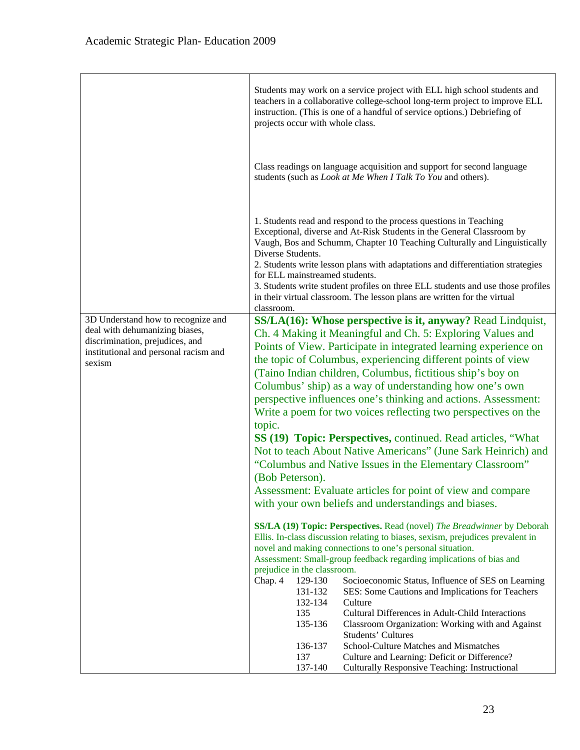|                                                                                                                                                            | Students may work on a service project with ELL high school students and<br>teachers in a collaborative college-school long-term project to improve ELL<br>instruction. (This is one of a handful of service options.) Debriefing of<br>projects occur with whole class.                                                                                                                                                                                                                                                                                                                                                                                                                                                                                                                                                                                                                                                                                                                                                                                                                                                                                                                                                                                                                                                                               |
|------------------------------------------------------------------------------------------------------------------------------------------------------------|--------------------------------------------------------------------------------------------------------------------------------------------------------------------------------------------------------------------------------------------------------------------------------------------------------------------------------------------------------------------------------------------------------------------------------------------------------------------------------------------------------------------------------------------------------------------------------------------------------------------------------------------------------------------------------------------------------------------------------------------------------------------------------------------------------------------------------------------------------------------------------------------------------------------------------------------------------------------------------------------------------------------------------------------------------------------------------------------------------------------------------------------------------------------------------------------------------------------------------------------------------------------------------------------------------------------------------------------------------|
|                                                                                                                                                            | Class readings on language acquisition and support for second language<br>students (such as <i>Look at Me When I Talk To You</i> and others).                                                                                                                                                                                                                                                                                                                                                                                                                                                                                                                                                                                                                                                                                                                                                                                                                                                                                                                                                                                                                                                                                                                                                                                                          |
|                                                                                                                                                            | 1. Students read and respond to the process questions in Teaching<br>Exceptional, diverse and At-Risk Students in the General Classroom by<br>Vaugh, Bos and Schumm, Chapter 10 Teaching Culturally and Linguistically<br>Diverse Students.<br>2. Students write lesson plans with adaptations and differentiation strategies<br>for ELL mainstreamed students.<br>3. Students write student profiles on three ELL students and use those profiles<br>in their virtual classroom. The lesson plans are written for the virtual<br>classroom.                                                                                                                                                                                                                                                                                                                                                                                                                                                                                                                                                                                                                                                                                                                                                                                                           |
| 3D Understand how to recognize and<br>deal with dehumanizing biases,<br>discrimination, prejudices, and<br>institutional and personal racism and<br>sexism | SS/LA(16): Whose perspective is it, anyway? Read Lindquist,<br>Ch. 4 Making it Meaningful and Ch. 5: Exploring Values and<br>Points of View. Participate in integrated learning experience on<br>the topic of Columbus, experiencing different points of view<br>(Taino Indian children, Columbus, fictitious ship's boy on<br>Columbus' ship) as a way of understanding how one's own<br>perspective influences one's thinking and actions. Assessment:<br>Write a poem for two voices reflecting two perspectives on the<br>topic.<br>SS (19) Topic: Perspectives, continued. Read articles, "What<br>Not to teach About Native Americans" (June Sark Heinrich) and<br>"Columbus and Native Issues in the Elementary Classroom"<br>(Bob Peterson).<br>Assessment: Evaluate articles for point of view and compare<br>with your own beliefs and understandings and biases.<br>SS/LA (19) Topic: Perspectives. Read (novel) The Breadwinner by Deborah<br>Ellis. In-class discussion relating to biases, sexism, prejudices prevalent in<br>novel and making connections to one's personal situation.<br>Assessment: Small-group feedback regarding implications of bias and<br>prejudice in the classroom.<br>Chap. 4<br>129-130<br>Socioeconomic Status, Influence of SES on Learning<br>131-132<br>SES: Some Cautions and Implications for Teachers |
|                                                                                                                                                            | 132-134<br>Culture<br>135<br>Cultural Differences in Adult-Child Interactions<br>135-136<br>Classroom Organization: Working with and Against<br><b>Students' Cultures</b><br>School-Culture Matches and Mismatches<br>136-137<br>137<br>Culture and Learning: Deficit or Difference?<br>137-140<br>Culturally Responsive Teaching: Instructional                                                                                                                                                                                                                                                                                                                                                                                                                                                                                                                                                                                                                                                                                                                                                                                                                                                                                                                                                                                                       |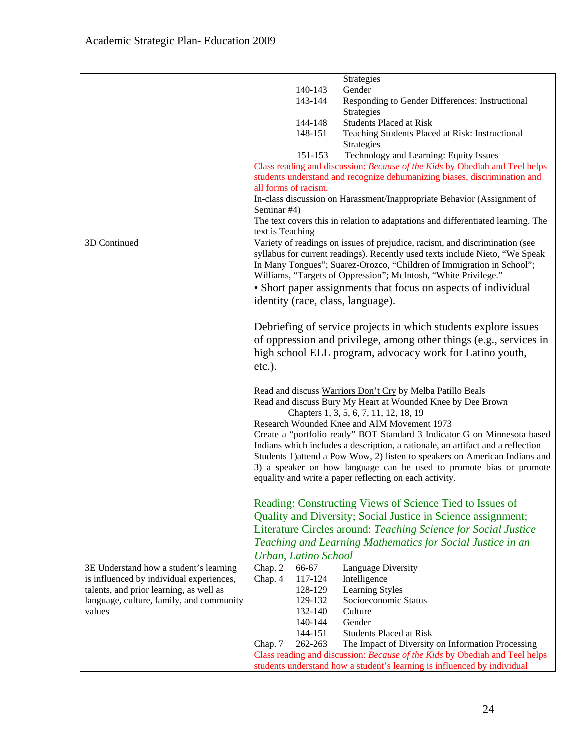|                                          | Strategies                                                                       |
|------------------------------------------|----------------------------------------------------------------------------------|
|                                          | 140-143<br>Gender                                                                |
|                                          | 143-144<br>Responding to Gender Differences: Instructional                       |
|                                          | Strategies                                                                       |
|                                          | <b>Students Placed at Risk</b><br>144-148                                        |
|                                          | 148-151<br>Teaching Students Placed at Risk: Instructional                       |
|                                          | Strategies                                                                       |
|                                          | 151-153<br>Technology and Learning: Equity Issues                                |
|                                          | Class reading and discussion: Because of the Kids by Obediah and Teel helps      |
|                                          | students understand and recognize dehumanizing biases, discrimination and        |
|                                          | all forms of racism.                                                             |
|                                          | In-class discussion on Harassment/Inappropriate Behavior (Assignment of          |
|                                          | Seminar #4)                                                                      |
|                                          | The text covers this in relation to adaptations and differentiated learning. The |
|                                          | text is Teaching                                                                 |
| 3D Continued                             | Variety of readings on issues of prejudice, racism, and discrimination (see      |
|                                          | syllabus for current readings). Recently used texts include Nieto, "We Speak     |
|                                          | In Many Tongues"; Suarez-Orozco, "Children of Immigration in School";            |
|                                          | Williams, "Targets of Oppression"; McIntosh, "White Privilege."                  |
|                                          | • Short paper assignments that focus on aspects of individual                    |
|                                          | identity (race, class, language).                                                |
|                                          |                                                                                  |
|                                          | Debriefing of service projects in which students explore issues                  |
|                                          | of oppression and privilege, among other things (e.g., services in               |
|                                          |                                                                                  |
|                                          | high school ELL program, advocacy work for Latino youth,                         |
|                                          | $etc.$ ).                                                                        |
|                                          | Read and discuss Warriors Don't Cry by Melba Patillo Beals                       |
|                                          | Read and discuss Bury My Heart at Wounded Knee by Dee Brown                      |
|                                          | Chapters 1, 3, 5, 6, 7, 11, 12, 18, 19                                           |
|                                          | Research Wounded Knee and AIM Movement 1973                                      |
|                                          | Create a "portfolio ready" BOT Standard 3 Indicator G on Minnesota based         |
|                                          | Indians which includes a description, a rationale, an artifact and a reflection  |
|                                          | Students 1) attend a Pow Wow, 2) listen to speakers on American Indians and      |
|                                          | 3) a speaker on how language can be used to promote bias or promote              |
|                                          | equality and write a paper reflecting on each activity.                          |
|                                          |                                                                                  |
|                                          | Reading: Constructing Views of Science Tied to Issues of                         |
|                                          | Quality and Diversity; Social Justice in Science assignment;                     |
|                                          | Literature Circles around: Teaching Science for Social Justice                   |
|                                          | Teaching and Learning Mathematics for Social Justice in an                       |
|                                          | Urban, Latino School                                                             |
| 3E Understand how a student's learning   | 66-67<br>Language Diversity<br>Chap. 2                                           |
| is influenced by individual experiences, | 117-124<br>Intelligence<br>Chap. 4                                               |
| talents, and prior learning, as well as  | Learning Styles<br>128-129                                                       |
| language, culture, family, and community | Socioeconomic Status<br>129-132                                                  |
| values                                   | Culture<br>132-140                                                               |
|                                          | 140-144<br>Gender                                                                |
|                                          | 144-151<br><b>Students Placed at Risk</b>                                        |
|                                          | 262-263<br>The Impact of Diversity on Information Processing<br>Chap. 7          |
|                                          | Class reading and discussion: Because of the Kids by Obediah and Teel helps      |
|                                          | students understand how a student's learning is influenced by individual         |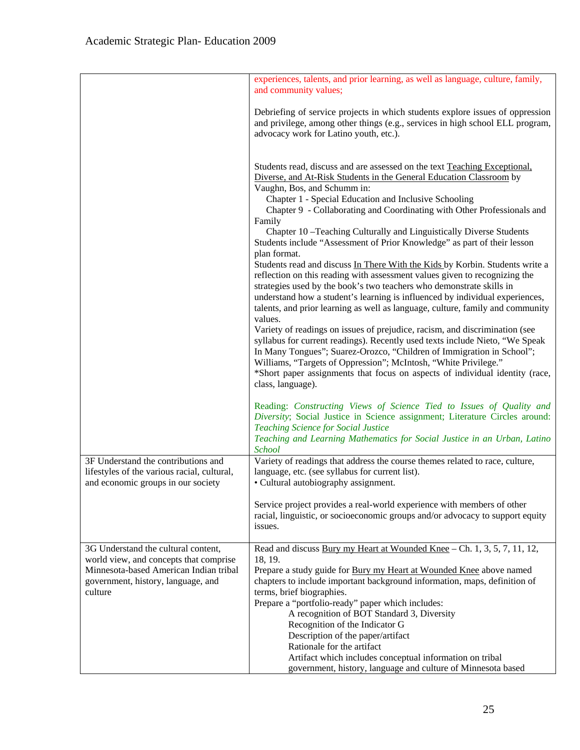|                                                                                                                                                                          | experiences, talents, and prior learning, as well as language, culture, family,<br>and community values;                                                                                                                                                                                                                                                                                                                                                                                                                                                                                                                                                                                                                              |
|--------------------------------------------------------------------------------------------------------------------------------------------------------------------------|---------------------------------------------------------------------------------------------------------------------------------------------------------------------------------------------------------------------------------------------------------------------------------------------------------------------------------------------------------------------------------------------------------------------------------------------------------------------------------------------------------------------------------------------------------------------------------------------------------------------------------------------------------------------------------------------------------------------------------------|
|                                                                                                                                                                          | Debriefing of service projects in which students explore issues of oppression<br>and privilege, among other things (e.g., services in high school ELL program,<br>advocacy work for Latino youth, etc.).                                                                                                                                                                                                                                                                                                                                                                                                                                                                                                                              |
|                                                                                                                                                                          | Students read, discuss and are assessed on the text Teaching Exceptional,<br>Diverse, and At-Risk Students in the General Education Classroom by<br>Vaughn, Bos, and Schumm in:<br>Chapter 1 - Special Education and Inclusive Schooling<br>Chapter 9 - Collaborating and Coordinating with Other Professionals and<br>Family<br>Chapter 10-Teaching Culturally and Linguistically Diverse Students<br>Students include "Assessment of Prior Knowledge" as part of their lesson<br>plan format.<br>Students read and discuss In There With the Kids by Korbin. Students write a<br>reflection on this reading with assessment values given to recognizing the<br>strategies used by the book's two teachers who demonstrate skills in |
|                                                                                                                                                                          | understand how a student's learning is influenced by individual experiences,<br>talents, and prior learning as well as language, culture, family and community<br>values.<br>Variety of readings on issues of prejudice, racism, and discrimination (see<br>syllabus for current readings). Recently used texts include Nieto, "We Speak<br>In Many Tongues"; Suarez-Orozco, "Children of Immigration in School";<br>Williams, "Targets of Oppression"; McIntosh, "White Privilege."<br>*Short paper assignments that focus on aspects of individual identity (race,<br>class, language).                                                                                                                                             |
|                                                                                                                                                                          | Reading: Constructing Views of Science Tied to Issues of Quality and<br>Diversity; Social Justice in Science assignment; Literature Circles around:<br><b>Teaching Science for Social Justice</b><br>Teaching and Learning Mathematics for Social Justice in an Urban, Latino<br>School                                                                                                                                                                                                                                                                                                                                                                                                                                               |
| 3F Understand the contributions and<br>lifestyles of the various racial, cultural,<br>and economic groups in our society                                                 | Variety of readings that address the course themes related to race, culture,<br>language, etc. (see syllabus for current list).<br>• Cultural autobiography assignment.                                                                                                                                                                                                                                                                                                                                                                                                                                                                                                                                                               |
|                                                                                                                                                                          | Service project provides a real-world experience with members of other<br>racial, linguistic, or socioeconomic groups and/or advocacy to support equity<br>issues.                                                                                                                                                                                                                                                                                                                                                                                                                                                                                                                                                                    |
| 3G Understand the cultural content,<br>world view, and concepts that comprise<br>Minnesota-based American Indian tribal<br>government, history, language, and<br>culture | Read and discuss Bury my Heart at Wounded Knee - Ch. 1, 3, 5, 7, 11, 12,<br>18, 19.<br>Prepare a study guide for Bury my Heart at Wounded Knee above named<br>chapters to include important background information, maps, definition of<br>terms, brief biographies.<br>Prepare a "portfolio-ready" paper which includes:<br>A recognition of BOT Standard 3, Diversity<br>Recognition of the Indicator G<br>Description of the paper/artifact<br>Rationale for the artifact                                                                                                                                                                                                                                                          |
|                                                                                                                                                                          | Artifact which includes conceptual information on tribal<br>government, history, language and culture of Minnesota based                                                                                                                                                                                                                                                                                                                                                                                                                                                                                                                                                                                                              |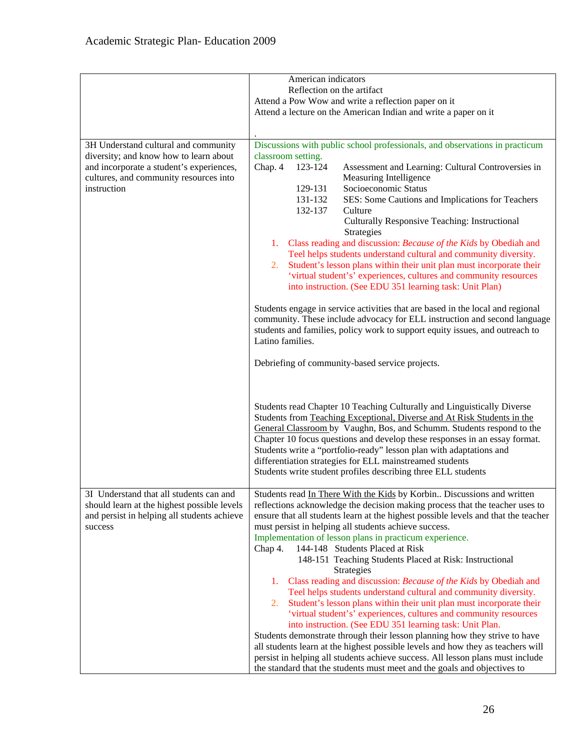|                                                                                                                                                                                     | American indicators<br>Reflection on the artifact<br>Attend a Pow Wow and write a reflection paper on it<br>Attend a lecture on the American Indian and write a paper on it                                                                                                                                                                                                                                                                                                                                                                                                                                                                                                                                                                                                                                                                                                                                                                                                                                                                                                                                                                                                         |
|-------------------------------------------------------------------------------------------------------------------------------------------------------------------------------------|-------------------------------------------------------------------------------------------------------------------------------------------------------------------------------------------------------------------------------------------------------------------------------------------------------------------------------------------------------------------------------------------------------------------------------------------------------------------------------------------------------------------------------------------------------------------------------------------------------------------------------------------------------------------------------------------------------------------------------------------------------------------------------------------------------------------------------------------------------------------------------------------------------------------------------------------------------------------------------------------------------------------------------------------------------------------------------------------------------------------------------------------------------------------------------------|
| 3H Understand cultural and community<br>diversity; and know how to learn about<br>and incorporate a student's experiences,<br>cultures, and community resources into<br>instruction | Discussions with public school professionals, and observations in practicum<br>classroom setting.<br>Chap. 4<br>123-124<br>Assessment and Learning: Cultural Controversies in<br>Measuring Intelligence<br>Socioeconomic Status<br>129-131<br>131-132<br>SES: Some Cautions and Implications for Teachers<br>132-137<br>Culture<br>Culturally Responsive Teaching: Instructional<br>Strategies<br>Class reading and discussion: Because of the Kids by Obediah and<br>1.<br>Teel helps students understand cultural and community diversity.<br>Student's lesson plans within their unit plan must incorporate their<br>2.<br>'virtual student's' experiences, cultures and community resources<br>into instruction. (See EDU 351 learning task: Unit Plan)<br>Students engage in service activities that are based in the local and regional<br>community. These include advocacy for ELL instruction and second language<br>students and families, policy work to support equity issues, and outreach to                                                                                                                                                                          |
|                                                                                                                                                                                     | Latino families.<br>Debriefing of community-based service projects.<br>Students read Chapter 10 Teaching Culturally and Linguistically Diverse<br>Students from Teaching Exceptional, Diverse and At Risk Students in the<br>General Classroom by Vaughn, Bos, and Schumm. Students respond to the<br>Chapter 10 focus questions and develop these responses in an essay format.<br>Students write a "portfolio-ready" lesson plan with adaptations and<br>differentiation strategies for ELL mainstreamed students<br>Students write student profiles describing three ELL students                                                                                                                                                                                                                                                                                                                                                                                                                                                                                                                                                                                                |
| 3I Understand that all students can and<br>should learn at the highest possible levels<br>and persist in helping all students achieve<br>success                                    | Students read In There With the Kids by Korbin Discussions and written<br>reflections acknowledge the decision making process that the teacher uses to<br>ensure that all students learn at the highest possible levels and that the teacher<br>must persist in helping all students achieve success.<br>Implementation of lesson plans in practicum experience.<br>144-148 Students Placed at Risk<br>Chap 4.<br>148-151 Teaching Students Placed at Risk: Instructional<br>Strategies<br>Class reading and discussion: Because of the Kids by Obediah and<br>1.<br>Teel helps students understand cultural and community diversity.<br>Student's lesson plans within their unit plan must incorporate their<br>2.<br>'virtual student's' experiences, cultures and community resources<br>into instruction. (See EDU 351 learning task: Unit Plan.<br>Students demonstrate through their lesson planning how they strive to have<br>all students learn at the highest possible levels and how they as teachers will<br>persist in helping all students achieve success. All lesson plans must include<br>the standard that the students must meet and the goals and objectives to |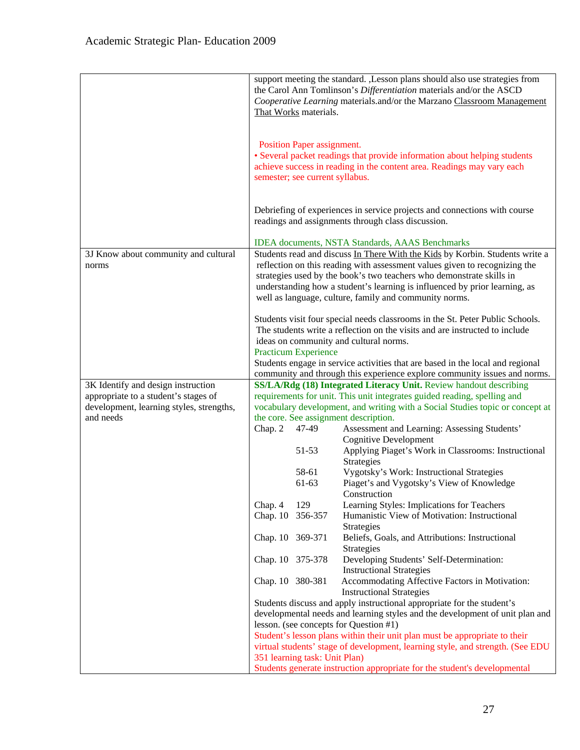|                                               |                  | That Works materials.                                         | support meeting the standard. , Lesson plans should also use strategies from<br>the Carol Ann Tomlinson's Differentiation materials and/or the ASCD<br>Cooperative Learning materials.and/or the Marzano Classroom Management                                                                                                                                              |
|-----------------------------------------------|------------------|---------------------------------------------------------------|----------------------------------------------------------------------------------------------------------------------------------------------------------------------------------------------------------------------------------------------------------------------------------------------------------------------------------------------------------------------------|
|                                               |                  | Position Paper assignment.<br>semester; see current syllabus. | • Several packet readings that provide information about helping students<br>achieve success in reading in the content area. Readings may vary each                                                                                                                                                                                                                        |
|                                               |                  |                                                               | Debriefing of experiences in service projects and connections with course<br>readings and assignments through class discussion.                                                                                                                                                                                                                                            |
|                                               |                  |                                                               | <b>IDEA</b> documents, NSTA Standards, AAAS Benchmarks                                                                                                                                                                                                                                                                                                                     |
| 3J Know about community and cultural<br>norms |                  |                                                               | Students read and discuss In There With the Kids by Korbin. Students write a<br>reflection on this reading with assessment values given to recognizing the<br>strategies used by the book's two teachers who demonstrate skills in<br>understanding how a student's learning is influenced by prior learning, as<br>well as language, culture, family and community norms. |
|                                               |                  | <b>Practicum Experience</b>                                   | Students visit four special needs classrooms in the St. Peter Public Schools.<br>The students write a reflection on the visits and are instructed to include<br>ideas on community and cultural norms.                                                                                                                                                                     |
|                                               |                  |                                                               | Students engage in service activities that are based in the local and regional                                                                                                                                                                                                                                                                                             |
| 3K Identify and design instruction            |                  |                                                               | community and through this experience explore community issues and norms.<br>SS/LA/Rdg (18) Integrated Literacy Unit. Review handout describing                                                                                                                                                                                                                            |
| appropriate to a student's stages of          |                  |                                                               | requirements for unit. This unit integrates guided reading, spelling and                                                                                                                                                                                                                                                                                                   |
| development, learning styles, strengths,      |                  |                                                               | vocabulary development, and writing with a Social Studies topic or concept at                                                                                                                                                                                                                                                                                              |
| and needs                                     |                  |                                                               | the core. See assignment description.                                                                                                                                                                                                                                                                                                                                      |
|                                               | Chap. 2          | 47-49                                                         | Assessment and Learning: Assessing Students'                                                                                                                                                                                                                                                                                                                               |
|                                               |                  | 51-53                                                         | <b>Cognitive Development</b><br>Applying Piaget's Work in Classrooms: Instructional<br>Strategies                                                                                                                                                                                                                                                                          |
|                                               |                  | 58-61                                                         | Vygotsky's Work: Instructional Strategies                                                                                                                                                                                                                                                                                                                                  |
|                                               |                  | 61-63                                                         | Piaget's and Vygotsky's View of Knowledge                                                                                                                                                                                                                                                                                                                                  |
|                                               | Chap. 4          | 129                                                           | Construction<br>Learning Styles: Implications for Teachers                                                                                                                                                                                                                                                                                                                 |
|                                               | Chap. 10 356-357 |                                                               | Humanistic View of Motivation: Instructional<br>Strategies                                                                                                                                                                                                                                                                                                                 |
|                                               | Chap. 10 369-371 |                                                               | Beliefs, Goals, and Attributions: Instructional<br>Strategies                                                                                                                                                                                                                                                                                                              |
|                                               |                  | Chap. 10 375-378                                              | Developing Students' Self-Determination:<br><b>Instructional Strategies</b>                                                                                                                                                                                                                                                                                                |
|                                               | Chap. 10 380-381 |                                                               | Accommodating Affective Factors in Motivation:<br><b>Instructional Strategies</b>                                                                                                                                                                                                                                                                                          |
|                                               |                  |                                                               | Students discuss and apply instructional appropriate for the student's                                                                                                                                                                                                                                                                                                     |
|                                               |                  |                                                               | developmental needs and learning styles and the development of unit plan and                                                                                                                                                                                                                                                                                               |
|                                               |                  |                                                               | lesson. (see concepts for Question #1)<br>Student's lesson plans within their unit plan must be appropriate to their                                                                                                                                                                                                                                                       |
|                                               |                  |                                                               | virtual students' stage of development, learning style, and strength. (See EDU                                                                                                                                                                                                                                                                                             |
|                                               |                  | 351 learning task: Unit Plan)                                 |                                                                                                                                                                                                                                                                                                                                                                            |
|                                               |                  |                                                               | Students generate instruction appropriate for the student's developmental                                                                                                                                                                                                                                                                                                  |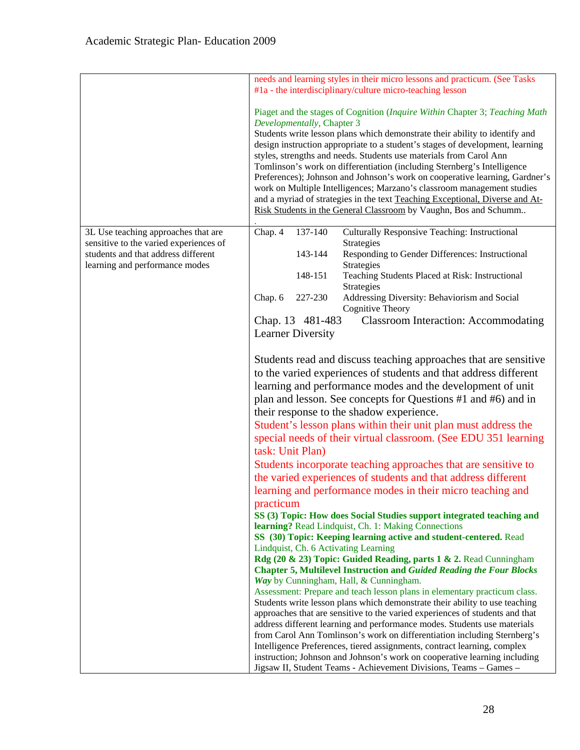|                                                                               |                                        | needs and learning styles in their micro lessons and practicum. (See Tasks<br>#1a - the interdisciplinary/culture micro-teaching lesson                                                                                                                                                                                                                                                                                                                                                                                                                                                                                                                                                                   |
|-------------------------------------------------------------------------------|----------------------------------------|-----------------------------------------------------------------------------------------------------------------------------------------------------------------------------------------------------------------------------------------------------------------------------------------------------------------------------------------------------------------------------------------------------------------------------------------------------------------------------------------------------------------------------------------------------------------------------------------------------------------------------------------------------------------------------------------------------------|
|                                                                               | Developmentally, Chapter 3             | Piaget and the stages of Cognition (Inquire Within Chapter 3; Teaching Math<br>Students write lesson plans which demonstrate their ability to identify and<br>design instruction appropriate to a student's stages of development, learning<br>styles, strengths and needs. Students use materials from Carol Ann<br>Tomlinson's work on differentiation (including Sternberg's Intelligence<br>Preferences); Johnson and Johnson's work on cooperative learning, Gardner's<br>work on Multiple Intelligences; Marzano's classroom management studies<br>and a myriad of strategies in the text Teaching Exceptional, Diverse and At-<br>Risk Students in the General Classroom by Vaughn, Bos and Schumm |
| 3L Use teaching approaches that are<br>sensitive to the varied experiences of | 137-140<br>Chap. 4                     | <b>Culturally Responsive Teaching: Instructional</b><br>Strategies                                                                                                                                                                                                                                                                                                                                                                                                                                                                                                                                                                                                                                        |
| students and that address different                                           | 143-144                                | Responding to Gender Differences: Instructional                                                                                                                                                                                                                                                                                                                                                                                                                                                                                                                                                                                                                                                           |
| learning and performance modes                                                |                                        | Strategies                                                                                                                                                                                                                                                                                                                                                                                                                                                                                                                                                                                                                                                                                                |
|                                                                               | 148-151                                | Teaching Students Placed at Risk: Instructional<br>Strategies                                                                                                                                                                                                                                                                                                                                                                                                                                                                                                                                                                                                                                             |
|                                                                               | Chap. 6<br>227-230                     | Addressing Diversity: Behaviorism and Social<br>Cognitive Theory                                                                                                                                                                                                                                                                                                                                                                                                                                                                                                                                                                                                                                          |
|                                                                               | Chap. 13 481-483                       | <b>Classroom Interaction: Accommodating</b>                                                                                                                                                                                                                                                                                                                                                                                                                                                                                                                                                                                                                                                               |
|                                                                               | <b>Learner Diversity</b>               |                                                                                                                                                                                                                                                                                                                                                                                                                                                                                                                                                                                                                                                                                                           |
|                                                                               |                                        | Students read and discuss teaching approaches that are sensitive<br>to the varied experiences of students and that address different<br>learning and performance modes and the development of unit<br>plan and lesson. See concepts for Questions #1 and #6) and in<br>their response to the shadow experience.<br>Student's lesson plans within their unit plan must address the                                                                                                                                                                                                                                                                                                                         |
|                                                                               | task: Unit Plan)                       | special needs of their virtual classroom. (See EDU 351 learning                                                                                                                                                                                                                                                                                                                                                                                                                                                                                                                                                                                                                                           |
|                                                                               |                                        | Students incorporate teaching approaches that are sensitive to                                                                                                                                                                                                                                                                                                                                                                                                                                                                                                                                                                                                                                            |
|                                                                               |                                        | the varied experiences of students and that address different                                                                                                                                                                                                                                                                                                                                                                                                                                                                                                                                                                                                                                             |
|                                                                               |                                        | learning and performance modes in their micro teaching and                                                                                                                                                                                                                                                                                                                                                                                                                                                                                                                                                                                                                                                |
|                                                                               | practicum                              | SS (3) Topic: How does Social Studies support integrated teaching and<br>learning? Read Lindquist, Ch. 1: Making Connections                                                                                                                                                                                                                                                                                                                                                                                                                                                                                                                                                                              |
|                                                                               | Lindquist, Ch. 6 Activating Learning   | SS (30) Topic: Keeping learning active and student-centered. Read                                                                                                                                                                                                                                                                                                                                                                                                                                                                                                                                                                                                                                         |
|                                                                               |                                        | Rdg (20 & 23) Topic: Guided Reading, parts 1 & 2. Read Cunningham                                                                                                                                                                                                                                                                                                                                                                                                                                                                                                                                                                                                                                         |
|                                                                               |                                        | <b>Chapter 5, Multilevel Instruction and Guided Reading the Four Blocks</b>                                                                                                                                                                                                                                                                                                                                                                                                                                                                                                                                                                                                                               |
|                                                                               | Way by Cunningham, Hall, & Cunningham. | Assessment: Prepare and teach lesson plans in elementary practicum class.                                                                                                                                                                                                                                                                                                                                                                                                                                                                                                                                                                                                                                 |
|                                                                               |                                        | Students write lesson plans which demonstrate their ability to use teaching                                                                                                                                                                                                                                                                                                                                                                                                                                                                                                                                                                                                                               |
|                                                                               |                                        | approaches that are sensitive to the varied experiences of students and that                                                                                                                                                                                                                                                                                                                                                                                                                                                                                                                                                                                                                              |
|                                                                               |                                        | address different learning and performance modes. Students use materials<br>from Carol Ann Tomlinson's work on differentiation including Sternberg's                                                                                                                                                                                                                                                                                                                                                                                                                                                                                                                                                      |
|                                                                               |                                        | Intelligence Preferences, tiered assignments, contract learning, complex                                                                                                                                                                                                                                                                                                                                                                                                                                                                                                                                                                                                                                  |
|                                                                               |                                        | instruction; Johnson and Johnson's work on cooperative learning including<br>Jigsaw II, Student Teams - Achievement Divisions, Teams - Games -                                                                                                                                                                                                                                                                                                                                                                                                                                                                                                                                                            |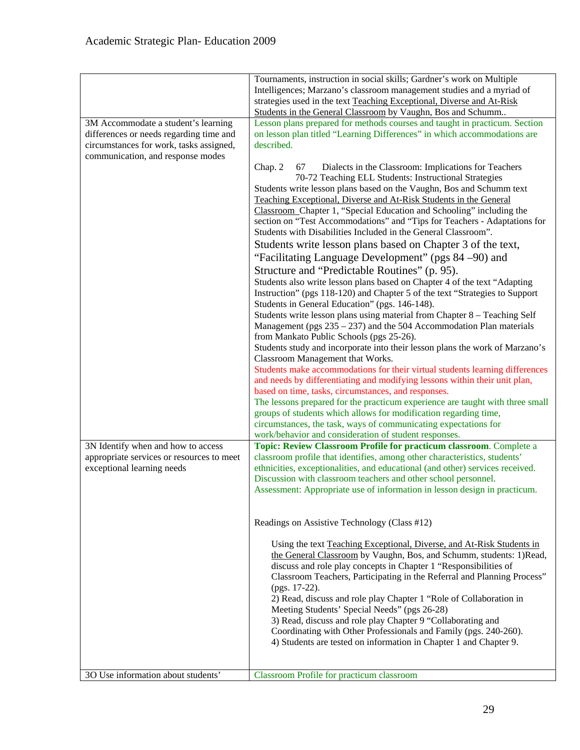|                                                                                                                                                                | Tournaments, instruction in social skills; Gardner's work on Multiple<br>Intelligences; Marzano's classroom management studies and a myriad of<br>strategies used in the text Teaching Exceptional, Diverse and At-Risk<br>Students in the General Classroom by Vaughn, Bos and Schumm                                                                                                                                                                                                                                                                                                                                                                                                                                                                                                                                                                                                                                                                                                                                                                                                                                                                                                                                                                                                                                                                                                                                                                                                                                                                                                                                                                                                                                 |
|----------------------------------------------------------------------------------------------------------------------------------------------------------------|------------------------------------------------------------------------------------------------------------------------------------------------------------------------------------------------------------------------------------------------------------------------------------------------------------------------------------------------------------------------------------------------------------------------------------------------------------------------------------------------------------------------------------------------------------------------------------------------------------------------------------------------------------------------------------------------------------------------------------------------------------------------------------------------------------------------------------------------------------------------------------------------------------------------------------------------------------------------------------------------------------------------------------------------------------------------------------------------------------------------------------------------------------------------------------------------------------------------------------------------------------------------------------------------------------------------------------------------------------------------------------------------------------------------------------------------------------------------------------------------------------------------------------------------------------------------------------------------------------------------------------------------------------------------------------------------------------------------|
| 3M Accommodate a student's learning<br>differences or needs regarding time and<br>circumstances for work, tasks assigned,<br>communication, and response modes | Lesson plans prepared for methods courses and taught in practicum. Section<br>on lesson plan titled "Learning Differences" in which accommodations are<br>described.                                                                                                                                                                                                                                                                                                                                                                                                                                                                                                                                                                                                                                                                                                                                                                                                                                                                                                                                                                                                                                                                                                                                                                                                                                                                                                                                                                                                                                                                                                                                                   |
|                                                                                                                                                                | Chap. 2<br>Dialects in the Classroom: Implications for Teachers<br>67<br>70-72 Teaching ELL Students: Instructional Strategies<br>Students write lesson plans based on the Vaughn, Bos and Schumm text<br>Teaching Exceptional, Diverse and At-Risk Students in the General<br>Classroom Chapter 1, "Special Education and Schooling" including the<br>section on "Test Accommodations" and "Tips for Teachers - Adaptations for<br>Students with Disabilities Included in the General Classroom".<br>Students write lesson plans based on Chapter 3 of the text,<br>"Facilitating Language Development" (pgs 84 -90) and<br>Structure and "Predictable Routines" (p. 95).<br>Students also write lesson plans based on Chapter 4 of the text "Adapting"<br>Instruction" (pgs 118-120) and Chapter 5 of the text "Strategies to Support<br>Students in General Education" (pgs. 146-148).<br>Students write lesson plans using material from Chapter 8 - Teaching Self<br>Management (pgs $235 - 237$ ) and the 504 Accommodation Plan materials<br>from Mankato Public Schools (pgs 25-26).<br>Students study and incorporate into their lesson plans the work of Marzano's<br>Classroom Management that Works.<br>Students make accommodations for their virtual students learning differences<br>and needs by differentiating and modifying lessons within their unit plan,<br>based on time, tasks, circumstances, and responses.<br>The lessons prepared for the practicum experience are taught with three small<br>groups of students which allows for modification regarding time,<br>circumstances, the task, ways of communicating expectations for<br>work/behavior and consideration of student responses. |
| 3N Identify when and how to access                                                                                                                             | Topic: Review Classroom Profile for practicum classroom. Complete a                                                                                                                                                                                                                                                                                                                                                                                                                                                                                                                                                                                                                                                                                                                                                                                                                                                                                                                                                                                                                                                                                                                                                                                                                                                                                                                                                                                                                                                                                                                                                                                                                                                    |
| appropriate services or resources to meet<br>exceptional learning needs                                                                                        | classroom profile that identifies, among other characteristics, students'<br>ethnicities, exceptionalities, and educational (and other) services received.<br>Discussion with classroom teachers and other school personnel.<br>Assessment: Appropriate use of information in lesson design in practicum.                                                                                                                                                                                                                                                                                                                                                                                                                                                                                                                                                                                                                                                                                                                                                                                                                                                                                                                                                                                                                                                                                                                                                                                                                                                                                                                                                                                                              |
|                                                                                                                                                                | Readings on Assistive Technology (Class #12)                                                                                                                                                                                                                                                                                                                                                                                                                                                                                                                                                                                                                                                                                                                                                                                                                                                                                                                                                                                                                                                                                                                                                                                                                                                                                                                                                                                                                                                                                                                                                                                                                                                                           |
|                                                                                                                                                                | Using the text Teaching Exceptional, Diverse, and At-Risk Students in<br>the General Classroom by Vaughn, Bos, and Schumm, students: 1)Read,<br>discuss and role play concepts in Chapter 1 "Responsibilities of<br>Classroom Teachers, Participating in the Referral and Planning Process"<br>(pgs. 17-22).<br>2) Read, discuss and role play Chapter 1 "Role of Collaboration in<br>Meeting Students' Special Needs" (pgs 26-28)<br>3) Read, discuss and role play Chapter 9 "Collaborating and<br>Coordinating with Other Professionals and Family (pgs. 240-260).<br>4) Students are tested on information in Chapter 1 and Chapter 9.                                                                                                                                                                                                                                                                                                                                                                                                                                                                                                                                                                                                                                                                                                                                                                                                                                                                                                                                                                                                                                                                             |
| 3O Use information about students'                                                                                                                             | Classroom Profile for practicum classroom                                                                                                                                                                                                                                                                                                                                                                                                                                                                                                                                                                                                                                                                                                                                                                                                                                                                                                                                                                                                                                                                                                                                                                                                                                                                                                                                                                                                                                                                                                                                                                                                                                                                              |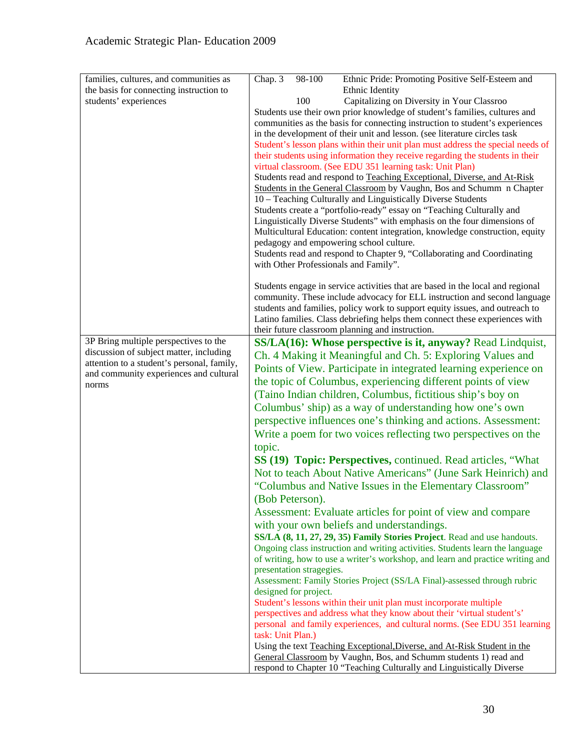| families, cultures, and communities as     | Chap. 3<br>98-100<br>Ethnic Pride: Promoting Positive Self-Esteem and                                                                                           |
|--------------------------------------------|-----------------------------------------------------------------------------------------------------------------------------------------------------------------|
| the basis for connecting instruction to    | Ethnic Identity                                                                                                                                                 |
| students' experiences                      | Capitalizing on Diversity in Your Classroo<br>100                                                                                                               |
|                                            | Students use their own prior knowledge of student's families, cultures and                                                                                      |
|                                            | communities as the basis for connecting instruction to student's experiences                                                                                    |
|                                            | in the development of their unit and lesson. (see literature circles task                                                                                       |
|                                            | Student's lesson plans within their unit plan must address the special needs of                                                                                 |
|                                            | their students using information they receive regarding the students in their                                                                                   |
|                                            | virtual classroom. (See EDU 351 learning task: Unit Plan)                                                                                                       |
|                                            | Students read and respond to Teaching Exceptional, Diverse, and At-Risk                                                                                         |
|                                            | Students in the General Classroom by Vaughn, Bos and Schumm n Chapter                                                                                           |
|                                            | 10 - Teaching Culturally and Linguistically Diverse Students                                                                                                    |
|                                            | Students create a "portfolio-ready" essay on "Teaching Culturally and                                                                                           |
|                                            | Linguistically Diverse Students" with emphasis on the four dimensions of                                                                                        |
|                                            | Multicultural Education: content integration, knowledge construction, equity<br>pedagogy and empowering school culture.                                         |
|                                            | Students read and respond to Chapter 9, "Collaborating and Coordinating                                                                                         |
|                                            | with Other Professionals and Family".                                                                                                                           |
|                                            |                                                                                                                                                                 |
|                                            | Students engage in service activities that are based in the local and regional                                                                                  |
|                                            | community. These include advocacy for ELL instruction and second language                                                                                       |
|                                            | students and families, policy work to support equity issues, and outreach to                                                                                    |
|                                            | Latino families. Class debriefing helps them connect these experiences with                                                                                     |
|                                            | their future classroom planning and instruction.                                                                                                                |
| 3P Bring multiple perspectives to the      | SS/LA(16): Whose perspective is it, anyway? Read Lindquist,                                                                                                     |
| discussion of subject matter, including    | Ch. 4 Making it Meaningful and Ch. 5: Exploring Values and                                                                                                      |
| attention to a student's personal, family, | Points of View. Participate in integrated learning experience on                                                                                                |
| and community experiences and cultural     | the topic of Columbus, experiencing different points of view                                                                                                    |
| norms                                      |                                                                                                                                                                 |
|                                            | (Taino Indian children, Columbus, fictitious ship's boy on                                                                                                      |
|                                            | Columbus' ship) as a way of understanding how one's own                                                                                                         |
|                                            | perspective influences one's thinking and actions. Assessment:                                                                                                  |
|                                            | Write a poem for two voices reflecting two perspectives on the                                                                                                  |
|                                            | topic.                                                                                                                                                          |
|                                            | SS (19) Topic: Perspectives, continued. Read articles, "What                                                                                                    |
|                                            | Not to teach About Native Americans" (June Sark Heinrich) and                                                                                                   |
|                                            | "Columbus and Native Issues in the Elementary Classroom"                                                                                                        |
|                                            | (Bob Peterson).                                                                                                                                                 |
|                                            | Assessment: Evaluate articles for point of view and compare                                                                                                     |
|                                            |                                                                                                                                                                 |
|                                            | with your own beliefs and understandings.                                                                                                                       |
|                                            | SS/LA (8, 11, 27, 29, 35) Family Stories Project. Read and use handouts.                                                                                        |
|                                            | Ongoing class instruction and writing activities. Students learn the language<br>of writing, how to use a writer's workshop, and learn and practice writing and |
|                                            | presentation stragegies.                                                                                                                                        |
|                                            | Assessment: Family Stories Project (SS/LA Final)-assessed through rubric                                                                                        |
|                                            | designed for project.                                                                                                                                           |
|                                            | Student's lessons within their unit plan must incorporate multiple                                                                                              |
|                                            | perspectives and address what they know about their 'virtual student's'                                                                                         |
|                                            | personal and family experiences, and cultural norms. (See EDU 351 learning                                                                                      |
|                                            | task: Unit Plan.)                                                                                                                                               |
|                                            | Using the text Teaching Exceptional, Diverse, and At-Risk Student in the                                                                                        |
|                                            | General Classroom by Vaughn, Bos, and Schumm students 1) read and                                                                                               |
|                                            | respond to Chapter 10 "Teaching Culturally and Linguistically Diverse                                                                                           |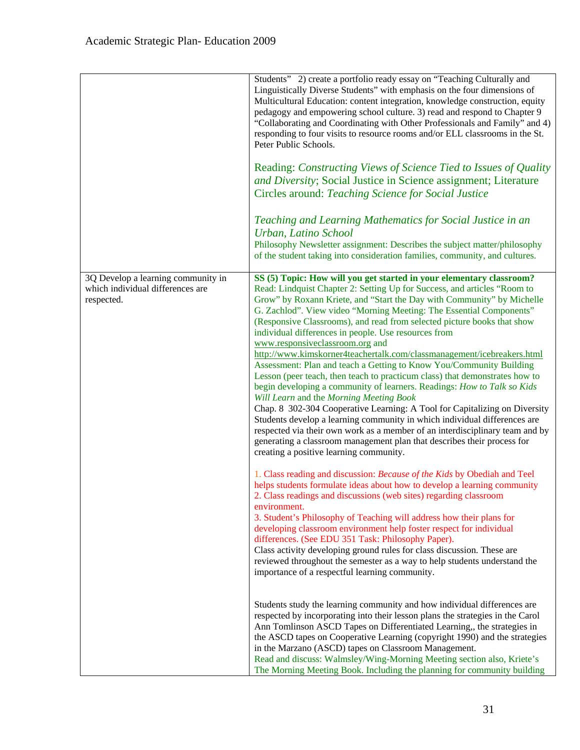|                                                                                      | Students" 2) create a portfolio ready essay on "Teaching Culturally and<br>Linguistically Diverse Students" with emphasis on the four dimensions of<br>Multicultural Education: content integration, knowledge construction, equity<br>pedagogy and empowering school culture. 3) read and respond to Chapter 9<br>"Collaborating and Coordinating with Other Professionals and Family" and 4)<br>responding to four visits to resource rooms and/or ELL classrooms in the St.<br>Peter Public Schools.                                                                                                                                                                                                             |
|--------------------------------------------------------------------------------------|---------------------------------------------------------------------------------------------------------------------------------------------------------------------------------------------------------------------------------------------------------------------------------------------------------------------------------------------------------------------------------------------------------------------------------------------------------------------------------------------------------------------------------------------------------------------------------------------------------------------------------------------------------------------------------------------------------------------|
|                                                                                      | Reading: Constructing Views of Science Tied to Issues of Quality<br>and Diversity; Social Justice in Science assignment; Literature<br>Circles around: Teaching Science for Social Justice                                                                                                                                                                                                                                                                                                                                                                                                                                                                                                                          |
|                                                                                      | Teaching and Learning Mathematics for Social Justice in an<br>Urban, Latino School<br>Philosophy Newsletter assignment: Describes the subject matter/philosophy<br>of the student taking into consideration families, community, and cultures.                                                                                                                                                                                                                                                                                                                                                                                                                                                                      |
| 3Q Develop a learning community in<br>which individual differences are<br>respected. | SS (5) Topic: How will you get started in your elementary classroom?<br>Read: Lindquist Chapter 2: Setting Up for Success, and articles "Room to<br>Grow" by Roxann Kriete, and "Start the Day with Community" by Michelle<br>G. Zachlod". View video "Morning Meeting: The Essential Components"<br>(Responsive Classrooms), and read from selected picture books that show<br>individual differences in people. Use resources from<br>www.responsiveclassroom.org and                                                                                                                                                                                                                                             |
|                                                                                      | http://www.kimskorner4teachertalk.com/classmanagement/icebreakers.html<br>Assessment: Plan and teach a Getting to Know You/Community Building<br>Lesson (peer teach, then teach to practicum class) that demonstrates how to<br>begin developing a community of learners. Readings: How to Talk so Kids<br>Will Learn and the Morning Meeting Book<br>Chap. 8 302-304 Cooperative Learning: A Tool for Capitalizing on Diversity<br>Students develop a learning community in which individual differences are<br>respected via their own work as a member of an interdisciplinary team and by<br>generating a classroom management plan that describes their process for<br>creating a positive learning community. |
|                                                                                      | 1. Class reading and discussion: Because of the Kids by Obediah and Teel<br>helps students formulate ideas about how to develop a learning community<br>2. Class readings and discussions (web sites) regarding classroom<br>environment.<br>3. Student's Philosophy of Teaching will address how their plans for<br>developing classroom environment help foster respect for individual<br>differences. (See EDU 351 Task: Philosophy Paper).<br>Class activity developing ground rules for class discussion. These are<br>reviewed throughout the semester as a way to help students understand the<br>importance of a respectful learning community.                                                             |
|                                                                                      | Students study the learning community and how individual differences are<br>respected by incorporating into their lesson plans the strategies in the Carol<br>Ann Tomlinson ASCD Tapes on Differentiated Learning,, the strategies in<br>the ASCD tapes on Cooperative Learning (copyright 1990) and the strategies<br>in the Marzano (ASCD) tapes on Classroom Management.<br>Read and discuss: Walmsley/Wing-Morning Meeting section also, Kriete's<br>The Morning Meeting Book. Including the planning for community building                                                                                                                                                                                    |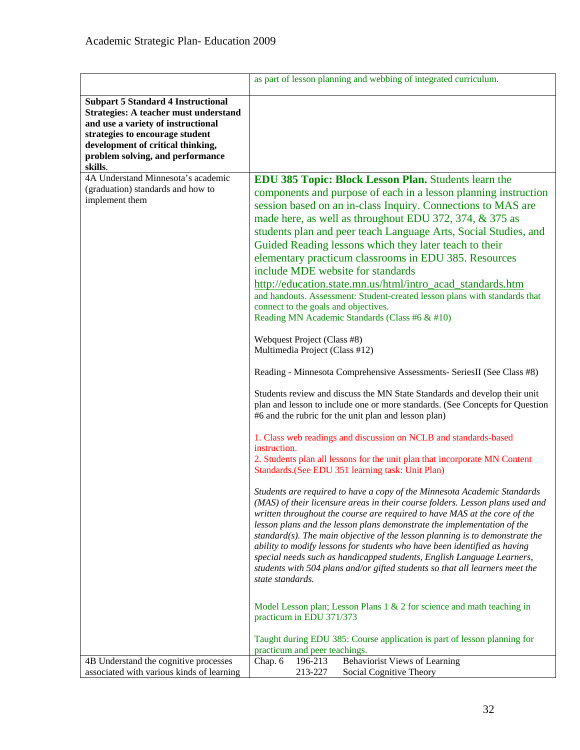|                                                                                                                                                                                                                                                 | as part of lesson planning and webbing of integrated curriculum.                                                                                                                                                                                                                                                                                                                                                                                                                                                                                                                                                                                                                                                                                                                                                                                                                                                                                                                                                                                                                                                                                                                                                                                                                                                                                                                                                                                                                                                                                                                                                                                                                                                                                                                                                                                                                                                                                                                                                                                                                                                                                                                                     |
|-------------------------------------------------------------------------------------------------------------------------------------------------------------------------------------------------------------------------------------------------|------------------------------------------------------------------------------------------------------------------------------------------------------------------------------------------------------------------------------------------------------------------------------------------------------------------------------------------------------------------------------------------------------------------------------------------------------------------------------------------------------------------------------------------------------------------------------------------------------------------------------------------------------------------------------------------------------------------------------------------------------------------------------------------------------------------------------------------------------------------------------------------------------------------------------------------------------------------------------------------------------------------------------------------------------------------------------------------------------------------------------------------------------------------------------------------------------------------------------------------------------------------------------------------------------------------------------------------------------------------------------------------------------------------------------------------------------------------------------------------------------------------------------------------------------------------------------------------------------------------------------------------------------------------------------------------------------------------------------------------------------------------------------------------------------------------------------------------------------------------------------------------------------------------------------------------------------------------------------------------------------------------------------------------------------------------------------------------------------------------------------------------------------------------------------------------------------|
| <b>Subpart 5 Standard 4 Instructional</b><br>Strategies: A teacher must understand<br>and use a variety of instructional<br>strategies to encourage student<br>development of critical thinking,<br>problem solving, and performance<br>skills. |                                                                                                                                                                                                                                                                                                                                                                                                                                                                                                                                                                                                                                                                                                                                                                                                                                                                                                                                                                                                                                                                                                                                                                                                                                                                                                                                                                                                                                                                                                                                                                                                                                                                                                                                                                                                                                                                                                                                                                                                                                                                                                                                                                                                      |
| 4A Understand Minnesota's academic<br>(graduation) standards and how to<br>implement them                                                                                                                                                       | <b>EDU 385 Topic: Block Lesson Plan.</b> Students learn the<br>components and purpose of each in a lesson planning instruction<br>session based on an in-class Inquiry. Connections to MAS are<br>made here, as well as throughout EDU 372, 374, & 375 as<br>students plan and peer teach Language Arts, Social Studies, and<br>Guided Reading lessons which they later teach to their<br>elementary practicum classrooms in EDU 385. Resources<br>include MDE website for standards<br>http://education.state.mn.us/html/intro_acad_standards.htm<br>and handouts. Assessment: Student-created lesson plans with standards that<br>connect to the goals and objectives.<br>Reading MN Academic Standards (Class #6 & #10)<br>Webquest Project (Class #8)<br>Multimedia Project (Class #12)<br>Reading - Minnesota Comprehensive Assessments- SeriesII (See Class #8)<br>Students review and discuss the MN State Standards and develop their unit<br>plan and lesson to include one or more standards. (See Concepts for Question<br>#6 and the rubric for the unit plan and lesson plan)<br>1. Class web readings and discussion on NCLB and standards-based<br>instruction.<br>2. Students plan all lessons for the unit plan that incorporate MN Content<br>Standards. (See EDU 351 learning task: Unit Plan)<br>Students are required to have a copy of the Minnesota Academic Standards<br>(MAS) of their licensure areas in their course folders. Lesson plans used and<br>written throughout the course are required to have MAS at the core of the<br>lesson plans and the lesson plans demonstrate the implementation of the<br>standard(s). The main objective of the lesson planning is to demonstrate the<br>ability to modify lessons for students who have been identified as having<br>special needs such as handicapped students, English Language Learners,<br>students with 504 plans and/or gifted students so that all learners meet the<br>state standards.<br>Model Lesson plan; Lesson Plans 1 & 2 for science and math teaching in<br>practicum in EDU 371/373<br>Taught during EDU 385: Course application is part of lesson planning for<br>practicum and peer teachings. |
| 4B Understand the cognitive processes<br>associated with various kinds of learning                                                                                                                                                              | Behaviorist Views of Learning<br>Chap. 6<br>196-213<br>213-227<br>Social Cognitive Theory                                                                                                                                                                                                                                                                                                                                                                                                                                                                                                                                                                                                                                                                                                                                                                                                                                                                                                                                                                                                                                                                                                                                                                                                                                                                                                                                                                                                                                                                                                                                                                                                                                                                                                                                                                                                                                                                                                                                                                                                                                                                                                            |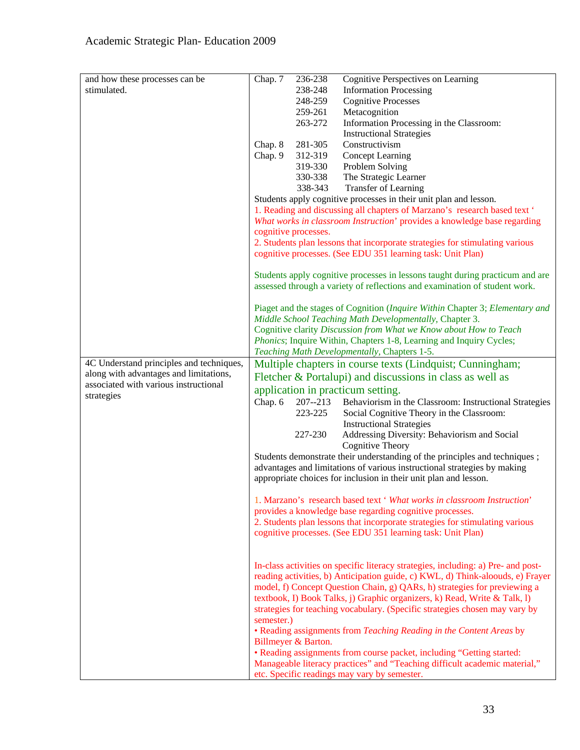| and how these processes can be           | Chap. 7    | 236-238              | Cognitive Perspectives on Learning                                                |
|------------------------------------------|------------|----------------------|-----------------------------------------------------------------------------------|
| stimulated.                              |            | 238-248              | <b>Information Processing</b>                                                     |
|                                          |            | 248-259              | <b>Cognitive Processes</b>                                                        |
|                                          |            | 259-261              |                                                                                   |
|                                          |            |                      | Metacognition                                                                     |
|                                          |            | 263-272              | Information Processing in the Classroom:                                          |
|                                          |            |                      | <b>Instructional Strategies</b>                                                   |
|                                          | Chap. 8    | 281-305              | Constructivism                                                                    |
|                                          | Chap. 9    | 312-319              | <b>Concept Learning</b>                                                           |
|                                          |            | 319-330              | Problem Solving                                                                   |
|                                          |            | 330-338              | The Strategic Learner                                                             |
|                                          |            | 338-343              | Transfer of Learning                                                              |
|                                          |            |                      | Students apply cognitive processes in their unit plan and lesson.                 |
|                                          |            |                      | 1. Reading and discussing all chapters of Marzano's research based text '         |
|                                          |            |                      | What works in classroom Instruction' provides a knowledge base regarding          |
|                                          |            | cognitive processes. |                                                                                   |
|                                          |            |                      | 2. Students plan lessons that incorporate strategies for stimulating various      |
|                                          |            |                      | cognitive processes. (See EDU 351 learning task: Unit Plan)                       |
|                                          |            |                      | Students apply cognitive processes in lessons taught during practicum and are     |
|                                          |            |                      | assessed through a variety of reflections and examination of student work.        |
|                                          |            |                      |                                                                                   |
|                                          |            |                      | Piaget and the stages of Cognition (Inquire Within Chapter 3; Elementary and      |
|                                          |            |                      | Middle School Teaching Math Developmentally, Chapter 3.                           |
|                                          |            |                      | Cognitive clarity Discussion from What we Know about How to Teach                 |
|                                          |            |                      | <i>Phonics</i> ; Inquire Within, Chapters 1-8, Learning and Inquiry Cycles;       |
|                                          |            |                      | Teaching Math Developmentally, Chapters 1-5.                                      |
| 4C Understand principles and techniques, |            |                      | Multiple chapters in course texts (Lindquist; Cunningham;                         |
| along with advantages and limitations,   |            |                      | Fletcher & Portalupi) and discussions in class as well as                         |
| associated with various instructional    |            |                      |                                                                                   |
| strategies                               |            |                      | application in practicum setting.                                                 |
|                                          | Chap. 6    | $207 - 213$          | Behaviorism in the Classroom: Instructional Strategies                            |
|                                          |            | 223-225              | Social Cognitive Theory in the Classroom:                                         |
|                                          |            |                      | <b>Instructional Strategies</b>                                                   |
|                                          |            | 227-230              | Addressing Diversity: Behaviorism and Social                                      |
|                                          |            |                      | Cognitive Theory                                                                  |
|                                          |            |                      | Students demonstrate their understanding of the principles and techniques;        |
|                                          |            |                      | advantages and limitations of various instructional strategies by making          |
|                                          |            |                      | appropriate choices for inclusion in their unit plan and lesson.                  |
|                                          |            |                      | 1. Marzano's research based text ' What works in classroom Instruction'           |
|                                          |            |                      | provides a knowledge base regarding cognitive processes.                          |
|                                          |            |                      | 2. Students plan lessons that incorporate strategies for stimulating various      |
|                                          |            |                      |                                                                                   |
|                                          |            |                      | cognitive processes. (See EDU 351 learning task: Unit Plan)                       |
|                                          |            |                      |                                                                                   |
|                                          |            |                      | In-class activities on specific literacy strategies, including: a) Pre- and post- |
|                                          |            |                      | reading activities, b) Anticipation guide, c) KWL, d) Think-aloouds, e) Frayer    |
|                                          |            |                      | model, f) Concept Question Chain, g) QARs, h) strategies for previewing a         |
|                                          |            |                      | textbook, I) Book Talks, j) Graphic organizers, k) Read, Write & Talk, l)         |
|                                          |            |                      | strategies for teaching vocabulary. (Specific strategies chosen may vary by       |
|                                          | semester.) |                      |                                                                                   |
|                                          |            |                      | • Reading assignments from Teaching Reading in the Content Areas by               |
|                                          |            | Billmeyer & Barton.  |                                                                                   |
|                                          |            |                      | • Reading assignments from course packet, including "Getting started:             |
|                                          |            |                      | Manageable literacy practices" and "Teaching difficult academic material,"        |
|                                          |            |                      | etc. Specific readings may vary by semester.                                      |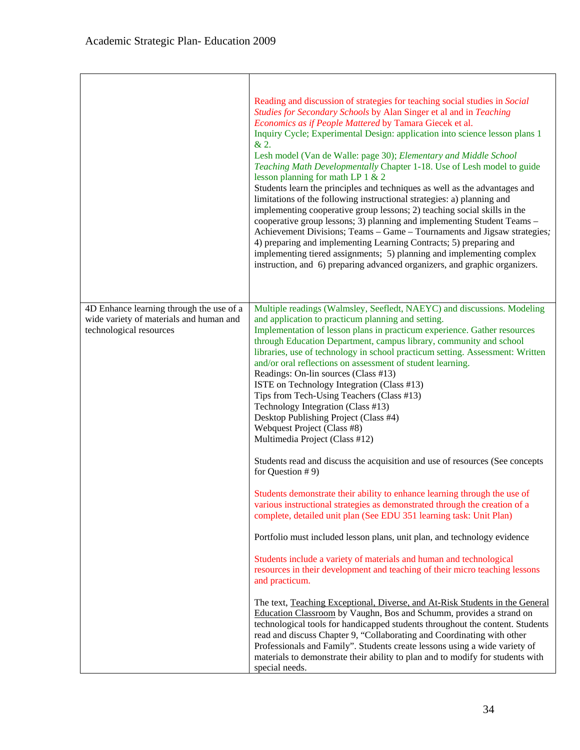|                                                                    | Reading and discussion of strategies for teaching social studies in Social<br>Studies for Secondary Schools by Alan Singer et al and in Teaching<br>Economics as if People Mattered by Tamara Giecek et al.<br>Inquiry Cycle; Experimental Design: application into science lesson plans 1<br>& 2.<br>Lesh model (Van de Walle: page 30); Elementary and Middle School<br>Teaching Math Developmentally Chapter 1-18. Use of Lesh model to guide<br>lesson planning for math LP $1 & 2$<br>Students learn the principles and techniques as well as the advantages and<br>limitations of the following instructional strategies: a) planning and<br>implementing cooperative group lessons; 2) teaching social skills in the<br>cooperative group lessons; 3) planning and implementing Student Teams -<br>Achievement Divisions; Teams - Game - Tournaments and Jigsaw strategies;<br>4) preparing and implementing Learning Contracts; 5) preparing and<br>implementing tiered assignments; 5) planning and implementing complex<br>instruction, and 6) preparing advanced organizers, and graphic organizers. |
|--------------------------------------------------------------------|-----------------------------------------------------------------------------------------------------------------------------------------------------------------------------------------------------------------------------------------------------------------------------------------------------------------------------------------------------------------------------------------------------------------------------------------------------------------------------------------------------------------------------------------------------------------------------------------------------------------------------------------------------------------------------------------------------------------------------------------------------------------------------------------------------------------------------------------------------------------------------------------------------------------------------------------------------------------------------------------------------------------------------------------------------------------------------------------------------------------|
| 4D Enhance learning through the use of a                           | Multiple readings (Walmsley, Seefledt, NAEYC) and discussions. Modeling                                                                                                                                                                                                                                                                                                                                                                                                                                                                                                                                                                                                                                                                                                                                                                                                                                                                                                                                                                                                                                         |
| wide variety of materials and human and<br>technological resources | and application to practicum planning and setting.<br>Implementation of lesson plans in practicum experience. Gather resources<br>through Education Department, campus library, community and school<br>libraries, use of technology in school practicum setting. Assessment: Written<br>and/or oral reflections on assessment of student learning.<br>Readings: On-lin sources (Class #13)<br>ISTE on Technology Integration (Class #13)<br>Tips from Tech-Using Teachers (Class #13)<br>Technology Integration (Class #13)<br>Desktop Publishing Project (Class #4)<br>Webquest Project (Class #8)<br>Multimedia Project (Class #12)<br>Students read and discuss the acquisition and use of resources (See concepts                                                                                                                                                                                                                                                                                                                                                                                          |
|                                                                    | for Question $# 9$ )                                                                                                                                                                                                                                                                                                                                                                                                                                                                                                                                                                                                                                                                                                                                                                                                                                                                                                                                                                                                                                                                                            |
|                                                                    | Students demonstrate their ability to enhance learning through the use of<br>various instructional strategies as demonstrated through the creation of a<br>complete, detailed unit plan (See EDU 351 learning task: Unit Plan)                                                                                                                                                                                                                                                                                                                                                                                                                                                                                                                                                                                                                                                                                                                                                                                                                                                                                  |
|                                                                    | Portfolio must included lesson plans, unit plan, and technology evidence                                                                                                                                                                                                                                                                                                                                                                                                                                                                                                                                                                                                                                                                                                                                                                                                                                                                                                                                                                                                                                        |
|                                                                    | Students include a variety of materials and human and technological<br>resources in their development and teaching of their micro teaching lessons<br>and practicum.                                                                                                                                                                                                                                                                                                                                                                                                                                                                                                                                                                                                                                                                                                                                                                                                                                                                                                                                            |
|                                                                    | The text, Teaching Exceptional, Diverse, and At-Risk Students in the General<br>Education Classroom by Vaughn, Bos and Schumm, provides a strand on<br>technological tools for handicapped students throughout the content. Students<br>read and discuss Chapter 9, "Collaborating and Coordinating with other<br>Professionals and Family". Students create lessons using a wide variety of<br>materials to demonstrate their ability to plan and to modify for students with<br>special needs.                                                                                                                                                                                                                                                                                                                                                                                                                                                                                                                                                                                                                |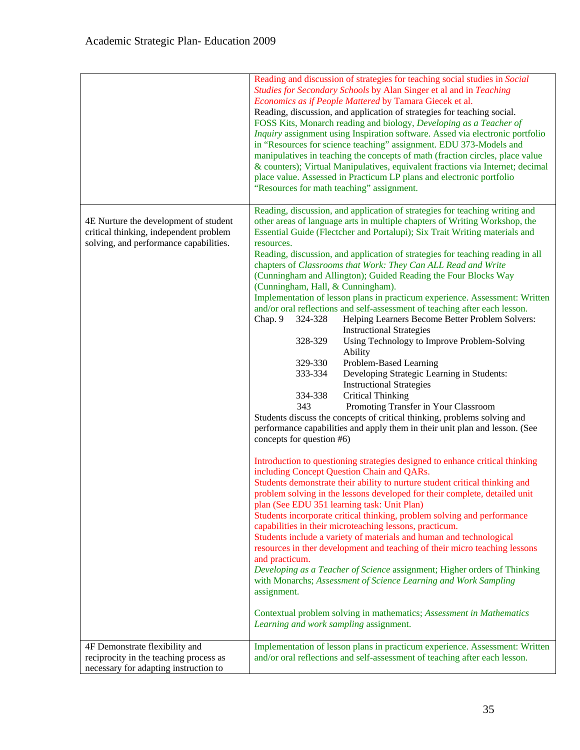|                                                                                                                           | Reading and discussion of strategies for teaching social studies in Social<br>Studies for Secondary Schools by Alan Singer et al and in Teaching<br>Economics as if People Mattered by Tamara Giecek et al.<br>Reading, discussion, and application of strategies for teaching social.<br>FOSS Kits, Monarch reading and biology, Developing as a Teacher of<br>Inquiry assignment using Inspiration software. Assed via electronic portfolio<br>in "Resources for science teaching" assignment. EDU 373-Models and<br>manipulatives in teaching the concepts of math (fraction circles, place value<br>& counters); Virtual Manipulatives, equivalent fractions via Internet; decimal<br>place value. Assessed in Practicum LP plans and electronic portfolio<br>"Resources for math teaching" assignment.                                                                                                                                                                                                                                                                                                                                                                                                                                                                                                                                                                                                                                                                                                                                                                                                                                                                                                                                                                                                                                                                                                                                                                                                                                                                                                                                                                                                         |
|---------------------------------------------------------------------------------------------------------------------------|---------------------------------------------------------------------------------------------------------------------------------------------------------------------------------------------------------------------------------------------------------------------------------------------------------------------------------------------------------------------------------------------------------------------------------------------------------------------------------------------------------------------------------------------------------------------------------------------------------------------------------------------------------------------------------------------------------------------------------------------------------------------------------------------------------------------------------------------------------------------------------------------------------------------------------------------------------------------------------------------------------------------------------------------------------------------------------------------------------------------------------------------------------------------------------------------------------------------------------------------------------------------------------------------------------------------------------------------------------------------------------------------------------------------------------------------------------------------------------------------------------------------------------------------------------------------------------------------------------------------------------------------------------------------------------------------------------------------------------------------------------------------------------------------------------------------------------------------------------------------------------------------------------------------------------------------------------------------------------------------------------------------------------------------------------------------------------------------------------------------------------------------------------------------------------------------------------------------|
| 4E Nurture the development of student<br>critical thinking, independent problem<br>solving, and performance capabilities. | Reading, discussion, and application of strategies for teaching writing and<br>other areas of language arts in multiple chapters of Writing Workshop, the<br>Essential Guide (Flectcher and Portalupi); Six Trait Writing materials and<br>resources.<br>Reading, discussion, and application of strategies for teaching reading in all<br>chapters of Classrooms that Work: They Can ALL Read and Write<br>(Cunningham and Allington); Guided Reading the Four Blocks Way<br>(Cunningham, Hall, & Cunningham).<br>Implementation of lesson plans in practicum experience. Assessment: Written<br>and/or oral reflections and self-assessment of teaching after each lesson.<br>Chap. 9<br>324-328<br>Helping Learners Become Better Problem Solvers:<br><b>Instructional Strategies</b><br>328-329<br>Using Technology to Improve Problem-Solving<br>Ability<br>329-330<br>Problem-Based Learning<br>333-334<br>Developing Strategic Learning in Students:<br><b>Instructional Strategies</b><br><b>Critical Thinking</b><br>334-338<br>Promoting Transfer in Your Classroom<br>343<br>Students discuss the concepts of critical thinking, problems solving and<br>performance capabilities and apply them in their unit plan and lesson. (See<br>concepts for question #6)<br>Introduction to questioning strategies designed to enhance critical thinking<br>including Concept Question Chain and QARs.<br>Students demonstrate their ability to nurture student critical thinking and<br>problem solving in the lessons developed for their complete, detailed unit<br>plan (See EDU 351 learning task: Unit Plan)<br>Students incorporate critical thinking, problem solving and performance<br>capabilities in their microteaching lessons, practicum.<br>Students include a variety of materials and human and technological<br>resources in ther development and teaching of their micro teaching lessons<br>and practicum.<br>Developing as a Teacher of Science assignment; Higher orders of Thinking<br>with Monarchs; Assessment of Science Learning and Work Sampling<br>assignment.<br>Contextual problem solving in mathematics; Assessment in Mathematics<br>Learning and work sampling assignment. |
| 4F Demonstrate flexibility and                                                                                            | Implementation of lesson plans in practicum experience. Assessment: Written                                                                                                                                                                                                                                                                                                                                                                                                                                                                                                                                                                                                                                                                                                                                                                                                                                                                                                                                                                                                                                                                                                                                                                                                                                                                                                                                                                                                                                                                                                                                                                                                                                                                                                                                                                                                                                                                                                                                                                                                                                                                                                                                         |
| reciprocity in the teaching process as<br>necessary for adapting instruction to                                           | and/or oral reflections and self-assessment of teaching after each lesson.                                                                                                                                                                                                                                                                                                                                                                                                                                                                                                                                                                                                                                                                                                                                                                                                                                                                                                                                                                                                                                                                                                                                                                                                                                                                                                                                                                                                                                                                                                                                                                                                                                                                                                                                                                                                                                                                                                                                                                                                                                                                                                                                          |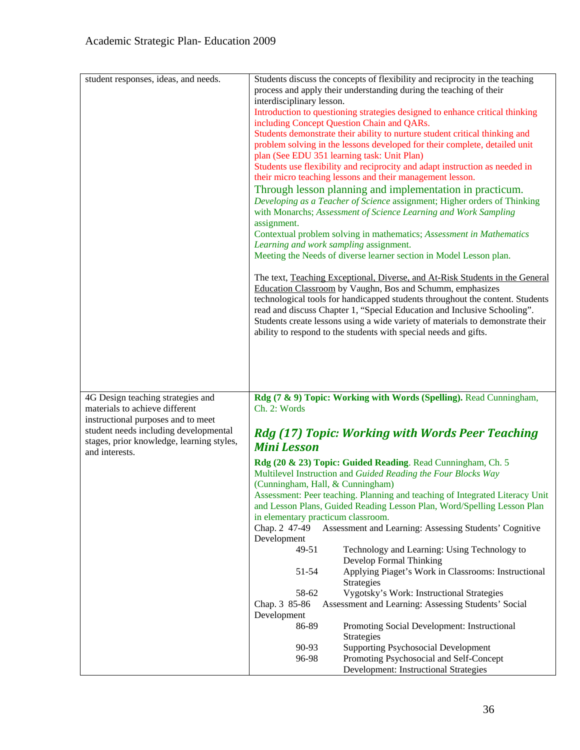| student responses, ideas, and needs.                                               | Students discuss the concepts of flexibility and reciprocity in the teaching                                                                            |
|------------------------------------------------------------------------------------|---------------------------------------------------------------------------------------------------------------------------------------------------------|
|                                                                                    | process and apply their understanding during the teaching of their                                                                                      |
|                                                                                    | interdisciplinary lesson.                                                                                                                               |
|                                                                                    | Introduction to questioning strategies designed to enhance critical thinking                                                                            |
|                                                                                    | including Concept Question Chain and QARs.                                                                                                              |
|                                                                                    | Students demonstrate their ability to nurture student critical thinking and                                                                             |
|                                                                                    | problem solving in the lessons developed for their complete, detailed unit                                                                              |
|                                                                                    | plan (See EDU 351 learning task: Unit Plan)                                                                                                             |
|                                                                                    | Students use flexibility and reciprocity and adapt instruction as needed in                                                                             |
|                                                                                    | their micro teaching lessons and their management lesson.                                                                                               |
|                                                                                    |                                                                                                                                                         |
|                                                                                    | Through lesson planning and implementation in practicum.                                                                                                |
|                                                                                    | Developing as a Teacher of Science assignment; Higher orders of Thinking                                                                                |
|                                                                                    | with Monarchs; Assessment of Science Learning and Work Sampling                                                                                         |
|                                                                                    | assignment.                                                                                                                                             |
|                                                                                    | Contextual problem solving in mathematics; Assessment in Mathematics                                                                                    |
|                                                                                    | Learning and work sampling assignment.                                                                                                                  |
|                                                                                    | Meeting the Needs of diverse learner section in Model Lesson plan.                                                                                      |
|                                                                                    | The text, Teaching Exceptional, Diverse, and At-Risk Students in the General                                                                            |
|                                                                                    | Education Classroom by Vaughn, Bos and Schumm, emphasizes                                                                                               |
|                                                                                    | technological tools for handicapped students throughout the content. Students                                                                           |
|                                                                                    | read and discuss Chapter 1, "Special Education and Inclusive Schooling".                                                                                |
|                                                                                    | Students create lessons using a wide variety of materials to demonstrate their                                                                          |
|                                                                                    | ability to respond to the students with special needs and gifts.                                                                                        |
|                                                                                    |                                                                                                                                                         |
|                                                                                    |                                                                                                                                                         |
|                                                                                    |                                                                                                                                                         |
|                                                                                    |                                                                                                                                                         |
|                                                                                    |                                                                                                                                                         |
|                                                                                    |                                                                                                                                                         |
| 4G Design teaching strategies and                                                  | Rdg (7 & 9) Topic: Working with Words (Spelling). Read Cunningham,                                                                                      |
| materials to achieve different                                                     | Ch. 2: Words                                                                                                                                            |
| instructional purposes and to meet                                                 |                                                                                                                                                         |
| student needs including developmental<br>stages, prior knowledge, learning styles, | Rdg (17) Topic: Working with Words Peer Teaching<br><b>Mini Lesson</b>                                                                                  |
| and interests.                                                                     |                                                                                                                                                         |
|                                                                                    | Rdg (20 & 23) Topic: Guided Reading. Read Cunningham, Ch. 5                                                                                             |
|                                                                                    | Multilevel Instruction and Guided Reading the Four Blocks Way                                                                                           |
|                                                                                    | (Cunningham, Hall, & Cunningham)                                                                                                                        |
|                                                                                    |                                                                                                                                                         |
|                                                                                    | Assessment: Peer teaching. Planning and teaching of Integrated Literacy Unit<br>and Lesson Plans, Guided Reading Lesson Plan, Word/Spelling Lesson Plan |
|                                                                                    | in elementary practicum classroom.                                                                                                                      |
|                                                                                    | Assessment and Learning: Assessing Students' Cognitive<br>Chap. 2 47-49                                                                                 |
|                                                                                    | Development                                                                                                                                             |
|                                                                                    | 49-51<br>Technology and Learning: Using Technology to                                                                                                   |
|                                                                                    | Develop Formal Thinking                                                                                                                                 |
|                                                                                    | Applying Piaget's Work in Classrooms: Instructional<br>51-54                                                                                            |
|                                                                                    | Strategies                                                                                                                                              |
|                                                                                    | 58-62<br>Vygotsky's Work: Instructional Strategies                                                                                                      |
|                                                                                    | Chap. 3 85-86<br>Assessment and Learning: Assessing Students' Social                                                                                    |
|                                                                                    | Development                                                                                                                                             |
|                                                                                    | 86-89<br>Promoting Social Development: Instructional                                                                                                    |
|                                                                                    | Strategies                                                                                                                                              |
|                                                                                    | <b>Supporting Psychosocial Development</b><br>90-93                                                                                                     |
|                                                                                    | 96-98<br>Promoting Psychosocial and Self-Concept                                                                                                        |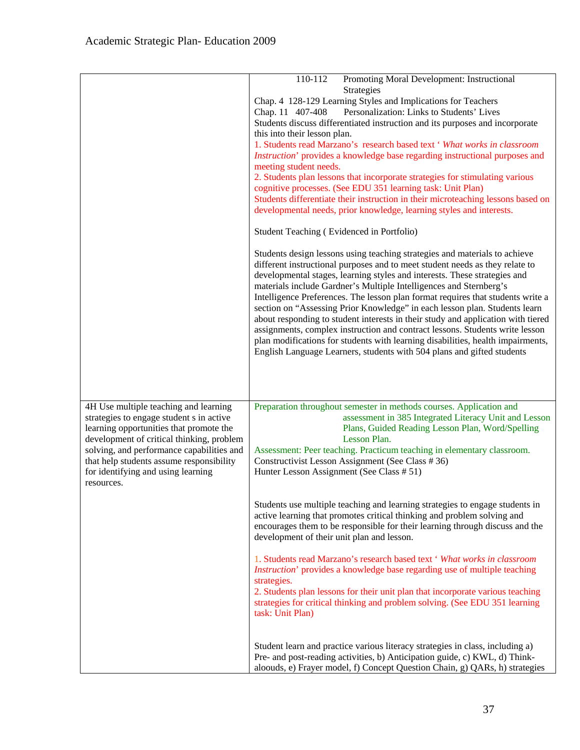|                                           | 110-112<br>Promoting Moral Development: Instructional                                                                                                       |
|-------------------------------------------|-------------------------------------------------------------------------------------------------------------------------------------------------------------|
|                                           | Strategies                                                                                                                                                  |
|                                           | Chap. 4 128-129 Learning Styles and Implications for Teachers                                                                                               |
|                                           | Personalization: Links to Students' Lives<br>Chap. 11 407-408                                                                                               |
|                                           | Students discuss differentiated instruction and its purposes and incorporate                                                                                |
|                                           | this into their lesson plan.                                                                                                                                |
|                                           | 1. Students read Marzano's research based text ' What works in classroom                                                                                    |
|                                           | Instruction' provides a knowledge base regarding instructional purposes and                                                                                 |
|                                           | meeting student needs.                                                                                                                                      |
|                                           | 2. Students plan lessons that incorporate strategies for stimulating various<br>cognitive processes. (See EDU 351 learning task: Unit Plan)                 |
|                                           | Students differentiate their instruction in their microteaching lessons based on                                                                            |
|                                           | developmental needs, prior knowledge, learning styles and interests.                                                                                        |
|                                           |                                                                                                                                                             |
|                                           | Student Teaching (Evidenced in Portfolio)                                                                                                                   |
|                                           | Students design lessons using teaching strategies and materials to achieve                                                                                  |
|                                           | different instructional purposes and to meet student needs as they relate to                                                                                |
|                                           | developmental stages, learning styles and interests. These strategies and<br>materials include Gardner's Multiple Intelligences and Sternberg's             |
|                                           | Intelligence Preferences. The lesson plan format requires that students write a                                                                             |
|                                           | section on "Assessing Prior Knowledge" in each lesson plan. Students learn                                                                                  |
|                                           | about responding to student interests in their study and application with tiered                                                                            |
|                                           | assignments, complex instruction and contract lessons. Students write lesson                                                                                |
|                                           | plan modifications for students with learning disabilities, health impairments,                                                                             |
|                                           | English Language Learners, students with 504 plans and gifted students                                                                                      |
|                                           |                                                                                                                                                             |
|                                           |                                                                                                                                                             |
|                                           |                                                                                                                                                             |
| 4H Use multiple teaching and learning     | Preparation throughout semester in methods courses. Application and                                                                                         |
| strategies to engage student s in active  | assessment in 385 Integrated Literacy Unit and Lesson                                                                                                       |
| learning opportunities that promote the   | Plans, Guided Reading Lesson Plan, Word/Spelling                                                                                                            |
| development of critical thinking, problem | Lesson Plan.                                                                                                                                                |
| solving, and performance capabilities and | Assessment: Peer teaching. Practicum teaching in elementary classroom.                                                                                      |
| that help students assume responsibility  | Constructivist Lesson Assignment (See Class #36)                                                                                                            |
| for identifying and using learning        | Hunter Lesson Assignment (See Class # 51)                                                                                                                   |
| resources.                                |                                                                                                                                                             |
|                                           |                                                                                                                                                             |
|                                           | Students use multiple teaching and learning strategies to engage students in                                                                                |
|                                           | active learning that promotes critical thinking and problem solving and<br>encourages them to be responsible for their learning through discuss and the     |
|                                           | development of their unit plan and lesson.                                                                                                                  |
|                                           |                                                                                                                                                             |
|                                           | 1. Students read Marzano's research based text ' What works in classroom                                                                                    |
|                                           | Instruction' provides a knowledge base regarding use of multiple teaching                                                                                   |
|                                           | strategies.                                                                                                                                                 |
|                                           | 2. Students plan lessons for their unit plan that incorporate various teaching                                                                              |
|                                           | strategies for critical thinking and problem solving. (See EDU 351 learning                                                                                 |
|                                           | task: Unit Plan)                                                                                                                                            |
|                                           |                                                                                                                                                             |
|                                           | Student learn and practice various literacy strategies in class, including a)<br>Pre- and post-reading activities, b) Anticipation guide, c) KWL, d) Think- |
|                                           | aloouds, e) Frayer model, f) Concept Question Chain, g) QARs, h) strategies                                                                                 |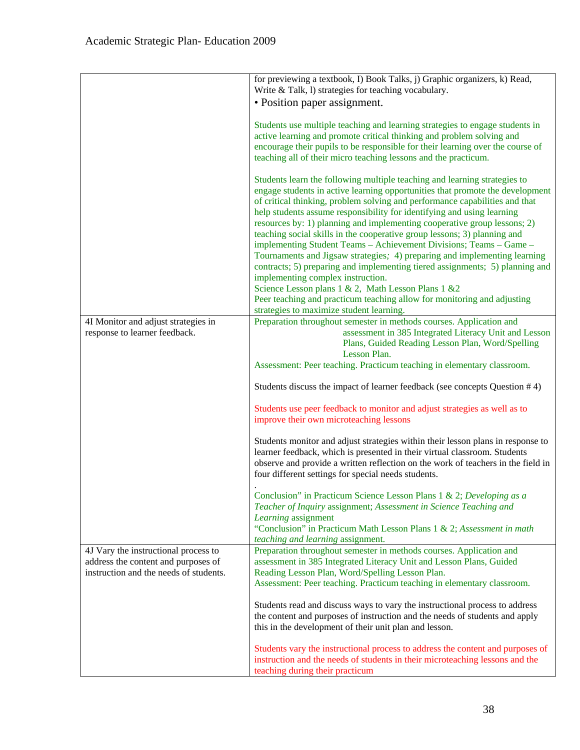|                                                                               | for previewing a textbook, I) Book Talks, j) Graphic organizers, k) Read,<br>Write & Talk, l) strategies for teaching vocabulary.                                                                                                                                                                                                                                                                                                                                                                                                                                                                                                                                                                                                                                                                                                                                                                                                 |
|-------------------------------------------------------------------------------|-----------------------------------------------------------------------------------------------------------------------------------------------------------------------------------------------------------------------------------------------------------------------------------------------------------------------------------------------------------------------------------------------------------------------------------------------------------------------------------------------------------------------------------------------------------------------------------------------------------------------------------------------------------------------------------------------------------------------------------------------------------------------------------------------------------------------------------------------------------------------------------------------------------------------------------|
|                                                                               | • Position paper assignment.                                                                                                                                                                                                                                                                                                                                                                                                                                                                                                                                                                                                                                                                                                                                                                                                                                                                                                      |
|                                                                               | Students use multiple teaching and learning strategies to engage students in<br>active learning and promote critical thinking and problem solving and<br>encourage their pupils to be responsible for their learning over the course of<br>teaching all of their micro teaching lessons and the practicum.                                                                                                                                                                                                                                                                                                                                                                                                                                                                                                                                                                                                                        |
|                                                                               | Students learn the following multiple teaching and learning strategies to<br>engage students in active learning opportunities that promote the development<br>of critical thinking, problem solving and performance capabilities and that<br>help students assume responsibility for identifying and using learning<br>resources by: 1) planning and implementing cooperative group lessons; 2)<br>teaching social skills in the cooperative group lessons; 3) planning and<br>implementing Student Teams - Achievement Divisions; Teams - Game -<br>Tournaments and Jigsaw strategies; 4) preparing and implementing learning<br>contracts; 5) preparing and implementing tiered assignments; 5) planning and<br>implementing complex instruction.<br>Science Lesson plans 1 & 2, Math Lesson Plans 1 & 2<br>Peer teaching and practicum teaching allow for monitoring and adjusting<br>strategies to maximize student learning. |
| 4I Monitor and adjust strategies in                                           | Preparation throughout semester in methods courses. Application and                                                                                                                                                                                                                                                                                                                                                                                                                                                                                                                                                                                                                                                                                                                                                                                                                                                               |
| response to learner feedback.                                                 | assessment in 385 Integrated Literacy Unit and Lesson<br>Plans, Guided Reading Lesson Plan, Word/Spelling<br>Lesson Plan.                                                                                                                                                                                                                                                                                                                                                                                                                                                                                                                                                                                                                                                                                                                                                                                                         |
|                                                                               | Assessment: Peer teaching. Practicum teaching in elementary classroom.                                                                                                                                                                                                                                                                                                                                                                                                                                                                                                                                                                                                                                                                                                                                                                                                                                                            |
|                                                                               | Students discuss the impact of learner feedback (see concepts Question #4)                                                                                                                                                                                                                                                                                                                                                                                                                                                                                                                                                                                                                                                                                                                                                                                                                                                        |
|                                                                               | Students use peer feedback to monitor and adjust strategies as well as to<br>improve their own microteaching lessons                                                                                                                                                                                                                                                                                                                                                                                                                                                                                                                                                                                                                                                                                                                                                                                                              |
|                                                                               | Students monitor and adjust strategies within their lesson plans in response to<br>learner feedback, which is presented in their virtual classroom. Students<br>observe and provide a written reflection on the work of teachers in the field in<br>four different settings for special needs students.                                                                                                                                                                                                                                                                                                                                                                                                                                                                                                                                                                                                                           |
|                                                                               | Conclusion" in Practicum Science Lesson Plans 1 & 2; Developing as a<br>Teacher of Inquiry assignment; Assessment in Science Teaching and<br>Learning assignment<br>"Conclusion" in Practicum Math Lesson Plans 1 & 2; Assessment in math<br>teaching and learning assignment.                                                                                                                                                                                                                                                                                                                                                                                                                                                                                                                                                                                                                                                    |
| 4J Vary the instructional process to                                          | Preparation throughout semester in methods courses. Application and                                                                                                                                                                                                                                                                                                                                                                                                                                                                                                                                                                                                                                                                                                                                                                                                                                                               |
| address the content and purposes of<br>instruction and the needs of students. | assessment in 385 Integrated Literacy Unit and Lesson Plans, Guided<br>Reading Lesson Plan, Word/Spelling Lesson Plan.                                                                                                                                                                                                                                                                                                                                                                                                                                                                                                                                                                                                                                                                                                                                                                                                            |
|                                                                               | Assessment: Peer teaching. Practicum teaching in elementary classroom.                                                                                                                                                                                                                                                                                                                                                                                                                                                                                                                                                                                                                                                                                                                                                                                                                                                            |
|                                                                               | Students read and discuss ways to vary the instructional process to address<br>the content and purposes of instruction and the needs of students and apply<br>this in the development of their unit plan and lesson.                                                                                                                                                                                                                                                                                                                                                                                                                                                                                                                                                                                                                                                                                                              |
|                                                                               | Students vary the instructional process to address the content and purposes of<br>instruction and the needs of students in their microteaching lessons and the<br>teaching during their practicum                                                                                                                                                                                                                                                                                                                                                                                                                                                                                                                                                                                                                                                                                                                                 |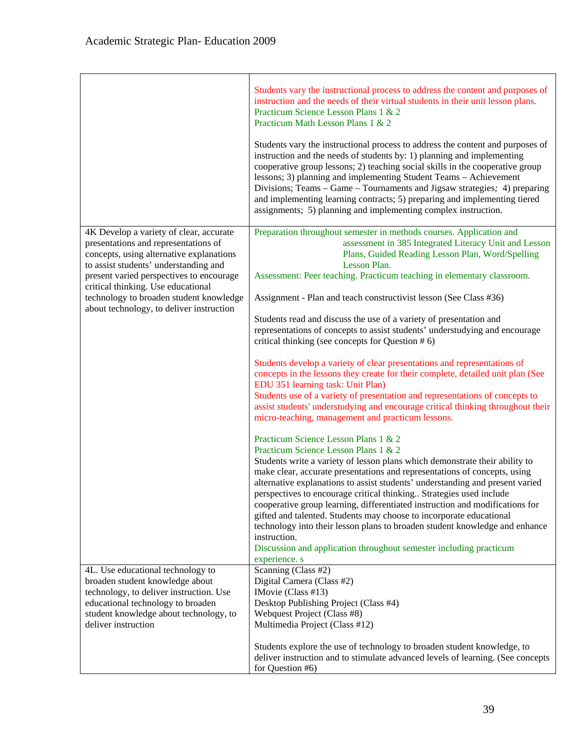|                                                                                                                                                                                                                                                                                                                                               | Students vary the instructional process to address the content and purposes of<br>instruction and the needs of their virtual students in their unit lesson plans.<br>Practicum Science Lesson Plans 1 & 2<br>Practicum Math Lesson Plans 1 & 2<br>Students vary the instructional process to address the content and purposes of<br>instruction and the needs of students by: 1) planning and implementing<br>cooperative group lessons; 2) teaching social skills in the cooperative group<br>lessons; 3) planning and implementing Student Teams - Achievement<br>Divisions; Teams – Game – Tournaments and Jigsaw strategies; 4) preparing<br>and implementing learning contracts; 5) preparing and implementing tiered<br>assignments; 5) planning and implementing complex instruction.                                                                                                                                                                                                                                                                                                                                                                                                                                                                                                                                                                                                                                                                                                                                                                                                                                                                                                                                           |
|-----------------------------------------------------------------------------------------------------------------------------------------------------------------------------------------------------------------------------------------------------------------------------------------------------------------------------------------------|----------------------------------------------------------------------------------------------------------------------------------------------------------------------------------------------------------------------------------------------------------------------------------------------------------------------------------------------------------------------------------------------------------------------------------------------------------------------------------------------------------------------------------------------------------------------------------------------------------------------------------------------------------------------------------------------------------------------------------------------------------------------------------------------------------------------------------------------------------------------------------------------------------------------------------------------------------------------------------------------------------------------------------------------------------------------------------------------------------------------------------------------------------------------------------------------------------------------------------------------------------------------------------------------------------------------------------------------------------------------------------------------------------------------------------------------------------------------------------------------------------------------------------------------------------------------------------------------------------------------------------------------------------------------------------------------------------------------------------------|
| 4K Develop a variety of clear, accurate<br>presentations and representations of<br>concepts, using alternative explanations<br>to assist students' understanding and<br>present varied perspectives to encourage<br>critical thinking. Use educational<br>technology to broaden student knowledge<br>about technology, to deliver instruction | Preparation throughout semester in methods courses. Application and<br>assessment in 385 Integrated Literacy Unit and Lesson<br>Plans, Guided Reading Lesson Plan, Word/Spelling<br>Lesson Plan.<br>Assessment: Peer teaching. Practicum teaching in elementary classroom.<br>Assignment - Plan and teach constructivist lesson (See Class #36)<br>Students read and discuss the use of a variety of presentation and<br>representations of concepts to assist students' understudying and encourage<br>critical thinking (see concepts for Question # 6)<br>Students develop a variety of clear presentations and representations of<br>concepts in the lessons they create for their complete, detailed unit plan (See<br>EDU 351 learning task: Unit Plan)<br>Students use of a variety of presentation and representations of concepts to<br>assist students' understudying and encourage critical thinking throughout their<br>micro-teaching, management and practicum lessons.<br>Practicum Science Lesson Plans 1 & 2<br>Practicum Science Lesson Plans 1 & 2<br>Students write a variety of lesson plans which demonstrate their ability to<br>make clear, accurate presentations and representations of concepts, using<br>alternative explanations to assist students' understanding and present varied<br>perspectives to encourage critical thinking Strategies used include<br>cooperative group learning, differentiated instruction and modifications for<br>gifted and talented. Students may choose to incorporate educational<br>technology into their lesson plans to broaden student knowledge and enhance<br>instruction.<br>Discussion and application throughout semester including practicum<br>experience. s |
| 4L. Use educational technology to<br>broaden student knowledge about<br>technology, to deliver instruction. Use<br>educational technology to broaden<br>student knowledge about technology, to<br>deliver instruction                                                                                                                         | Scanning (Class #2)<br>Digital Camera (Class #2)<br>IMovie (Class #13)<br>Desktop Publishing Project (Class #4)<br>Webquest Project (Class #8)<br>Multimedia Project (Class #12)<br>Students explore the use of technology to broaden student knowledge, to<br>deliver instruction and to stimulate advanced levels of learning. (See concepts<br>for Question #6)                                                                                                                                                                                                                                                                                                                                                                                                                                                                                                                                                                                                                                                                                                                                                                                                                                                                                                                                                                                                                                                                                                                                                                                                                                                                                                                                                                     |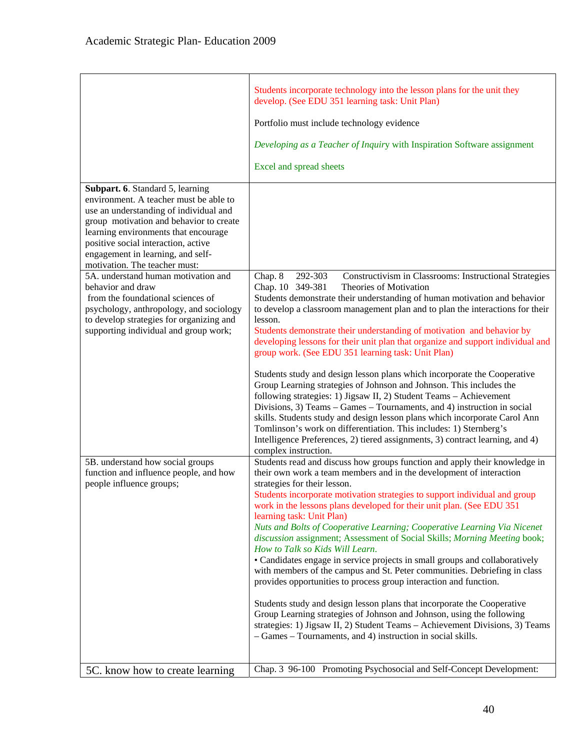|                                                                                                                                                                                                                                                                                                                      | Students incorporate technology into the lesson plans for the unit they<br>develop. (See EDU 351 learning task: Unit Plan)<br>Portfolio must include technology evidence<br>Developing as a Teacher of Inquiry with Inspiration Software assignment<br>Excel and spread sheets                                                                                                                                                                                                                                                                                                                                                                                                                                                                                                                                                                                                                                                                                                                                                                                                          |
|----------------------------------------------------------------------------------------------------------------------------------------------------------------------------------------------------------------------------------------------------------------------------------------------------------------------|-----------------------------------------------------------------------------------------------------------------------------------------------------------------------------------------------------------------------------------------------------------------------------------------------------------------------------------------------------------------------------------------------------------------------------------------------------------------------------------------------------------------------------------------------------------------------------------------------------------------------------------------------------------------------------------------------------------------------------------------------------------------------------------------------------------------------------------------------------------------------------------------------------------------------------------------------------------------------------------------------------------------------------------------------------------------------------------------|
| Subpart. 6. Standard 5, learning<br>environment. A teacher must be able to<br>use an understanding of individual and<br>group motivation and behavior to create<br>learning environments that encourage<br>positive social interaction, active<br>engagement in learning, and self-<br>motivation. The teacher must: |                                                                                                                                                                                                                                                                                                                                                                                                                                                                                                                                                                                                                                                                                                                                                                                                                                                                                                                                                                                                                                                                                         |
| 5A. understand human motivation and<br>behavior and draw<br>from the foundational sciences of<br>psychology, anthropology, and sociology<br>to develop strategies for organizing and<br>supporting individual and group work;                                                                                        | Chap. 8<br>292-303<br>Constructivism in Classrooms: Instructional Strategies<br>Chap. 10 349-381<br>Theories of Motivation<br>Students demonstrate their understanding of human motivation and behavior<br>to develop a classroom management plan and to plan the interactions for their<br>lesson.<br>Students demonstrate their understanding of motivation and behavior by<br>developing lessons for their unit plan that organize and support individual and<br>group work. (See EDU 351 learning task: Unit Plan)<br>Students study and design lesson plans which incorporate the Cooperative<br>Group Learning strategies of Johnson and Johnson. This includes the<br>following strategies: 1) Jigsaw II, 2) Student Teams - Achievement<br>Divisions, 3) Teams – Games – Tournaments, and 4) instruction in social<br>skills. Students study and design lesson plans which incorporate Carol Ann<br>Tomlinson's work on differentiation. This includes: 1) Sternberg's<br>Intelligence Preferences, 2) tiered assignments, 3) contract learning, and 4)<br>complex instruction. |
| 5B. understand how social groups<br>function and influence people, and how<br>people influence groups;                                                                                                                                                                                                               | Students read and discuss how groups function and apply their knowledge in<br>their own work a team members and in the development of interaction<br>strategies for their lesson.<br>Students incorporate motivation strategies to support individual and group<br>work in the lessons plans developed for their unit plan. (See EDU 351)<br>learning task: Unit Plan)<br>Nuts and Bolts of Cooperative Learning; Cooperative Learning Via Nicenet<br>discussion assignment; Assessment of Social Skills; Morning Meeting book;<br>How to Talk so Kids Will Learn.<br>• Candidates engage in service projects in small groups and collaboratively<br>with members of the campus and St. Peter communities. Debriefing in class<br>provides opportunities to process group interaction and function.<br>Students study and design lesson plans that incorporate the Cooperative<br>Group Learning strategies of Johnson and Johnson, using the following<br>strategies: 1) Jigsaw II, 2) Student Teams - Achievement Divisions, 3) Teams                                                 |
| 5C. know how to create learning                                                                                                                                                                                                                                                                                      | - Games - Tournaments, and 4) instruction in social skills.<br>Chap. 3 96-100 Promoting Psychosocial and Self-Concept Development:                                                                                                                                                                                                                                                                                                                                                                                                                                                                                                                                                                                                                                                                                                                                                                                                                                                                                                                                                      |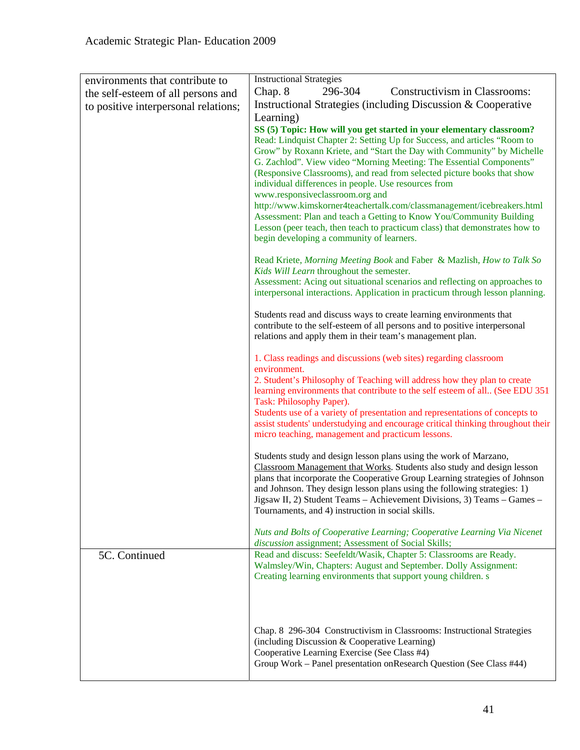| environments that contribute to      | <b>Instructional Strategies</b>                                                                                                                                                                                                                                                                                                                                                                                                                                                                                                                                                                                          |
|--------------------------------------|--------------------------------------------------------------------------------------------------------------------------------------------------------------------------------------------------------------------------------------------------------------------------------------------------------------------------------------------------------------------------------------------------------------------------------------------------------------------------------------------------------------------------------------------------------------------------------------------------------------------------|
| the self-esteem of all persons and   | Chap. 8<br>296-304<br>Constructivism in Classrooms:                                                                                                                                                                                                                                                                                                                                                                                                                                                                                                                                                                      |
| to positive interpersonal relations; | Instructional Strategies (including Discussion & Cooperative                                                                                                                                                                                                                                                                                                                                                                                                                                                                                                                                                             |
|                                      | Learning)                                                                                                                                                                                                                                                                                                                                                                                                                                                                                                                                                                                                                |
|                                      | SS (5) Topic: How will you get started in your elementary classroom?<br>Read: Lindquist Chapter 2: Setting Up for Success, and articles "Room to<br>Grow" by Roxann Kriete, and "Start the Day with Community" by Michelle<br>G. Zachlod". View video "Morning Meeting: The Essential Components"<br>(Responsive Classrooms), and read from selected picture books that show<br>individual differences in people. Use resources from<br>www.responsiveclassroom.org and<br>http://www.kimskorner4teachertalk.com/classmanagement/icebreakers.html<br>Assessment: Plan and teach a Getting to Know You/Community Building |
|                                      | Lesson (peer teach, then teach to practicum class) that demonstrates how to<br>begin developing a community of learners.                                                                                                                                                                                                                                                                                                                                                                                                                                                                                                 |
|                                      | Read Kriete, Morning Meeting Book and Faber & Mazlish, How to Talk So<br>Kids Will Learn throughout the semester.<br>Assessment: Acing out situational scenarios and reflecting on approaches to                                                                                                                                                                                                                                                                                                                                                                                                                         |
|                                      | interpersonal interactions. Application in practicum through lesson planning.                                                                                                                                                                                                                                                                                                                                                                                                                                                                                                                                            |
|                                      | Students read and discuss ways to create learning environments that<br>contribute to the self-esteem of all persons and to positive interpersonal<br>relations and apply them in their team's management plan.                                                                                                                                                                                                                                                                                                                                                                                                           |
|                                      | 1. Class readings and discussions (web sites) regarding classroom<br>environment.                                                                                                                                                                                                                                                                                                                                                                                                                                                                                                                                        |
|                                      | 2. Student's Philosophy of Teaching will address how they plan to create<br>learning environments that contribute to the self esteem of all (See EDU 351<br>Task: Philosophy Paper).                                                                                                                                                                                                                                                                                                                                                                                                                                     |
|                                      | Students use of a variety of presentation and representations of concepts to<br>assist students' understudying and encourage critical thinking throughout their<br>micro teaching, management and practicum lessons.                                                                                                                                                                                                                                                                                                                                                                                                     |
|                                      | Students study and design lesson plans using the work of Marzano,<br>Classroom Management that Works. Students also study and design lesson<br>plans that incorporate the Cooperative Group Learning strategies of Johnson<br>and Johnson. They design lesson plans using the following strategies: 1)<br>Jigsaw II, 2) Student Teams - Achievement Divisions, 3) Teams - Games -<br>Tournaments, and 4) instruction in social skills.                                                                                                                                                                                   |
|                                      | Nuts and Bolts of Cooperative Learning; Cooperative Learning Via Nicenet<br>discussion assignment; Assessment of Social Skills;                                                                                                                                                                                                                                                                                                                                                                                                                                                                                          |
| 5C. Continued                        | Read and discuss: Seefeldt/Wasik, Chapter 5: Classrooms are Ready.<br>Walmsley/Win, Chapters: August and September. Dolly Assignment:<br>Creating learning environments that support young children. s                                                                                                                                                                                                                                                                                                                                                                                                                   |
|                                      | Chap. 8 296-304 Constructivism in Classrooms: Instructional Strategies<br>(including Discussion & Cooperative Learning)<br>Cooperative Learning Exercise (See Class #4)<br>Group Work – Panel presentation onResearch Question (See Class #44)                                                                                                                                                                                                                                                                                                                                                                           |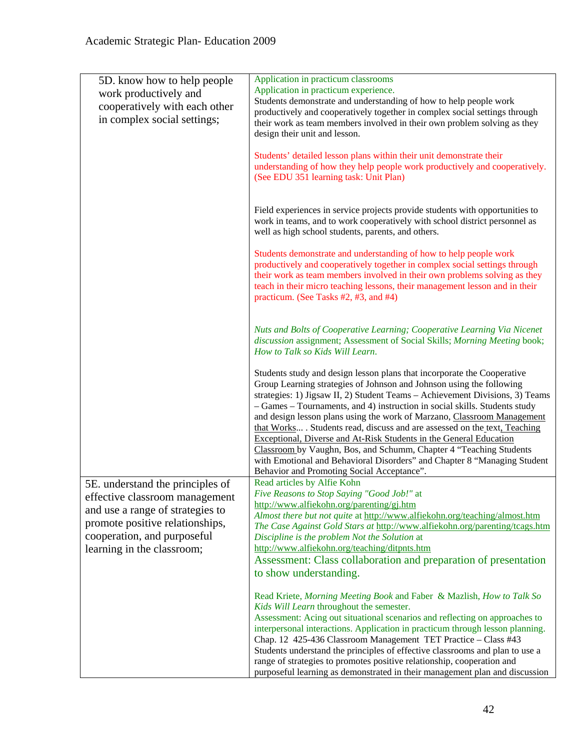| 5D. know how to help people      | Application in practicum classrooms                                                                                                                      |
|----------------------------------|----------------------------------------------------------------------------------------------------------------------------------------------------------|
| work productively and            | Application in practicum experience.                                                                                                                     |
| cooperatively with each other    | Students demonstrate and understanding of how to help people work                                                                                        |
| in complex social settings;      | productively and cooperatively together in complex social settings through<br>their work as team members involved in their own problem solving as they   |
|                                  | design their unit and lesson.                                                                                                                            |
|                                  |                                                                                                                                                          |
|                                  | Students' detailed lesson plans within their unit demonstrate their                                                                                      |
|                                  | understanding of how they help people work productively and cooperatively.                                                                               |
|                                  | (See EDU 351 learning task: Unit Plan)                                                                                                                   |
|                                  |                                                                                                                                                          |
|                                  | Field experiences in service projects provide students with opportunities to                                                                             |
|                                  | work in teams, and to work cooperatively with school district personnel as                                                                               |
|                                  | well as high school students, parents, and others.                                                                                                       |
|                                  |                                                                                                                                                          |
|                                  | Students demonstrate and understanding of how to help people work                                                                                        |
|                                  | productively and cooperatively together in complex social settings through                                                                               |
|                                  | their work as team members involved in their own problems solving as they<br>teach in their micro teaching lessons, their management lesson and in their |
|                                  | practicum. (See Tasks #2, #3, and #4)                                                                                                                    |
|                                  |                                                                                                                                                          |
|                                  |                                                                                                                                                          |
|                                  | Nuts and Bolts of Cooperative Learning; Cooperative Learning Via Nicenet                                                                                 |
|                                  | discussion assignment; Assessment of Social Skills; Morning Meeting book;<br>How to Talk so Kids Will Learn.                                             |
|                                  |                                                                                                                                                          |
|                                  | Students study and design lesson plans that incorporate the Cooperative                                                                                  |
|                                  | Group Learning strategies of Johnson and Johnson using the following                                                                                     |
|                                  | strategies: 1) Jigsaw II, 2) Student Teams - Achievement Divisions, 3) Teams                                                                             |
|                                  | - Games - Tournaments, and 4) instruction in social skills. Students study                                                                               |
|                                  | and design lesson plans using the work of Marzano, Classroom Management<br>that Works . Students read, discuss and are assessed on the text, Teaching    |
|                                  | Exceptional, Diverse and At-Risk Students in the General Education                                                                                       |
|                                  | Classroom by Vaughn, Bos, and Schumm, Chapter 4 "Teaching Students                                                                                       |
|                                  | with Emotional and Behavioral Disorders" and Chapter 8 "Managing Student                                                                                 |
|                                  | Behavior and Promoting Social Acceptance".                                                                                                               |
| 5E. understand the principles of | Read articles by Alfie Kohn                                                                                                                              |
| effective classroom management   | Five Reasons to Stop Saying "Good Job!" at<br>http://www.alfiekohn.org/parenting/gj.htm                                                                  |
| and use a range of strategies to | Almost there but not quite at http://www.alfiekohn.org/teaching/almost.htm                                                                               |
| promote positive relationships,  | The Case Against Gold Stars at http://www.alfiekohn.org/parenting/tcags.htm                                                                              |
| cooperation, and purposeful      | Discipline is the problem Not the Solution at                                                                                                            |
| learning in the classroom;       | http://www.alfiekohn.org/teaching/ditpnts.htm                                                                                                            |
|                                  | Assessment: Class collaboration and preparation of presentation                                                                                          |
|                                  | to show understanding.                                                                                                                                   |
|                                  |                                                                                                                                                          |
|                                  | Read Kriete, Morning Meeting Book and Faber & Mazlish, How to Talk So<br>Kids Will Learn throughout the semester.                                        |
|                                  | Assessment: Acing out situational scenarios and reflecting on approaches to                                                                              |
|                                  | interpersonal interactions. Application in practicum through lesson planning.                                                                            |
|                                  | Chap. 12 425-436 Classroom Management TET Practice - Class #43                                                                                           |
|                                  | Students understand the principles of effective classrooms and plan to use a                                                                             |
|                                  | range of strategies to promotes positive relationship, cooperation and                                                                                   |
|                                  | purposeful learning as demonstrated in their management plan and discussion                                                                              |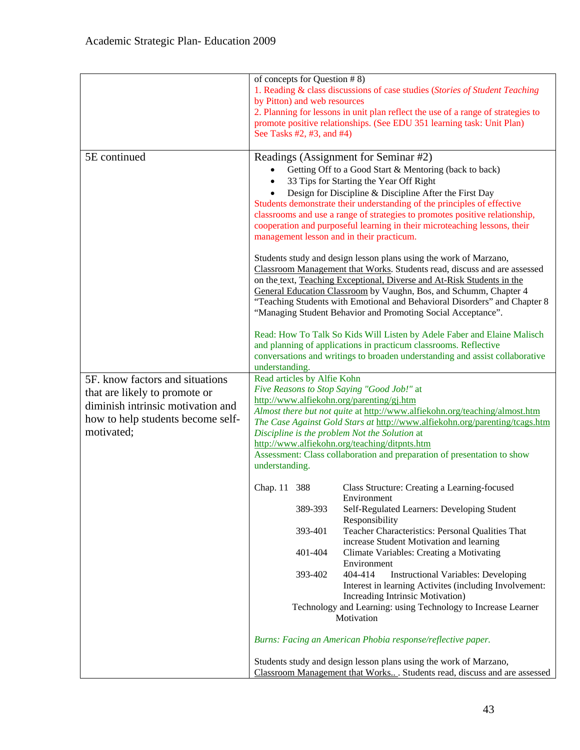|                                   | of concepts for Question $# 8$ )                                                                                           |
|-----------------------------------|----------------------------------------------------------------------------------------------------------------------------|
|                                   | 1. Reading & class discussions of case studies (Stories of Student Teaching)                                               |
|                                   | by Pitton) and web resources                                                                                               |
|                                   | 2. Planning for lessons in unit plan reflect the use of a range of strategies to                                           |
|                                   | promote positive relationships. (See EDU 351 learning task: Unit Plan)                                                     |
|                                   | See Tasks #2, #3, and #4)                                                                                                  |
|                                   |                                                                                                                            |
| 5E continued                      | Readings (Assignment for Seminar #2)                                                                                       |
|                                   | Getting Off to a Good Start & Mentoring (back to back)                                                                     |
|                                   | 33 Tips for Starting the Year Off Right                                                                                    |
|                                   | Design for Discipline & Discipline After the First Day                                                                     |
|                                   | Students demonstrate their understanding of the principles of effective                                                    |
|                                   | classrooms and use a range of strategies to promotes positive relationship,                                                |
|                                   | cooperation and purposeful learning in their microteaching lessons, their                                                  |
|                                   | management lesson and in their practicum.                                                                                  |
|                                   |                                                                                                                            |
|                                   | Students study and design lesson plans using the work of Marzano,                                                          |
|                                   | Classroom Management that Works. Students read, discuss and are assessed                                                   |
|                                   | on the text, Teaching Exceptional, Diverse and At-Risk Students in the                                                     |
|                                   | General Education Classroom by Vaughn, Bos, and Schumm, Chapter 4                                                          |
|                                   | "Teaching Students with Emotional and Behavioral Disorders" and Chapter 8                                                  |
|                                   | "Managing Student Behavior and Promoting Social Acceptance".                                                               |
|                                   | Read: How To Talk So Kids Will Listen by Adele Faber and Elaine Malisch                                                    |
|                                   | and planning of applications in practicum classrooms. Reflective                                                           |
|                                   | conversations and writings to broaden understanding and assist collaborative                                               |
|                                   | understanding.                                                                                                             |
| 5F. know factors and situations   | Read articles by Alfie Kohn                                                                                                |
| that are likely to promote or     | Five Reasons to Stop Saying "Good Job!" at                                                                                 |
|                                   |                                                                                                                            |
| diminish intrinsic motivation and | http://www.alfiekohn.org/parenting/gj.htm                                                                                  |
|                                   | Almost there but not quite at http://www.alfiekohn.org/teaching/almost.htm                                                 |
| how to help students become self- | The Case Against Gold Stars at http://www.alfiekohn.org/parenting/tcags.htm                                                |
| motivated;                        | Discipline is the problem Not the Solution at                                                                              |
|                                   | http://www.alfiekohn.org/teaching/ditpnts.htm                                                                              |
|                                   | Assessment: Class collaboration and preparation of presentation to show                                                    |
|                                   | understanding.                                                                                                             |
|                                   | Chap. 11 388<br>Class Structure: Creating a Learning-focused                                                               |
|                                   | Environment                                                                                                                |
|                                   | 389-393<br>Self-Regulated Learners: Developing Student<br>Responsibility                                                   |
|                                   | 393-401<br>Teacher Characteristics: Personal Qualities That                                                                |
|                                   | increase Student Motivation and learning                                                                                   |
|                                   | Climate Variables: Creating a Motivating<br>401-404                                                                        |
|                                   | Environment                                                                                                                |
|                                   | 393-402<br>404-414<br><b>Instructional Variables: Developing</b><br>Interest in learning Activites (including Involvement: |
|                                   | Increading Intrinsic Motivation)                                                                                           |
|                                   | Technology and Learning: using Technology to Increase Learner                                                              |
|                                   | Motivation                                                                                                                 |
|                                   | Burns: Facing an American Phobia response/reflective paper.                                                                |
|                                   | Students study and design lesson plans using the work of Marzano,                                                          |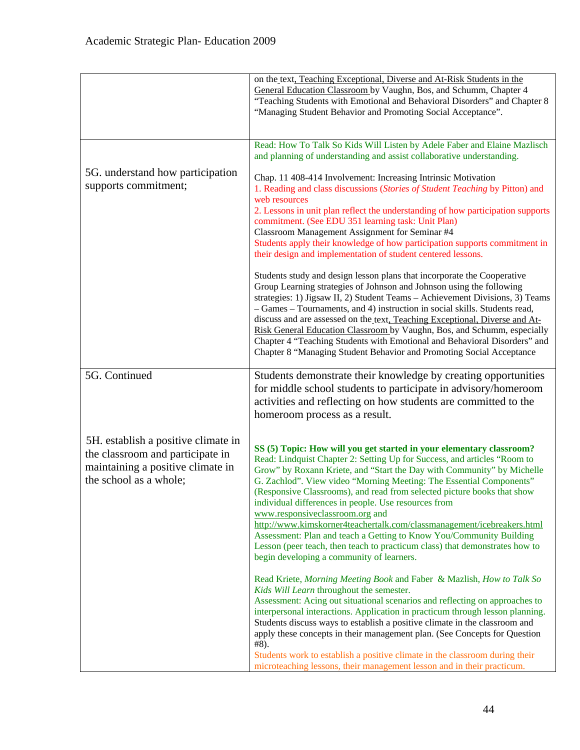|                                                                                                                                        | on the text, Teaching Exceptional, Diverse and At-Risk Students in the<br>General Education Classroom by Vaughn, Bos, and Schumm, Chapter 4<br>"Teaching Students with Emotional and Behavioral Disorders" and Chapter 8<br>"Managing Student Behavior and Promoting Social Acceptance".                                                                                                                                                                                                                                                                                                                                                                                                                                                             |
|----------------------------------------------------------------------------------------------------------------------------------------|------------------------------------------------------------------------------------------------------------------------------------------------------------------------------------------------------------------------------------------------------------------------------------------------------------------------------------------------------------------------------------------------------------------------------------------------------------------------------------------------------------------------------------------------------------------------------------------------------------------------------------------------------------------------------------------------------------------------------------------------------|
|                                                                                                                                        | Read: How To Talk So Kids Will Listen by Adele Faber and Elaine Mazlisch<br>and planning of understanding and assist collaborative understanding.                                                                                                                                                                                                                                                                                                                                                                                                                                                                                                                                                                                                    |
| 5G. understand how participation<br>supports commitment;                                                                               | Chap. 11 408-414 Involvement: Increasing Intrinsic Motivation<br>1. Reading and class discussions (Stories of Student Teaching by Pitton) and<br>web resources<br>2. Lessons in unit plan reflect the understanding of how participation supports<br>commitment. (See EDU 351 learning task: Unit Plan)<br>Classroom Management Assignment for Seminar #4<br>Students apply their knowledge of how participation supports commitment in<br>their design and implementation of student centered lessons.                                                                                                                                                                                                                                              |
|                                                                                                                                        | Students study and design lesson plans that incorporate the Cooperative<br>Group Learning strategies of Johnson and Johnson using the following<br>strategies: 1) Jigsaw II, 2) Student Teams - Achievement Divisions, 3) Teams<br>- Games - Tournaments, and 4) instruction in social skills. Students read,<br>discuss and are assessed on the text, Teaching Exceptional, Diverse and At-<br>Risk General Education Classroom by Vaughn, Bos, and Schumm, especially<br>Chapter 4 "Teaching Students with Emotional and Behavioral Disorders" and<br>Chapter 8 "Managing Student Behavior and Promoting Social Acceptance                                                                                                                         |
| 5G. Continued                                                                                                                          | Students demonstrate their knowledge by creating opportunities<br>for middle school students to participate in advisory/homeroom<br>activities and reflecting on how students are committed to the<br>homeroom process as a result.                                                                                                                                                                                                                                                                                                                                                                                                                                                                                                                  |
| 5H. establish a positive climate in<br>the classroom and participate in<br>maintaining a positive climate in<br>the school as a whole; | SS (5) Topic: How will you get started in your elementary classroom?<br>Read: Lindquist Chapter 2: Setting Up for Success, and articles "Room to<br>Grow" by Roxann Kriete, and "Start the Day with Community" by Michelle<br>G. Zachlod". View video "Morning Meeting: The Essential Components"<br>(Responsive Classrooms), and read from selected picture books that show<br>individual differences in people. Use resources from<br>www.responsiveclassroom.org and<br>http://www.kimskorner4teachertalk.com/classmanagement/icebreakers.html<br>Assessment: Plan and teach a Getting to Know You/Community Building<br>Lesson (peer teach, then teach to practicum class) that demonstrates how to<br>begin developing a community of learners. |
|                                                                                                                                        | Read Kriete, Morning Meeting Book and Faber & Mazlish, How to Talk So<br>Kids Will Learn throughout the semester.<br>Assessment: Acing out situational scenarios and reflecting on approaches to<br>interpersonal interactions. Application in practicum through lesson planning.<br>Students discuss ways to establish a positive climate in the classroom and<br>apply these concepts in their management plan. (See Concepts for Question<br>$#8$ ).<br>Students work to establish a positive climate in the classroom during their<br>microteaching lessons, their management lesson and in their practicum.                                                                                                                                     |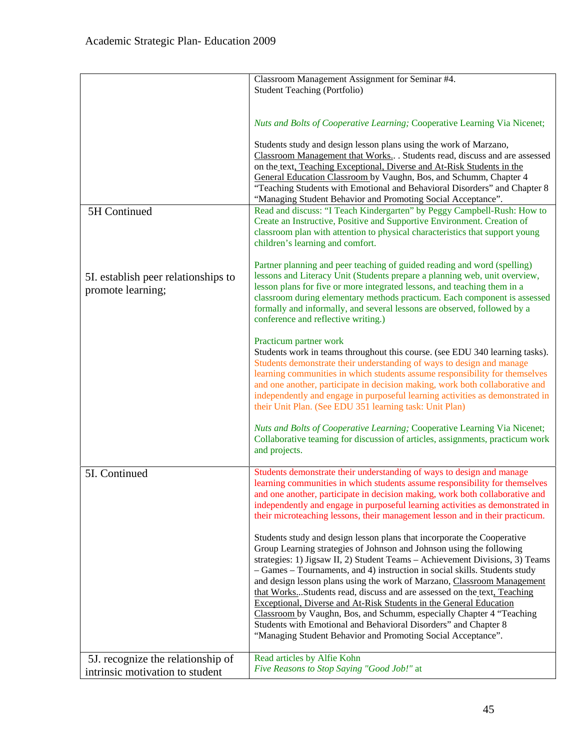|                                                                      | Classroom Management Assignment for Seminar #4.<br><b>Student Teaching (Portfolio)</b>                                                                                                                                                                                                                                                                                                                                                                                                                                                                                                                                                                                                                                                               |
|----------------------------------------------------------------------|------------------------------------------------------------------------------------------------------------------------------------------------------------------------------------------------------------------------------------------------------------------------------------------------------------------------------------------------------------------------------------------------------------------------------------------------------------------------------------------------------------------------------------------------------------------------------------------------------------------------------------------------------------------------------------------------------------------------------------------------------|
|                                                                      | Nuts and Bolts of Cooperative Learning; Cooperative Learning Via Nicenet;                                                                                                                                                                                                                                                                                                                                                                                                                                                                                                                                                                                                                                                                            |
|                                                                      | Students study and design lesson plans using the work of Marzano,<br>Classroom Management that Works Students read, discuss and are assessed<br>on the text, Teaching Exceptional, Diverse and At-Risk Students in the<br>General Education Classroom by Vaughn, Bos, and Schumm, Chapter 4<br>"Teaching Students with Emotional and Behavioral Disorders" and Chapter 8<br>"Managing Student Behavior and Promoting Social Acceptance".                                                                                                                                                                                                                                                                                                             |
| 5H Continued                                                         | Read and discuss: "I Teach Kindergarten" by Peggy Campbell-Rush: How to<br>Create an Instructive, Positive and Supportive Environment. Creation of<br>classroom plan with attention to physical characteristics that support young<br>children's learning and comfort.                                                                                                                                                                                                                                                                                                                                                                                                                                                                               |
| 5I. establish peer relationships to<br>promote learning;             | Partner planning and peer teaching of guided reading and word (spelling)<br>lessons and Literacy Unit (Students prepare a planning web, unit overview,<br>lesson plans for five or more integrated lessons, and teaching them in a<br>classroom during elementary methods practicum. Each component is assessed<br>formally and informally, and several lessons are observed, followed by a<br>conference and reflective writing.)                                                                                                                                                                                                                                                                                                                   |
|                                                                      | Practicum partner work<br>Students work in teams throughout this course. (see EDU 340 learning tasks).<br>Students demonstrate their understanding of ways to design and manage<br>learning communities in which students assume responsibility for themselves<br>and one another, participate in decision making, work both collaborative and<br>independently and engage in purposeful learning activities as demonstrated in<br>their Unit Plan. (See EDU 351 learning task: Unit Plan)                                                                                                                                                                                                                                                           |
|                                                                      | Nuts and Bolts of Cooperative Learning; Cooperative Learning Via Nicenet;<br>Collaborative teaming for discussion of articles, assignments, practicum work<br>and projects.                                                                                                                                                                                                                                                                                                                                                                                                                                                                                                                                                                          |
| 5I. Continued                                                        | Students demonstrate their understanding of ways to design and manage<br>learning communities in which students assume responsibility for themselves<br>and one another, participate in decision making, work both collaborative and<br>independently and engage in purposeful learning activities as demonstrated in<br>their microteaching lessons, their management lesson and in their practicum.                                                                                                                                                                                                                                                                                                                                                |
|                                                                      | Students study and design lesson plans that incorporate the Cooperative<br>Group Learning strategies of Johnson and Johnson using the following<br>strategies: 1) Jigsaw II, 2) Student Teams - Achievement Divisions, 3) Teams<br>- Games - Tournaments, and 4) instruction in social skills. Students study<br>and design lesson plans using the work of Marzano, Classroom Management<br>that WorksStudents read, discuss and are assessed on the text, Teaching<br>Exceptional, Diverse and At-Risk Students in the General Education<br>Classroom by Vaughn, Bos, and Schumm, especially Chapter 4 "Teaching<br>Students with Emotional and Behavioral Disorders" and Chapter 8<br>"Managing Student Behavior and Promoting Social Acceptance". |
| 5J. recognize the relationship of<br>intrinsic motivation to student | Read articles by Alfie Kohn<br>Five Reasons to Stop Saying "Good Job!" at                                                                                                                                                                                                                                                                                                                                                                                                                                                                                                                                                                                                                                                                            |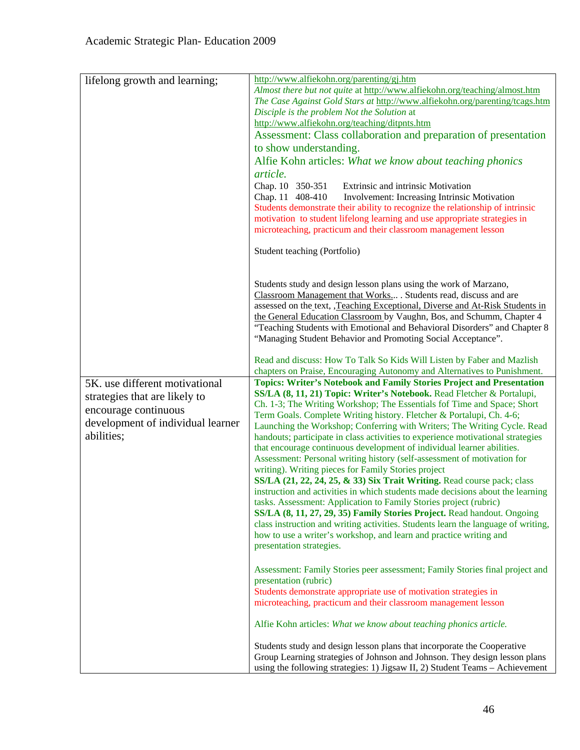| lifelong growth and learning;                                                                                                              | http://www.alfiekohn.org/parenting/gj.htm<br>Almost there but not quite at http://www.alfiekohn.org/teaching/almost.htm<br>The Case Against Gold Stars at http://www.alfiekohn.org/parenting/tcags.htm<br>Disciple is the problem Not the Solution at<br>http://www.alfiekohn.org/teaching/ditpnts.htm<br>Assessment: Class collaboration and preparation of presentation<br>to show understanding.<br>Alfie Kohn articles: What we know about teaching phonics<br>article.<br>Chap. 10 350-351<br><b>Extrinsic and intrinsic Motivation</b><br>Chap. 11 408-410<br>Involvement: Increasing Intrinsic Motivation<br>Students demonstrate their ability to recognize the relationship of intrinsic<br>motivation to student lifelong learning and use appropriate strategies in<br>microteaching, practicum and their classroom management lesson                                                                                                                                                                                                                                                                                                                                         |
|--------------------------------------------------------------------------------------------------------------------------------------------|------------------------------------------------------------------------------------------------------------------------------------------------------------------------------------------------------------------------------------------------------------------------------------------------------------------------------------------------------------------------------------------------------------------------------------------------------------------------------------------------------------------------------------------------------------------------------------------------------------------------------------------------------------------------------------------------------------------------------------------------------------------------------------------------------------------------------------------------------------------------------------------------------------------------------------------------------------------------------------------------------------------------------------------------------------------------------------------------------------------------------------------------------------------------------------------|
|                                                                                                                                            | Student teaching (Portfolio)                                                                                                                                                                                                                                                                                                                                                                                                                                                                                                                                                                                                                                                                                                                                                                                                                                                                                                                                                                                                                                                                                                                                                             |
|                                                                                                                                            | Students study and design lesson plans using the work of Marzano,<br>Classroom Management that Works . Students read, discuss and are<br>assessed on the text, ,Teaching Exceptional, Diverse and At-Risk Students in<br>the General Education Classroom by Vaughn, Bos, and Schumm, Chapter 4<br>"Teaching Students with Emotional and Behavioral Disorders" and Chapter 8<br>"Managing Student Behavior and Promoting Social Acceptance".                                                                                                                                                                                                                                                                                                                                                                                                                                                                                                                                                                                                                                                                                                                                              |
|                                                                                                                                            | Read and discuss: How To Talk So Kids Will Listen by Faber and Mazlish<br>chapters on Praise, Encouraging Autonomy and Alternatives to Punishment.                                                                                                                                                                                                                                                                                                                                                                                                                                                                                                                                                                                                                                                                                                                                                                                                                                                                                                                                                                                                                                       |
| 5K. use different motivational<br>strategies that are likely to<br>encourage continuous<br>development of individual learner<br>abilities; | <b>Topics: Writer's Notebook and Family Stories Project and Presentation</b><br>SS/LA (8, 11, 21) Topic: Writer's Notebook. Read Fletcher & Portalupi,<br>Ch. 1-3; The Writing Workshop; The Essentials fof Time and Space; Short<br>Term Goals. Complete Writing history. Fletcher & Portalupi, Ch. 4-6;<br>Launching the Workshop; Conferring with Writers; The Writing Cycle. Read<br>handouts; participate in class activities to experience motivational strategies<br>that encourage continuous development of individual learner abilities.<br>Assessment: Personal writing history (self-assessment of motivation for<br>writing). Writing pieces for Family Stories project<br>SS/LA (21, 22, 24, 25, & 33) Six Trait Writing. Read course pack; class<br>instruction and activities in which students made decisions about the learning<br>tasks. Assessment: Application to Family Stories project (rubric)<br>SS/LA (8, 11, 27, 29, 35) Family Stories Project. Read handout. Ongoing<br>class instruction and writing activities. Students learn the language of writing,<br>how to use a writer's workshop, and learn and practice writing and<br>presentation strategies. |
|                                                                                                                                            | Assessment: Family Stories peer assessment; Family Stories final project and<br>presentation (rubric)<br>Students demonstrate appropriate use of motivation strategies in<br>microteaching, practicum and their classroom management lesson                                                                                                                                                                                                                                                                                                                                                                                                                                                                                                                                                                                                                                                                                                                                                                                                                                                                                                                                              |
|                                                                                                                                            | Alfie Kohn articles: What we know about teaching phonics article.                                                                                                                                                                                                                                                                                                                                                                                                                                                                                                                                                                                                                                                                                                                                                                                                                                                                                                                                                                                                                                                                                                                        |
|                                                                                                                                            | Students study and design lesson plans that incorporate the Cooperative<br>Group Learning strategies of Johnson and Johnson. They design lesson plans<br>using the following strategies: 1) Jigsaw II, 2) Student Teams - Achievement                                                                                                                                                                                                                                                                                                                                                                                                                                                                                                                                                                                                                                                                                                                                                                                                                                                                                                                                                    |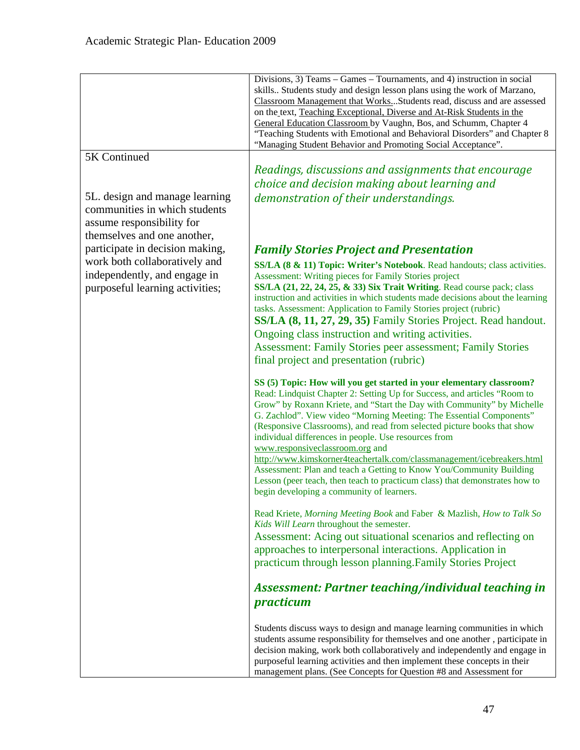|                                                                                                                             | Divisions, 3) Teams – Games – Tournaments, and 4) instruction in social<br>skills Students study and design lesson plans using the work of Marzano,<br>Classroom Management that WorksStudents read, discuss and are assessed<br>on the text, Teaching Exceptional, Diverse and At-Risk Students in the<br>General Education Classroom by Vaughn, Bos, and Schumm, Chapter 4<br>"Teaching Students with Emotional and Behavioral Disorders" and Chapter 8<br>"Managing Student Behavior and Promoting Social Acceptance".       |
|-----------------------------------------------------------------------------------------------------------------------------|---------------------------------------------------------------------------------------------------------------------------------------------------------------------------------------------------------------------------------------------------------------------------------------------------------------------------------------------------------------------------------------------------------------------------------------------------------------------------------------------------------------------------------|
| 5K Continued                                                                                                                |                                                                                                                                                                                                                                                                                                                                                                                                                                                                                                                                 |
|                                                                                                                             | Readings, discussions and assignments that encourage                                                                                                                                                                                                                                                                                                                                                                                                                                                                            |
|                                                                                                                             | choice and decision making about learning and                                                                                                                                                                                                                                                                                                                                                                                                                                                                                   |
| 5L. design and manage learning<br>communities in which students<br>assume responsibility for<br>themselves and one another, | demonstration of their understandings.                                                                                                                                                                                                                                                                                                                                                                                                                                                                                          |
| participate in decision making,                                                                                             | <b>Family Stories Project and Presentation</b>                                                                                                                                                                                                                                                                                                                                                                                                                                                                                  |
| work both collaboratively and                                                                                               | SS/LA (8 & 11) Topic: Writer's Notebook. Read handouts; class activities.                                                                                                                                                                                                                                                                                                                                                                                                                                                       |
| independently, and engage in<br>purposeful learning activities;                                                             | Assessment: Writing pieces for Family Stories project<br>SS/LA (21, 22, 24, 25, & 33) Six Trait Writing. Read course pack; class<br>instruction and activities in which students made decisions about the learning<br>tasks. Assessment: Application to Family Stories project (rubric)<br>SS/LA (8, 11, 27, 29, 35) Family Stories Project. Read handout.<br>Ongoing class instruction and writing activities.<br><b>Assessment: Family Stories peer assessment; Family Stories</b><br>final project and presentation (rubric) |
|                                                                                                                             |                                                                                                                                                                                                                                                                                                                                                                                                                                                                                                                                 |
|                                                                                                                             | SS (5) Topic: How will you get started in your elementary classroom?<br>Read: Lindquist Chapter 2: Setting Up for Success, and articles "Room to<br>Grow" by Roxann Kriete, and "Start the Day with Community" by Michelle<br>G. Zachlod". View video "Morning Meeting: The Essential Components"<br>(Responsive Classrooms), and read from selected picture books that show<br>individual differences in people. Use resources from<br>www.responsiveclassroom.org and                                                         |
|                                                                                                                             | http://www.kimskorner4teachertalk.com/classmanagement/icebreakers.html<br>Assessment: Plan and teach a Getting to Know You/Community Building<br>Lesson (peer teach, then teach to practicum class) that demonstrates how to<br>begin developing a community of learners.                                                                                                                                                                                                                                                       |
|                                                                                                                             | Read Kriete, Morning Meeting Book and Faber & Mazlish, How to Talk So<br>Kids Will Learn throughout the semester.<br>Assessment: Acing out situational scenarios and reflecting on<br>approaches to interpersonal interactions. Application in<br>practicum through lesson planning. Family Stories Project                                                                                                                                                                                                                     |
|                                                                                                                             | <b>Assessment: Partner teaching/individual teaching in</b><br>practicum                                                                                                                                                                                                                                                                                                                                                                                                                                                         |
|                                                                                                                             | Students discuss ways to design and manage learning communities in which<br>students assume responsibility for themselves and one another, participate in<br>decision making, work both collaboratively and independently and engage in<br>purposeful learning activities and then implement these concepts in their<br>management plans. (See Concepts for Question #8 and Assessment for                                                                                                                                      |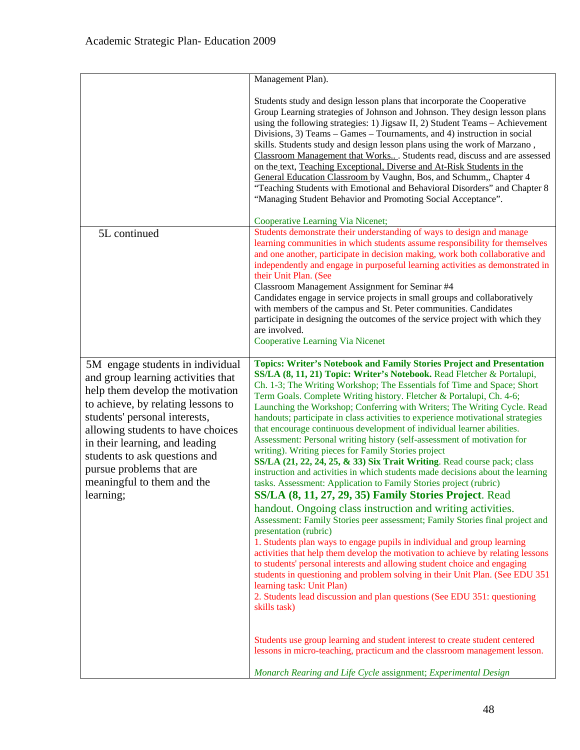|                                                                                                                                                                                                                                                                                                                                                                  | Management Plan).                                                                                                                                                                                                                                                                                                                                                                                                                                                                                                                                                                                                                                                                                                                                                                                                                                                                                                                                                                                                                                                                                                                                                                                                                                                                                                                                                                                                                                                                                                                                                                                                                                                                                                                                                      |
|------------------------------------------------------------------------------------------------------------------------------------------------------------------------------------------------------------------------------------------------------------------------------------------------------------------------------------------------------------------|------------------------------------------------------------------------------------------------------------------------------------------------------------------------------------------------------------------------------------------------------------------------------------------------------------------------------------------------------------------------------------------------------------------------------------------------------------------------------------------------------------------------------------------------------------------------------------------------------------------------------------------------------------------------------------------------------------------------------------------------------------------------------------------------------------------------------------------------------------------------------------------------------------------------------------------------------------------------------------------------------------------------------------------------------------------------------------------------------------------------------------------------------------------------------------------------------------------------------------------------------------------------------------------------------------------------------------------------------------------------------------------------------------------------------------------------------------------------------------------------------------------------------------------------------------------------------------------------------------------------------------------------------------------------------------------------------------------------------------------------------------------------|
|                                                                                                                                                                                                                                                                                                                                                                  | Students study and design lesson plans that incorporate the Cooperative<br>Group Learning strategies of Johnson and Johnson. They design lesson plans<br>using the following strategies: 1) Jigsaw II, 2) Student Teams - Achievement<br>Divisions, 3) Teams – Games – Tournaments, and 4) instruction in social<br>skills. Students study and design lesson plans using the work of Marzano,<br>Classroom Management that Works Students read, discuss and are assessed<br>on the text, Teaching Exceptional, Diverse and At-Risk Students in the<br>General Education Classroom by Vaughn, Bos, and Schumm,, Chapter 4<br>"Teaching Students with Emotional and Behavioral Disorders" and Chapter 8<br>"Managing Student Behavior and Promoting Social Acceptance".                                                                                                                                                                                                                                                                                                                                                                                                                                                                                                                                                                                                                                                                                                                                                                                                                                                                                                                                                                                                  |
|                                                                                                                                                                                                                                                                                                                                                                  | Cooperative Learning Via Nicenet;                                                                                                                                                                                                                                                                                                                                                                                                                                                                                                                                                                                                                                                                                                                                                                                                                                                                                                                                                                                                                                                                                                                                                                                                                                                                                                                                                                                                                                                                                                                                                                                                                                                                                                                                      |
| 5L continued                                                                                                                                                                                                                                                                                                                                                     | Students demonstrate their understanding of ways to design and manage<br>learning communities in which students assume responsibility for themselves<br>and one another, participate in decision making, work both collaborative and<br>independently and engage in purposeful learning activities as demonstrated in<br>their Unit Plan. (See<br>Classroom Management Assignment for Seminar #4<br>Candidates engage in service projects in small groups and collaboratively<br>with members of the campus and St. Peter communities. Candidates<br>participate in designing the outcomes of the service project with which they<br>are involved.<br><b>Cooperative Learning Via Nicenet</b>                                                                                                                                                                                                                                                                                                                                                                                                                                                                                                                                                                                                                                                                                                                                                                                                                                                                                                                                                                                                                                                                          |
| 5M engage students in individual<br>and group learning activities that<br>help them develop the motivation<br>to achieve, by relating lessons to<br>students' personal interests,<br>allowing students to have choices<br>in their learning, and leading<br>students to ask questions and<br>pursue problems that are<br>meaningful to them and the<br>learning; | <b>Topics: Writer's Notebook and Family Stories Project and Presentation</b><br>SS/LA (8, 11, 21) Topic: Writer's Notebook. Read Fletcher & Portalupi,<br>Ch. 1-3; The Writing Workshop; The Essentials fof Time and Space; Short<br>Term Goals. Complete Writing history. Fletcher & Portalupi, Ch. 4-6;<br>Launching the Workshop; Conferring with Writers; The Writing Cycle. Read<br>handouts; participate in class activities to experience motivational strategies<br>that encourage continuous development of individual learner abilities.<br>Assessment: Personal writing history (self-assessment of motivation for<br>writing). Writing pieces for Family Stories project<br>SS/LA (21, 22, 24, 25, & 33) Six Trait Writing. Read course pack; class<br>instruction and activities in which students made decisions about the learning<br>tasks. Assessment: Application to Family Stories project (rubric)<br>SS/LA (8, 11, 27, 29, 35) Family Stories Project. Read<br>handout. Ongoing class instruction and writing activities.<br>Assessment: Family Stories peer assessment; Family Stories final project and<br>presentation (rubric)<br>1. Students plan ways to engage pupils in individual and group learning<br>activities that help them develop the motivation to achieve by relating lessons<br>to students' personal interests and allowing student choice and engaging<br>students in questioning and problem solving in their Unit Plan. (See EDU 351<br>learning task: Unit Plan)<br>2. Students lead discussion and plan questions (See EDU 351: questioning<br>skills task)<br>Students use group learning and student interest to create student centered<br>lessons in micro-teaching, practicum and the classroom management lesson. |
|                                                                                                                                                                                                                                                                                                                                                                  | Monarch Rearing and Life Cycle assignment; Experimental Design                                                                                                                                                                                                                                                                                                                                                                                                                                                                                                                                                                                                                                                                                                                                                                                                                                                                                                                                                                                                                                                                                                                                                                                                                                                                                                                                                                                                                                                                                                                                                                                                                                                                                                         |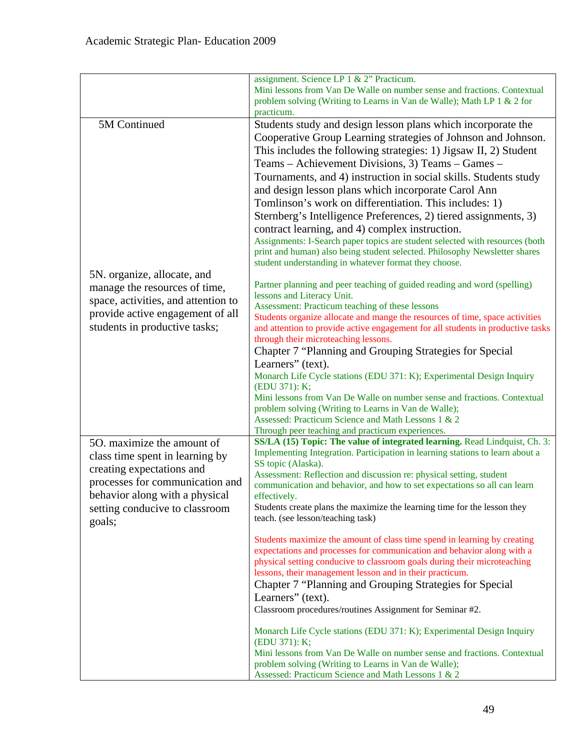|                                                                                                          | assignment. Science LP 1 & 2" Practicum.<br>Mini lessons from Van De Walle on number sense and fractions. Contextual<br>problem solving (Writing to Learns in Van de Walle); Math LP 1 & 2 for<br>practicum.                                                                                                                                                                                                                                                                                                                                                                                                                                           |
|----------------------------------------------------------------------------------------------------------|--------------------------------------------------------------------------------------------------------------------------------------------------------------------------------------------------------------------------------------------------------------------------------------------------------------------------------------------------------------------------------------------------------------------------------------------------------------------------------------------------------------------------------------------------------------------------------------------------------------------------------------------------------|
| 5M Continued                                                                                             | Students study and design lesson plans which incorporate the<br>Cooperative Group Learning strategies of Johnson and Johnson.                                                                                                                                                                                                                                                                                                                                                                                                                                                                                                                          |
| 5N. organize, allocate, and                                                                              | This includes the following strategies: 1) Jigsaw II, 2) Student<br>Teams – Achievement Divisions, 3) Teams – Games –<br>Tournaments, and 4) instruction in social skills. Students study<br>and design lesson plans which incorporate Carol Ann<br>Tomlinson's work on differentiation. This includes: 1)<br>Sternberg's Intelligence Preferences, 2) tiered assignments, 3)<br>contract learning, and 4) complex instruction.<br>Assignments: I-Search paper topics are student selected with resources (both<br>print and human) also being student selected. Philosophy Newsletter shares<br>student understanding in whatever format they choose. |
| manage the resources of time,                                                                            | Partner planning and peer teaching of guided reading and word (spelling)                                                                                                                                                                                                                                                                                                                                                                                                                                                                                                                                                                               |
| space, activities, and attention to<br>provide active engagement of all<br>students in productive tasks; | lessons and Literacy Unit.<br>Assessment: Practicum teaching of these lessons<br>Students organize allocate and mange the resources of time, space activities<br>and attention to provide active engagement for all students in productive tasks<br>through their microteaching lessons.                                                                                                                                                                                                                                                                                                                                                               |
|                                                                                                          | Chapter 7 "Planning and Grouping Strategies for Special                                                                                                                                                                                                                                                                                                                                                                                                                                                                                                                                                                                                |
|                                                                                                          | Learners" (text).<br>Monarch Life Cycle stations (EDU 371: K); Experimental Design Inquiry<br>(EDU 371): K;                                                                                                                                                                                                                                                                                                                                                                                                                                                                                                                                            |
|                                                                                                          | Mini lessons from Van De Walle on number sense and fractions. Contextual<br>problem solving (Writing to Learns in Van de Walle);<br>Assessed: Practicum Science and Math Lessons 1 & 2                                                                                                                                                                                                                                                                                                                                                                                                                                                                 |
|                                                                                                          | Through peer teaching and practicum experiences.<br>SS/LA (15) Topic: The value of integrated learning. Read Lindquist, Ch. 3:                                                                                                                                                                                                                                                                                                                                                                                                                                                                                                                         |
| 50. maximize the amount of<br>class time spent in learning by<br>creating expectations and               | Implementing Integration. Participation in learning stations to learn about a<br>SS topic (Alaska).                                                                                                                                                                                                                                                                                                                                                                                                                                                                                                                                                    |
| processes for communication and<br>behavior along with a physical                                        | Assessment: Reflection and discussion re: physical setting, student<br>communication and behavior, and how to set expectations so all can learn<br>effectively.                                                                                                                                                                                                                                                                                                                                                                                                                                                                                        |
| setting conducive to classroom<br>goals;                                                                 | Students create plans the maximize the learning time for the lesson they<br>teach. (see lesson/teaching task)                                                                                                                                                                                                                                                                                                                                                                                                                                                                                                                                          |
|                                                                                                          | Students maximize the amount of class time spend in learning by creating<br>expectations and processes for communication and behavior along with a<br>physical setting conducive to classroom goals during their microteaching<br>lessons, their management lesson and in their practicum.<br>Chapter 7 "Planning and Grouping Strategies for Special                                                                                                                                                                                                                                                                                                  |
|                                                                                                          | Learners" (text).                                                                                                                                                                                                                                                                                                                                                                                                                                                                                                                                                                                                                                      |
|                                                                                                          | Classroom procedures/routines Assignment for Seminar #2.                                                                                                                                                                                                                                                                                                                                                                                                                                                                                                                                                                                               |
|                                                                                                          | Monarch Life Cycle stations (EDU 371: K); Experimental Design Inquiry<br>(EDU 371): K;                                                                                                                                                                                                                                                                                                                                                                                                                                                                                                                                                                 |
|                                                                                                          | Mini lessons from Van De Walle on number sense and fractions. Contextual<br>problem solving (Writing to Learns in Van de Walle);<br>Assessed: Practicum Science and Math Lessons 1 & 2                                                                                                                                                                                                                                                                                                                                                                                                                                                                 |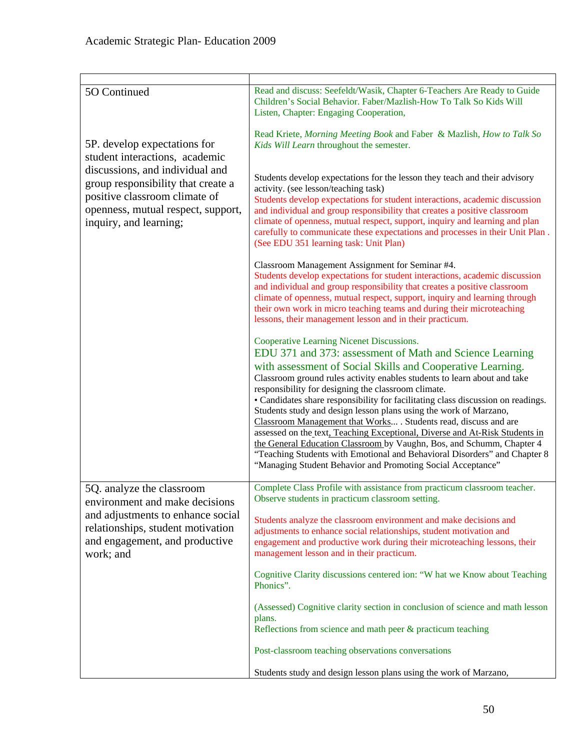| 5O Continued                                                                                                                                                           | Read and discuss: Seefeldt/Wasik, Chapter 6-Teachers Are Ready to Guide<br>Children's Social Behavior. Faber/Mazlish-How To Talk So Kids Will<br>Listen, Chapter: Engaging Cooperation,                                                                                                                                                                                                                                                                                                                                                                                                                                                                                                                                                                                                                                                 |
|------------------------------------------------------------------------------------------------------------------------------------------------------------------------|-----------------------------------------------------------------------------------------------------------------------------------------------------------------------------------------------------------------------------------------------------------------------------------------------------------------------------------------------------------------------------------------------------------------------------------------------------------------------------------------------------------------------------------------------------------------------------------------------------------------------------------------------------------------------------------------------------------------------------------------------------------------------------------------------------------------------------------------|
| 5P. develop expectations for<br>student interactions, academic                                                                                                         | Read Kriete, Morning Meeting Book and Faber & Mazlish, How to Talk So<br>Kids Will Learn throughout the semester.                                                                                                                                                                                                                                                                                                                                                                                                                                                                                                                                                                                                                                                                                                                       |
| discussions, and individual and<br>group responsibility that create a<br>positive classroom climate of<br>openness, mutual respect, support,<br>inquiry, and learning; | Students develop expectations for the lesson they teach and their advisory<br>activity. (see lesson/teaching task)<br>Students develop expectations for student interactions, academic discussion<br>and individual and group responsibility that creates a positive classroom<br>climate of openness, mutual respect, support, inquiry and learning and plan<br>carefully to communicate these expectations and processes in their Unit Plan.<br>(See EDU 351 learning task: Unit Plan)                                                                                                                                                                                                                                                                                                                                                |
|                                                                                                                                                                        | Classroom Management Assignment for Seminar #4.<br>Students develop expectations for student interactions, academic discussion<br>and individual and group responsibility that creates a positive classroom<br>climate of openness, mutual respect, support, inquiry and learning through<br>their own work in micro teaching teams and during their microteaching<br>lessons, their management lesson and in their practicum.                                                                                                                                                                                                                                                                                                                                                                                                          |
|                                                                                                                                                                        | Cooperative Learning Nicenet Discussions.<br>EDU 371 and 373: assessment of Math and Science Learning<br>with assessment of Social Skills and Cooperative Learning.<br>Classroom ground rules activity enables students to learn about and take<br>responsibility for designing the classroom climate.<br>• Candidates share responsibility for facilitating class discussion on readings.<br>Students study and design lesson plans using the work of Marzano,<br>Classroom Management that Works . Students read, discuss and are<br>assessed on the text, Teaching Exceptional, Diverse and At-Risk Students in<br>the General Education Classroom by Vaughn, Bos, and Schumm, Chapter 4<br>"Teaching Students with Emotional and Behavioral Disorders" and Chapter 8<br>"Managing Student Behavior and Promoting Social Acceptance" |
| 5Q. analyze the classroom<br>environment and make decisions                                                                                                            | Complete Class Profile with assistance from practicum classroom teacher.<br>Observe students in practicum classroom setting.                                                                                                                                                                                                                                                                                                                                                                                                                                                                                                                                                                                                                                                                                                            |
| and adjustments to enhance social<br>relationships, student motivation<br>and engagement, and productive<br>work; and                                                  | Students analyze the classroom environment and make decisions and<br>adjustments to enhance social relationships, student motivation and<br>engagement and productive work during their microteaching lessons, their<br>management lesson and in their practicum.                                                                                                                                                                                                                                                                                                                                                                                                                                                                                                                                                                       |
|                                                                                                                                                                        | Cognitive Clarity discussions centered ion: "W hat we Know about Teaching<br>Phonics".                                                                                                                                                                                                                                                                                                                                                                                                                                                                                                                                                                                                                                                                                                                                                  |
|                                                                                                                                                                        | (Assessed) Cognitive clarity section in conclusion of science and math lesson<br>plans.<br>Reflections from science and math peer & practicum teaching                                                                                                                                                                                                                                                                                                                                                                                                                                                                                                                                                                                                                                                                                  |
|                                                                                                                                                                        | Post-classroom teaching observations conversations                                                                                                                                                                                                                                                                                                                                                                                                                                                                                                                                                                                                                                                                                                                                                                                      |
|                                                                                                                                                                        | Students study and design lesson plans using the work of Marzano,                                                                                                                                                                                                                                                                                                                                                                                                                                                                                                                                                                                                                                                                                                                                                                       |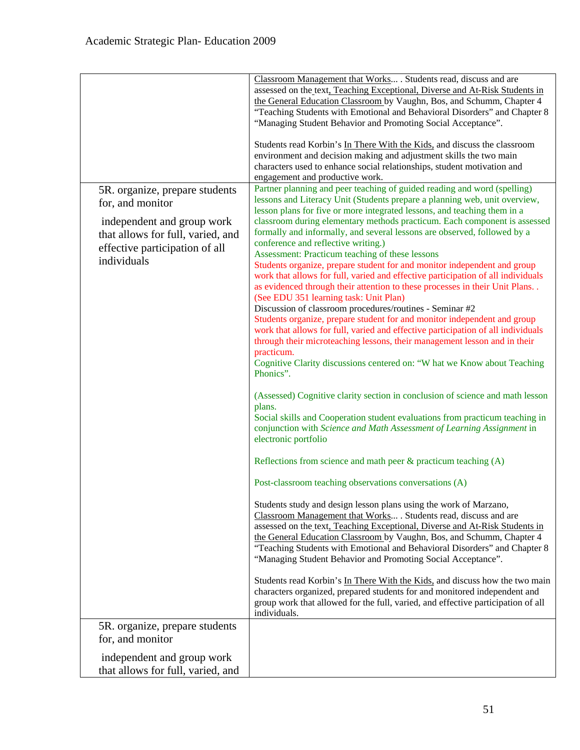|                                                                                                                                                                        | Classroom Management that Works . Students read, discuss and are<br>assessed on the text, Teaching Exceptional, Diverse and At-Risk Students in<br>the General Education Classroom by Vaughn, Bos, and Schumm, Chapter 4<br>"Teaching Students with Emotional and Behavioral Disorders" and Chapter 8<br>"Managing Student Behavior and Promoting Social Acceptance".                                                                                                                                                                                                                                                                                                                                                                                                                                                                                                                                                                                                                                                                                                                                                                                                                                                                                                                                                                                                                                                                                                                                                                                                                                                                                                                                                                                                                                                                                                                                                                                                                                                                                                                                                                                                                                                                                                                                        |
|------------------------------------------------------------------------------------------------------------------------------------------------------------------------|--------------------------------------------------------------------------------------------------------------------------------------------------------------------------------------------------------------------------------------------------------------------------------------------------------------------------------------------------------------------------------------------------------------------------------------------------------------------------------------------------------------------------------------------------------------------------------------------------------------------------------------------------------------------------------------------------------------------------------------------------------------------------------------------------------------------------------------------------------------------------------------------------------------------------------------------------------------------------------------------------------------------------------------------------------------------------------------------------------------------------------------------------------------------------------------------------------------------------------------------------------------------------------------------------------------------------------------------------------------------------------------------------------------------------------------------------------------------------------------------------------------------------------------------------------------------------------------------------------------------------------------------------------------------------------------------------------------------------------------------------------------------------------------------------------------------------------------------------------------------------------------------------------------------------------------------------------------------------------------------------------------------------------------------------------------------------------------------------------------------------------------------------------------------------------------------------------------------------------------------------------------------------------------------------------------|
|                                                                                                                                                                        | Students read Korbin's In There With the Kids, and discuss the classroom<br>environment and decision making and adjustment skills the two main<br>characters used to enhance social relationships, student motivation and<br>engagement and productive work.                                                                                                                                                                                                                                                                                                                                                                                                                                                                                                                                                                                                                                                                                                                                                                                                                                                                                                                                                                                                                                                                                                                                                                                                                                                                                                                                                                                                                                                                                                                                                                                                                                                                                                                                                                                                                                                                                                                                                                                                                                                 |
| 5R. organize, prepare students<br>for, and monitor<br>independent and group work<br>that allows for full, varied, and<br>effective participation of all<br>individuals | Partner planning and peer teaching of guided reading and word (spelling)<br>lessons and Literacy Unit (Students prepare a planning web, unit overview,<br>lesson plans for five or more integrated lessons, and teaching them in a<br>classroom during elementary methods practicum. Each component is assessed<br>formally and informally, and several lessons are observed, followed by a<br>conference and reflective writing.)<br>Assessment: Practicum teaching of these lessons<br>Students organize, prepare student for and monitor independent and group<br>work that allows for full, varied and effective participation of all individuals<br>as evidenced through their attention to these processes in their Unit Plans. .<br>(See EDU 351 learning task: Unit Plan)<br>Discussion of classroom procedures/routines - Seminar #2<br>Students organize, prepare student for and monitor independent and group<br>work that allows for full, varied and effective participation of all individuals<br>through their microteaching lessons, their management lesson and in their<br>practicum.<br>Cognitive Clarity discussions centered on: "W hat we Know about Teaching<br>Phonics".<br>(Assessed) Cognitive clarity section in conclusion of science and math lesson<br>plans.<br>Social skills and Cooperation student evaluations from practicum teaching in<br>conjunction with Science and Math Assessment of Learning Assignment in<br>electronic portfolio<br>Reflections from science and math peer $\&$ practicum teaching (A)<br>Post-classroom teaching observations conversations (A)<br>Students study and design lesson plans using the work of Marzano,<br>Classroom Management that Works . Students read, discuss and are<br>assessed on the text, Teaching Exceptional, Diverse and At-Risk Students in<br>the General Education Classroom by Vaughn, Bos, and Schumm, Chapter 4<br>"Teaching Students with Emotional and Behavioral Disorders" and Chapter 8<br>"Managing Student Behavior and Promoting Social Acceptance".<br>Students read Korbin's In There With the Kids, and discuss how the two main<br>characters organized, prepared students for and monitored independent and<br>group work that allowed for the full, varied, and effective participation of all |
| 5R. organize, prepare students                                                                                                                                         | individuals.                                                                                                                                                                                                                                                                                                                                                                                                                                                                                                                                                                                                                                                                                                                                                                                                                                                                                                                                                                                                                                                                                                                                                                                                                                                                                                                                                                                                                                                                                                                                                                                                                                                                                                                                                                                                                                                                                                                                                                                                                                                                                                                                                                                                                                                                                                 |
| for, and monitor                                                                                                                                                       |                                                                                                                                                                                                                                                                                                                                                                                                                                                                                                                                                                                                                                                                                                                                                                                                                                                                                                                                                                                                                                                                                                                                                                                                                                                                                                                                                                                                                                                                                                                                                                                                                                                                                                                                                                                                                                                                                                                                                                                                                                                                                                                                                                                                                                                                                                              |
| independent and group work<br>that allows for full, varied, and                                                                                                        |                                                                                                                                                                                                                                                                                                                                                                                                                                                                                                                                                                                                                                                                                                                                                                                                                                                                                                                                                                                                                                                                                                                                                                                                                                                                                                                                                                                                                                                                                                                                                                                                                                                                                                                                                                                                                                                                                                                                                                                                                                                                                                                                                                                                                                                                                                              |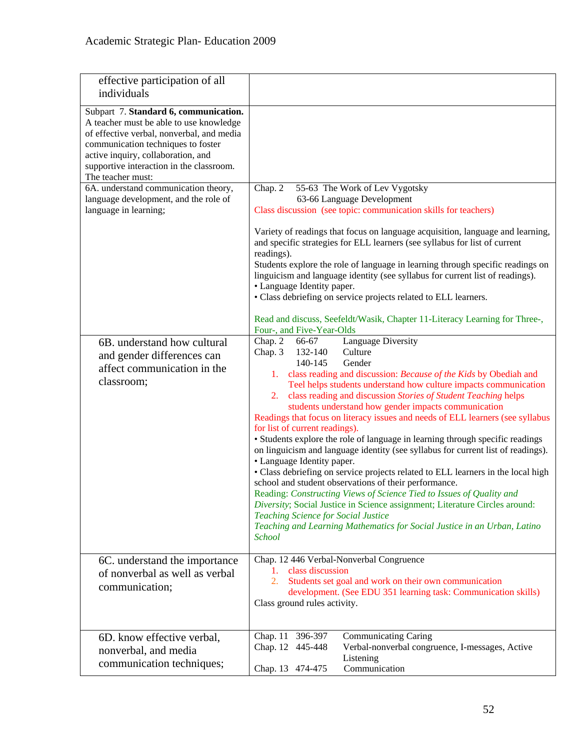| effective participation of all<br>individuals                                                                                                                                                                                                                              |                                                                                                                                                                                                                                                                                                                                                                                                                                                                                                                                                                                                                                                                                                                                                                                                                                                                                                                                                                                                                                                                                                                                               |
|----------------------------------------------------------------------------------------------------------------------------------------------------------------------------------------------------------------------------------------------------------------------------|-----------------------------------------------------------------------------------------------------------------------------------------------------------------------------------------------------------------------------------------------------------------------------------------------------------------------------------------------------------------------------------------------------------------------------------------------------------------------------------------------------------------------------------------------------------------------------------------------------------------------------------------------------------------------------------------------------------------------------------------------------------------------------------------------------------------------------------------------------------------------------------------------------------------------------------------------------------------------------------------------------------------------------------------------------------------------------------------------------------------------------------------------|
| Subpart 7. Standard 6, communication.<br>A teacher must be able to use knowledge<br>of effective verbal, nonverbal, and media<br>communication techniques to foster<br>active inquiry, collaboration, and<br>supportive interaction in the classroom.<br>The teacher must: |                                                                                                                                                                                                                                                                                                                                                                                                                                                                                                                                                                                                                                                                                                                                                                                                                                                                                                                                                                                                                                                                                                                                               |
| 6A. understand communication theory,                                                                                                                                                                                                                                       | Chap. 2<br>55-63 The Work of Lev Vygotsky                                                                                                                                                                                                                                                                                                                                                                                                                                                                                                                                                                                                                                                                                                                                                                                                                                                                                                                                                                                                                                                                                                     |
| language development, and the role of<br>language in learning;                                                                                                                                                                                                             | 63-66 Language Development<br>Class discussion (see topic: communication skills for teachers)                                                                                                                                                                                                                                                                                                                                                                                                                                                                                                                                                                                                                                                                                                                                                                                                                                                                                                                                                                                                                                                 |
|                                                                                                                                                                                                                                                                            | Variety of readings that focus on language acquisition, language and learning,<br>and specific strategies for ELL learners (see syllabus for list of current<br>readings).<br>Students explore the role of language in learning through specific readings on<br>linguicism and language identity (see syllabus for current list of readings).<br>• Language Identity paper.<br>• Class debriefing on service projects related to ELL learners.                                                                                                                                                                                                                                                                                                                                                                                                                                                                                                                                                                                                                                                                                                |
|                                                                                                                                                                                                                                                                            | Read and discuss, Seefeldt/Wasik, Chapter 11-Literacy Learning for Three-,<br>Four-, and Five-Year-Olds                                                                                                                                                                                                                                                                                                                                                                                                                                                                                                                                                                                                                                                                                                                                                                                                                                                                                                                                                                                                                                       |
| 6B. understand how cultural<br>and gender differences can<br>affect communication in the<br>classroom;                                                                                                                                                                     | Language Diversity<br>Chap. 2<br>66-67<br>132-140<br>Chap. 3<br>Culture<br>140-145<br>Gender<br>1. class reading and discussion: Because of the Kids by Obediah and<br>Teel helps students understand how culture impacts communication<br>class reading and discussion Stories of Student Teaching helps<br>2.<br>students understand how gender impacts communication<br>Readings that focus on literacy issues and needs of ELL learners (see syllabus<br>for list of current readings).<br>• Students explore the role of language in learning through specific readings<br>on linguicism and language identity (see syllabus for current list of readings).<br>• Language Identity paper.<br>• Class debriefing on service projects related to ELL learners in the local high<br>school and student observations of their performance.<br>Reading: Constructing Views of Science Tied to Issues of Quality and<br>Diversity; Social Justice in Science assignment; Literature Circles around:<br><b>Teaching Science for Social Justice</b><br>Teaching and Learning Mathematics for Social Justice in an Urban, Latino<br><b>School</b> |
| 6C. understand the importance<br>of nonverbal as well as verbal<br>communication;                                                                                                                                                                                          | Chap. 12 446 Verbal-Nonverbal Congruence<br>class discussion<br>1.<br>2.<br>Students set goal and work on their own communication<br>development. (See EDU 351 learning task: Communication skills)<br>Class ground rules activity.                                                                                                                                                                                                                                                                                                                                                                                                                                                                                                                                                                                                                                                                                                                                                                                                                                                                                                           |
| 6D. know effective verbal,<br>nonverbal, and media<br>communication techniques;                                                                                                                                                                                            | <b>Communicating Caring</b><br>Chap. 11<br>396-397<br>Chap. 12 445-448<br>Verbal-nonverbal congruence, I-messages, Active<br>Listening<br>Communication<br>Chap. 13 474-475                                                                                                                                                                                                                                                                                                                                                                                                                                                                                                                                                                                                                                                                                                                                                                                                                                                                                                                                                                   |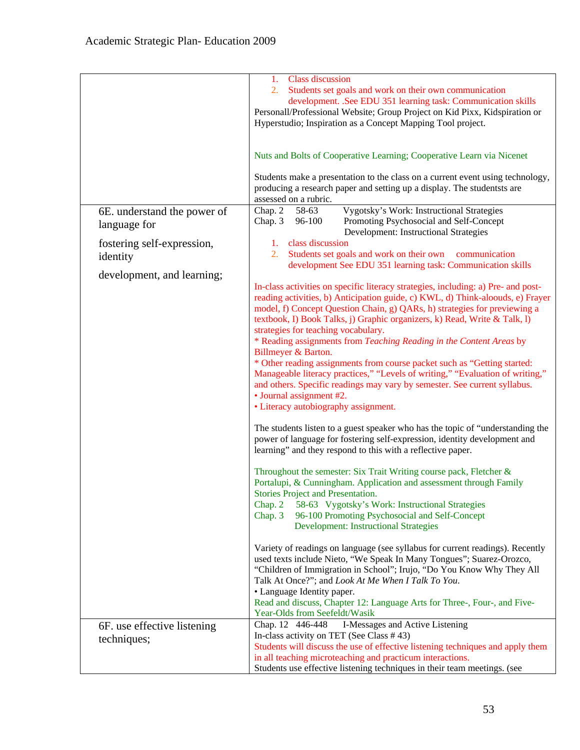|                                             | <b>Class discussion</b><br>1.<br>Students set goals and work on their own communication<br>2.<br>development. .See EDU 351 learning task: Communication skills<br>Personall/Professional Website; Group Project on Kid Pixx, Kidspiration or<br>Hyperstudio; Inspiration as a Concept Mapping Tool project.                                                                                                                                                                                                                                                                                                                                                                                                                                                                                                                                                                                                                                                                                                                                                                                                                                                                                                                                                                                                                                                                                                                                                                                                                                                                                                                                                                                                                                                                  |
|---------------------------------------------|------------------------------------------------------------------------------------------------------------------------------------------------------------------------------------------------------------------------------------------------------------------------------------------------------------------------------------------------------------------------------------------------------------------------------------------------------------------------------------------------------------------------------------------------------------------------------------------------------------------------------------------------------------------------------------------------------------------------------------------------------------------------------------------------------------------------------------------------------------------------------------------------------------------------------------------------------------------------------------------------------------------------------------------------------------------------------------------------------------------------------------------------------------------------------------------------------------------------------------------------------------------------------------------------------------------------------------------------------------------------------------------------------------------------------------------------------------------------------------------------------------------------------------------------------------------------------------------------------------------------------------------------------------------------------------------------------------------------------------------------------------------------------|
|                                             | Nuts and Bolts of Cooperative Learning; Cooperative Learn via Nicenet                                                                                                                                                                                                                                                                                                                                                                                                                                                                                                                                                                                                                                                                                                                                                                                                                                                                                                                                                                                                                                                                                                                                                                                                                                                                                                                                                                                                                                                                                                                                                                                                                                                                                                        |
|                                             | Students make a presentation to the class on a current event using technology,<br>producing a research paper and setting up a display. The studentsts are<br>assessed on a rubric.                                                                                                                                                                                                                                                                                                                                                                                                                                                                                                                                                                                                                                                                                                                                                                                                                                                                                                                                                                                                                                                                                                                                                                                                                                                                                                                                                                                                                                                                                                                                                                                           |
| 6E. understand the power of<br>language for | <b>Vygotsky's Work: Instructional Strategies</b><br>Chap. 2<br>58-63<br>96-100<br>Promoting Psychosocial and Self-Concept<br>Chap. 3<br>Development: Instructional Strategies                                                                                                                                                                                                                                                                                                                                                                                                                                                                                                                                                                                                                                                                                                                                                                                                                                                                                                                                                                                                                                                                                                                                                                                                                                                                                                                                                                                                                                                                                                                                                                                                |
| fostering self-expression,<br>identity      | class discussion<br>1.<br>Students set goals and work on their own<br>2.<br>communication<br>development See EDU 351 learning task: Communication skills                                                                                                                                                                                                                                                                                                                                                                                                                                                                                                                                                                                                                                                                                                                                                                                                                                                                                                                                                                                                                                                                                                                                                                                                                                                                                                                                                                                                                                                                                                                                                                                                                     |
| development, and learning;                  | In-class activities on specific literacy strategies, including: a) Pre- and post-<br>reading activities, b) Anticipation guide, c) KWL, d) Think-aloouds, e) Frayer<br>model, f) Concept Question Chain, g) QARs, h) strategies for previewing a<br>textbook, I) Book Talks, j) Graphic organizers, k) Read, Write & Talk, l)<br>strategies for teaching vocabulary.<br>* Reading assignments from Teaching Reading in the Content Areas by<br>Billmeyer & Barton.<br>* Other reading assignments from course packet such as "Getting started:<br>Manageable literacy practices," "Levels of writing," "Evaluation of writing,"<br>and others. Specific readings may vary by semester. See current syllabus.<br>· Journal assignment #2.<br>• Literacy autobiography assignment.<br>The students listen to a guest speaker who has the topic of "understanding the<br>power of language for fostering self-expression, identity development and<br>learning" and they respond to this with a reflective paper.<br>Throughout the semester: Six Trait Writing course pack, Fletcher &<br>Portalupi, & Cunningham. Application and assessment through Family<br>Stories Project and Presentation.<br>58-63 Vygotsky's Work: Instructional Strategies<br>Chap. 2<br>96-100 Promoting Psychosocial and Self-Concept<br>Chap. 3<br><b>Development: Instructional Strategies</b><br>Variety of readings on language (see syllabus for current readings). Recently<br>used texts include Nieto, "We Speak In Many Tongues"; Suarez-Orozco,<br>"Children of Immigration in School"; Irujo, "Do You Know Why They All<br>Talk At Once?"; and Look At Me When I Talk To You.<br>• Language Identity paper.<br>Read and discuss, Chapter 12: Language Arts for Three-, Four-, and Five- |
| 6F. use effective listening<br>techniques;  | Year-Olds from Seefeldt/Wasik<br>I-Messages and Active Listening<br>Chap. 12 446-448<br>In-class activity on TET (See Class #43)                                                                                                                                                                                                                                                                                                                                                                                                                                                                                                                                                                                                                                                                                                                                                                                                                                                                                                                                                                                                                                                                                                                                                                                                                                                                                                                                                                                                                                                                                                                                                                                                                                             |
|                                             | Students will discuss the use of effective listening techniques and apply them<br>in all teaching microteaching and practicum interactions.<br>Students use effective listening techniques in their team meetings. (see                                                                                                                                                                                                                                                                                                                                                                                                                                                                                                                                                                                                                                                                                                                                                                                                                                                                                                                                                                                                                                                                                                                                                                                                                                                                                                                                                                                                                                                                                                                                                      |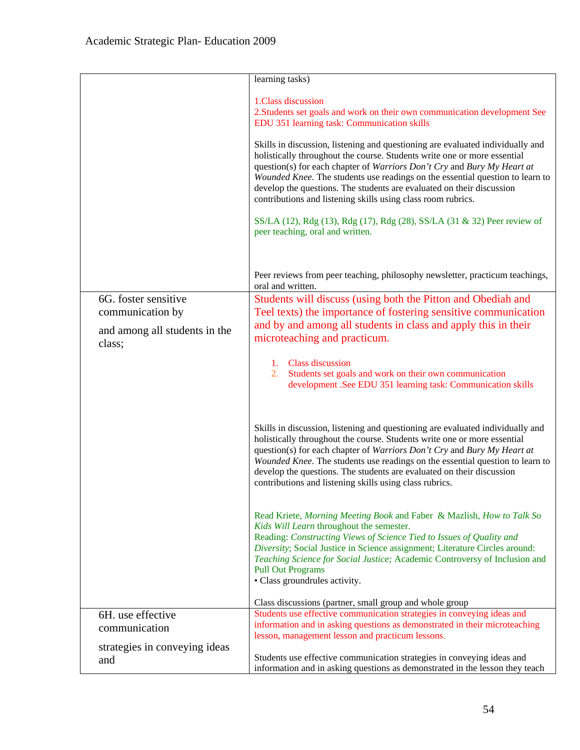|                                          | learning tasks)                                                                                                                                                                                                                                                                                                                                                                                                                                                 |
|------------------------------------------|-----------------------------------------------------------------------------------------------------------------------------------------------------------------------------------------------------------------------------------------------------------------------------------------------------------------------------------------------------------------------------------------------------------------------------------------------------------------|
|                                          | 1.Class discussion<br>2. Students set goals and work on their own communication development See<br>EDU 351 learning task: Communication skills                                                                                                                                                                                                                                                                                                                  |
|                                          | Skills in discussion, listening and questioning are evaluated individually and<br>holistically throughout the course. Students write one or more essential<br>question(s) for each chapter of Warriors Don't Cry and Bury My Heart at<br>Wounded Knee. The students use readings on the essential question to learn to<br>develop the questions. The students are evaluated on their discussion<br>contributions and listening skills using class room rubrics. |
|                                          | SS/LA (12), Rdg (13), Rdg (17), Rdg (28), SS/LA (31 & 32) Peer review of<br>peer teaching, oral and written.                                                                                                                                                                                                                                                                                                                                                    |
|                                          | Peer reviews from peer teaching, philosophy newsletter, practicum teachings,<br>oral and written.                                                                                                                                                                                                                                                                                                                                                               |
| 6G. foster sensitive<br>communication by | Students will discuss (using both the Pitton and Obediah and<br>Teel texts) the importance of fostering sensitive communication                                                                                                                                                                                                                                                                                                                                 |
| and among all students in the<br>class;  | and by and among all students in class and apply this in their<br>microteaching and practicum.                                                                                                                                                                                                                                                                                                                                                                  |
|                                          | 1. Class discussion<br>Students set goals and work on their own communication<br>2.<br>development .See EDU 351 learning task: Communication skills                                                                                                                                                                                                                                                                                                             |
|                                          | Skills in discussion, listening and questioning are evaluated individually and<br>holistically throughout the course. Students write one or more essential<br>question(s) for each chapter of Warriors Don't Cry and Bury My Heart at<br>Wounded Knee. The students use readings on the essential question to learn to<br>develop the questions. The students are evaluated on their discussion<br>contributions and listening skills using class rubrics.      |
|                                          | Read Kriete, Morning Meeting Book and Faber & Mazlish, How to Talk So<br>Kids Will Learn throughout the semester.<br>Reading: Constructing Views of Science Tied to Issues of Quality and<br>Diversity; Social Justice in Science assignment; Literature Circles around:<br>Teaching Science for Social Justice; Academic Controversy of Inclusion and<br><b>Pull Out Programs</b><br>• Class groundrules activity.                                             |
|                                          | Class discussions (partner, small group and whole group                                                                                                                                                                                                                                                                                                                                                                                                         |
| 6H. use effective                        | Students use effective communication strategies in conveying ideas and<br>information and in asking questions as demonstrated in their microteaching                                                                                                                                                                                                                                                                                                            |
| communication                            | lesson, management lesson and practicum lessons.                                                                                                                                                                                                                                                                                                                                                                                                                |
| strategies in conveying ideas<br>and     | Students use effective communication strategies in conveying ideas and<br>information and in asking questions as demonstrated in the lesson they teach                                                                                                                                                                                                                                                                                                          |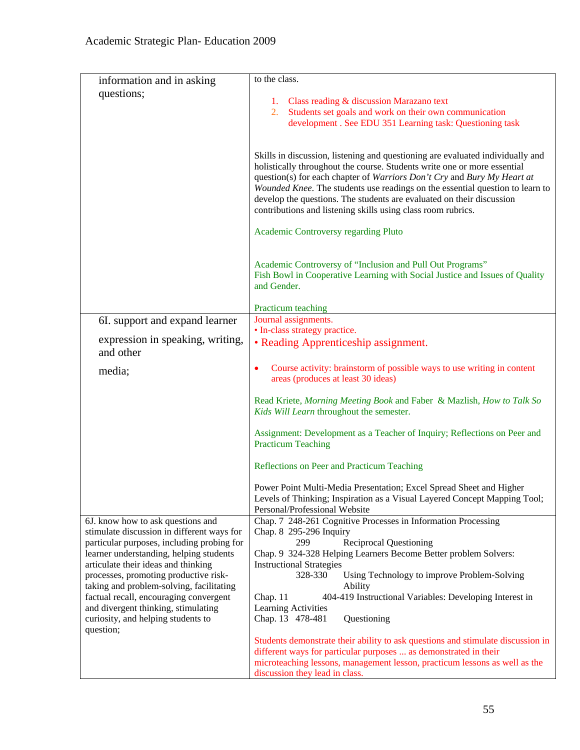| information and in asking                                                                | to the class.                                                                                                                                                                                                                                                                                                                                                                                   |
|------------------------------------------------------------------------------------------|-------------------------------------------------------------------------------------------------------------------------------------------------------------------------------------------------------------------------------------------------------------------------------------------------------------------------------------------------------------------------------------------------|
| questions;                                                                               |                                                                                                                                                                                                                                                                                                                                                                                                 |
|                                                                                          | 1. Class reading & discussion Marazano text                                                                                                                                                                                                                                                                                                                                                     |
|                                                                                          | Students set goals and work on their own communication<br>2.<br>development . See EDU 351 Learning task: Questioning task                                                                                                                                                                                                                                                                       |
|                                                                                          |                                                                                                                                                                                                                                                                                                                                                                                                 |
|                                                                                          | Skills in discussion, listening and questioning are evaluated individually and<br>holistically throughout the course. Students write one or more essential<br>question(s) for each chapter of Warriors Don't Cry and Bury My Heart at<br>Wounded Knee. The students use readings on the essential question to learn to<br>develop the questions. The students are evaluated on their discussion |
|                                                                                          | contributions and listening skills using class room rubrics.                                                                                                                                                                                                                                                                                                                                    |
|                                                                                          | Academic Controversy regarding Pluto                                                                                                                                                                                                                                                                                                                                                            |
|                                                                                          | Academic Controversy of "Inclusion and Pull Out Programs"<br>Fish Bowl in Cooperative Learning with Social Justice and Issues of Quality<br>and Gender.                                                                                                                                                                                                                                         |
|                                                                                          | Practicum teaching                                                                                                                                                                                                                                                                                                                                                                              |
| 6I. support and expand learner                                                           | Journal assignments.                                                                                                                                                                                                                                                                                                                                                                            |
| expression in speaking, writing,<br>and other                                            | · In-class strategy practice.<br>• Reading Apprenticeship assignment.                                                                                                                                                                                                                                                                                                                           |
| media;                                                                                   | Course activity: brainstorm of possible ways to use writing in content<br>areas (produces at least 30 ideas)                                                                                                                                                                                                                                                                                    |
|                                                                                          | Read Kriete, Morning Meeting Book and Faber & Mazlish, How to Talk So<br>Kids Will Learn throughout the semester.                                                                                                                                                                                                                                                                               |
|                                                                                          | Assignment: Development as a Teacher of Inquiry; Reflections on Peer and<br><b>Practicum Teaching</b>                                                                                                                                                                                                                                                                                           |
|                                                                                          | Reflections on Peer and Practicum Teaching                                                                                                                                                                                                                                                                                                                                                      |
|                                                                                          | Power Point Multi-Media Presentation; Excel Spread Sheet and Higher<br>Levels of Thinking; Inspiration as a Visual Layered Concept Mapping Tool;<br>Personal/Professional Website                                                                                                                                                                                                               |
| 6J. know how to ask questions and                                                        | Chap. 7 248-261 Cognitive Processes in Information Processing                                                                                                                                                                                                                                                                                                                                   |
| stimulate discussion in different ways for<br>particular purposes, including probing for | Chap. 8 295-296 Inquiry<br><b>Reciprocal Questioning</b><br>299                                                                                                                                                                                                                                                                                                                                 |
| learner understanding, helping students                                                  | Chap. 9 324-328 Helping Learners Become Better problem Solvers:                                                                                                                                                                                                                                                                                                                                 |
| articulate their ideas and thinking                                                      | <b>Instructional Strategies</b>                                                                                                                                                                                                                                                                                                                                                                 |
| processes, promoting productive risk-                                                    | 328-330<br>Using Technology to improve Problem-Solving                                                                                                                                                                                                                                                                                                                                          |
| taking and problem-solving, facilitating<br>factual recall, encouraging convergent       | Ability<br>Chap. 11<br>404-419 Instructional Variables: Developing Interest in                                                                                                                                                                                                                                                                                                                  |
| and divergent thinking, stimulating                                                      | Learning Activities                                                                                                                                                                                                                                                                                                                                                                             |
| curiosity, and helping students to                                                       | Chap. 13 478-481<br>Questioning                                                                                                                                                                                                                                                                                                                                                                 |
| question;                                                                                | Students demonstrate their ability to ask questions and stimulate discussion in                                                                                                                                                                                                                                                                                                                 |
|                                                                                          | different ways for particular purposes  as demonstrated in their                                                                                                                                                                                                                                                                                                                                |
|                                                                                          | microteaching lessons, management lesson, practicum lessons as well as the                                                                                                                                                                                                                                                                                                                      |
|                                                                                          | discussion they lead in class.                                                                                                                                                                                                                                                                                                                                                                  |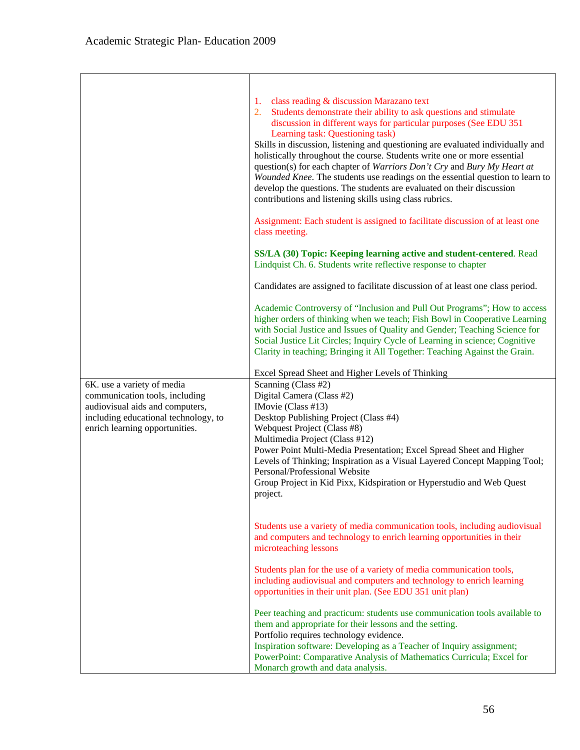|                                                                                                                                                                           | class reading & discussion Marazano text<br>1.<br>Students demonstrate their ability to ask questions and stimulate<br>2.<br>discussion in different ways for particular purposes (See EDU 351<br>Learning task: Questioning task)<br>Skills in discussion, listening and questioning are evaluated individually and<br>holistically throughout the course. Students write one or more essential<br>question(s) for each chapter of Warriors Don't Cry and Bury My Heart at<br>Wounded Knee. The students use readings on the essential question to learn to<br>develop the questions. The students are evaluated on their discussion<br>contributions and listening skills using class rubrics.<br>Assignment: Each student is assigned to facilitate discussion of at least one<br>class meeting.<br>SS/LA (30) Topic: Keeping learning active and student-centered. Read<br>Lindquist Ch. 6. Students write reflective response to chapter<br>Candidates are assigned to facilitate discussion of at least one class period.<br>Academic Controversy of "Inclusion and Pull Out Programs"; How to access<br>higher orders of thinking when we teach; Fish Bowl in Cooperative Learning<br>with Social Justice and Issues of Quality and Gender; Teaching Science for<br>Social Justice Lit Circles; Inquiry Cycle of Learning in science; Cognitive |
|---------------------------------------------------------------------------------------------------------------------------------------------------------------------------|--------------------------------------------------------------------------------------------------------------------------------------------------------------------------------------------------------------------------------------------------------------------------------------------------------------------------------------------------------------------------------------------------------------------------------------------------------------------------------------------------------------------------------------------------------------------------------------------------------------------------------------------------------------------------------------------------------------------------------------------------------------------------------------------------------------------------------------------------------------------------------------------------------------------------------------------------------------------------------------------------------------------------------------------------------------------------------------------------------------------------------------------------------------------------------------------------------------------------------------------------------------------------------------------------------------------------------------------------------|
|                                                                                                                                                                           | Clarity in teaching; Bringing it All Together: Teaching Against the Grain.                                                                                                                                                                                                                                                                                                                                                                                                                                                                                                                                                                                                                                                                                                                                                                                                                                                                                                                                                                                                                                                                                                                                                                                                                                                                             |
| 6K. use a variety of media<br>communication tools, including<br>audiovisual aids and computers,<br>including educational technology, to<br>enrich learning opportunities. | Excel Spread Sheet and Higher Levels of Thinking<br>Scanning (Class #2)<br>Digital Camera (Class #2)<br>IMovie (Class #13)<br>Desktop Publishing Project (Class #4)<br>Webquest Project (Class #8)<br>Multimedia Project (Class #12)<br>Power Point Multi-Media Presentation; Excel Spread Sheet and Higher<br>Levels of Thinking; Inspiration as a Visual Layered Concept Mapping Tool;<br>Personal/Professional Website<br>Group Project in Kid Pixx, Kidspiration or Hyperstudio and Web Quest<br>project.                                                                                                                                                                                                                                                                                                                                                                                                                                                                                                                                                                                                                                                                                                                                                                                                                                          |
|                                                                                                                                                                           | Students use a variety of media communication tools, including audiovisual<br>and computers and technology to enrich learning opportunities in their<br>microteaching lessons                                                                                                                                                                                                                                                                                                                                                                                                                                                                                                                                                                                                                                                                                                                                                                                                                                                                                                                                                                                                                                                                                                                                                                          |
|                                                                                                                                                                           | Students plan for the use of a variety of media communication tools,<br>including audiovisual and computers and technology to enrich learning<br>opportunities in their unit plan. (See EDU 351 unit plan)                                                                                                                                                                                                                                                                                                                                                                                                                                                                                                                                                                                                                                                                                                                                                                                                                                                                                                                                                                                                                                                                                                                                             |
|                                                                                                                                                                           | Peer teaching and practicum: students use communication tools available to<br>them and appropriate for their lessons and the setting.<br>Portfolio requires technology evidence.                                                                                                                                                                                                                                                                                                                                                                                                                                                                                                                                                                                                                                                                                                                                                                                                                                                                                                                                                                                                                                                                                                                                                                       |
|                                                                                                                                                                           | Inspiration software: Developing as a Teacher of Inquiry assignment;<br>PowerPoint: Comparative Analysis of Mathematics Curricula; Excel for<br>Monarch growth and data analysis.                                                                                                                                                                                                                                                                                                                                                                                                                                                                                                                                                                                                                                                                                                                                                                                                                                                                                                                                                                                                                                                                                                                                                                      |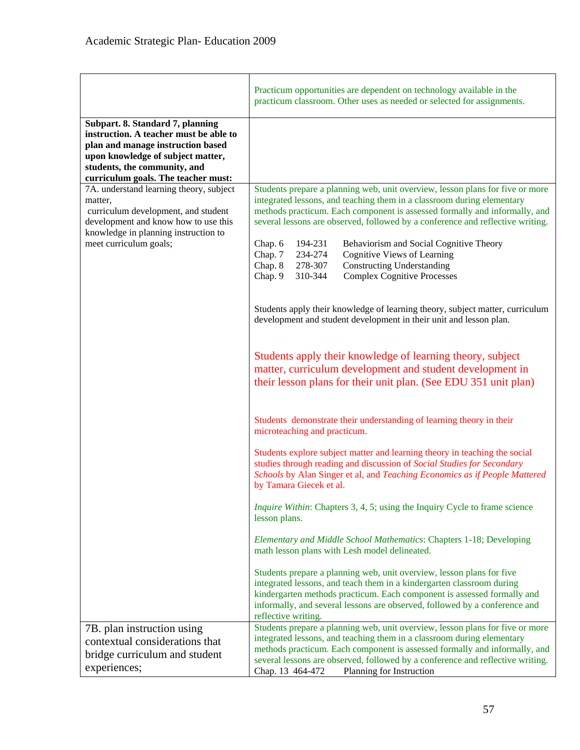|                                                                                                                                                                                                                             | Practicum opportunities are dependent on technology available in the<br>practicum classroom. Other uses as needed or selected for assignments.                                                                                                                                                                                 |
|-----------------------------------------------------------------------------------------------------------------------------------------------------------------------------------------------------------------------------|--------------------------------------------------------------------------------------------------------------------------------------------------------------------------------------------------------------------------------------------------------------------------------------------------------------------------------|
| Subpart. 8. Standard 7, planning<br>instruction. A teacher must be able to<br>plan and manage instruction based<br>upon knowledge of subject matter,<br>students, the community, and<br>curriculum goals. The teacher must: |                                                                                                                                                                                                                                                                                                                                |
| 7A. understand learning theory, subject<br>matter,<br>curriculum development, and student<br>development and know how to use this<br>knowledge in planning instruction to                                                   | Students prepare a planning web, unit overview, lesson plans for five or more<br>integrated lessons, and teaching them in a classroom during elementary<br>methods practicum. Each component is assessed formally and informally, and<br>several lessons are observed, followed by a conference and reflective writing.        |
| meet curriculum goals;                                                                                                                                                                                                      | Chap. 6<br>194-231<br>Behaviorism and Social Cognitive Theory<br>Chap. 7<br>234-274<br>Cognitive Views of Learning<br>Chap. 8<br>278-307<br><b>Constructing Understanding</b><br>310-344<br><b>Complex Cognitive Processes</b><br>Chap. 9                                                                                      |
|                                                                                                                                                                                                                             | Students apply their knowledge of learning theory, subject matter, curriculum<br>development and student development in their unit and lesson plan.                                                                                                                                                                            |
|                                                                                                                                                                                                                             | Students apply their knowledge of learning theory, subject<br>matter, curriculum development and student development in<br>their lesson plans for their unit plan. (See EDU 351 unit plan)                                                                                                                                     |
|                                                                                                                                                                                                                             | Students demonstrate their understanding of learning theory in their<br>microteaching and practicum.                                                                                                                                                                                                                           |
|                                                                                                                                                                                                                             | Students explore subject matter and learning theory in teaching the social<br>studies through reading and discussion of Social Studies for Secondary<br>Schools by Alan Singer et al, and Teaching Economics as if People Mattered<br>by Tamara Giecek et al.                                                                  |
|                                                                                                                                                                                                                             | <i>Inquire Within:</i> Chapters 3, 4, 5; using the Inquiry Cycle to frame science<br>lesson plans.                                                                                                                                                                                                                             |
|                                                                                                                                                                                                                             | Elementary and Middle School Mathematics: Chapters 1-18; Developing<br>math lesson plans with Lesh model delineated.                                                                                                                                                                                                           |
|                                                                                                                                                                                                                             | Students prepare a planning web, unit overview, lesson plans for five<br>integrated lessons, and teach them in a kindergarten classroom during<br>kindergarten methods practicum. Each component is assessed formally and<br>informally, and several lessons are observed, followed by a conference and<br>reflective writing. |
| 7B. plan instruction using                                                                                                                                                                                                  | Students prepare a planning web, unit overview, lesson plans for five or more                                                                                                                                                                                                                                                  |
| contextual considerations that                                                                                                                                                                                              | integrated lessons, and teaching them in a classroom during elementary<br>methods practicum. Each component is assessed formally and informally, and                                                                                                                                                                           |
| bridge curriculum and student<br>experiences;                                                                                                                                                                               | several lessons are observed, followed by a conference and reflective writing.<br>Chap. 13 464-472<br>Planning for Instruction                                                                                                                                                                                                 |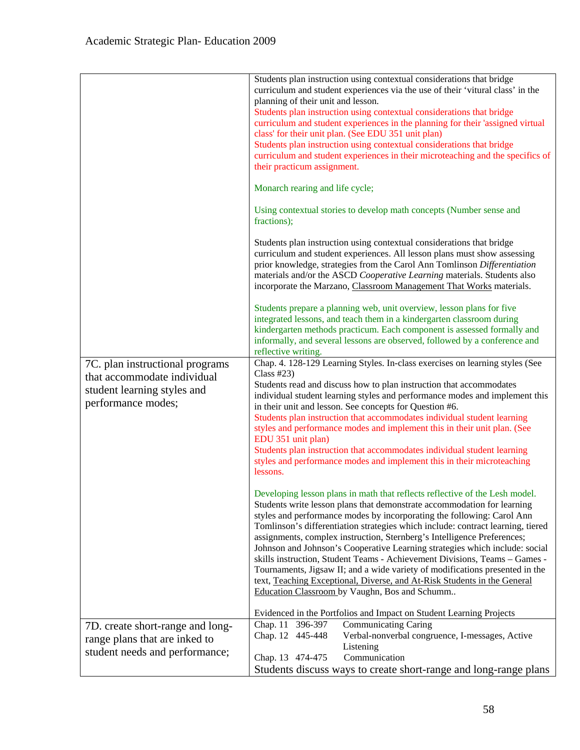| 7C. plan instructional programs<br>that accommodate individual<br>student learning styles and<br>performance modes; | Students plan instruction using contextual considerations that bridge<br>curriculum and student experiences via the use of their 'vitural class' in the<br>planning of their unit and lesson.<br>Students plan instruction using contextual considerations that bridge<br>curriculum and student experiences in the planning for their 'assigned virtual<br>class' for their unit plan. (See EDU 351 unit plan)<br>Students plan instruction using contextual considerations that bridge<br>curriculum and student experiences in their microteaching and the specifics of<br>their practicum assignment.<br>Monarch rearing and life cycle;<br>Using contextual stories to develop math concepts (Number sense and<br>fractions);<br>Students plan instruction using contextual considerations that bridge<br>curriculum and student experiences. All lesson plans must show assessing<br>prior knowledge, strategies from the Carol Ann Tomlinson Differentiation<br>materials and/or the ASCD Cooperative Learning materials. Students also<br>incorporate the Marzano, Classroom Management That Works materials.<br>Students prepare a planning web, unit overview, lesson plans for five<br>integrated lessons, and teach them in a kindergarten classroom during<br>kindergarten methods practicum. Each component is assessed formally and<br>informally, and several lessons are observed, followed by a conference and<br>reflective writing.<br>Chap. 4. 128-129 Learning Styles. In-class exercises on learning styles (See<br>Class $#23$ )<br>Students read and discuss how to plan instruction that accommodates<br>individual student learning styles and performance modes and implement this<br>in their unit and lesson. See concepts for Question #6.<br>Students plan instruction that accommodates individual student learning<br>styles and performance modes and implement this in their unit plan. (See<br>EDU 351 unit plan)<br>Students plan instruction that accommodates individual student learning<br>styles and performance modes and implement this in their microteaching<br>lessons. |
|---------------------------------------------------------------------------------------------------------------------|-------------------------------------------------------------------------------------------------------------------------------------------------------------------------------------------------------------------------------------------------------------------------------------------------------------------------------------------------------------------------------------------------------------------------------------------------------------------------------------------------------------------------------------------------------------------------------------------------------------------------------------------------------------------------------------------------------------------------------------------------------------------------------------------------------------------------------------------------------------------------------------------------------------------------------------------------------------------------------------------------------------------------------------------------------------------------------------------------------------------------------------------------------------------------------------------------------------------------------------------------------------------------------------------------------------------------------------------------------------------------------------------------------------------------------------------------------------------------------------------------------------------------------------------------------------------------------------------------------------------------------------------------------------------------------------------------------------------------------------------------------------------------------------------------------------------------------------------------------------------------------------------------------------------------------------------------------------------------------------------------------------------------------------------------------------------------------------------------------------------------|
|                                                                                                                     | Developing lesson plans in math that reflects reflective of the Lesh model.<br>Students write lesson plans that demonstrate accommodation for learning<br>styles and performance modes by incorporating the following: Carol Ann                                                                                                                                                                                                                                                                                                                                                                                                                                                                                                                                                                                                                                                                                                                                                                                                                                                                                                                                                                                                                                                                                                                                                                                                                                                                                                                                                                                                                                                                                                                                                                                                                                                                                                                                                                                                                                                                                        |
|                                                                                                                     | Tomlinson's differentiation strategies which include: contract learning, tiered<br>assignments, complex instruction, Sternberg's Intelligence Preferences;<br>Johnson and Johnson's Cooperative Learning strategies which include: social<br>skills instruction, Student Teams - Achievement Divisions, Teams - Games -<br>Tournaments, Jigsaw II; and a wide variety of modifications presented in the<br>text, Teaching Exceptional, Diverse, and At-Risk Students in the General<br>Education Classroom by Vaughn, Bos and Schumm                                                                                                                                                                                                                                                                                                                                                                                                                                                                                                                                                                                                                                                                                                                                                                                                                                                                                                                                                                                                                                                                                                                                                                                                                                                                                                                                                                                                                                                                                                                                                                                    |
|                                                                                                                     | Evidenced in the Portfolios and Impact on Student Learning Projects                                                                                                                                                                                                                                                                                                                                                                                                                                                                                                                                                                                                                                                                                                                                                                                                                                                                                                                                                                                                                                                                                                                                                                                                                                                                                                                                                                                                                                                                                                                                                                                                                                                                                                                                                                                                                                                                                                                                                                                                                                                     |
| 7D. create short-range and long-                                                                                    | Chap. 11 396-397<br><b>Communicating Caring</b>                                                                                                                                                                                                                                                                                                                                                                                                                                                                                                                                                                                                                                                                                                                                                                                                                                                                                                                                                                                                                                                                                                                                                                                                                                                                                                                                                                                                                                                                                                                                                                                                                                                                                                                                                                                                                                                                                                                                                                                                                                                                         |
| range plans that are inked to                                                                                       | Chap. 12 445-448<br>Verbal-nonverbal congruence, I-messages, Active                                                                                                                                                                                                                                                                                                                                                                                                                                                                                                                                                                                                                                                                                                                                                                                                                                                                                                                                                                                                                                                                                                                                                                                                                                                                                                                                                                                                                                                                                                                                                                                                                                                                                                                                                                                                                                                                                                                                                                                                                                                     |
| student needs and performance;                                                                                      | Listening                                                                                                                                                                                                                                                                                                                                                                                                                                                                                                                                                                                                                                                                                                                                                                                                                                                                                                                                                                                                                                                                                                                                                                                                                                                                                                                                                                                                                                                                                                                                                                                                                                                                                                                                                                                                                                                                                                                                                                                                                                                                                                               |
|                                                                                                                     | Communication<br>Chap. 13 474-475                                                                                                                                                                                                                                                                                                                                                                                                                                                                                                                                                                                                                                                                                                                                                                                                                                                                                                                                                                                                                                                                                                                                                                                                                                                                                                                                                                                                                                                                                                                                                                                                                                                                                                                                                                                                                                                                                                                                                                                                                                                                                       |
|                                                                                                                     | Students discuss ways to create short-range and long-range plans                                                                                                                                                                                                                                                                                                                                                                                                                                                                                                                                                                                                                                                                                                                                                                                                                                                                                                                                                                                                                                                                                                                                                                                                                                                                                                                                                                                                                                                                                                                                                                                                                                                                                                                                                                                                                                                                                                                                                                                                                                                        |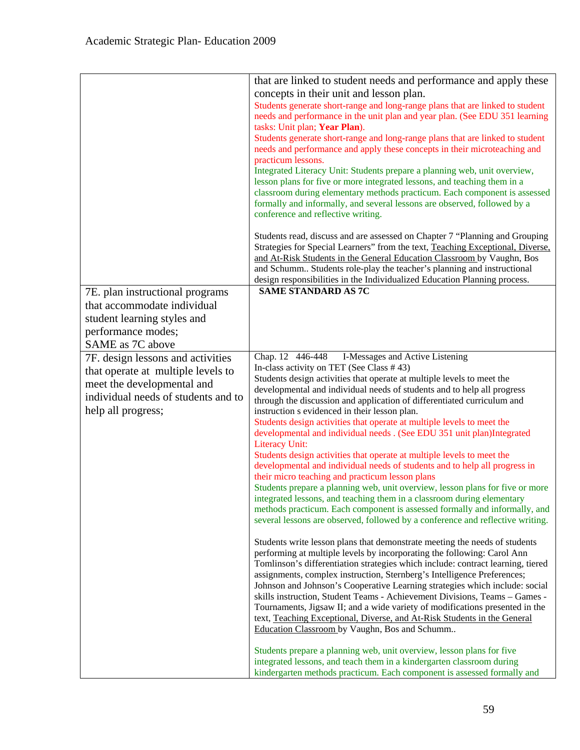| that are linked to student needs and performance and apply these                                                                                             |
|--------------------------------------------------------------------------------------------------------------------------------------------------------------|
| concepts in their unit and lesson plan.                                                                                                                      |
|                                                                                                                                                              |
| Students generate short-range and long-range plans that are linked to student<br>needs and performance in the unit plan and year plan. (See EDU 351 learning |
| tasks: Unit plan; Year Plan).                                                                                                                                |
| Students generate short-range and long-range plans that are linked to student                                                                                |
| needs and performance and apply these concepts in their microteaching and                                                                                    |
| practicum lessons.                                                                                                                                           |
| Integrated Literacy Unit: Students prepare a planning web, unit overview,                                                                                    |
| lesson plans for five or more integrated lessons, and teaching them in a                                                                                     |
| classroom during elementary methods practicum. Each component is assessed                                                                                    |
| formally and informally, and several lessons are observed, followed by a                                                                                     |
| conference and reflective writing.                                                                                                                           |
|                                                                                                                                                              |
| Students read, discuss and are assessed on Chapter 7 "Planning and Grouping                                                                                  |
| Strategies for Special Learners" from the text, Teaching Exceptional, Diverse,                                                                               |
| and At-Risk Students in the General Education Classroom by Vaughn, Bos<br>and Schumm Students role-play the teacher's planning and instructional             |
| design responsibilities in the Individualized Education Planning process.                                                                                    |
| <b>SAME STANDARD AS 7C</b>                                                                                                                                   |
|                                                                                                                                                              |
|                                                                                                                                                              |
|                                                                                                                                                              |
|                                                                                                                                                              |
|                                                                                                                                                              |
| Chap. 12 446-448<br>I-Messages and Active Listening                                                                                                          |
| In-class activity on TET (See Class #43)                                                                                                                     |
| Students design activities that operate at multiple levels to meet the                                                                                       |
| developmental and individual needs of students and to help all progress                                                                                      |
| through the discussion and application of differentiated curriculum and<br>instruction s evidenced in their lesson plan.                                     |
| Students design activities that operate at multiple levels to meet the                                                                                       |
| developmental and individual needs . (See EDU 351 unit plan)Integrated                                                                                       |
| <b>Literacy Unit:</b>                                                                                                                                        |
| Students design activities that operate at multiple levels to meet the                                                                                       |
| developmental and individual needs of students and to help all progress in                                                                                   |
| their micro teaching and practicum lesson plans                                                                                                              |
| Students prepare a planning web, unit overview, lesson plans for five or more                                                                                |
| integrated lessons, and teaching them in a classroom during elementary                                                                                       |
| methods practicum. Each component is assessed formally and informally, and                                                                                   |
| several lessons are observed, followed by a conference and reflective writing.                                                                               |
|                                                                                                                                                              |
|                                                                                                                                                              |
| Students write lesson plans that demonstrate meeting the needs of students                                                                                   |
| performing at multiple levels by incorporating the following: Carol Ann                                                                                      |
| Tomlinson's differentiation strategies which include: contract learning, tiered                                                                              |
| assignments, complex instruction, Sternberg's Intelligence Preferences;                                                                                      |
| Johnson and Johnson's Cooperative Learning strategies which include: social<br>skills instruction, Student Teams - Achievement Divisions, Teams - Games -    |
| Tournaments, Jigsaw II; and a wide variety of modifications presented in the                                                                                 |
| text, Teaching Exceptional, Diverse, and At-Risk Students in the General                                                                                     |
| Education Classroom by Vaughn, Bos and Schumm                                                                                                                |
|                                                                                                                                                              |
| Students prepare a planning web, unit overview, lesson plans for five<br>integrated lessons, and teach them in a kindergarten classroom during               |
|                                                                                                                                                              |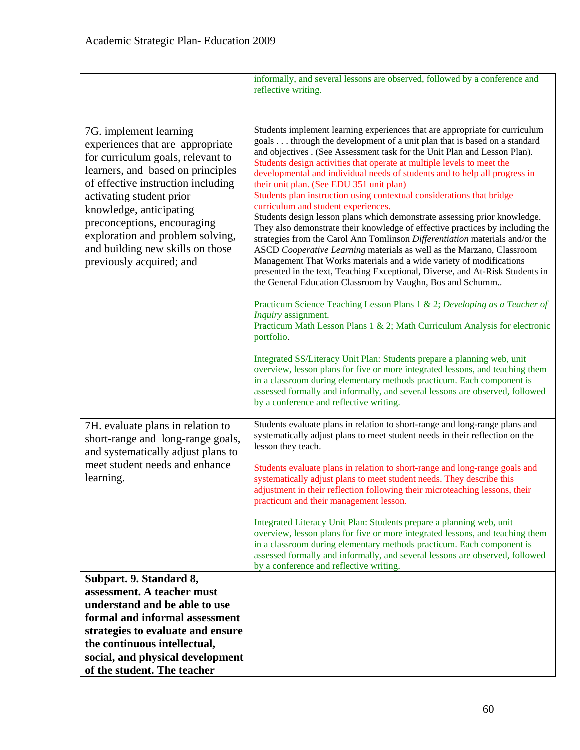|                                                                                                                                                                                                                                                                                                                                                                      | informally, and several lessons are observed, followed by a conference and<br>reflective writing.                                                                                                                                                                                                                                                                                                                                                                                                                                                                                                                                                                                                                                                                                                                                                                                                                                                                                                                                                                                                                                                                                                                                                                                                                                                                               |
|----------------------------------------------------------------------------------------------------------------------------------------------------------------------------------------------------------------------------------------------------------------------------------------------------------------------------------------------------------------------|---------------------------------------------------------------------------------------------------------------------------------------------------------------------------------------------------------------------------------------------------------------------------------------------------------------------------------------------------------------------------------------------------------------------------------------------------------------------------------------------------------------------------------------------------------------------------------------------------------------------------------------------------------------------------------------------------------------------------------------------------------------------------------------------------------------------------------------------------------------------------------------------------------------------------------------------------------------------------------------------------------------------------------------------------------------------------------------------------------------------------------------------------------------------------------------------------------------------------------------------------------------------------------------------------------------------------------------------------------------------------------|
|                                                                                                                                                                                                                                                                                                                                                                      |                                                                                                                                                                                                                                                                                                                                                                                                                                                                                                                                                                                                                                                                                                                                                                                                                                                                                                                                                                                                                                                                                                                                                                                                                                                                                                                                                                                 |
| 7G. implement learning<br>experiences that are appropriate<br>for curriculum goals, relevant to<br>learners, and based on principles<br>of effective instruction including<br>activating student prior<br>knowledge, anticipating<br>preconceptions, encouraging<br>exploration and problem solving,<br>and building new skills on those<br>previously acquired; and | Students implement learning experiences that are appropriate for curriculum<br>goals through the development of a unit plan that is based on a standard<br>and objectives . (See Assessment task for the Unit Plan and Lesson Plan).<br>Students design activities that operate at multiple levels to meet the<br>developmental and individual needs of students and to help all progress in<br>their unit plan. (See EDU 351 unit plan)<br>Students plan instruction using contextual considerations that bridge<br>curriculum and student experiences.<br>Students design lesson plans which demonstrate assessing prior knowledge.<br>They also demonstrate their knowledge of effective practices by including the<br>strategies from the Carol Ann Tomlinson Differentiation materials and/or the<br>ASCD Cooperative Learning materials as well as the Marzano, Classroom<br>Management That Works materials and a wide variety of modifications<br>presented in the text, Teaching Exceptional, Diverse, and At-Risk Students in<br>the General Education Classroom by Vaughn, Bos and Schumm<br>Practicum Science Teaching Lesson Plans 1 & 2; Developing as a Teacher of<br>Inquiry assignment.<br>Practicum Math Lesson Plans 1 & 2; Math Curriculum Analysis for electronic<br>portfolio.<br>Integrated SS/Literacy Unit Plan: Students prepare a planning web, unit |
|                                                                                                                                                                                                                                                                                                                                                                      | overview, lesson plans for five or more integrated lessons, and teaching them<br>in a classroom during elementary methods practicum. Each component is<br>assessed formally and informally, and several lessons are observed, followed<br>by a conference and reflective writing.                                                                                                                                                                                                                                                                                                                                                                                                                                                                                                                                                                                                                                                                                                                                                                                                                                                                                                                                                                                                                                                                                               |
| 7H. evaluate plans in relation to<br>short-range and long-range goals,<br>and systematically adjust plans to                                                                                                                                                                                                                                                         | Students evaluate plans in relation to short-range and long-range plans and<br>systematically adjust plans to meet student needs in their reflection on the<br>lesson they teach.                                                                                                                                                                                                                                                                                                                                                                                                                                                                                                                                                                                                                                                                                                                                                                                                                                                                                                                                                                                                                                                                                                                                                                                               |
| meet student needs and enhance<br>learning.                                                                                                                                                                                                                                                                                                                          | Students evaluate plans in relation to short-range and long-range goals and<br>systematically adjust plans to meet student needs. They describe this<br>adjustment in their reflection following their microteaching lessons, their<br>practicum and their management lesson.                                                                                                                                                                                                                                                                                                                                                                                                                                                                                                                                                                                                                                                                                                                                                                                                                                                                                                                                                                                                                                                                                                   |
|                                                                                                                                                                                                                                                                                                                                                                      | Integrated Literacy Unit Plan: Students prepare a planning web, unit<br>overview, lesson plans for five or more integrated lessons, and teaching them<br>in a classroom during elementary methods practicum. Each component is<br>assessed formally and informally, and several lessons are observed, followed<br>by a conference and reflective writing.                                                                                                                                                                                                                                                                                                                                                                                                                                                                                                                                                                                                                                                                                                                                                                                                                                                                                                                                                                                                                       |
| Subpart. 9. Standard 8,                                                                                                                                                                                                                                                                                                                                              |                                                                                                                                                                                                                                                                                                                                                                                                                                                                                                                                                                                                                                                                                                                                                                                                                                                                                                                                                                                                                                                                                                                                                                                                                                                                                                                                                                                 |
| assessment. A teacher must                                                                                                                                                                                                                                                                                                                                           |                                                                                                                                                                                                                                                                                                                                                                                                                                                                                                                                                                                                                                                                                                                                                                                                                                                                                                                                                                                                                                                                                                                                                                                                                                                                                                                                                                                 |
| understand and be able to use<br>formal and informal assessment                                                                                                                                                                                                                                                                                                      |                                                                                                                                                                                                                                                                                                                                                                                                                                                                                                                                                                                                                                                                                                                                                                                                                                                                                                                                                                                                                                                                                                                                                                                                                                                                                                                                                                                 |
| strategies to evaluate and ensure                                                                                                                                                                                                                                                                                                                                    |                                                                                                                                                                                                                                                                                                                                                                                                                                                                                                                                                                                                                                                                                                                                                                                                                                                                                                                                                                                                                                                                                                                                                                                                                                                                                                                                                                                 |
| the continuous intellectual,                                                                                                                                                                                                                                                                                                                                         |                                                                                                                                                                                                                                                                                                                                                                                                                                                                                                                                                                                                                                                                                                                                                                                                                                                                                                                                                                                                                                                                                                                                                                                                                                                                                                                                                                                 |
| social, and physical development                                                                                                                                                                                                                                                                                                                                     |                                                                                                                                                                                                                                                                                                                                                                                                                                                                                                                                                                                                                                                                                                                                                                                                                                                                                                                                                                                                                                                                                                                                                                                                                                                                                                                                                                                 |
| of the student. The teacher                                                                                                                                                                                                                                                                                                                                          |                                                                                                                                                                                                                                                                                                                                                                                                                                                                                                                                                                                                                                                                                                                                                                                                                                                                                                                                                                                                                                                                                                                                                                                                                                                                                                                                                                                 |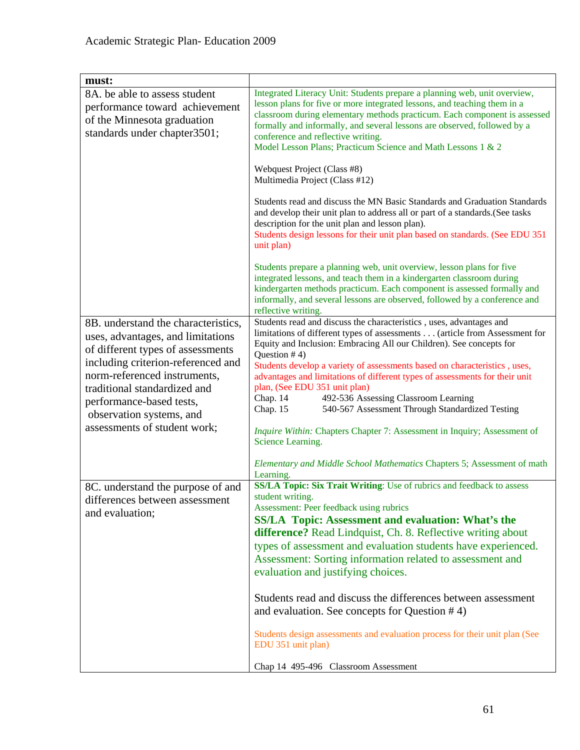| must:                                                                                                                                                                                                                                                                                                       |                                                                                                                                                                                                                                                                                                                                                                                                                                                                                                                                                                                                                                                               |
|-------------------------------------------------------------------------------------------------------------------------------------------------------------------------------------------------------------------------------------------------------------------------------------------------------------|---------------------------------------------------------------------------------------------------------------------------------------------------------------------------------------------------------------------------------------------------------------------------------------------------------------------------------------------------------------------------------------------------------------------------------------------------------------------------------------------------------------------------------------------------------------------------------------------------------------------------------------------------------------|
| 8A. be able to assess student<br>performance toward achievement<br>of the Minnesota graduation<br>standards under chapter3501;                                                                                                                                                                              | Integrated Literacy Unit: Students prepare a planning web, unit overview,<br>lesson plans for five or more integrated lessons, and teaching them in a<br>classroom during elementary methods practicum. Each component is assessed<br>formally and informally, and several lessons are observed, followed by a<br>conference and reflective writing.<br>Model Lesson Plans; Practicum Science and Math Lessons 1 & 2                                                                                                                                                                                                                                          |
|                                                                                                                                                                                                                                                                                                             | Webquest Project (Class #8)<br>Multimedia Project (Class #12)                                                                                                                                                                                                                                                                                                                                                                                                                                                                                                                                                                                                 |
|                                                                                                                                                                                                                                                                                                             | Students read and discuss the MN Basic Standards and Graduation Standards<br>and develop their unit plan to address all or part of a standards. (See tasks<br>description for the unit plan and lesson plan).<br>Students design lessons for their unit plan based on standards. (See EDU 351<br>unit plan)                                                                                                                                                                                                                                                                                                                                                   |
|                                                                                                                                                                                                                                                                                                             | Students prepare a planning web, unit overview, lesson plans for five<br>integrated lessons, and teach them in a kindergarten classroom during<br>kindergarten methods practicum. Each component is assessed formally and<br>informally, and several lessons are observed, followed by a conference and<br>reflective writing.                                                                                                                                                                                                                                                                                                                                |
| 8B. understand the characteristics,<br>uses, advantages, and limitations<br>of different types of assessments<br>including criterion-referenced and<br>norm-referenced instruments,<br>traditional standardized and<br>performance-based tests,<br>observation systems, and<br>assessments of student work; | Students read and discuss the characteristics, uses, advantages and<br>limitations of different types of assessments (article from Assessment for<br>Equity and Inclusion: Embracing All our Children). See concepts for<br>Question $# 4$ )<br>Students develop a variety of assessments based on characteristics, uses,<br>advantages and limitations of different types of assessments for their unit<br>plan, (See EDU 351 unit plan)<br>492-536 Assessing Classroom Learning<br>Chap. 14<br>Chap. 15<br>540-567 Assessment Through Standardized Testing<br>Inquire Within: Chapters Chapter 7: Assessment in Inquiry; Assessment of<br>Science Learning. |
|                                                                                                                                                                                                                                                                                                             | Elementary and Middle School Mathematics Chapters 5; Assessment of math<br>Learning.                                                                                                                                                                                                                                                                                                                                                                                                                                                                                                                                                                          |
| 8C. understand the purpose of and<br>differences between assessment<br>and evaluation;                                                                                                                                                                                                                      | SS/LA Topic: Six Trait Writing: Use of rubrics and feedback to assess<br>student writing.<br>Assessment: Peer feedback using rubrics<br><b>SS/LA Topic: Assessment and evaluation: What's the</b><br>difference? Read Lindquist, Ch. 8. Reflective writing about<br>types of assessment and evaluation students have experienced.<br>Assessment: Sorting information related to assessment and<br>evaluation and justifying choices.                                                                                                                                                                                                                          |
|                                                                                                                                                                                                                                                                                                             | Students read and discuss the differences between assessment<br>and evaluation. See concepts for Question $#4$ )                                                                                                                                                                                                                                                                                                                                                                                                                                                                                                                                              |
|                                                                                                                                                                                                                                                                                                             | Students design assessments and evaluation process for their unit plan (See<br>EDU 351 unit plan)                                                                                                                                                                                                                                                                                                                                                                                                                                                                                                                                                             |
|                                                                                                                                                                                                                                                                                                             | Chap 14 495-496 Classroom Assessment                                                                                                                                                                                                                                                                                                                                                                                                                                                                                                                                                                                                                          |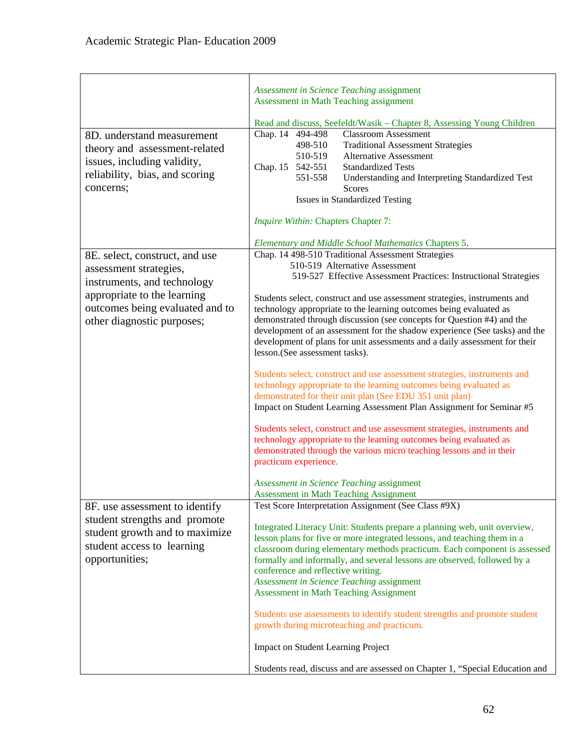|                                                                                                                                                                                         | Assessment in Science Teaching assignment<br>Assessment in Math Teaching assignment                                                                                                                                                                                                                                                                                                                                                                                                                                                                                                                                                                                                                                                                                                                                                                                                                                                                                                                                                                                                                                                                                         |
|-----------------------------------------------------------------------------------------------------------------------------------------------------------------------------------------|-----------------------------------------------------------------------------------------------------------------------------------------------------------------------------------------------------------------------------------------------------------------------------------------------------------------------------------------------------------------------------------------------------------------------------------------------------------------------------------------------------------------------------------------------------------------------------------------------------------------------------------------------------------------------------------------------------------------------------------------------------------------------------------------------------------------------------------------------------------------------------------------------------------------------------------------------------------------------------------------------------------------------------------------------------------------------------------------------------------------------------------------------------------------------------|
|                                                                                                                                                                                         | Read and discuss, Seefeldt/Wasik - Chapter 8, Assessing Young Children                                                                                                                                                                                                                                                                                                                                                                                                                                                                                                                                                                                                                                                                                                                                                                                                                                                                                                                                                                                                                                                                                                      |
| 8D. understand measurement<br>theory and assessment-related<br>issues, including validity,<br>reliability, bias, and scoring<br>concerns;                                               | Chap. 14 494-498<br><b>Classroom Assessment</b><br>498-510<br><b>Traditional Assessment Strategies</b><br>510-519<br><b>Alternative Assessment</b><br><b>Standardized Tests</b><br>Chap. 15 542-551<br>551-558<br>Understanding and Interpreting Standardized Test<br><b>Scores</b><br><b>Issues in Standardized Testing</b>                                                                                                                                                                                                                                                                                                                                                                                                                                                                                                                                                                                                                                                                                                                                                                                                                                                |
|                                                                                                                                                                                         | Inquire Within: Chapters Chapter 7:                                                                                                                                                                                                                                                                                                                                                                                                                                                                                                                                                                                                                                                                                                                                                                                                                                                                                                                                                                                                                                                                                                                                         |
|                                                                                                                                                                                         | <b>Elementary and Middle School Mathematics Chapters 5.</b>                                                                                                                                                                                                                                                                                                                                                                                                                                                                                                                                                                                                                                                                                                                                                                                                                                                                                                                                                                                                                                                                                                                 |
| 8E. select, construct, and use<br>assessment strategies,<br>instruments, and technology<br>appropriate to the learning<br>outcomes being evaluated and to<br>other diagnostic purposes; | Chap. 14 498-510 Traditional Assessment Strategies<br>510-519 Alternative Assessment<br>519-527 Effective Assessment Practices: Instructional Strategies<br>Students select, construct and use assessment strategies, instruments and<br>technology appropriate to the learning outcomes being evaluated as<br>demonstrated through discussion (see concepts for Question #4) and the<br>development of an assessment for the shadow experience (See tasks) and the<br>development of plans for unit assessments and a daily assessment for their<br>lesson.(See assessment tasks).<br>Students select, construct and use assessment strategies, instruments and<br>technology appropriate to the learning outcomes being evaluated as<br>demonstrated for their unit plan (See EDU 351 unit plan)<br>Impact on Student Learning Assessment Plan Assignment for Seminar #5<br>Students select, construct and use assessment strategies, instruments and<br>technology appropriate to the learning outcomes being evaluated as<br>demonstrated through the various micro teaching lessons and in their<br>practicum experience.<br>Assessment in Science Teaching assignment |
|                                                                                                                                                                                         | <b>Assessment in Math Teaching Assignment</b>                                                                                                                                                                                                                                                                                                                                                                                                                                                                                                                                                                                                                                                                                                                                                                                                                                                                                                                                                                                                                                                                                                                               |
| 8F. use assessment to identify<br>student strengths and promote<br>student growth and to maximize<br>student access to learning<br>opportunities;                                       | Test Score Interpretation Assignment (See Class #9X)<br>Integrated Literacy Unit: Students prepare a planning web, unit overview,<br>lesson plans for five or more integrated lessons, and teaching them in a<br>classroom during elementary methods practicum. Each component is assessed<br>formally and informally, and several lessons are observed, followed by a<br>conference and reflective writing.<br>Assessment in Science Teaching assignment<br><b>Assessment in Math Teaching Assignment</b><br>Students use assessments to identify student strengths and promote student<br>growth during microteaching and practicum.<br><b>Impact on Student Learning Project</b>                                                                                                                                                                                                                                                                                                                                                                                                                                                                                         |
|                                                                                                                                                                                         | Students read, discuss and are assessed on Chapter 1, "Special Education and                                                                                                                                                                                                                                                                                                                                                                                                                                                                                                                                                                                                                                                                                                                                                                                                                                                                                                                                                                                                                                                                                                |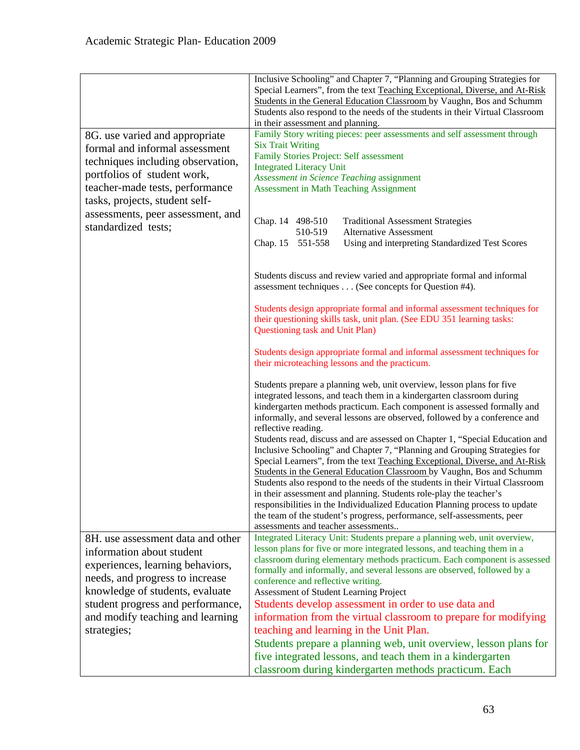|                                                          | Inclusive Schooling" and Chapter 7, "Planning and Grouping Strategies for<br>Special Learners", from the text Teaching Exceptional, Diverse, and At-Risk<br>Students in the General Education Classroom by Vaughn, Bos and Schumm                                                                                                                                                                                                                                                           |
|----------------------------------------------------------|---------------------------------------------------------------------------------------------------------------------------------------------------------------------------------------------------------------------------------------------------------------------------------------------------------------------------------------------------------------------------------------------------------------------------------------------------------------------------------------------|
|                                                          | Students also respond to the needs of the students in their Virtual Classroom<br>in their assessment and planning.                                                                                                                                                                                                                                                                                                                                                                          |
| 8G. use varied and appropriate                           | Family Story writing pieces: peer assessments and self assessment through                                                                                                                                                                                                                                                                                                                                                                                                                   |
| formal and informal assessment                           | <b>Six Trait Writing</b><br>Family Stories Project: Self assessment                                                                                                                                                                                                                                                                                                                                                                                                                         |
| techniques including observation,                        | <b>Integrated Literacy Unit</b>                                                                                                                                                                                                                                                                                                                                                                                                                                                             |
| portfolios of student work,                              | Assessment in Science Teaching assignment                                                                                                                                                                                                                                                                                                                                                                                                                                                   |
| teacher-made tests, performance                          | <b>Assessment in Math Teaching Assignment</b>                                                                                                                                                                                                                                                                                                                                                                                                                                               |
| tasks, projects, student self-                           |                                                                                                                                                                                                                                                                                                                                                                                                                                                                                             |
| assessments, peer assessment, and<br>standardized tests; | Chap. 14 498-510<br><b>Traditional Assessment Strategies</b>                                                                                                                                                                                                                                                                                                                                                                                                                                |
|                                                          | 510-519<br><b>Alternative Assessment</b>                                                                                                                                                                                                                                                                                                                                                                                                                                                    |
|                                                          | Using and interpreting Standardized Test Scores<br>Chap. 15 551-558                                                                                                                                                                                                                                                                                                                                                                                                                         |
|                                                          | Students discuss and review varied and appropriate formal and informal<br>assessment techniques (See concepts for Question #4).                                                                                                                                                                                                                                                                                                                                                             |
|                                                          | Students design appropriate formal and informal assessment techniques for<br>their questioning skills task, unit plan. (See EDU 351 learning tasks:<br>Questioning task and Unit Plan)                                                                                                                                                                                                                                                                                                      |
|                                                          | Students design appropriate formal and informal assessment techniques for<br>their microteaching lessons and the practicum.                                                                                                                                                                                                                                                                                                                                                                 |
|                                                          | Students prepare a planning web, unit overview, lesson plans for five<br>integrated lessons, and teach them in a kindergarten classroom during<br>kindergarten methods practicum. Each component is assessed formally and<br>informally, and several lessons are observed, followed by a conference and<br>reflective reading.<br>Students read, discuss and are assessed on Chapter 1, "Special Education and<br>Inclusive Schooling" and Chapter 7, "Planning and Grouping Strategies for |
|                                                          | Special Learners", from the text Teaching Exceptional, Diverse, and At-Risk<br>Students in the General Education Classroom by Vaughn, Bos and Schumm<br>Students also respond to the needs of the students in their Virtual Classroom                                                                                                                                                                                                                                                       |
|                                                          | in their assessment and planning. Students role-play the teacher's<br>responsibilities in the Individualized Education Planning process to update<br>the team of the student's progress, performance, self-assessments, peer<br>assessments and teacher assessments                                                                                                                                                                                                                         |
| 8H. use assessment data and other                        | Integrated Literacy Unit: Students prepare a planning web, unit overview,                                                                                                                                                                                                                                                                                                                                                                                                                   |
| information about student                                | lesson plans for five or more integrated lessons, and teaching them in a                                                                                                                                                                                                                                                                                                                                                                                                                    |
| experiences, learning behaviors,                         | classroom during elementary methods practicum. Each component is assessed<br>formally and informally, and several lessons are observed, followed by a                                                                                                                                                                                                                                                                                                                                       |
| needs, and progress to increase                          | conference and reflective writing.                                                                                                                                                                                                                                                                                                                                                                                                                                                          |
| knowledge of students, evaluate                          | Assessment of Student Learning Project                                                                                                                                                                                                                                                                                                                                                                                                                                                      |
| student progress and performance,                        | Students develop assessment in order to use data and                                                                                                                                                                                                                                                                                                                                                                                                                                        |
| and modify teaching and learning                         | information from the virtual classroom to prepare for modifying                                                                                                                                                                                                                                                                                                                                                                                                                             |
| strategies;                                              | teaching and learning in the Unit Plan.                                                                                                                                                                                                                                                                                                                                                                                                                                                     |
|                                                          | Students prepare a planning web, unit overview, lesson plans for                                                                                                                                                                                                                                                                                                                                                                                                                            |
|                                                          | five integrated lessons, and teach them in a kindergarten                                                                                                                                                                                                                                                                                                                                                                                                                                   |
|                                                          | classroom during kindergarten methods practicum. Each                                                                                                                                                                                                                                                                                                                                                                                                                                       |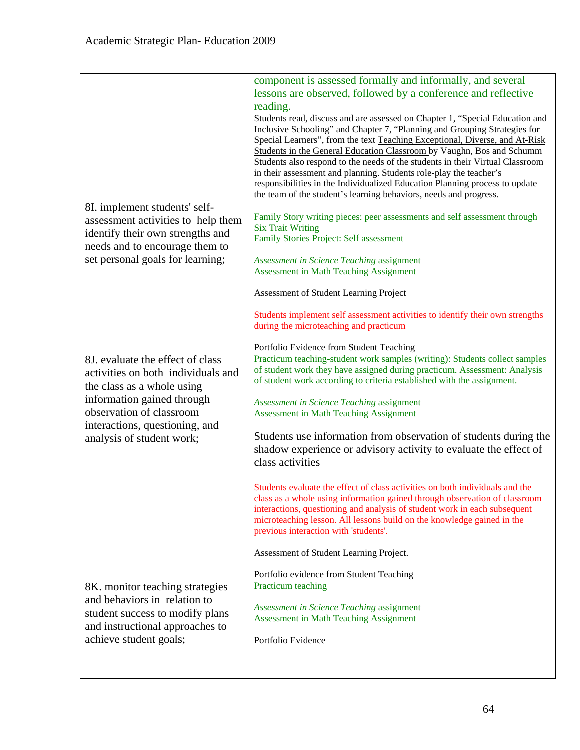|                                                                                                                                                                                                                               | component is assessed formally and informally, and several<br>lessons are observed, followed by a conference and reflective<br>reading.<br>Students read, discuss and are assessed on Chapter 1, "Special Education and<br>Inclusive Schooling" and Chapter 7, "Planning and Grouping Strategies for<br>Special Learners", from the text Teaching Exceptional, Diverse, and At-Risk<br>Students in the General Education Classroom by Vaughn, Bos and Schumm<br>Students also respond to the needs of the students in their Virtual Classroom<br>in their assessment and planning. Students role-play the teacher's<br>responsibilities in the Individualized Education Planning process to update<br>the team of the student's learning behaviors, needs and progress.                                                                                                                                                                                                                       |
|-------------------------------------------------------------------------------------------------------------------------------------------------------------------------------------------------------------------------------|-----------------------------------------------------------------------------------------------------------------------------------------------------------------------------------------------------------------------------------------------------------------------------------------------------------------------------------------------------------------------------------------------------------------------------------------------------------------------------------------------------------------------------------------------------------------------------------------------------------------------------------------------------------------------------------------------------------------------------------------------------------------------------------------------------------------------------------------------------------------------------------------------------------------------------------------------------------------------------------------------|
| 8I. implement students' self-<br>assessment activities to help them<br>identify their own strengths and<br>needs and to encourage them to<br>set personal goals for learning;                                                 | Family Story writing pieces: peer assessments and self assessment through<br><b>Six Trait Writing</b><br>Family Stories Project: Self assessment<br>Assessment in Science Teaching assignment<br><b>Assessment in Math Teaching Assignment</b>                                                                                                                                                                                                                                                                                                                                                                                                                                                                                                                                                                                                                                                                                                                                                |
|                                                                                                                                                                                                                               | Assessment of Student Learning Project<br>Students implement self assessment activities to identify their own strengths<br>during the microteaching and practicum                                                                                                                                                                                                                                                                                                                                                                                                                                                                                                                                                                                                                                                                                                                                                                                                                             |
| 8J. evaluate the effect of class<br>activities on both individuals and<br>the class as a whole using<br>information gained through<br>observation of classroom<br>interactions, questioning, and<br>analysis of student work; | Portfolio Evidence from Student Teaching<br>Practicum teaching-student work samples (writing): Students collect samples<br>of student work they have assigned during practicum. Assessment: Analysis<br>of student work according to criteria established with the assignment.<br>Assessment in Science Teaching assignment<br><b>Assessment in Math Teaching Assignment</b><br>Students use information from observation of students during the<br>shadow experience or advisory activity to evaluate the effect of<br>class activities<br>Students evaluate the effect of class activities on both individuals and the<br>class as a whole using information gained through observation of classroom<br>interactions, questioning and analysis of student work in each subsequent<br>microteaching lesson. All lessons build on the knowledge gained in the<br>previous interaction with 'students'.<br>Assessment of Student Learning Project.<br>Portfolio evidence from Student Teaching |
| 8K. monitor teaching strategies<br>and behaviors in relation to<br>student success to modify plans<br>and instructional approaches to<br>achieve student goals;                                                               | Practicum teaching<br>Assessment in Science Teaching assignment<br><b>Assessment in Math Teaching Assignment</b><br>Portfolio Evidence                                                                                                                                                                                                                                                                                                                                                                                                                                                                                                                                                                                                                                                                                                                                                                                                                                                        |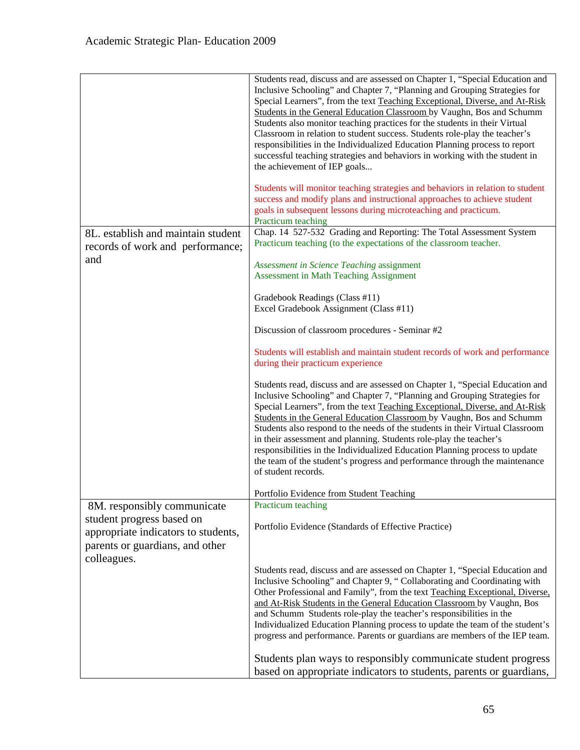|                                                                                                                                                   | Students read, discuss and are assessed on Chapter 1, "Special Education and<br>Inclusive Schooling" and Chapter 7, "Planning and Grouping Strategies for<br>Special Learners", from the text Teaching Exceptional, Diverse, and At-Risk<br>Students in the General Education Classroom by Vaughn, Bos and Schumm<br>Students also monitor teaching practices for the students in their Virtual<br>Classroom in relation to student success. Students role-play the teacher's<br>responsibilities in the Individualized Education Planning process to report<br>successful teaching strategies and behaviors in working with the student in<br>the achievement of IEP goals |
|---------------------------------------------------------------------------------------------------------------------------------------------------|-----------------------------------------------------------------------------------------------------------------------------------------------------------------------------------------------------------------------------------------------------------------------------------------------------------------------------------------------------------------------------------------------------------------------------------------------------------------------------------------------------------------------------------------------------------------------------------------------------------------------------------------------------------------------------|
|                                                                                                                                                   | Students will monitor teaching strategies and behaviors in relation to student<br>success and modify plans and instructional approaches to achieve student<br>goals in subsequent lessons during microteaching and practicum.<br>Practicum teaching                                                                                                                                                                                                                                                                                                                                                                                                                         |
| 8L. establish and maintain student<br>records of work and performance;                                                                            | Chap. 14 527-532 Grading and Reporting: The Total Assessment System<br>Practicum teaching (to the expectations of the classroom teacher.                                                                                                                                                                                                                                                                                                                                                                                                                                                                                                                                    |
| and                                                                                                                                               | Assessment in Science Teaching assignment<br><b>Assessment in Math Teaching Assignment</b>                                                                                                                                                                                                                                                                                                                                                                                                                                                                                                                                                                                  |
|                                                                                                                                                   | Gradebook Readings (Class #11)<br>Excel Gradebook Assignment (Class #11)                                                                                                                                                                                                                                                                                                                                                                                                                                                                                                                                                                                                    |
|                                                                                                                                                   | Discussion of classroom procedures - Seminar #2                                                                                                                                                                                                                                                                                                                                                                                                                                                                                                                                                                                                                             |
|                                                                                                                                                   | Students will establish and maintain student records of work and performance<br>during their practicum experience                                                                                                                                                                                                                                                                                                                                                                                                                                                                                                                                                           |
|                                                                                                                                                   | Students read, discuss and are assessed on Chapter 1, "Special Education and<br>Inclusive Schooling" and Chapter 7, "Planning and Grouping Strategies for<br>Special Learners", from the text Teaching Exceptional, Diverse, and At-Risk<br>Students in the General Education Classroom by Vaughn, Bos and Schumm<br>Students also respond to the needs of the students in their Virtual Classroom<br>in their assessment and planning. Students role-play the teacher's<br>responsibilities in the Individualized Education Planning process to update<br>the team of the student's progress and performance through the maintenance<br>of student records.                |
|                                                                                                                                                   | Portfolio Evidence from Student Teaching                                                                                                                                                                                                                                                                                                                                                                                                                                                                                                                                                                                                                                    |
| 8M. responsibly communicate<br>student progress based on<br>appropriate indicators to students,<br>parents or guardians, and other<br>colleagues. | Practicum teaching<br>Portfolio Evidence (Standards of Effective Practice)                                                                                                                                                                                                                                                                                                                                                                                                                                                                                                                                                                                                  |
|                                                                                                                                                   | Students read, discuss and are assessed on Chapter 1, "Special Education and<br>Inclusive Schooling" and Chapter 9, "Collaborating and Coordinating with<br>Other Professional and Family", from the text Teaching Exceptional, Diverse,<br>and At-Risk Students in the General Education Classroom by Vaughn, Bos<br>and Schumm Students role-play the teacher's responsibilities in the<br>Individualized Education Planning process to update the team of the student's<br>progress and performance. Parents or guardians are members of the IEP team.                                                                                                                   |
|                                                                                                                                                   | Students plan ways to responsibly communicate student progress<br>based on appropriate indicators to students, parents or guardians,                                                                                                                                                                                                                                                                                                                                                                                                                                                                                                                                        |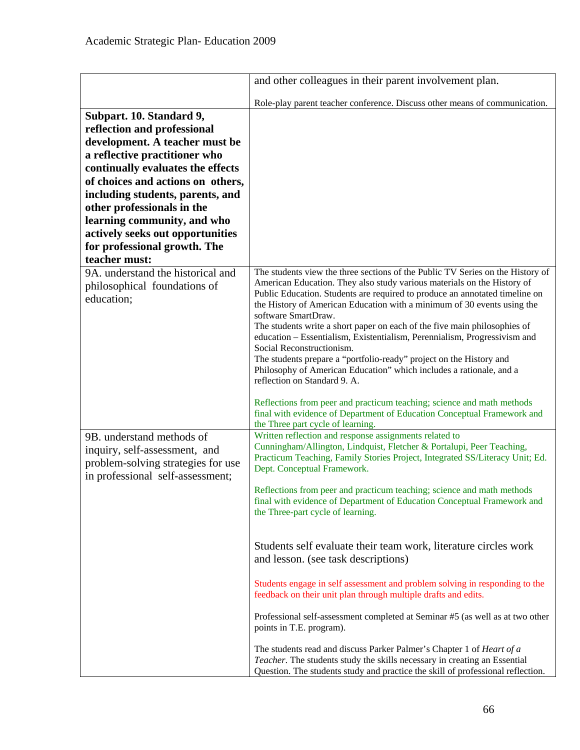|                                                                                                                                                                                                                                                                                                                                                                                            | and other colleagues in their parent involvement plan.                                                                                                                                                                                                                                                                                                                                                                                                                                                                                                                                                                                                                                                                                                                                                                                                                                                                                                                                                                                                    |
|--------------------------------------------------------------------------------------------------------------------------------------------------------------------------------------------------------------------------------------------------------------------------------------------------------------------------------------------------------------------------------------------|-----------------------------------------------------------------------------------------------------------------------------------------------------------------------------------------------------------------------------------------------------------------------------------------------------------------------------------------------------------------------------------------------------------------------------------------------------------------------------------------------------------------------------------------------------------------------------------------------------------------------------------------------------------------------------------------------------------------------------------------------------------------------------------------------------------------------------------------------------------------------------------------------------------------------------------------------------------------------------------------------------------------------------------------------------------|
|                                                                                                                                                                                                                                                                                                                                                                                            | Role-play parent teacher conference. Discuss other means of communication.                                                                                                                                                                                                                                                                                                                                                                                                                                                                                                                                                                                                                                                                                                                                                                                                                                                                                                                                                                                |
| Subpart. 10. Standard 9,<br>reflection and professional<br>development. A teacher must be<br>a reflective practitioner who<br>continually evaluates the effects<br>of choices and actions on others,<br>including students, parents, and<br>other professionals in the<br>learning community, and who<br>actively seeks out opportunities<br>for professional growth. The<br>teacher must: |                                                                                                                                                                                                                                                                                                                                                                                                                                                                                                                                                                                                                                                                                                                                                                                                                                                                                                                                                                                                                                                           |
| 9A. understand the historical and<br>philosophical foundations of<br>education;                                                                                                                                                                                                                                                                                                            | The students view the three sections of the Public TV Series on the History of<br>American Education. They also study various materials on the History of<br>Public Education. Students are required to produce an annotated timeline on<br>the History of American Education with a minimum of 30 events using the<br>software SmartDraw.<br>The students write a short paper on each of the five main philosophies of<br>education - Essentialism, Existentialism, Perennialism, Progressivism and<br>Social Reconstructionism.<br>The students prepare a "portfolio-ready" project on the History and<br>Philosophy of American Education" which includes a rationale, and a<br>reflection on Standard 9. A.<br>Reflections from peer and practicum teaching; science and math methods<br>final with evidence of Department of Education Conceptual Framework and<br>the Three part cycle of learning.                                                                                                                                                 |
| 9B. understand methods of<br>inquiry, self-assessment, and<br>problem-solving strategies for use<br>in professional self-assessment;                                                                                                                                                                                                                                                       | Written reflection and response assignments related to<br>Cunningham/Allington, Lindquist, Fletcher & Portalupi, Peer Teaching,<br>Practicum Teaching, Family Stories Project, Integrated SS/Literacy Unit; Ed.<br>Dept. Conceptual Framework.<br>Reflections from peer and practicum teaching; science and math methods<br>final with evidence of Department of Education Conceptual Framework and<br>the Three-part cycle of learning.<br>Students self evaluate their team work, literature circles work<br>and lesson. (see task descriptions)<br>Students engage in self assessment and problem solving in responding to the<br>feedback on their unit plan through multiple drafts and edits.<br>Professional self-assessment completed at Seminar #5 (as well as at two other<br>points in T.E. program).<br>The students read and discuss Parker Palmer's Chapter 1 of Heart of a<br>Teacher. The students study the skills necessary in creating an Essential<br>Question. The students study and practice the skill of professional reflection. |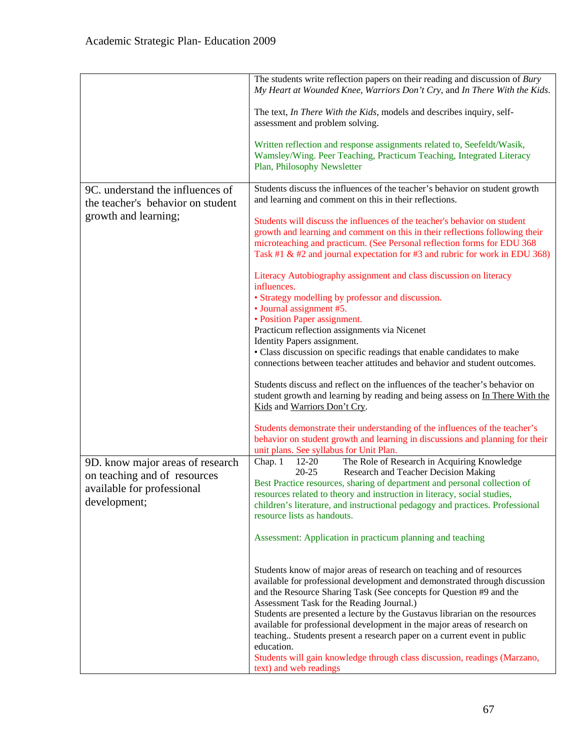|                                                                                                                | The students write reflection papers on their reading and discussion of Bury<br>My Heart at Wounded Knee, Warriors Don't Cry, and In There With the Kids.                                                                                                                                                                                                                                                                                                                                                                   |
|----------------------------------------------------------------------------------------------------------------|-----------------------------------------------------------------------------------------------------------------------------------------------------------------------------------------------------------------------------------------------------------------------------------------------------------------------------------------------------------------------------------------------------------------------------------------------------------------------------------------------------------------------------|
|                                                                                                                | The text, <i>In There With the Kids</i> , models and describes inquiry, self-<br>assessment and problem solving.                                                                                                                                                                                                                                                                                                                                                                                                            |
|                                                                                                                | Written reflection and response assignments related to, Seefeldt/Wasik,<br>Wamsley/Wing. Peer Teaching, Practicum Teaching, Integrated Literacy<br>Plan, Philosophy Newsletter                                                                                                                                                                                                                                                                                                                                              |
| 9C. understand the influences of<br>the teacher's behavior on student                                          | Students discuss the influences of the teacher's behavior on student growth<br>and learning and comment on this in their reflections.                                                                                                                                                                                                                                                                                                                                                                                       |
| growth and learning;                                                                                           | Students will discuss the influences of the teacher's behavior on student<br>growth and learning and comment on this in their reflections following their<br>microteaching and practicum. (See Personal reflection forms for EDU 368<br>Task #1 & #2 and journal expectation for #3 and rubric for work in EDU 368)                                                                                                                                                                                                         |
|                                                                                                                | Literacy Autobiography assignment and class discussion on literacy<br>influences.                                                                                                                                                                                                                                                                                                                                                                                                                                           |
|                                                                                                                | • Strategy modelling by professor and discussion.<br>• Journal assignment #5.<br>• Position Paper assignment.                                                                                                                                                                                                                                                                                                                                                                                                               |
|                                                                                                                | Practicum reflection assignments via Nicenet<br>Identity Papers assignment.                                                                                                                                                                                                                                                                                                                                                                                                                                                 |
|                                                                                                                | • Class discussion on specific readings that enable candidates to make<br>connections between teacher attitudes and behavior and student outcomes.                                                                                                                                                                                                                                                                                                                                                                          |
|                                                                                                                | Students discuss and reflect on the influences of the teacher's behavior on<br>student growth and learning by reading and being assess on In There With the<br>Kids and Warriors Don't Cry.                                                                                                                                                                                                                                                                                                                                 |
|                                                                                                                | Students demonstrate their understanding of the influences of the teacher's<br>behavior on student growth and learning in discussions and planning for their<br>unit plans. See syllabus for Unit Plan.                                                                                                                                                                                                                                                                                                                     |
| 9D. know major areas of research<br>on teaching and of resources<br>available for professional<br>development; | The Role of Research in Acquiring Knowledge<br>Chap. 1<br>$12 - 20$<br>$20 - 25$<br>Research and Teacher Decision Making<br>Best Practice resources, sharing of department and personal collection of<br>resources related to theory and instruction in literacy, social studies,<br>children's literature, and instructional pedagogy and practices. Professional<br>resource lists as handouts.                                                                                                                           |
|                                                                                                                | Assessment: Application in practicum planning and teaching                                                                                                                                                                                                                                                                                                                                                                                                                                                                  |
|                                                                                                                | Students know of major areas of research on teaching and of resources<br>available for professional development and demonstrated through discussion<br>and the Resource Sharing Task (See concepts for Question #9 and the<br>Assessment Task for the Reading Journal.)<br>Students are presented a lecture by the Gustavus librarian on the resources<br>available for professional development in the major areas of research on<br>teaching Students present a research paper on a current event in public<br>education. |
|                                                                                                                | Students will gain knowledge through class discussion, readings (Marzano,<br>text) and web readings                                                                                                                                                                                                                                                                                                                                                                                                                         |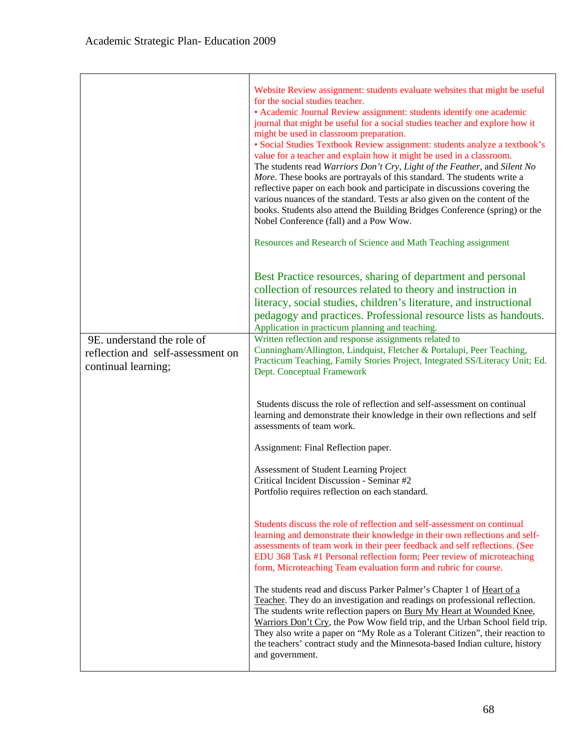|                                                                                        | Website Review assignment: students evaluate websites that might be useful<br>for the social studies teacher.<br>• Academic Journal Review assignment: students identify one academic<br>journal that might be useful for a social studies teacher and explore how it<br>might be used in classroom preparation.<br>· Social Studies Textbook Review assignment: students analyze a textbook's<br>value for a teacher and explain how it might be used in a classroom.<br>The students read Warriors Don't Cry, Light of the Feather, and Silent No<br>More. These books are portrayals of this standard. The students write a<br>reflective paper on each book and participate in discussions covering the<br>various nuances of the standard. Tests ar also given on the content of the<br>books. Students also attend the Building Bridges Conference (spring) or the<br>Nobel Conference (fall) and a Pow Wow.<br>Resources and Research of Science and Math Teaching assignment |
|----------------------------------------------------------------------------------------|--------------------------------------------------------------------------------------------------------------------------------------------------------------------------------------------------------------------------------------------------------------------------------------------------------------------------------------------------------------------------------------------------------------------------------------------------------------------------------------------------------------------------------------------------------------------------------------------------------------------------------------------------------------------------------------------------------------------------------------------------------------------------------------------------------------------------------------------------------------------------------------------------------------------------------------------------------------------------------------|
|                                                                                        | Best Practice resources, sharing of department and personal<br>collection of resources related to theory and instruction in<br>literacy, social studies, children's literature, and instructional<br>pedagogy and practices. Professional resource lists as handouts.<br>Application in practicum planning and teaching.                                                                                                                                                                                                                                                                                                                                                                                                                                                                                                                                                                                                                                                             |
| 9E. understand the role of<br>reflection and self-assessment on<br>continual learning; | Written reflection and response assignments related to<br>Cunningham/Allington, Lindquist, Fletcher & Portalupi, Peer Teaching,<br>Practicum Teaching, Family Stories Project, Integrated SS/Literacy Unit; Ed.<br>Dept. Conceptual Framework                                                                                                                                                                                                                                                                                                                                                                                                                                                                                                                                                                                                                                                                                                                                        |
|                                                                                        | Students discuss the role of reflection and self-assessment on continual<br>learning and demonstrate their knowledge in their own reflections and self<br>assessments of team work.                                                                                                                                                                                                                                                                                                                                                                                                                                                                                                                                                                                                                                                                                                                                                                                                  |
|                                                                                        | Assignment: Final Reflection paper.                                                                                                                                                                                                                                                                                                                                                                                                                                                                                                                                                                                                                                                                                                                                                                                                                                                                                                                                                  |
|                                                                                        | Assessment of Student Learning Project<br>Critical Incident Discussion - Seminar #2<br>Portfolio requires reflection on each standard.                                                                                                                                                                                                                                                                                                                                                                                                                                                                                                                                                                                                                                                                                                                                                                                                                                               |
|                                                                                        | Students discuss the role of reflection and self-assessment on continual<br>learning and demonstrate their knowledge in their own reflections and self-<br>assessments of team work in their peer feedback and self reflections. (See<br>EDU 368 Task #1 Personal reflection form; Peer review of microteaching<br>form, Microteaching Team evaluation form and rubric for course.                                                                                                                                                                                                                                                                                                                                                                                                                                                                                                                                                                                                   |
|                                                                                        | The students read and discuss Parker Palmer's Chapter 1 of Heart of a<br>Teacher. They do an investigation and readings on professional reflection.<br>The students write reflection papers on Bury My Heart at Wounded Knee,<br>Warriors Don't Cry, the Pow Wow field trip, and the Urban School field trip.<br>They also write a paper on "My Role as a Tolerant Citizen", their reaction to<br>the teachers' contract study and the Minnesota-based Indian culture, history<br>and government.                                                                                                                                                                                                                                                                                                                                                                                                                                                                                    |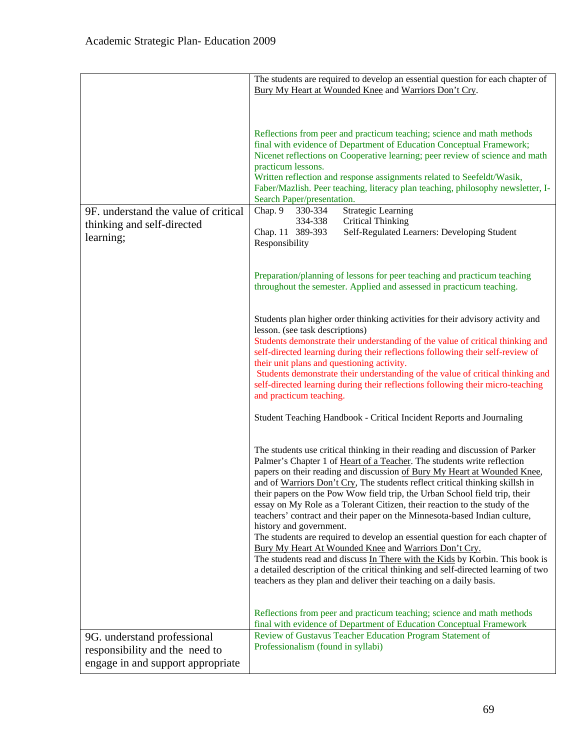|                                                                     | The students are required to develop an essential question for each chapter of<br>Bury My Heart at Wounded Knee and Warriors Don't Cry.                                                                                                                                                                                                                                                                                                                                                                                                                                                                                                                                                                                                                                                                                                                                                                                                                                       |
|---------------------------------------------------------------------|-------------------------------------------------------------------------------------------------------------------------------------------------------------------------------------------------------------------------------------------------------------------------------------------------------------------------------------------------------------------------------------------------------------------------------------------------------------------------------------------------------------------------------------------------------------------------------------------------------------------------------------------------------------------------------------------------------------------------------------------------------------------------------------------------------------------------------------------------------------------------------------------------------------------------------------------------------------------------------|
| 9F. understand the value of critical                                | Reflections from peer and practicum teaching; science and math methods<br>final with evidence of Department of Education Conceptual Framework;<br>Nicenet reflections on Cooperative learning; peer review of science and math<br>practicum lessons.<br>Written reflection and response assignments related to Seefeldt/Wasik,<br>Faber/Mazlish. Peer teaching, literacy plan teaching, philosophy newsletter, I-<br>Search Paper/presentation.<br><b>Strategic Learning</b><br>Chap. 9<br>330-334                                                                                                                                                                                                                                                                                                                                                                                                                                                                            |
| thinking and self-directed<br>learning;                             | 334-338<br><b>Critical Thinking</b><br>Chap. 11 389-393<br>Self-Regulated Learners: Developing Student<br>Responsibility                                                                                                                                                                                                                                                                                                                                                                                                                                                                                                                                                                                                                                                                                                                                                                                                                                                      |
|                                                                     | Preparation/planning of lessons for peer teaching and practicum teaching<br>throughout the semester. Applied and assessed in practicum teaching.                                                                                                                                                                                                                                                                                                                                                                                                                                                                                                                                                                                                                                                                                                                                                                                                                              |
|                                                                     | Students plan higher order thinking activities for their advisory activity and<br>lesson. (see task descriptions)<br>Students demonstrate their understanding of the value of critical thinking and<br>self-directed learning during their reflections following their self-review of<br>their unit plans and questioning activity.<br>Students demonstrate their understanding of the value of critical thinking and<br>self-directed learning during their reflections following their micro-teaching<br>and practicum teaching.<br>Student Teaching Handbook - Critical Incident Reports and Journaling                                                                                                                                                                                                                                                                                                                                                                    |
|                                                                     | The students use critical thinking in their reading and discussion of Parker<br>Palmer's Chapter 1 of Heart of a Teacher. The students write reflection<br>papers on their reading and discussion of Bury My Heart at Wounded Knee,<br>and of Warriors Don't Cry, The students reflect critical thinking skillsh in<br>their papers on the Pow Wow field trip, the Urban School field trip, their<br>essay on My Role as a Tolerant Citizen, their reaction to the study of the<br>teachers' contract and their paper on the Minnesota-based Indian culture,<br>history and government.<br>The students are required to develop an essential question for each chapter of<br>Bury My Heart At Wounded Knee and Warriors Don't Cry.<br>The students read and discuss In There with the Kids by Korbin. This book is<br>a detailed description of the critical thinking and self-directed learning of two<br>teachers as they plan and deliver their teaching on a daily basis. |
| 9G. understand professional                                         | Reflections from peer and practicum teaching; science and math methods<br>final with evidence of Department of Education Conceptual Framework<br>Review of Gustavus Teacher Education Program Statement of                                                                                                                                                                                                                                                                                                                                                                                                                                                                                                                                                                                                                                                                                                                                                                    |
| responsibility and the need to<br>engage in and support appropriate | Professionalism (found in syllabi)                                                                                                                                                                                                                                                                                                                                                                                                                                                                                                                                                                                                                                                                                                                                                                                                                                                                                                                                            |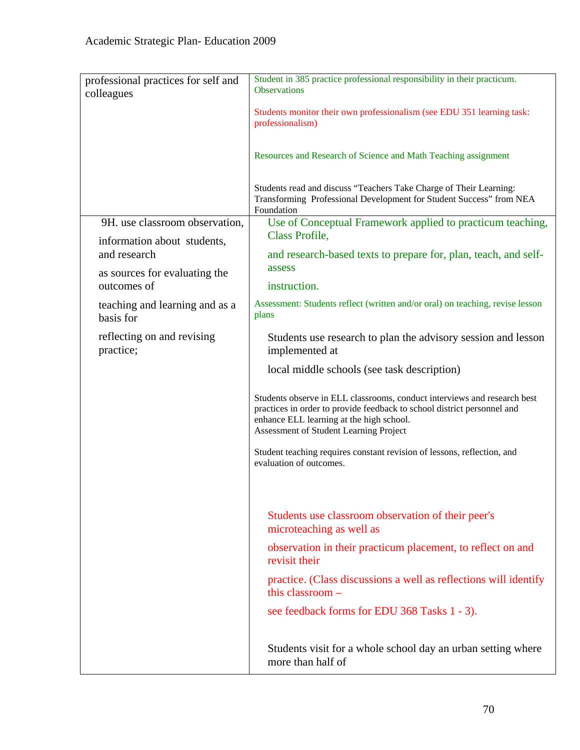| professional practices for self and<br>colleagues | Student in 385 practice professional responsibility in their practicum.<br><b>Observations</b>                                                                                                                                            |
|---------------------------------------------------|-------------------------------------------------------------------------------------------------------------------------------------------------------------------------------------------------------------------------------------------|
|                                                   | Students monitor their own professionalism (see EDU 351 learning task:<br>professionalism)                                                                                                                                                |
|                                                   | Resources and Research of Science and Math Teaching assignment                                                                                                                                                                            |
|                                                   | Students read and discuss "Teachers Take Charge of Their Learning:<br>Transforming Professional Development for Student Success" from NEA<br>Foundation                                                                                   |
| 9H. use classroom observation,                    | Use of Conceptual Framework applied to practicum teaching,<br>Class Profile,                                                                                                                                                              |
| information about students,<br>and research       | and research-based texts to prepare for, plan, teach, and self-                                                                                                                                                                           |
| as sources for evaluating the<br>outcomes of      | assess<br>instruction.                                                                                                                                                                                                                    |
| teaching and learning and as a<br>basis for       | Assessment: Students reflect (written and/or oral) on teaching, revise lesson<br>plans                                                                                                                                                    |
| reflecting on and revising<br>practice;           | Students use research to plan the advisory session and lesson<br>implemented at                                                                                                                                                           |
|                                                   | local middle schools (see task description)                                                                                                                                                                                               |
|                                                   | Students observe in ELL classrooms, conduct interviews and research best<br>practices in order to provide feedback to school district personnel and<br>enhance ELL learning at the high school.<br>Assessment of Student Learning Project |
|                                                   | Student teaching requires constant revision of lessons, reflection, and<br>evaluation of outcomes.                                                                                                                                        |
|                                                   |                                                                                                                                                                                                                                           |
|                                                   | Students use classroom observation of their peer's<br>microteaching as well as                                                                                                                                                            |
|                                                   | observation in their practicum placement, to reflect on and<br>revisit their                                                                                                                                                              |
|                                                   | practice. (Class discussions a well as reflections will identify<br>this classroom $-$                                                                                                                                                    |
|                                                   | see feedback forms for EDU 368 Tasks 1 - 3).                                                                                                                                                                                              |
|                                                   | Students visit for a whole school day an urban setting where<br>more than half of                                                                                                                                                         |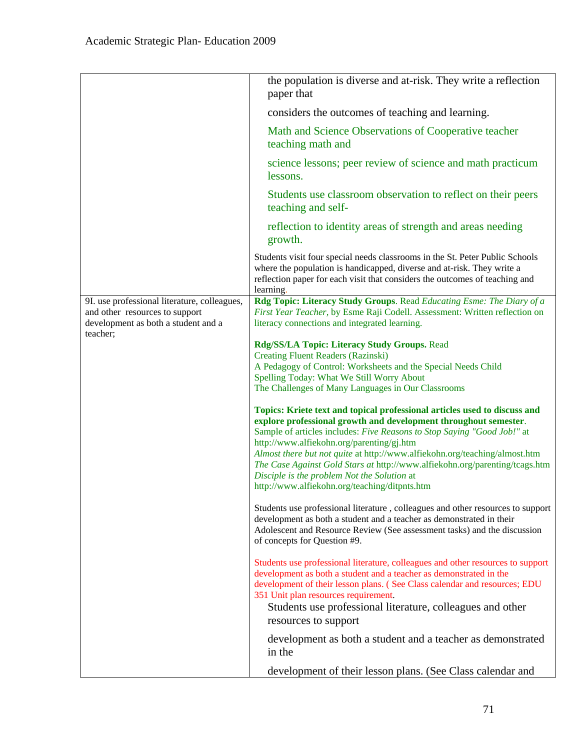|                                                                                                                                   | the population is diverse and at-risk. They write a reflection<br>paper that                                                                                                                                                                                          |
|-----------------------------------------------------------------------------------------------------------------------------------|-----------------------------------------------------------------------------------------------------------------------------------------------------------------------------------------------------------------------------------------------------------------------|
|                                                                                                                                   | considers the outcomes of teaching and learning.                                                                                                                                                                                                                      |
|                                                                                                                                   | Math and Science Observations of Cooperative teacher<br>teaching math and                                                                                                                                                                                             |
|                                                                                                                                   | science lessons; peer review of science and math practicum<br>lessons.                                                                                                                                                                                                |
|                                                                                                                                   | Students use classroom observation to reflect on their peers<br>teaching and self-                                                                                                                                                                                    |
|                                                                                                                                   | reflection to identity areas of strength and areas needing<br>growth.                                                                                                                                                                                                 |
|                                                                                                                                   | Students visit four special needs classrooms in the St. Peter Public Schools<br>where the population is handicapped, diverse and at-risk. They write a<br>reflection paper for each visit that considers the outcomes of teaching and<br>learning.                    |
| 9I. use professional literature, colleagues,<br>and other resources to support<br>development as both a student and a<br>teacher; | Rdg Topic: Literacy Study Groups. Read Educating Esme: The Diary of a<br>First Year Teacher, by Esme Raji Codell. Assessment: Written reflection on<br>literacy connections and integrated learning.                                                                  |
|                                                                                                                                   | Rdg/SS/LA Topic: Literacy Study Groups. Read                                                                                                                                                                                                                          |
|                                                                                                                                   | <b>Creating Fluent Readers (Razinski)</b><br>A Pedagogy of Control: Worksheets and the Special Needs Child                                                                                                                                                            |
|                                                                                                                                   | Spelling Today: What We Still Worry About                                                                                                                                                                                                                             |
|                                                                                                                                   | The Challenges of Many Languages in Our Classrooms                                                                                                                                                                                                                    |
|                                                                                                                                   | Topics: Kriete text and topical professional articles used to discuss and<br>explore professional growth and development throughout semester.<br>Sample of articles includes: Five Reasons to Stop Saying "Good Job!" at<br>http://www.alfiekohn.org/parenting/gj.htm |
|                                                                                                                                   | Almost there but not quite at http://www.alfiekohn.org/teaching/almost.htm                                                                                                                                                                                            |
|                                                                                                                                   | The Case Against Gold Stars at http://www.alfiekohn.org/parenting/tcags.htm<br>Disciple is the problem Not the Solution at                                                                                                                                            |
|                                                                                                                                   | http://www.alfiekohn.org/teaching/ditpnts.htm                                                                                                                                                                                                                         |
|                                                                                                                                   | Students use professional literature, colleagues and other resources to support<br>development as both a student and a teacher as demonstrated in their<br>Adolescent and Resource Review (See assessment tasks) and the discussion<br>of concepts for Question #9.   |
|                                                                                                                                   | Students use professional literature, colleagues and other resources to support<br>development as both a student and a teacher as demonstrated in the<br>development of their lesson plans. (See Class calendar and resources; EDU                                    |
|                                                                                                                                   | 351 Unit plan resources requirement.<br>Students use professional literature, colleagues and other<br>resources to support                                                                                                                                            |
|                                                                                                                                   | development as both a student and a teacher as demonstrated<br>in the                                                                                                                                                                                                 |
|                                                                                                                                   | development of their lesson plans. (See Class calendar and                                                                                                                                                                                                            |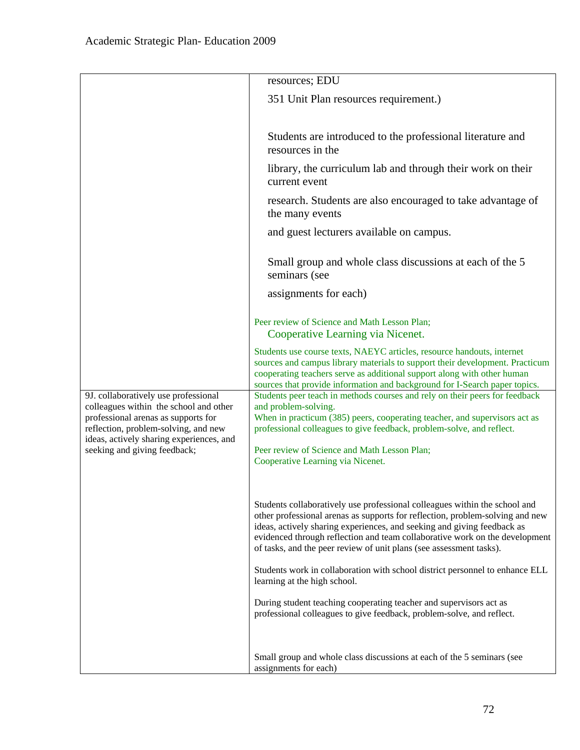|                                                                                                                                                               | resources; EDU                                                                                                                                                                                                                                                                                                                                                                               |
|---------------------------------------------------------------------------------------------------------------------------------------------------------------|----------------------------------------------------------------------------------------------------------------------------------------------------------------------------------------------------------------------------------------------------------------------------------------------------------------------------------------------------------------------------------------------|
|                                                                                                                                                               | 351 Unit Plan resources requirement.)                                                                                                                                                                                                                                                                                                                                                        |
|                                                                                                                                                               |                                                                                                                                                                                                                                                                                                                                                                                              |
|                                                                                                                                                               | Students are introduced to the professional literature and<br>resources in the                                                                                                                                                                                                                                                                                                               |
|                                                                                                                                                               | library, the curriculum lab and through their work on their<br>current event                                                                                                                                                                                                                                                                                                                 |
|                                                                                                                                                               | research. Students are also encouraged to take advantage of<br>the many events                                                                                                                                                                                                                                                                                                               |
|                                                                                                                                                               | and guest lecturers available on campus.                                                                                                                                                                                                                                                                                                                                                     |
|                                                                                                                                                               | Small group and whole class discussions at each of the 5<br>seminars (see                                                                                                                                                                                                                                                                                                                    |
|                                                                                                                                                               | assignments for each)                                                                                                                                                                                                                                                                                                                                                                        |
|                                                                                                                                                               | Peer review of Science and Math Lesson Plan;<br>Cooperative Learning via Nicenet.                                                                                                                                                                                                                                                                                                            |
|                                                                                                                                                               | Students use course texts, NAEYC articles, resource handouts, internet<br>sources and campus library materials to support their development. Practicum<br>cooperating teachers serve as additional support along with other human<br>sources that provide information and background for I-Search paper topics.                                                                              |
| 9J. collaboratively use professional<br>colleagues within the school and other<br>professional arenas as supports for<br>reflection, problem-solving, and new | Students peer teach in methods courses and rely on their peers for feedback<br>and problem-solving.<br>When in practicum (385) peers, cooperating teacher, and supervisors act as<br>professional colleagues to give feedback, problem-solve, and reflect.                                                                                                                                   |
| ideas, actively sharing experiences, and<br>seeking and giving feedback;                                                                                      | Peer review of Science and Math Lesson Plan;<br>Cooperative Learning via Nicenet.                                                                                                                                                                                                                                                                                                            |
|                                                                                                                                                               | Students collaboratively use professional colleagues within the school and<br>other professional arenas as supports for reflection, problem-solving and new<br>ideas, actively sharing experiences, and seeking and giving feedback as<br>evidenced through reflection and team collaborative work on the development<br>of tasks, and the peer review of unit plans (see assessment tasks). |
|                                                                                                                                                               | Students work in collaboration with school district personnel to enhance ELL<br>learning at the high school.                                                                                                                                                                                                                                                                                 |
|                                                                                                                                                               | During student teaching cooperating teacher and supervisors act as<br>professional colleagues to give feedback, problem-solve, and reflect.                                                                                                                                                                                                                                                  |
|                                                                                                                                                               | Small group and whole class discussions at each of the 5 seminars (see<br>assignments for each)                                                                                                                                                                                                                                                                                              |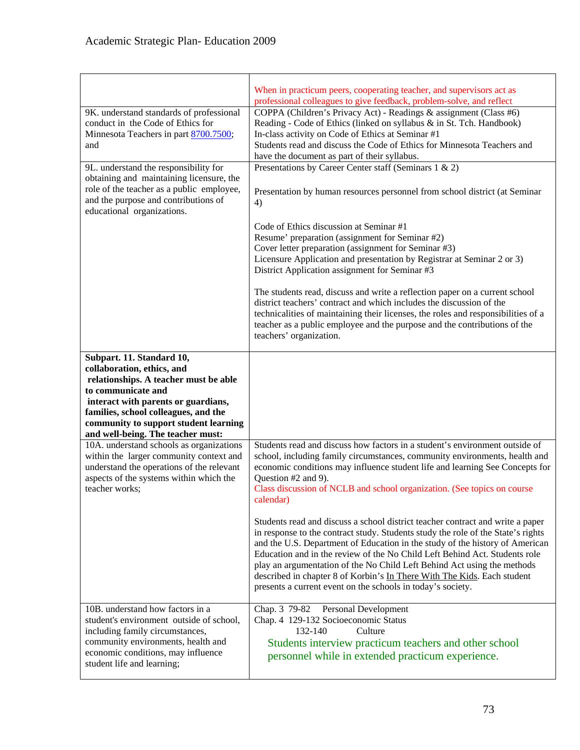| 9K. understand standards of professional<br>conduct in the Code of Ethics for<br>Minnesota Teachers in part 8700.7500;<br>and<br>9L. understand the responsibility for<br>obtaining and maintaining licensure, the<br>role of the teacher as a public employee,<br>and the purpose and contributions of<br>educational organizations. | When in practicum peers, cooperating teacher, and supervisors act as<br>professional colleagues to give feedback, problem-solve, and reflect<br>COPPA (Children's Privacy Act) - Readings & assignment (Class #6)<br>Reading - Code of Ethics (linked on syllabus & in St. Tch. Handbook)<br>In-class activity on Code of Ethics at Seminar #1<br>Students read and discuss the Code of Ethics for Minnesota Teachers and<br>have the document as part of their syllabus.<br>Presentations by Career Center staff (Seminars 1 & 2)<br>Presentation by human resources personnel from school district (at Seminar<br>4)<br>Code of Ethics discussion at Seminar #1<br>Resume' preparation (assignment for Seminar #2)<br>Cover letter preparation (assignment for Seminar #3)<br>Licensure Application and presentation by Registrar at Seminar 2 or 3)<br>District Application assignment for Seminar #3<br>The students read, discuss and write a reflection paper on a current school<br>district teachers' contract and which includes the discussion of the<br>technicalities of maintaining their licenses, the roles and responsibilities of a |
|---------------------------------------------------------------------------------------------------------------------------------------------------------------------------------------------------------------------------------------------------------------------------------------------------------------------------------------|------------------------------------------------------------------------------------------------------------------------------------------------------------------------------------------------------------------------------------------------------------------------------------------------------------------------------------------------------------------------------------------------------------------------------------------------------------------------------------------------------------------------------------------------------------------------------------------------------------------------------------------------------------------------------------------------------------------------------------------------------------------------------------------------------------------------------------------------------------------------------------------------------------------------------------------------------------------------------------------------------------------------------------------------------------------------------------------------------------------------------------------------------|
|                                                                                                                                                                                                                                                                                                                                       | teacher as a public employee and the purpose and the contributions of the<br>teachers' organization.                                                                                                                                                                                                                                                                                                                                                                                                                                                                                                                                                                                                                                                                                                                                                                                                                                                                                                                                                                                                                                                 |
| Subpart. 11. Standard 10,<br>collaboration, ethics, and<br>relationships. A teacher must be able<br>to communicate and<br>interact with parents or guardians,<br>families, school colleagues, and the<br>community to support student learning<br>and well-being. The teacher must:                                                   |                                                                                                                                                                                                                                                                                                                                                                                                                                                                                                                                                                                                                                                                                                                                                                                                                                                                                                                                                                                                                                                                                                                                                      |
| 10A. understand schools as organizations<br>within the larger community context and<br>understand the operations of the relevant<br>aspects of the systems within which the<br>teacher works;                                                                                                                                         | Students read and discuss how factors in a student's environment outside of<br>school, including family circumstances, community environments, health and<br>economic conditions may influence student life and learning See Concepts for<br>Question #2 and 9).<br>Class discussion of NCLB and school organization. (See topics on course<br>calendar)<br>Students read and discuss a school district teacher contract and write a paper<br>in response to the contract study. Students study the role of the State's rights<br>and the U.S. Department of Education in the study of the history of American<br>Education and in the review of the No Child Left Behind Act. Students role<br>play an argumentation of the No Child Left Behind Act using the methods<br>described in chapter 8 of Korbin's In There With The Kids. Each student<br>presents a current event on the schools in today's society.                                                                                                                                                                                                                                    |
| 10B. understand how factors in a<br>student's environment outside of school,<br>including family circumstances,<br>community environments, health and<br>economic conditions, may influence<br>student life and learning;                                                                                                             | Chap. 3 79-82 Personal Development<br>Chap. 4 129-132 Socioeconomic Status<br>132-140<br>Culture<br>Students interview practicum teachers and other school<br>personnel while in extended practicum experience.                                                                                                                                                                                                                                                                                                                                                                                                                                                                                                                                                                                                                                                                                                                                                                                                                                                                                                                                      |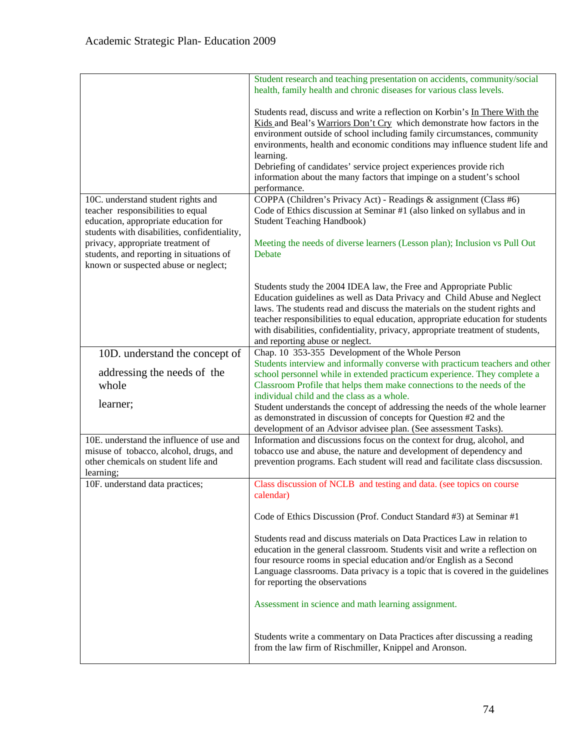|                                                                                                                                                                                                                                                  | Student research and teaching presentation on accidents, community/social<br>health, family health and chronic diseases for various class levels.                                                                                                                                                                                                                                                                                                                                                                                                                                                                                                                                                                                                                         |
|--------------------------------------------------------------------------------------------------------------------------------------------------------------------------------------------------------------------------------------------------|---------------------------------------------------------------------------------------------------------------------------------------------------------------------------------------------------------------------------------------------------------------------------------------------------------------------------------------------------------------------------------------------------------------------------------------------------------------------------------------------------------------------------------------------------------------------------------------------------------------------------------------------------------------------------------------------------------------------------------------------------------------------------|
| 10C. understand student rights and<br>teacher responsibilities to equal<br>education, appropriate education for<br>students with disabilities, confidentiality,<br>privacy, appropriate treatment of<br>students, and reporting in situations of | Students read, discuss and write a reflection on Korbin's In There With the<br>Kids and Beal's Warriors Don't Cry which demonstrate how factors in the<br>environment outside of school including family circumstances, community<br>environments, health and economic conditions may influence student life and<br>learning.<br>Debriefing of candidates' service project experiences provide rich<br>information about the many factors that impinge on a student's school<br>performance.<br>COPPA (Children's Privacy Act) - Readings & assignment (Class #6)<br>Code of Ethics discussion at Seminar #1 (also linked on syllabus and in<br><b>Student Teaching Handbook)</b><br>Meeting the needs of diverse learners (Lesson plan); Inclusion vs Pull Out<br>Debate |
| known or suspected abuse or neglect;                                                                                                                                                                                                             |                                                                                                                                                                                                                                                                                                                                                                                                                                                                                                                                                                                                                                                                                                                                                                           |
|                                                                                                                                                                                                                                                  | Students study the 2004 IDEA law, the Free and Appropriate Public<br>Education guidelines as well as Data Privacy and Child Abuse and Neglect<br>laws. The students read and discuss the materials on the student rights and<br>teacher responsibilities to equal education, appropriate education for students<br>with disabilities, confidentiality, privacy, appropriate treatment of students,<br>and reporting abuse or neglect.                                                                                                                                                                                                                                                                                                                                     |
| 10D. understand the concept of                                                                                                                                                                                                                   | Chap. 10 353-355 Development of the Whole Person                                                                                                                                                                                                                                                                                                                                                                                                                                                                                                                                                                                                                                                                                                                          |
| addressing the needs of the<br>whole                                                                                                                                                                                                             | Students interview and informally converse with practicum teachers and other<br>school personnel while in extended practicum experience. They complete a<br>Classroom Profile that helps them make connections to the needs of the                                                                                                                                                                                                                                                                                                                                                                                                                                                                                                                                        |
| learner;                                                                                                                                                                                                                                         | individual child and the class as a whole.<br>Student understands the concept of addressing the needs of the whole learner<br>as demonstrated in discussion of concepts for Question #2 and the<br>development of an Advisor advisee plan. (See assessment Tasks).                                                                                                                                                                                                                                                                                                                                                                                                                                                                                                        |
| 10E. understand the influence of use and                                                                                                                                                                                                         | Information and discussions focus on the context for drug, alcohol, and                                                                                                                                                                                                                                                                                                                                                                                                                                                                                                                                                                                                                                                                                                   |
| misuse of tobacco, alcohol, drugs, and                                                                                                                                                                                                           | tobacco use and abuse, the nature and development of dependency and                                                                                                                                                                                                                                                                                                                                                                                                                                                                                                                                                                                                                                                                                                       |
| other chemicals on student life and<br>learning;                                                                                                                                                                                                 | prevention programs. Each student will read and facilitate class discsussion.                                                                                                                                                                                                                                                                                                                                                                                                                                                                                                                                                                                                                                                                                             |
| 10F. understand data practices;                                                                                                                                                                                                                  | Class discussion of NCLB and testing and data. (see topics on course<br>calendar)                                                                                                                                                                                                                                                                                                                                                                                                                                                                                                                                                                                                                                                                                         |
|                                                                                                                                                                                                                                                  | Code of Ethics Discussion (Prof. Conduct Standard #3) at Seminar #1                                                                                                                                                                                                                                                                                                                                                                                                                                                                                                                                                                                                                                                                                                       |
|                                                                                                                                                                                                                                                  | Students read and discuss materials on Data Practices Law in relation to<br>education in the general classroom. Students visit and write a reflection on<br>four resource rooms in special education and/or English as a Second<br>Language classrooms. Data privacy is a topic that is covered in the guidelines<br>for reporting the observations                                                                                                                                                                                                                                                                                                                                                                                                                       |
|                                                                                                                                                                                                                                                  | Assessment in science and math learning assignment.                                                                                                                                                                                                                                                                                                                                                                                                                                                                                                                                                                                                                                                                                                                       |
|                                                                                                                                                                                                                                                  | Students write a commentary on Data Practices after discussing a reading<br>from the law firm of Rischmiller, Knippel and Aronson.                                                                                                                                                                                                                                                                                                                                                                                                                                                                                                                                                                                                                                        |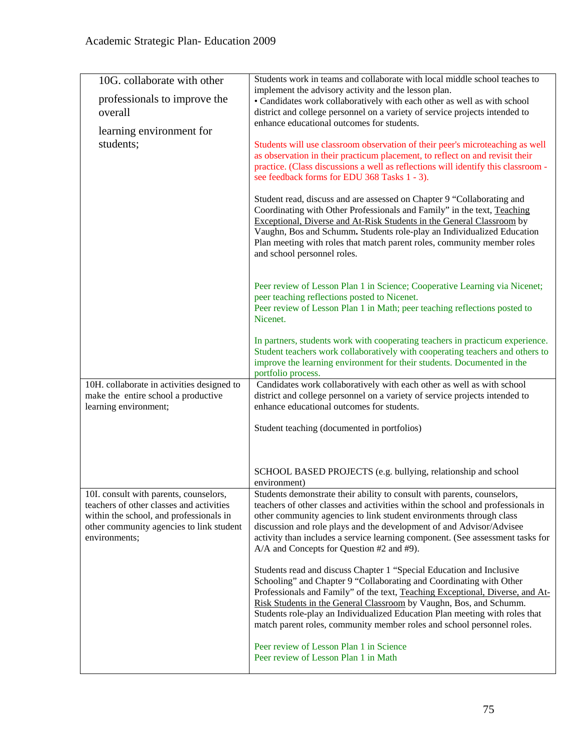| 10G. collaborate with other                                                                                                                                                                | Students work in teams and collaborate with local middle school teaches to<br>implement the advisory activity and the lesson plan.                                                                                                                                                                                                                                                                                                                          |
|--------------------------------------------------------------------------------------------------------------------------------------------------------------------------------------------|-------------------------------------------------------------------------------------------------------------------------------------------------------------------------------------------------------------------------------------------------------------------------------------------------------------------------------------------------------------------------------------------------------------------------------------------------------------|
| professionals to improve the<br>overall                                                                                                                                                    | • Candidates work collaboratively with each other as well as with school<br>district and college personnel on a variety of service projects intended to                                                                                                                                                                                                                                                                                                     |
|                                                                                                                                                                                            | enhance educational outcomes for students.                                                                                                                                                                                                                                                                                                                                                                                                                  |
| learning environment for<br>students;                                                                                                                                                      | Students will use classroom observation of their peer's microteaching as well<br>as observation in their practicum placement, to reflect on and revisit their<br>practice. (Class discussions a well as reflections will identify this classroom -<br>see feedback forms for EDU 368 Tasks 1 - 3).                                                                                                                                                          |
|                                                                                                                                                                                            | Student read, discuss and are assessed on Chapter 9 "Collaborating and<br>Coordinating with Other Professionals and Family" in the text, Teaching<br>Exceptional, Diverse and At-Risk Students in the General Classroom by<br>Vaughn, Bos and Schumm. Students role-play an Individualized Education<br>Plan meeting with roles that match parent roles, community member roles<br>and school personnel roles.                                              |
|                                                                                                                                                                                            | Peer review of Lesson Plan 1 in Science; Cooperative Learning via Nicenet;<br>peer teaching reflections posted to Nicenet.<br>Peer review of Lesson Plan 1 in Math; peer teaching reflections posted to<br>Nicenet.                                                                                                                                                                                                                                         |
|                                                                                                                                                                                            | In partners, students work with cooperating teachers in practicum experience.<br>Student teachers work collaboratively with cooperating teachers and others to<br>improve the learning environment for their students. Documented in the<br>portfolio process.                                                                                                                                                                                              |
| 10H. collaborate in activities designed to<br>make the entire school a productive<br>learning environment;                                                                                 | Candidates work collaboratively with each other as well as with school<br>district and college personnel on a variety of service projects intended to<br>enhance educational outcomes for students.                                                                                                                                                                                                                                                         |
|                                                                                                                                                                                            | Student teaching (documented in portfolios)                                                                                                                                                                                                                                                                                                                                                                                                                 |
|                                                                                                                                                                                            | SCHOOL BASED PROJECTS (e.g. bullying, relationship and school<br>environment)                                                                                                                                                                                                                                                                                                                                                                               |
| 10I. consult with parents, counselors,<br>teachers of other classes and activities<br>within the school, and professionals in<br>other community agencies to link student<br>environments; | Students demonstrate their ability to consult with parents, counselors,<br>teachers of other classes and activities within the school and professionals in<br>other community agencies to link student environments through class<br>discussion and role plays and the development of and Advisor/Advisee<br>activity than includes a service learning component. (See assessment tasks for<br>A/A and Concepts for Question #2 and #9).                    |
|                                                                                                                                                                                            | Students read and discuss Chapter 1 "Special Education and Inclusive<br>Schooling" and Chapter 9 "Collaborating and Coordinating with Other<br>Professionals and Family" of the text, Teaching Exceptional, Diverse, and At-<br>Risk Students in the General Classroom by Vaughn, Bos, and Schumm.<br>Students role-play an Individualized Education Plan meeting with roles that<br>match parent roles, community member roles and school personnel roles. |
|                                                                                                                                                                                            | Peer review of Lesson Plan 1 in Science<br>Peer review of Lesson Plan 1 in Math                                                                                                                                                                                                                                                                                                                                                                             |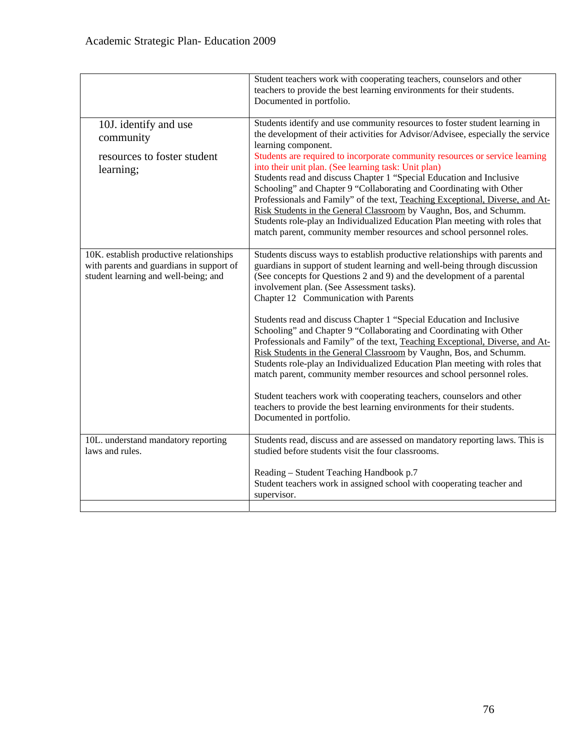|                                                                                                                             | Student teachers work with cooperating teachers, counselors and other<br>teachers to provide the best learning environments for their students.<br>Documented in portfolio.                                                                                                                                                                                                                                                                                                                                                                                                                                                                                                                                                                                                                                                                                                                                                                                            |
|-----------------------------------------------------------------------------------------------------------------------------|------------------------------------------------------------------------------------------------------------------------------------------------------------------------------------------------------------------------------------------------------------------------------------------------------------------------------------------------------------------------------------------------------------------------------------------------------------------------------------------------------------------------------------------------------------------------------------------------------------------------------------------------------------------------------------------------------------------------------------------------------------------------------------------------------------------------------------------------------------------------------------------------------------------------------------------------------------------------|
| 10J. identify and use<br>community<br>resources to foster student<br>learning;                                              | Students identify and use community resources to foster student learning in<br>the development of their activities for Advisor/Advisee, especially the service<br>learning component.<br>Students are required to incorporate community resources or service learning<br>into their unit plan. (See learning task: Unit plan)<br>Students read and discuss Chapter 1 "Special Education and Inclusive<br>Schooling" and Chapter 9 "Collaborating and Coordinating with Other<br>Professionals and Family" of the text, Teaching Exceptional, Diverse, and At-<br>Risk Students in the General Classroom by Vaughn, Bos, and Schumm.<br>Students role-play an Individualized Education Plan meeting with roles that<br>match parent, community member resources and school personnel roles.                                                                                                                                                                             |
| 10K. establish productive relationships<br>with parents and guardians in support of<br>student learning and well-being; and | Students discuss ways to establish productive relationships with parents and<br>guardians in support of student learning and well-being through discussion<br>(See concepts for Questions 2 and 9) and the development of a parental<br>involvement plan. (See Assessment tasks).<br>Chapter 12 Communication with Parents<br>Students read and discuss Chapter 1 "Special Education and Inclusive<br>Schooling" and Chapter 9 "Collaborating and Coordinating with Other<br>Professionals and Family" of the text, Teaching Exceptional, Diverse, and At-<br>Risk Students in the General Classroom by Vaughn, Bos, and Schumm.<br>Students role-play an Individualized Education Plan meeting with roles that<br>match parent, community member resources and school personnel roles.<br>Student teachers work with cooperating teachers, counselors and other<br>teachers to provide the best learning environments for their students.<br>Documented in portfolio. |
| 10L. understand mandatory reporting<br>laws and rules.                                                                      | Students read, discuss and are assessed on mandatory reporting laws. This is<br>studied before students visit the four classrooms.<br>Reading – Student Teaching Handbook p.7<br>Student teachers work in assigned school with cooperating teacher and<br>supervisor.                                                                                                                                                                                                                                                                                                                                                                                                                                                                                                                                                                                                                                                                                                  |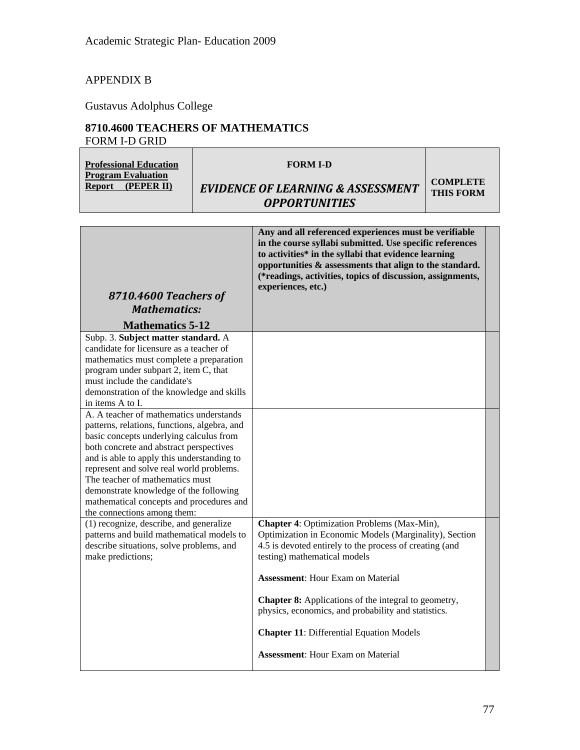# APPENDIX B

Gustavus Adolphus College

# **8710.4600 TEACHERS OF MATHEMATICS**  FORM I-D GRID

| L'OMM I-D OMD                                                                                                                                                                                                                                                                                                                                                                                                                   |                                                                                                                                                                                                                                                                                                                                                                                                                                                                   |                                     |  |
|---------------------------------------------------------------------------------------------------------------------------------------------------------------------------------------------------------------------------------------------------------------------------------------------------------------------------------------------------------------------------------------------------------------------------------|-------------------------------------------------------------------------------------------------------------------------------------------------------------------------------------------------------------------------------------------------------------------------------------------------------------------------------------------------------------------------------------------------------------------------------------------------------------------|-------------------------------------|--|
| <b>Professional Education</b><br><b>Program Evaluation</b><br><b>Report</b><br>(PEPER II)                                                                                                                                                                                                                                                                                                                                       | <b>FORM I-D</b><br><b>EVIDENCE OF LEARNING &amp; ASSESSMENT</b>                                                                                                                                                                                                                                                                                                                                                                                                   | <b>COMPLETE</b><br><b>THIS FORM</b> |  |
|                                                                                                                                                                                                                                                                                                                                                                                                                                 | <b>OPPORTUNITIES</b>                                                                                                                                                                                                                                                                                                                                                                                                                                              |                                     |  |
|                                                                                                                                                                                                                                                                                                                                                                                                                                 |                                                                                                                                                                                                                                                                                                                                                                                                                                                                   |                                     |  |
| 8710.4600 Teachers of<br><b>Mathematics:</b><br><b>Mathematics 5-12</b>                                                                                                                                                                                                                                                                                                                                                         | Any and all referenced experiences must be verifiable<br>in the course syllabi submitted. Use specific references<br>to activities* in the syllabi that evidence learning<br>opportunities & assessments that align to the standard.<br>(*readings, activities, topics of discussion, assignments,<br>experiences, etc.)                                                                                                                                          |                                     |  |
| Subp. 3. Subject matter standard. A                                                                                                                                                                                                                                                                                                                                                                                             |                                                                                                                                                                                                                                                                                                                                                                                                                                                                   |                                     |  |
| candidate for licensure as a teacher of<br>mathematics must complete a preparation<br>program under subpart 2, item C, that<br>must include the candidate's<br>demonstration of the knowledge and skills<br>in items A to I.                                                                                                                                                                                                    |                                                                                                                                                                                                                                                                                                                                                                                                                                                                   |                                     |  |
| A. A teacher of mathematics understands<br>patterns, relations, functions, algebra, and<br>basic concepts underlying calculus from<br>both concrete and abstract perspectives<br>and is able to apply this understanding to<br>represent and solve real world problems.<br>The teacher of mathematics must<br>demonstrate knowledge of the following<br>mathematical concepts and procedures and<br>the connections among them: |                                                                                                                                                                                                                                                                                                                                                                                                                                                                   |                                     |  |
| (1) recognize, describe, and generalize<br>patterns and build mathematical models to<br>describe situations, solve problems, and<br>make predictions;                                                                                                                                                                                                                                                                           | <b>Chapter 4: Optimization Problems (Max-Min),</b><br>Optimization in Economic Models (Marginality), Section<br>4.5 is devoted entirely to the process of creating (and<br>testing) mathematical models<br><b>Assessment:</b> Hour Exam on Material<br>Chapter 8: Applications of the integral to geometry,<br>physics, economics, and probability and statistics.<br><b>Chapter 11: Differential Equation Models</b><br><b>Assessment:</b> Hour Exam on Material |                                     |  |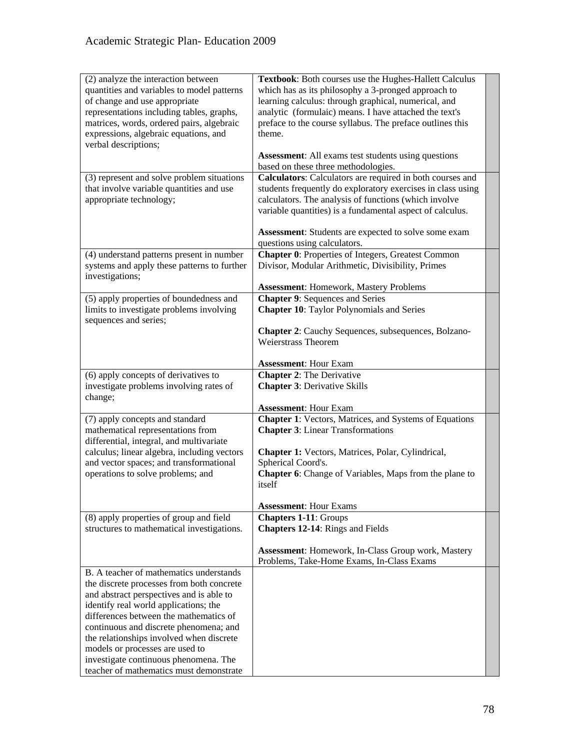| (2) analyze the interaction between<br>quantities and variables to model patterns<br>of change and use appropriate<br>representations including tables, graphs,<br>matrices, words, ordered pairs, algebraic<br>expressions, algebraic equations, and<br>verbal descriptions;                                                                                                                                                    | Textbook: Both courses use the Hughes-Hallett Calculus<br>which has as its philosophy a 3-pronged approach to<br>learning calculus: through graphical, numerical, and<br>analytic (formulaic) means. I have attached the text's<br>preface to the course syllabus. The preface outlines this<br>theme.<br><b>Assessment:</b> All exams test students using questions |  |
|----------------------------------------------------------------------------------------------------------------------------------------------------------------------------------------------------------------------------------------------------------------------------------------------------------------------------------------------------------------------------------------------------------------------------------|----------------------------------------------------------------------------------------------------------------------------------------------------------------------------------------------------------------------------------------------------------------------------------------------------------------------------------------------------------------------|--|
|                                                                                                                                                                                                                                                                                                                                                                                                                                  | based on these three methodologies.                                                                                                                                                                                                                                                                                                                                  |  |
| (3) represent and solve problem situations<br>that involve variable quantities and use<br>appropriate technology;                                                                                                                                                                                                                                                                                                                | Calculators: Calculators are required in both courses and<br>students frequently do exploratory exercises in class using<br>calculators. The analysis of functions (which involve<br>variable quantities) is a fundamental aspect of calculus.                                                                                                                       |  |
|                                                                                                                                                                                                                                                                                                                                                                                                                                  | Assessment: Students are expected to solve some exam<br>questions using calculators.                                                                                                                                                                                                                                                                                 |  |
| (4) understand patterns present in number<br>systems and apply these patterns to further<br>investigations;                                                                                                                                                                                                                                                                                                                      | Chapter 0: Properties of Integers, Greatest Common<br>Divisor, Modular Arithmetic, Divisibility, Primes                                                                                                                                                                                                                                                              |  |
|                                                                                                                                                                                                                                                                                                                                                                                                                                  | <b>Assessment: Homework, Mastery Problems</b>                                                                                                                                                                                                                                                                                                                        |  |
| (5) apply properties of boundedness and<br>limits to investigate problems involving<br>sequences and series;                                                                                                                                                                                                                                                                                                                     | <b>Chapter 9: Sequences and Series</b><br><b>Chapter 10:</b> Taylor Polynomials and Series                                                                                                                                                                                                                                                                           |  |
|                                                                                                                                                                                                                                                                                                                                                                                                                                  | <b>Chapter 2:</b> Cauchy Sequences, subsequences, Bolzano-<br><b>Weierstrass Theorem</b>                                                                                                                                                                                                                                                                             |  |
|                                                                                                                                                                                                                                                                                                                                                                                                                                  | <b>Assessment: Hour Exam</b>                                                                                                                                                                                                                                                                                                                                         |  |
| (6) apply concepts of derivatives to<br>investigate problems involving rates of<br>change;                                                                                                                                                                                                                                                                                                                                       | <b>Chapter 2: The Derivative</b><br><b>Chapter 3: Derivative Skills</b>                                                                                                                                                                                                                                                                                              |  |
|                                                                                                                                                                                                                                                                                                                                                                                                                                  | <b>Assessment: Hour Exam</b>                                                                                                                                                                                                                                                                                                                                         |  |
| (7) apply concepts and standard<br>mathematical representations from<br>differential, integral, and multivariate<br>calculus; linear algebra, including vectors<br>and vector spaces; and transformational<br>operations to solve problems; and                                                                                                                                                                                  | <b>Chapter 1:</b> Vectors, Matrices, and Systems of Equations<br><b>Chapter 3: Linear Transformations</b><br>Chapter 1: Vectors, Matrices, Polar, Cylindrical,<br>Spherical Coord's.<br><b>Chapter 6:</b> Change of Variables, Maps from the plane to<br>itself<br><b>Assessment: Hour Exams</b>                                                                     |  |
| (8) apply properties of group and field                                                                                                                                                                                                                                                                                                                                                                                          | <b>Chapters 1-11: Groups</b>                                                                                                                                                                                                                                                                                                                                         |  |
| structures to mathematical investigations.                                                                                                                                                                                                                                                                                                                                                                                       | <b>Chapters 12-14:</b> Rings and Fields<br><b>Assessment:</b> Homework, In-Class Group work, Mastery<br>Problems, Take-Home Exams, In-Class Exams                                                                                                                                                                                                                    |  |
| B. A teacher of mathematics understands<br>the discrete processes from both concrete<br>and abstract perspectives and is able to<br>identify real world applications; the<br>differences between the mathematics of<br>continuous and discrete phenomena; and<br>the relationships involved when discrete<br>models or processes are used to<br>investigate continuous phenomena. The<br>teacher of mathematics must demonstrate |                                                                                                                                                                                                                                                                                                                                                                      |  |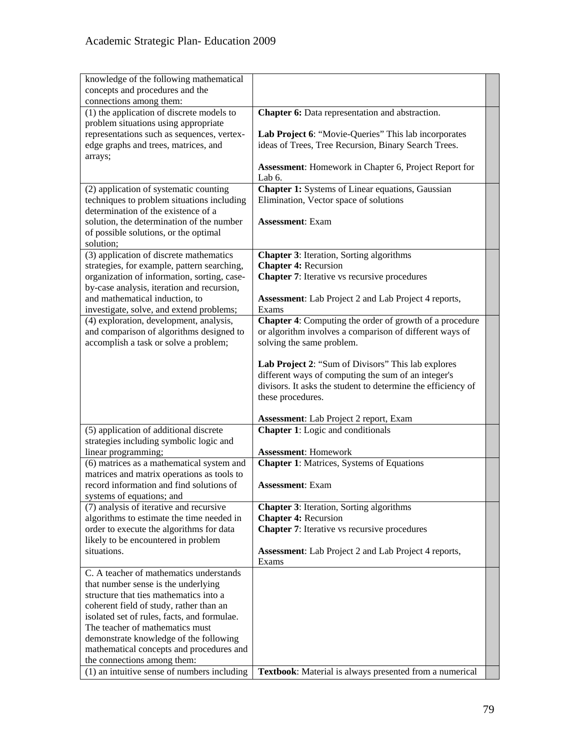| knowledge of the following mathematical<br>concepts and procedures and the<br>connections among them:<br>(1) the application of discrete models to<br>Chapter 6: Data representation and abstraction. |
|-------------------------------------------------------------------------------------------------------------------------------------------------------------------------------------------------------|
|                                                                                                                                                                                                       |
|                                                                                                                                                                                                       |
|                                                                                                                                                                                                       |
| problem situations using appropriate                                                                                                                                                                  |
| representations such as sequences, vertex-<br>Lab Project 6: "Movie-Queries" This lab incorporates                                                                                                    |
| edge graphs and trees, matrices, and<br>ideas of Trees, Tree Recursion, Binary Search Trees.                                                                                                          |
| arrays;                                                                                                                                                                                               |
| Assessment: Homework in Chapter 6, Project Report for                                                                                                                                                 |
| Lab 6.                                                                                                                                                                                                |
| Chapter 1: Systems of Linear equations, Gaussian<br>(2) application of systematic counting                                                                                                            |
| techniques to problem situations including<br>Elimination, Vector space of solutions                                                                                                                  |
| determination of the existence of a                                                                                                                                                                   |
| solution, the determination of the number<br><b>Assessment: Exam</b>                                                                                                                                  |
| of possible solutions, or the optimal                                                                                                                                                                 |
| solution;                                                                                                                                                                                             |
| $(3)$ application of discrete mathematics<br><b>Chapter 3:</b> Iteration, Sorting algorithms                                                                                                          |
| <b>Chapter 4: Recursion</b><br>strategies, for example, pattern searching,                                                                                                                            |
| organization of information, sorting, case-<br><b>Chapter 7:</b> Iterative vs recursive procedures                                                                                                    |
| by-case analysis, iteration and recursion,                                                                                                                                                            |
| and mathematical induction, to<br><b>Assessment:</b> Lab Project 2 and Lab Project 4 reports,                                                                                                         |
| investigate, solve, and extend problems;<br>Exams                                                                                                                                                     |
| <b>Chapter 4:</b> Computing the order of growth of a procedure<br>(4) exploration, development, analysis,                                                                                             |
| and comparison of algorithms designed to<br>or algorithm involves a comparison of different ways of                                                                                                   |
| accomplish a task or solve a problem;<br>solving the same problem.                                                                                                                                    |
|                                                                                                                                                                                                       |
| Lab Project 2: "Sum of Divisors" This lab explores                                                                                                                                                    |
| different ways of computing the sum of an integer's                                                                                                                                                   |
| divisors. It asks the student to determine the efficiency of                                                                                                                                          |
| these procedures.                                                                                                                                                                                     |
|                                                                                                                                                                                                       |
| <b>Assessment:</b> Lab Project 2 report, Exam                                                                                                                                                         |
| (5) application of additional discrete<br><b>Chapter 1:</b> Logic and conditionals                                                                                                                    |
| strategies including symbolic logic and                                                                                                                                                               |
| linear programming;<br><b>Assessment: Homework</b>                                                                                                                                                    |
| <b>Chapter 1: Matrices, Systems of Equations</b><br>(6) matrices as a mathematical system and                                                                                                         |
| matrices and matrix operations as tools to                                                                                                                                                            |
| record information and find solutions of<br><b>Assessment: Exam</b>                                                                                                                                   |
| systems of equations; and                                                                                                                                                                             |
| <b>Chapter 3:</b> Iteration, Sorting algorithms<br>(7) analysis of iterative and recursive                                                                                                            |
| algorithms to estimate the time needed in<br><b>Chapter 4: Recursion</b>                                                                                                                              |
| <b>Chapter 7:</b> Iterative vs recursive procedures<br>order to execute the algorithms for data                                                                                                       |
| likely to be encountered in problem                                                                                                                                                                   |
| situations.<br><b>Assessment:</b> Lab Project 2 and Lab Project 4 reports,                                                                                                                            |
| Exams                                                                                                                                                                                                 |
| C. A teacher of mathematics understands                                                                                                                                                               |
| that number sense is the underlying                                                                                                                                                                   |
| structure that ties mathematics into a                                                                                                                                                                |
| coherent field of study, rather than an                                                                                                                                                               |
| isolated set of rules, facts, and formulae.                                                                                                                                                           |
| The teacher of mathematics must                                                                                                                                                                       |
| demonstrate knowledge of the following                                                                                                                                                                |
| mathematical concepts and procedures and                                                                                                                                                              |
| the connections among them:                                                                                                                                                                           |
| (1) an intuitive sense of numbers including<br>Textbook: Material is always presented from a numerical                                                                                                |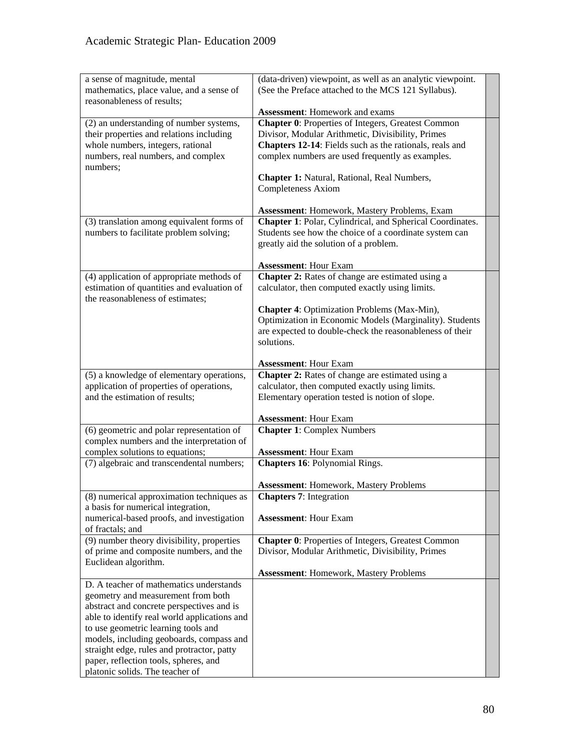| a sense of magnitude, mental<br>mathematics, place value, and a sense of<br>reasonableness of results; | (data-driven) viewpoint, as well as an analytic viewpoint.<br>(See the Preface attached to the MCS 121 Syllabus).<br><b>Assessment:</b> Homework and exams |  |
|--------------------------------------------------------------------------------------------------------|------------------------------------------------------------------------------------------------------------------------------------------------------------|--|
|                                                                                                        |                                                                                                                                                            |  |
| (2) an understanding of number systems,                                                                | Chapter 0: Properties of Integers, Greatest Common                                                                                                         |  |
| their properties and relations including                                                               | Divisor, Modular Arithmetic, Divisibility, Primes                                                                                                          |  |
| whole numbers, integers, rational                                                                      | Chapters 12-14: Fields such as the rationals, reals and                                                                                                    |  |
| numbers, real numbers, and complex                                                                     | complex numbers are used frequently as examples.                                                                                                           |  |
| numbers;                                                                                               |                                                                                                                                                            |  |
|                                                                                                        | Chapter 1: Natural, Rational, Real Numbers,                                                                                                                |  |
|                                                                                                        | <b>Completeness Axiom</b>                                                                                                                                  |  |
|                                                                                                        | <b>Assessment: Homework, Mastery Problems, Exam</b>                                                                                                        |  |
| (3) translation among equivalent forms of                                                              | Chapter 1: Polar, Cylindrical, and Spherical Coordinates.                                                                                                  |  |
| numbers to facilitate problem solving;                                                                 | Students see how the choice of a coordinate system can                                                                                                     |  |
|                                                                                                        | greatly aid the solution of a problem.                                                                                                                     |  |
|                                                                                                        |                                                                                                                                                            |  |
|                                                                                                        | <b>Assessment: Hour Exam</b>                                                                                                                               |  |
| (4) application of appropriate methods of                                                              | Chapter 2: Rates of change are estimated using a                                                                                                           |  |
| estimation of quantities and evaluation of<br>the reasonableness of estimates;                         | calculator, then computed exactly using limits.                                                                                                            |  |
|                                                                                                        | Chapter 4: Optimization Problems (Max-Min),                                                                                                                |  |
|                                                                                                        | Optimization in Economic Models (Marginality). Students                                                                                                    |  |
|                                                                                                        | are expected to double-check the reasonableness of their                                                                                                   |  |
|                                                                                                        | solutions.                                                                                                                                                 |  |
|                                                                                                        |                                                                                                                                                            |  |
|                                                                                                        | <b>Assessment: Hour Exam</b>                                                                                                                               |  |
| (5) a knowledge of elementary operations,                                                              | Chapter 2: Rates of change are estimated using a                                                                                                           |  |
| application of properties of operations,                                                               | calculator, then computed exactly using limits.                                                                                                            |  |
| and the estimation of results;                                                                         | Elementary operation tested is notion of slope.                                                                                                            |  |
|                                                                                                        | <b>Assessment: Hour Exam</b>                                                                                                                               |  |
| (6) geometric and polar representation of                                                              | <b>Chapter 1: Complex Numbers</b>                                                                                                                          |  |
| complex numbers and the interpretation of                                                              |                                                                                                                                                            |  |
| complex solutions to equations;                                                                        | <b>Assessment: Hour Exam</b>                                                                                                                               |  |
| (7) algebraic and transcendental numbers;                                                              | Chapters 16: Polynomial Rings.                                                                                                                             |  |
|                                                                                                        |                                                                                                                                                            |  |
|                                                                                                        | <b>Assessment: Homework, Mastery Problems</b>                                                                                                              |  |
| (8) numerical approximation techniques as                                                              | <b>Chapters 7: Integration</b>                                                                                                                             |  |
| a basis for numerical integration,                                                                     |                                                                                                                                                            |  |
| numerical-based proofs, and investigation<br>of fractals; and                                          | <b>Assessment: Hour Exam</b>                                                                                                                               |  |
| $(9)$ number theory divisibility, properties                                                           | <b>Chapter 0: Properties of Integers, Greatest Common</b>                                                                                                  |  |
| of prime and composite numbers, and the                                                                | Divisor, Modular Arithmetic, Divisibility, Primes                                                                                                          |  |
| Euclidean algorithm.                                                                                   |                                                                                                                                                            |  |
|                                                                                                        | <b>Assessment: Homework, Mastery Problems</b>                                                                                                              |  |
| D. A teacher of mathematics understands                                                                |                                                                                                                                                            |  |
| geometry and measurement from both                                                                     |                                                                                                                                                            |  |
| abstract and concrete perspectives and is                                                              |                                                                                                                                                            |  |
| able to identify real world applications and                                                           |                                                                                                                                                            |  |
| to use geometric learning tools and                                                                    |                                                                                                                                                            |  |
| models, including geoboards, compass and                                                               |                                                                                                                                                            |  |
| straight edge, rules and protractor, patty                                                             |                                                                                                                                                            |  |
| paper, reflection tools, spheres, and                                                                  |                                                                                                                                                            |  |
| platonic solids. The teacher of                                                                        |                                                                                                                                                            |  |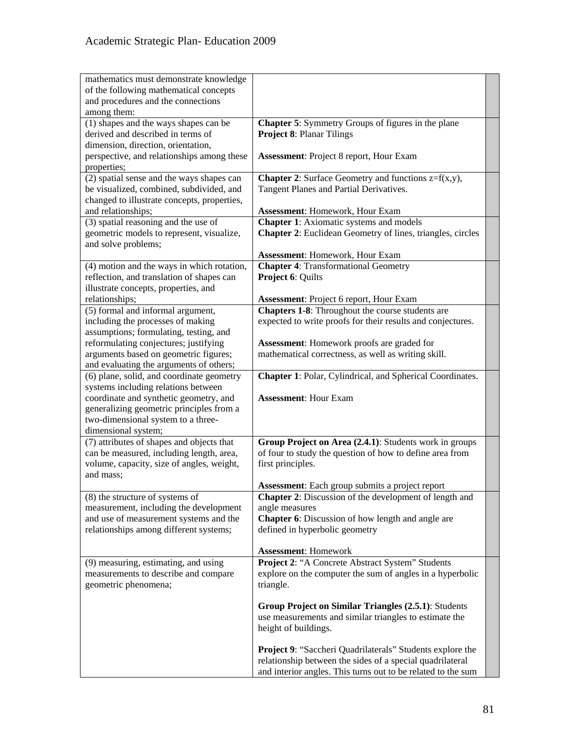| mathematics must demonstrate knowledge                       |                                                                                                                  |  |
|--------------------------------------------------------------|------------------------------------------------------------------------------------------------------------------|--|
| of the following mathematical concepts                       |                                                                                                                  |  |
| and procedures and the connections                           |                                                                                                                  |  |
| among them:                                                  |                                                                                                                  |  |
| (1) shapes and the ways shapes can be                        | <b>Chapter 5:</b> Symmetry Groups of figures in the plane                                                        |  |
| derived and described in terms of                            | <b>Project 8: Planar Tilings</b>                                                                                 |  |
| dimension, direction, orientation,                           |                                                                                                                  |  |
| perspective, and relationships among these                   | <b>Assessment: Project 8 report, Hour Exam</b>                                                                   |  |
| properties;                                                  |                                                                                                                  |  |
| (2) spatial sense and the ways shapes can                    | <b>Chapter 2:</b> Surface Geometry and functions $z=f(x,y)$ ,                                                    |  |
| be visualized, combined, subdivided, and                     | Tangent Planes and Partial Derivatives.                                                                          |  |
| changed to illustrate concepts, properties,                  |                                                                                                                  |  |
| and relationships;                                           | <b>Assessment: Homework, Hour Exam</b>                                                                           |  |
| (3) spatial reasoning and the use of                         | <b>Chapter 1:</b> Axiomatic systems and models                                                                   |  |
| geometric models to represent, visualize,                    | <b>Chapter 2:</b> Euclidean Geometry of lines, triangles, circles                                                |  |
| and solve problems;                                          |                                                                                                                  |  |
|                                                              | <b>Assessment: Homework, Hour Exam</b>                                                                           |  |
| (4) motion and the ways in which rotation,                   | <b>Chapter 4: Transformational Geometry</b>                                                                      |  |
| reflection, and translation of shapes can                    | Project 6: Quilts                                                                                                |  |
| illustrate concepts, properties, and                         |                                                                                                                  |  |
| relationships;                                               | <b>Assessment: Project 6 report, Hour Exam</b>                                                                   |  |
| (5) formal and informal argument,                            | <b>Chapters 1-8:</b> Throughout the course students are                                                          |  |
| including the processes of making                            | expected to write proofs for their results and conjectures.                                                      |  |
| assumptions; formulating, testing, and                       |                                                                                                                  |  |
| reformulating conjectures; justifying                        | Assessment: Homework proofs are graded for                                                                       |  |
| arguments based on geometric figures;                        | mathematical correctness, as well as writing skill.                                                              |  |
| and evaluating the arguments of others;                      |                                                                                                                  |  |
| (6) plane, solid, and coordinate geometry                    | Chapter 1: Polar, Cylindrical, and Spherical Coordinates.                                                        |  |
| systems including relations between                          |                                                                                                                  |  |
| coordinate and synthetic geometry, and                       | <b>Assessment: Hour Exam</b>                                                                                     |  |
| generalizing geometric principles from a                     |                                                                                                                  |  |
| two-dimensional system to a three-                           |                                                                                                                  |  |
| dimensional system;                                          |                                                                                                                  |  |
| (7) attributes of shapes and objects that                    | Group Project on Area (2.4.1): Students work in groups                                                           |  |
| can be measured, including length, area,                     | of four to study the question of how to define area from                                                         |  |
| volume, capacity, size of angles, weight,                    | first principles.                                                                                                |  |
| and mass;                                                    |                                                                                                                  |  |
|                                                              |                                                                                                                  |  |
| (8) the structure of systems of                              | Assessment: Each group submits a project report<br><b>Chapter 2:</b> Discussion of the development of length and |  |
|                                                              |                                                                                                                  |  |
| measurement, including the development                       | angle measures                                                                                                   |  |
| and use of measurement systems and the                       | <b>Chapter 6:</b> Discussion of how length and angle are                                                         |  |
| relationships among different systems;                       | defined in hyperbolic geometry                                                                                   |  |
|                                                              | <b>Assessment: Homework</b>                                                                                      |  |
| (9) measuring, estimating, and using                         | Project 2: "A Concrete Abstract System" Students                                                                 |  |
|                                                              | explore on the computer the sum of angles in a hyperbolic                                                        |  |
| measurements to describe and compare<br>geometric phenomena; |                                                                                                                  |  |
|                                                              | triangle.                                                                                                        |  |
|                                                              |                                                                                                                  |  |
|                                                              | Group Project on Similar Triangles (2.5.1): Students                                                             |  |
|                                                              | use measurements and similar triangles to estimate the                                                           |  |
|                                                              | height of buildings.                                                                                             |  |
|                                                              |                                                                                                                  |  |
|                                                              | <b>Project 9: "Saccheri Quadrilaterals" Students explore the</b>                                                 |  |
|                                                              | relationship between the sides of a special quadrilateral                                                        |  |
|                                                              | and interior angles. This turns out to be related to the sum                                                     |  |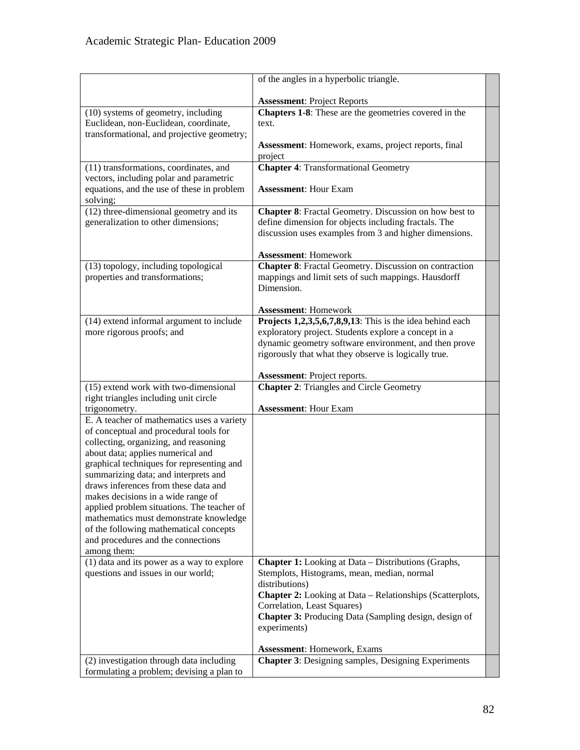|                                                                            | of the angles in a hyperbolic triangle.                          |  |
|----------------------------------------------------------------------------|------------------------------------------------------------------|--|
|                                                                            |                                                                  |  |
|                                                                            | <b>Assessment: Project Reports</b>                               |  |
| (10) systems of geometry, including                                        | Chapters 1-8: These are the geometries covered in the            |  |
| Euclidean, non-Euclidean, coordinate,                                      | text.                                                            |  |
| transformational, and projective geometry;                                 |                                                                  |  |
|                                                                            | Assessment: Homework, exams, project reports, final              |  |
|                                                                            | project                                                          |  |
| (11) transformations, coordinates, and                                     | <b>Chapter 4: Transformational Geometry</b>                      |  |
| vectors, including polar and parametric                                    |                                                                  |  |
| equations, and the use of these in problem                                 | <b>Assessment: Hour Exam</b>                                     |  |
| solving;                                                                   |                                                                  |  |
| (12) three-dimensional geometry and its                                    | <b>Chapter 8:</b> Fractal Geometry. Discussion on how best to    |  |
| generalization to other dimensions;                                        | define dimension for objects including fractals. The             |  |
|                                                                            | discussion uses examples from 3 and higher dimensions.           |  |
|                                                                            |                                                                  |  |
|                                                                            | <b>Assessment: Homework</b>                                      |  |
| (13) topology, including topological                                       | <b>Chapter 8:</b> Fractal Geometry. Discussion on contraction    |  |
| properties and transformations;                                            | mappings and limit sets of such mappings. Hausdorff              |  |
|                                                                            | Dimension.                                                       |  |
|                                                                            |                                                                  |  |
|                                                                            | <b>Assessment: Homework</b>                                      |  |
| (14) extend informal argument to include                                   | Projects $1,2,3,5,6,7,8,9,13$ : This is the idea behind each     |  |
| more rigorous proofs; and                                                  | exploratory project. Students explore a concept in a             |  |
|                                                                            | dynamic geometry software environment, and then prove            |  |
|                                                                            | rigorously that what they observe is logically true.             |  |
|                                                                            |                                                                  |  |
|                                                                            | <b>Assessment:</b> Project reports.                              |  |
| (15) extend work with two-dimensional                                      | <b>Chapter 2: Triangles and Circle Geometry</b>                  |  |
| right triangles including unit circle                                      |                                                                  |  |
| trigonometry.                                                              | <b>Assessment: Hour Exam</b>                                     |  |
| E. A teacher of mathematics uses a variety                                 |                                                                  |  |
| of conceptual and procedural tools for                                     |                                                                  |  |
| collecting, organizing, and reasoning<br>about data; applies numerical and |                                                                  |  |
| graphical techniques for representing and                                  |                                                                  |  |
| summarizing data; and interprets and                                       |                                                                  |  |
| draws inferences from these data and                                       |                                                                  |  |
| makes decisions in a wide range of                                         |                                                                  |  |
| applied problem situations. The teacher of                                 |                                                                  |  |
| mathematics must demonstrate knowledge                                     |                                                                  |  |
| of the following mathematical concepts                                     |                                                                  |  |
| and procedures and the connections                                         |                                                                  |  |
| among them:                                                                |                                                                  |  |
| (1) data and its power as a way to explore                                 | <b>Chapter 1:</b> Looking at Data – Distributions (Graphs,       |  |
| questions and issues in our world;                                         | Stemplots, Histograms, mean, median, normal                      |  |
|                                                                            | distributions)                                                   |  |
|                                                                            | <b>Chapter 2:</b> Looking at Data – Relationships (Scatterplots, |  |
|                                                                            | Correlation, Least Squares)                                      |  |
|                                                                            | <b>Chapter 3:</b> Producing Data (Sampling design, design of     |  |
|                                                                            | experiments)                                                     |  |
|                                                                            |                                                                  |  |
|                                                                            | <b>Assessment: Homework, Exams</b>                               |  |
| (2) investigation through data including                                   | <b>Chapter 3: Designing samples, Designing Experiments</b>       |  |
| formulating a problem; devising a plan to                                  |                                                                  |  |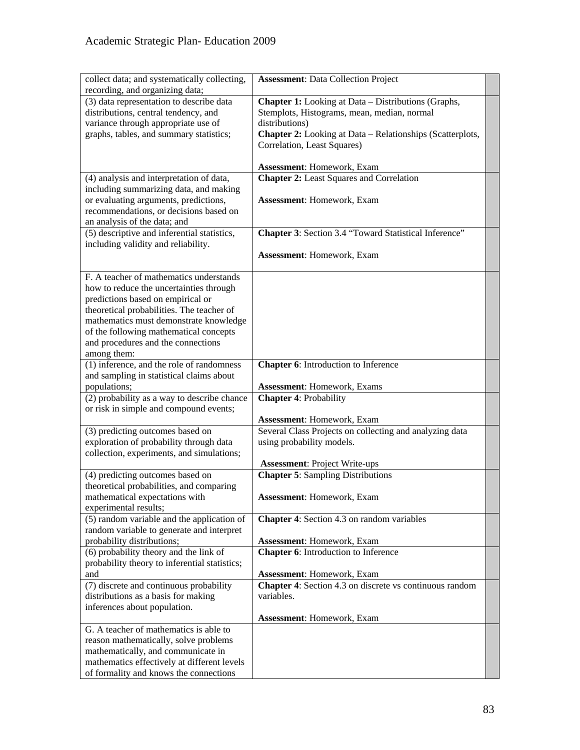| collect data; and systematically collecting,                                    | <b>Assessment: Data Collection Project</b>                 |  |
|---------------------------------------------------------------------------------|------------------------------------------------------------|--|
| recording, and organizing data;                                                 |                                                            |  |
| (3) data representation to describe data                                        | <b>Chapter 1:</b> Looking at Data - Distributions (Graphs, |  |
| distributions, central tendency, and                                            | Stemplots, Histograms, mean, median, normal                |  |
| variance through appropriate use of                                             | distributions)                                             |  |
| graphs, tables, and summary statistics;                                         | Chapter 2: Looking at Data - Relationships (Scatterplots,  |  |
|                                                                                 | Correlation, Least Squares)                                |  |
|                                                                                 |                                                            |  |
|                                                                                 | Assessment: Homework, Exam                                 |  |
| (4) analysis and interpretation of data,                                        | <b>Chapter 2:</b> Least Squares and Correlation            |  |
| including summarizing data, and making                                          |                                                            |  |
| or evaluating arguments, predictions,<br>recommendations, or decisions based on | Assessment: Homework, Exam                                 |  |
| an analysis of the data; and                                                    |                                                            |  |
| (5) descriptive and inferential statistics,                                     | Chapter 3: Section 3.4 "Toward Statistical Inference"      |  |
| including validity and reliability.                                             |                                                            |  |
|                                                                                 | Assessment: Homework, Exam                                 |  |
|                                                                                 |                                                            |  |
| F. A teacher of mathematics understands                                         |                                                            |  |
| how to reduce the uncertainties through                                         |                                                            |  |
| predictions based on empirical or                                               |                                                            |  |
| theoretical probabilities. The teacher of                                       |                                                            |  |
| mathematics must demonstrate knowledge                                          |                                                            |  |
| of the following mathematical concepts                                          |                                                            |  |
| and procedures and the connections                                              |                                                            |  |
| among them:<br>(1) inference, and the role of randomness                        | Chapter 6: Introduction to Inference                       |  |
| and sampling in statistical claims about                                        |                                                            |  |
| populations;                                                                    | <b>Assessment: Homework, Exams</b>                         |  |
| (2) probability as a way to describe chance                                     | <b>Chapter 4: Probability</b>                              |  |
| or risk in simple and compound events;                                          |                                                            |  |
|                                                                                 | Assessment: Homework, Exam                                 |  |
| (3) predicting outcomes based on                                                | Several Class Projects on collecting and analyzing data    |  |
| exploration of probability through data                                         | using probability models.                                  |  |
| collection, experiments, and simulations;                                       |                                                            |  |
|                                                                                 | <b>Assessment: Project Write-ups</b>                       |  |
| (4) predicting outcomes based on<br>theoretical probabilities, and comparing    | <b>Chapter 5: Sampling Distributions</b>                   |  |
| mathematical expectations with                                                  | Assessment: Homework, Exam                                 |  |
| experimental results;                                                           |                                                            |  |
| (5) random variable and the application of                                      | <b>Chapter 4:</b> Section 4.3 on random variables          |  |
| random variable to generate and interpret                                       |                                                            |  |
| probability distributions;                                                      | <b>Assessment: Homework, Exam</b>                          |  |
| (6) probability theory and the link of                                          | <b>Chapter 6:</b> Introduction to Inference                |  |
| probability theory to inferential statistics;                                   |                                                            |  |
| and                                                                             | Assessment: Homework, Exam                                 |  |
| (7) discrete and continuous probability                                         | Chapter 4: Section 4.3 on discrete vs continuous random    |  |
| distributions as a basis for making                                             | variables.                                                 |  |
| inferences about population.                                                    |                                                            |  |
|                                                                                 | Assessment: Homework, Exam                                 |  |
| G. A teacher of mathematics is able to                                          |                                                            |  |
| reason mathematically, solve problems<br>mathematically, and communicate in     |                                                            |  |
| mathematics effectively at different levels                                     |                                                            |  |
| of formality and knows the connections                                          |                                                            |  |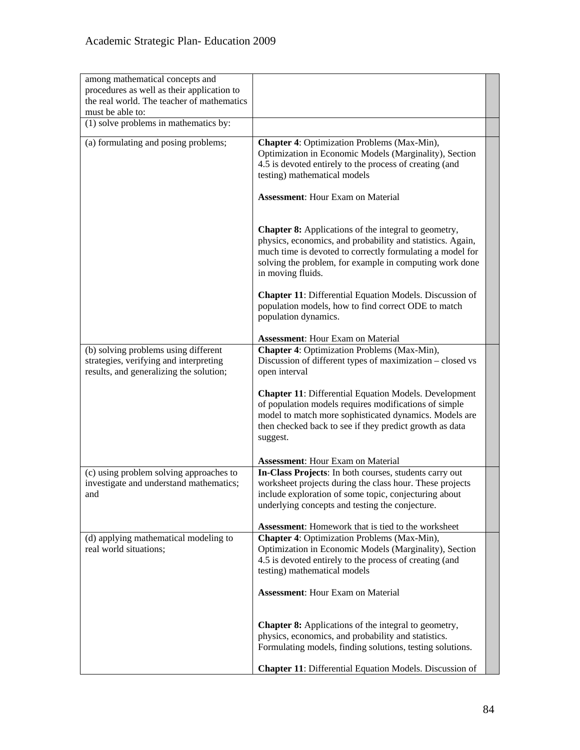| among mathematical concepts and<br>procedures as well as their application to<br>the real world. The teacher of mathematics<br>must be able to: |                                                                                                                                                                                                                                                                        |  |
|-------------------------------------------------------------------------------------------------------------------------------------------------|------------------------------------------------------------------------------------------------------------------------------------------------------------------------------------------------------------------------------------------------------------------------|--|
| (1) solve problems in mathematics by:                                                                                                           |                                                                                                                                                                                                                                                                        |  |
| (a) formulating and posing problems;                                                                                                            | Chapter 4: Optimization Problems (Max-Min),<br>Optimization in Economic Models (Marginality), Section<br>4.5 is devoted entirely to the process of creating (and<br>testing) mathematical models                                                                       |  |
|                                                                                                                                                 | <b>Assessment:</b> Hour Exam on Material                                                                                                                                                                                                                               |  |
|                                                                                                                                                 | <b>Chapter 8:</b> Applications of the integral to geometry,<br>physics, economics, and probability and statistics. Again,<br>much time is devoted to correctly formulating a model for<br>solving the problem, for example in computing work done<br>in moving fluids. |  |
|                                                                                                                                                 | Chapter 11: Differential Equation Models. Discussion of<br>population models, how to find correct ODE to match<br>population dynamics.                                                                                                                                 |  |
|                                                                                                                                                 | <b>Assessment:</b> Hour Exam on Material                                                                                                                                                                                                                               |  |
| (b) solving problems using different<br>strategies, verifying and interpreting<br>results, and generalizing the solution;                       | Chapter 4: Optimization Problems (Max-Min),<br>Discussion of different types of maximization – closed vs<br>open interval                                                                                                                                              |  |
|                                                                                                                                                 | <b>Chapter 11:</b> Differential Equation Models. Development<br>of population models requires modifications of simple<br>model to match more sophisticated dynamics. Models are<br>then checked back to see if they predict growth as data<br>suggest.                 |  |
|                                                                                                                                                 | <b>Assessment:</b> Hour Exam on Material                                                                                                                                                                                                                               |  |
| (c) using problem solving approaches to                                                                                                         | In-Class Projects: In both courses, students carry out                                                                                                                                                                                                                 |  |
| investigate and understand mathematics;                                                                                                         | worksheet projects during the class hour. These projects                                                                                                                                                                                                               |  |
| and                                                                                                                                             | include exploration of some topic, conjecturing about                                                                                                                                                                                                                  |  |
|                                                                                                                                                 | underlying concepts and testing the conjecture.                                                                                                                                                                                                                        |  |
|                                                                                                                                                 | <b>Assessment:</b> Homework that is tied to the worksheet                                                                                                                                                                                                              |  |
| (d) applying mathematical modeling to                                                                                                           | <b>Chapter 4: Optimization Problems (Max-Min),</b>                                                                                                                                                                                                                     |  |
| real world situations;                                                                                                                          | Optimization in Economic Models (Marginality), Section                                                                                                                                                                                                                 |  |
|                                                                                                                                                 | 4.5 is devoted entirely to the process of creating (and                                                                                                                                                                                                                |  |
|                                                                                                                                                 | testing) mathematical models                                                                                                                                                                                                                                           |  |
|                                                                                                                                                 | <b>Assessment:</b> Hour Exam on Material                                                                                                                                                                                                                               |  |
|                                                                                                                                                 | <b>Chapter 8:</b> Applications of the integral to geometry,<br>physics, economics, and probability and statistics.<br>Formulating models, finding solutions, testing solutions.                                                                                        |  |
|                                                                                                                                                 | Chapter 11: Differential Equation Models. Discussion of                                                                                                                                                                                                                |  |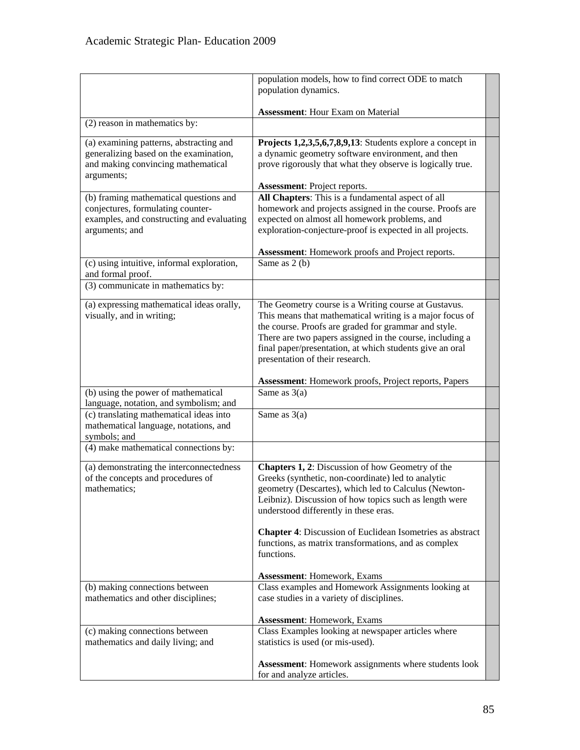|                                                                                                                                            | population models, how to find correct ODE to match<br>population dynamics.                                                                                                                                                                                                                                                                                                                                                                |  |  |
|--------------------------------------------------------------------------------------------------------------------------------------------|--------------------------------------------------------------------------------------------------------------------------------------------------------------------------------------------------------------------------------------------------------------------------------------------------------------------------------------------------------------------------------------------------------------------------------------------|--|--|
|                                                                                                                                            | <b>Assessment:</b> Hour Exam on Material                                                                                                                                                                                                                                                                                                                                                                                                   |  |  |
| (2) reason in mathematics by:                                                                                                              |                                                                                                                                                                                                                                                                                                                                                                                                                                            |  |  |
| (a) examining patterns, abstracting and<br>generalizing based on the examination,<br>and making convincing mathematical<br>arguments;      | Projects 1,2,3,5,6,7,8,9,13: Students explore a concept in<br>a dynamic geometry software environment, and then<br>prove rigorously that what they observe is logically true.<br>Assessment: Project reports.                                                                                                                                                                                                                              |  |  |
| (b) framing mathematical questions and<br>conjectures, formulating counter-<br>examples, and constructing and evaluating<br>arguments; and | All Chapters: This is a fundamental aspect of all<br>homework and projects assigned in the course. Proofs are<br>expected on almost all homework problems, and<br>exploration-conjecture-proof is expected in all projects.                                                                                                                                                                                                                |  |  |
| (c) using intuitive, informal exploration,                                                                                                 | Assessment: Homework proofs and Project reports.<br>Same as 2 (b)                                                                                                                                                                                                                                                                                                                                                                          |  |  |
| and formal proof.                                                                                                                          |                                                                                                                                                                                                                                                                                                                                                                                                                                            |  |  |
| (3) communicate in mathematics by:                                                                                                         |                                                                                                                                                                                                                                                                                                                                                                                                                                            |  |  |
| (a) expressing mathematical ideas orally,<br>visually, and in writing;                                                                     | The Geometry course is a Writing course at Gustavus.<br>This means that mathematical writing is a major focus of<br>the course. Proofs are graded for grammar and style.<br>There are two papers assigned in the course, including a<br>final paper/presentation, at which students give an oral<br>presentation of their research.                                                                                                        |  |  |
|                                                                                                                                            | Assessment: Homework proofs, Project reports, Papers                                                                                                                                                                                                                                                                                                                                                                                       |  |  |
| (b) using the power of mathematical<br>language, notation, and symbolism; and                                                              | Same as $3(a)$                                                                                                                                                                                                                                                                                                                                                                                                                             |  |  |
| (c) translating mathematical ideas into<br>mathematical language, notations, and<br>symbols; and                                           | Same as $3(a)$                                                                                                                                                                                                                                                                                                                                                                                                                             |  |  |
| (4) make mathematical connections by:                                                                                                      |                                                                                                                                                                                                                                                                                                                                                                                                                                            |  |  |
| (a) demonstrating the interconnectedness<br>of the concepts and procedures of<br>mathematics;                                              | <b>Chapters 1, 2:</b> Discussion of how Geometry of the<br>Greeks (synthetic, non-coordinate) led to analytic<br>geometry (Descartes), which led to Calculus (Newton-<br>Leibniz). Discussion of how topics such as length were<br>understood differently in these eras.<br>Chapter 4: Discussion of Euclidean Isometries as abstract<br>functions, as matrix transformations, and as complex<br>functions.<br>Assessment: Homework, Exams |  |  |
| (b) making connections between<br>mathematics and other disciplines;                                                                       | Class examples and Homework Assignments looking at<br>case studies in a variety of disciplines.<br><b>Assessment: Homework, Exams</b>                                                                                                                                                                                                                                                                                                      |  |  |
| (c) making connections between<br>mathematics and daily living; and                                                                        | Class Examples looking at newspaper articles where<br>statistics is used (or mis-used).                                                                                                                                                                                                                                                                                                                                                    |  |  |
|                                                                                                                                            | <b>Assessment:</b> Homework assignments where students look<br>for and analyze articles.                                                                                                                                                                                                                                                                                                                                                   |  |  |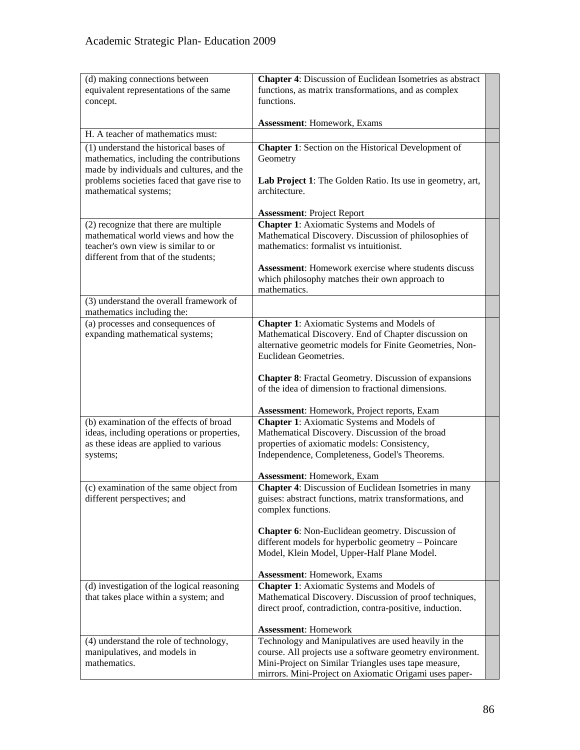| (d) making connections between                     | <b>Chapter 4:</b> Discussion of Euclidean Isometries as abstract                                                 |  |  |  |
|----------------------------------------------------|------------------------------------------------------------------------------------------------------------------|--|--|--|
| equivalent representations of the same<br>concept. | functions, as matrix transformations, and as complex<br>functions.                                               |  |  |  |
|                                                    |                                                                                                                  |  |  |  |
| H. A teacher of mathematics must:                  | <b>Assessment: Homework, Exams</b>                                                                               |  |  |  |
| (1) understand the historical bases of             | <b>Chapter 1:</b> Section on the Historical Development of                                                       |  |  |  |
| mathematics, including the contributions           | Geometry                                                                                                         |  |  |  |
| made by individuals and cultures, and the          |                                                                                                                  |  |  |  |
| problems societies faced that gave rise to         | Lab Project 1: The Golden Ratio. Its use in geometry, art,                                                       |  |  |  |
| mathematical systems;                              | architecture.                                                                                                    |  |  |  |
|                                                    | <b>Assessment: Project Report</b>                                                                                |  |  |  |
| (2) recognize that there are multiple              | <b>Chapter 1:</b> Axiomatic Systems and Models of                                                                |  |  |  |
| mathematical world views and how the               | Mathematical Discovery. Discussion of philosophies of                                                            |  |  |  |
| teacher's own view is similar to or                | mathematics: formalist vs intuitionist.                                                                          |  |  |  |
| different from that of the students;               |                                                                                                                  |  |  |  |
|                                                    | <b>Assessment:</b> Homework exercise where students discuss<br>which philosophy matches their own approach to    |  |  |  |
|                                                    | mathematics.                                                                                                     |  |  |  |
| (3) understand the overall framework of            |                                                                                                                  |  |  |  |
| mathematics including the:                         |                                                                                                                  |  |  |  |
| (a) processes and consequences of                  | <b>Chapter 1:</b> Axiomatic Systems and Models of                                                                |  |  |  |
| expanding mathematical systems;                    | Mathematical Discovery. End of Chapter discussion on<br>alternative geometric models for Finite Geometries, Non- |  |  |  |
|                                                    | Euclidean Geometries.                                                                                            |  |  |  |
|                                                    |                                                                                                                  |  |  |  |
|                                                    | <b>Chapter 8:</b> Fractal Geometry. Discussion of expansions                                                     |  |  |  |
|                                                    | of the idea of dimension to fractional dimensions.                                                               |  |  |  |
|                                                    | Assessment: Homework, Project reports, Exam                                                                      |  |  |  |
| (b) examination of the effects of broad            | <b>Chapter 1:</b> Axiomatic Systems and Models of                                                                |  |  |  |
| ideas, including operations or properties,         | Mathematical Discovery. Discussion of the broad                                                                  |  |  |  |
| as these ideas are applied to various              | properties of axiomatic models: Consistency,                                                                     |  |  |  |
| systems;                                           | Independence, Completeness, Godel's Theorems.                                                                    |  |  |  |
|                                                    | Assessment: Homework, Exam                                                                                       |  |  |  |
| (c) examination of the same object from            | <b>Chapter 4:</b> Discussion of Euclidean Isometries in many                                                     |  |  |  |
| different perspectives; and                        | guises: abstract functions, matrix transformations, and                                                          |  |  |  |
|                                                    | complex functions.                                                                                               |  |  |  |
|                                                    | <b>Chapter 6:</b> Non-Euclidean geometry. Discussion of                                                          |  |  |  |
|                                                    | different models for hyperbolic geometry – Poincare                                                              |  |  |  |
|                                                    | Model, Klein Model, Upper-Half Plane Model.                                                                      |  |  |  |
|                                                    | <b>Assessment: Homework, Exams</b>                                                                               |  |  |  |
| (d) investigation of the logical reasoning         | <b>Chapter 1:</b> Axiomatic Systems and Models of                                                                |  |  |  |
| that takes place within a system; and              | Mathematical Discovery. Discussion of proof techniques,                                                          |  |  |  |
|                                                    | direct proof, contradiction, contra-positive, induction.                                                         |  |  |  |
|                                                    | <b>Assessment: Homework</b>                                                                                      |  |  |  |
| (4) understand the role of technology,             | Technology and Manipulatives are used heavily in the                                                             |  |  |  |
| manipulatives, and models in                       | course. All projects use a software geometry environment.                                                        |  |  |  |
| mathematics.                                       | Mini-Project on Similar Triangles uses tape measure,                                                             |  |  |  |
|                                                    | mirrors. Mini-Project on Axiomatic Origami uses paper-                                                           |  |  |  |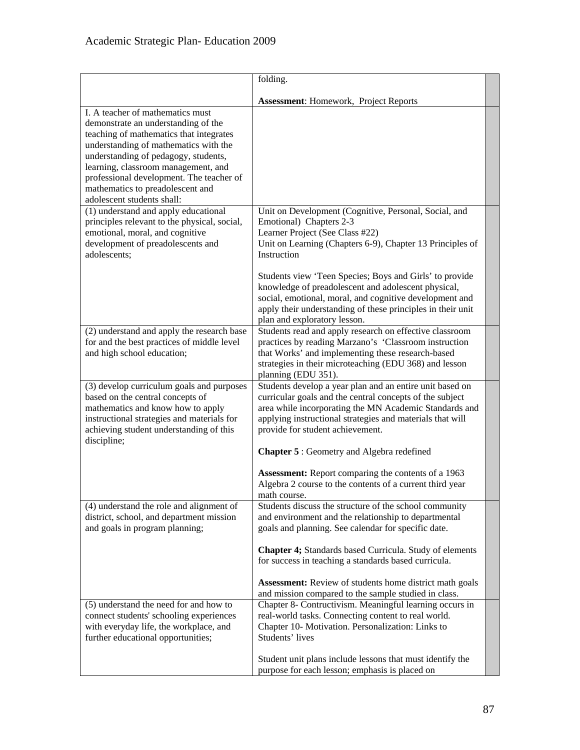|                                                                                                                                                                                                                                                                                                                                                          | folding.                                                                                                                                                                                                                                                                                                                                                                                                                                                                    |  |
|----------------------------------------------------------------------------------------------------------------------------------------------------------------------------------------------------------------------------------------------------------------------------------------------------------------------------------------------------------|-----------------------------------------------------------------------------------------------------------------------------------------------------------------------------------------------------------------------------------------------------------------------------------------------------------------------------------------------------------------------------------------------------------------------------------------------------------------------------|--|
|                                                                                                                                                                                                                                                                                                                                                          | Assessment: Homework, Project Reports                                                                                                                                                                                                                                                                                                                                                                                                                                       |  |
| I. A teacher of mathematics must<br>demonstrate an understanding of the<br>teaching of mathematics that integrates<br>understanding of mathematics with the<br>understanding of pedagogy, students,<br>learning, classroom management, and<br>professional development. The teacher of<br>mathematics to preadolescent and<br>adolescent students shall: |                                                                                                                                                                                                                                                                                                                                                                                                                                                                             |  |
| (1) understand and apply educational<br>principles relevant to the physical, social,<br>emotional, moral, and cognitive<br>development of preadolescents and<br>adolescents;                                                                                                                                                                             | Unit on Development (Cognitive, Personal, Social, and<br>Emotional) Chapters 2-3<br>Learner Project (See Class #22)<br>Unit on Learning (Chapters 6-9), Chapter 13 Principles of<br>Instruction<br>Students view 'Teen Species; Boys and Girls' to provide<br>knowledge of preadolescent and adolescent physical,<br>social, emotional, moral, and cognitive development and<br>apply their understanding of these principles in their unit<br>plan and exploratory lesson. |  |
| (2) understand and apply the research base<br>for and the best practices of middle level<br>and high school education;                                                                                                                                                                                                                                   | Students read and apply research on effective classroom<br>practices by reading Marzano's 'Classroom instruction<br>that Works' and implementing these research-based<br>strategies in their microteaching (EDU 368) and lesson<br>planning (EDU 351).                                                                                                                                                                                                                      |  |
| (3) develop curriculum goals and purposes<br>based on the central concepts of<br>mathematics and know how to apply<br>instructional strategies and materials for<br>achieving student understanding of this<br>discipline;                                                                                                                               | Students develop a year plan and an entire unit based on<br>curricular goals and the central concepts of the subject<br>area while incorporating the MN Academic Standards and<br>applying instructional strategies and materials that will<br>provide for student achievement.<br><b>Chapter 5: Geometry and Algebra redefined</b>                                                                                                                                         |  |
|                                                                                                                                                                                                                                                                                                                                                          | <b>Assessment:</b> Report comparing the contents of a 1963<br>Algebra 2 course to the contents of a current third year<br>math course.                                                                                                                                                                                                                                                                                                                                      |  |
| (4) understand the role and alignment of<br>district, school, and department mission<br>and goals in program planning;                                                                                                                                                                                                                                   | Students discuss the structure of the school community<br>and environment and the relationship to departmental<br>goals and planning. See calendar for specific date.<br>Chapter 4; Standards based Curricula. Study of elements<br>for success in teaching a standards based curricula.                                                                                                                                                                                    |  |
|                                                                                                                                                                                                                                                                                                                                                          | <b>Assessment:</b> Review of students home district math goals<br>and mission compared to the sample studied in class.                                                                                                                                                                                                                                                                                                                                                      |  |
| (5) understand the need for and how to<br>connect students' schooling experiences<br>with everyday life, the workplace, and<br>further educational opportunities;                                                                                                                                                                                        | Chapter 8- Contructivism. Meaningful learning occurs in<br>real-world tasks. Connecting content to real world.<br>Chapter 10- Motivation. Personalization: Links to<br>Students' lives<br>Student unit plans include lessons that must identify the                                                                                                                                                                                                                         |  |
|                                                                                                                                                                                                                                                                                                                                                          | purpose for each lesson; emphasis is placed on                                                                                                                                                                                                                                                                                                                                                                                                                              |  |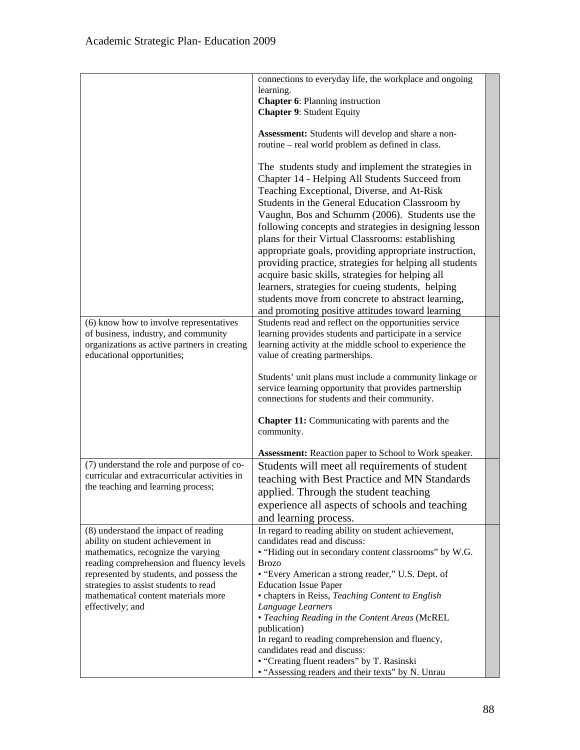|                                                                                                                                                                                                                                                                                                             | connections to everyday life, the workplace and ongoing<br>learning.<br><b>Chapter 6: Planning instruction</b><br><b>Chapter 9: Student Equity</b>                                                                                                                                                                                                                                                                                                                                                                                                                                                                                                                                                         |  |
|-------------------------------------------------------------------------------------------------------------------------------------------------------------------------------------------------------------------------------------------------------------------------------------------------------------|------------------------------------------------------------------------------------------------------------------------------------------------------------------------------------------------------------------------------------------------------------------------------------------------------------------------------------------------------------------------------------------------------------------------------------------------------------------------------------------------------------------------------------------------------------------------------------------------------------------------------------------------------------------------------------------------------------|--|
|                                                                                                                                                                                                                                                                                                             | Assessment: Students will develop and share a non-<br>routine – real world problem as defined in class.                                                                                                                                                                                                                                                                                                                                                                                                                                                                                                                                                                                                    |  |
|                                                                                                                                                                                                                                                                                                             | The students study and implement the strategies in<br>Chapter 14 - Helping All Students Succeed from<br>Teaching Exceptional, Diverse, and At-Risk<br>Students in the General Education Classroom by<br>Vaughn, Bos and Schumm (2006). Students use the<br>following concepts and strategies in designing lesson<br>plans for their Virtual Classrooms: establishing<br>appropriate goals, providing appropriate instruction,<br>providing practice, strategies for helping all students<br>acquire basic skills, strategies for helping all<br>learners, strategies for cueing students, helping<br>students move from concrete to abstract learning,<br>and promoting positive attitudes toward learning |  |
| (6) know how to involve representatives<br>of business, industry, and community<br>organizations as active partners in creating<br>educational opportunities;                                                                                                                                               | Students read and reflect on the opportunities service<br>learning provides students and participate in a service<br>learning activity at the middle school to experience the<br>value of creating partnerships.                                                                                                                                                                                                                                                                                                                                                                                                                                                                                           |  |
|                                                                                                                                                                                                                                                                                                             | Students' unit plans must include a community linkage or<br>service learning opportunity that provides partnership<br>connections for students and their community.<br><b>Chapter 11:</b> Communicating with parents and the                                                                                                                                                                                                                                                                                                                                                                                                                                                                               |  |
|                                                                                                                                                                                                                                                                                                             | community.<br><b>Assessment:</b> Reaction paper to School to Work speaker.                                                                                                                                                                                                                                                                                                                                                                                                                                                                                                                                                                                                                                 |  |
| (7) understand the role and purpose of co-<br>curricular and extracurricular activities in<br>the teaching and learning process;                                                                                                                                                                            | Students will meet all requirements of student<br>teaching with Best Practice and MN Standards<br>applied. Through the student teaching<br>experience all aspects of schools and teaching<br>and learning process.                                                                                                                                                                                                                                                                                                                                                                                                                                                                                         |  |
| (8) understand the impact of reading<br>ability on student achievement in<br>mathematics, recognize the varying<br>reading comprehension and fluency levels<br>represented by students, and possess the<br>strategies to assist students to read<br>mathematical content materials more<br>effectively; and | In regard to reading ability on student achievement,<br>candidates read and discuss:<br>• "Hiding out in secondary content classrooms" by W.G.<br><b>Brozo</b><br>• "Every American a strong reader," U.S. Dept. of<br><b>Education Issue Paper</b><br>• chapters in Reiss, Teaching Content to English                                                                                                                                                                                                                                                                                                                                                                                                    |  |
|                                                                                                                                                                                                                                                                                                             | Language Learners<br>• Teaching Reading in the Content Areas (McREL<br>publication)<br>In regard to reading comprehension and fluency,<br>candidates read and discuss:<br>• "Creating fluent readers" by T. Rasinski<br>• "Assessing readers and their texts" by N. Unrau                                                                                                                                                                                                                                                                                                                                                                                                                                  |  |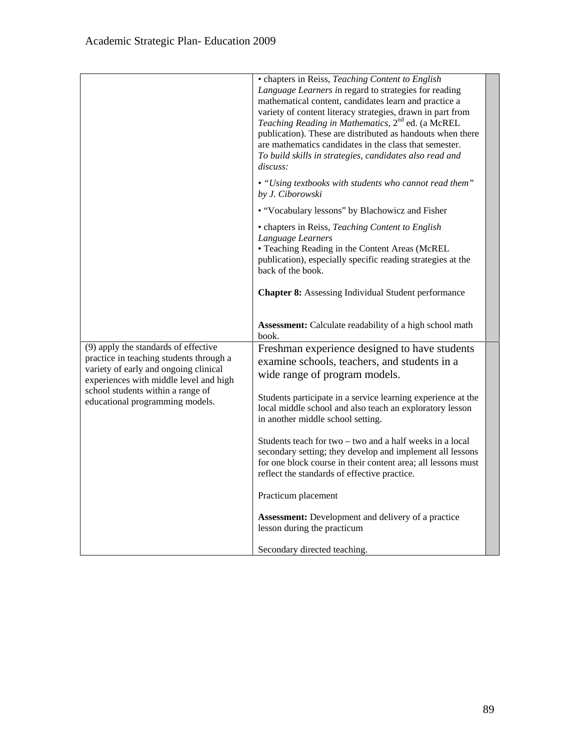|                                                                                                                                                                    | • chapters in Reiss, Teaching Content to English<br>Language Learners in regard to strategies for reading<br>mathematical content, candidates learn and practice a<br>variety of content literacy strategies, drawn in part from<br>Teaching Reading in Mathematics, 2 <sup>nd</sup> ed. (a McREL<br>publication). These are distributed as handouts when there<br>are mathematics candidates in the class that semester.<br>To build skills in strategies, candidates also read and<br>discuss: |  |
|--------------------------------------------------------------------------------------------------------------------------------------------------------------------|--------------------------------------------------------------------------------------------------------------------------------------------------------------------------------------------------------------------------------------------------------------------------------------------------------------------------------------------------------------------------------------------------------------------------------------------------------------------------------------------------|--|
|                                                                                                                                                                    | • "Using textbooks with students who cannot read them"<br>by J. Ciborowski                                                                                                                                                                                                                                                                                                                                                                                                                       |  |
|                                                                                                                                                                    | • "Vocabulary lessons" by Blachowicz and Fisher                                                                                                                                                                                                                                                                                                                                                                                                                                                  |  |
|                                                                                                                                                                    | • chapters in Reiss, Teaching Content to English<br>Language Learners<br>• Teaching Reading in the Content Areas (McREL<br>publication), especially specific reading strategies at the<br>back of the book.                                                                                                                                                                                                                                                                                      |  |
|                                                                                                                                                                    | <b>Chapter 8:</b> Assessing Individual Student performance                                                                                                                                                                                                                                                                                                                                                                                                                                       |  |
|                                                                                                                                                                    | <b>Assessment:</b> Calculate readability of a high school math<br>book.                                                                                                                                                                                                                                                                                                                                                                                                                          |  |
| (9) apply the standards of effective<br>practice in teaching students through a<br>variety of early and ongoing clinical<br>experiences with middle level and high | Freshman experience designed to have students<br>examine schools, teachers, and students in a<br>wide range of program models.                                                                                                                                                                                                                                                                                                                                                                   |  |
| school students within a range of<br>educational programming models.                                                                                               | Students participate in a service learning experience at the<br>local middle school and also teach an exploratory lesson<br>in another middle school setting.                                                                                                                                                                                                                                                                                                                                    |  |
|                                                                                                                                                                    | Students teach for two – two and a half weeks in a local<br>secondary setting; they develop and implement all lessons<br>for one block course in their content area; all lessons must<br>reflect the standards of effective practice.                                                                                                                                                                                                                                                            |  |
|                                                                                                                                                                    | Practicum placement                                                                                                                                                                                                                                                                                                                                                                                                                                                                              |  |
|                                                                                                                                                                    | <b>Assessment:</b> Development and delivery of a practice<br>lesson during the practicum                                                                                                                                                                                                                                                                                                                                                                                                         |  |
|                                                                                                                                                                    | Secondary directed teaching.                                                                                                                                                                                                                                                                                                                                                                                                                                                                     |  |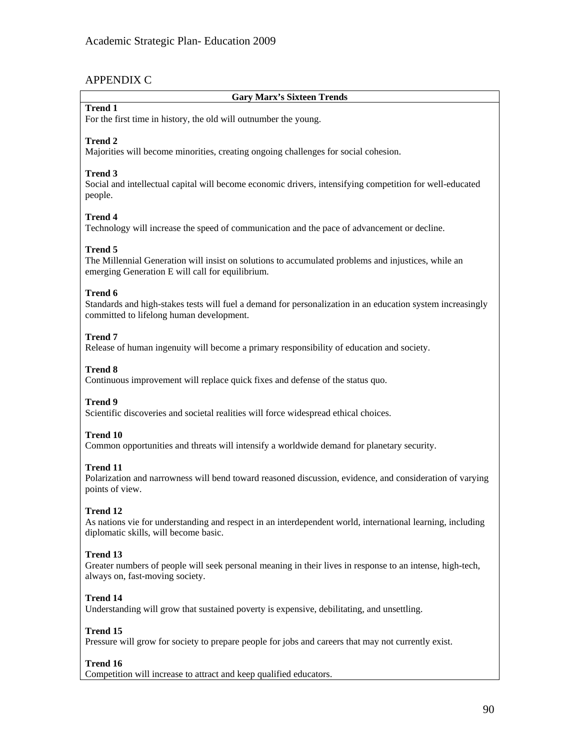# APPENDIX C

# **Gary Marx's Sixteen Trends**

# **Trend 1**

For the first time in history, the old will outnumber the young.

# **Trend 2**

Majorities will become minorities, creating ongoing challenges for social cohesion.

# **Trend 3**

Social and intellectual capital will become economic drivers, intensifying competition for well-educated people.

# **Trend 4**

Technology will increase the speed of communication and the pace of advancement or decline.

# **Trend 5**

The Millennial Generation will insist on solutions to accumulated problems and injustices, while an emerging Generation E will call for equilibrium.

# **Trend 6**

Standards and high-stakes tests will fuel a demand for personalization in an education system increasingly committed to lifelong human development.

# **Trend 7**

Release of human ingenuity will become a primary responsibility of education and society.

# **Trend 8**

Continuous improvement will replace quick fixes and defense of the status quo.

# **Trend 9**

Scientific discoveries and societal realities will force widespread ethical choices.

# **Trend 10**

Common opportunities and threats will intensify a worldwide demand for planetary security.

# **Trend 11**

Polarization and narrowness will bend toward reasoned discussion, evidence, and consideration of varying points of view.

# **Trend 12**

As nations vie for understanding and respect in an interdependent world, international learning, including diplomatic skills, will become basic.

# **Trend 13**

Greater numbers of people will seek personal meaning in their lives in response to an intense, high-tech, always on, fast-moving society.

# **Trend 14**

Understanding will grow that sustained poverty is expensive, debilitating, and unsettling.

# **Trend 15**

Pressure will grow for society to prepare people for jobs and careers that may not currently exist.

# **Trend 16**

Competition will increase to attract and keep qualified educators.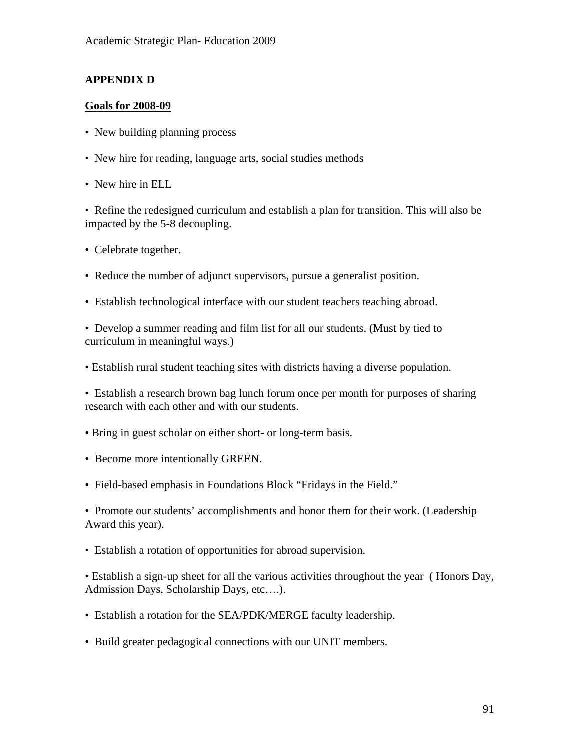# **APPENDIX D**

# **Goals for 2008-09**

- New building planning process
- New hire for reading, language arts, social studies methods
- New hire in ELL

• Refine the redesigned curriculum and establish a plan for transition. This will also be impacted by the 5-8 decoupling.

- Celebrate together.
- Reduce the number of adjunct supervisors, pursue a generalist position.
- Establish technological interface with our student teachers teaching abroad.

• Develop a summer reading and film list for all our students. (Must by tied to curriculum in meaningful ways.)

• Establish rural student teaching sites with districts having a diverse population.

• Establish a research brown bag lunch forum once per month for purposes of sharing research with each other and with our students.

- Bring in guest scholar on either short- or long-term basis.
- Become more intentionally GREEN.
- Field-based emphasis in Foundations Block "Fridays in the Field."

• Promote our students' accomplishments and honor them for their work. (Leadership Award this year).

• Establish a rotation of opportunities for abroad supervision.

• Establish a sign-up sheet for all the various activities throughout the year ( Honors Day, Admission Days, Scholarship Days, etc….).

- Establish a rotation for the SEA/PDK/MERGE faculty leadership.
- Build greater pedagogical connections with our UNIT members.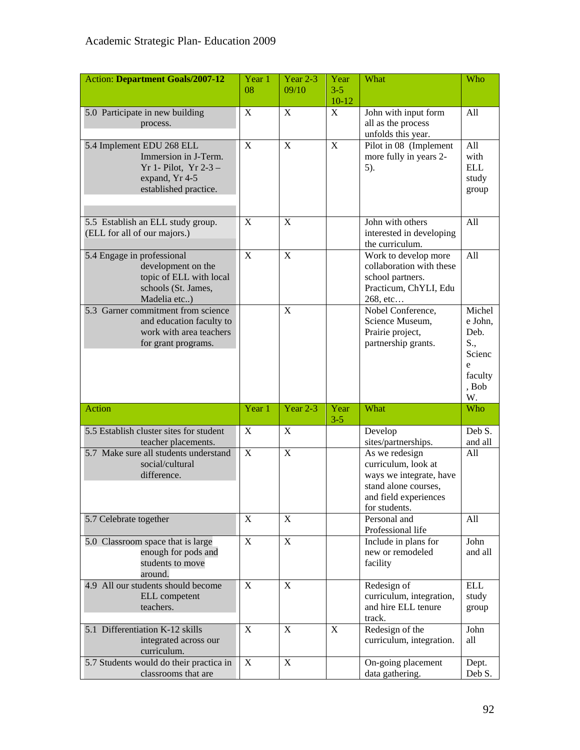| <b>Action: Department Goals/2007-12</b>                        | Year 1<br>08 | Year 2-3<br>09/10 | Year<br>$3 - 5$ | What                                        | Who              |
|----------------------------------------------------------------|--------------|-------------------|-----------------|---------------------------------------------|------------------|
| 5.0 Participate in new building                                | X            | X                 | $10 - 12$<br>X  | John with input form                        | All              |
| process.                                                       |              |                   |                 | all as the process<br>unfolds this year.    |                  |
| 5.4 Implement EDU 268 ELL                                      | $\mathbf X$  | X                 | X               | Pilot in 08 (Implement                      | All              |
| Immersion in J-Term.                                           |              |                   |                 | more fully in years 2-                      | with             |
| Yr 1- Pilot, Yr $2-3$ -                                        |              |                   |                 | 5).                                         | <b>ELL</b>       |
| expand, Yr 4-5<br>established practice.                        |              |                   |                 |                                             | study            |
|                                                                |              |                   |                 |                                             | group            |
|                                                                |              |                   |                 |                                             |                  |
| 5.5 Establish an ELL study group.                              | X            | $\mathbf X$       |                 | John with others                            | All              |
| (ELL for all of our majors.)                                   |              |                   |                 | interested in developing<br>the curriculum. |                  |
| 5.4 Engage in professional                                     | X            | X                 |                 | Work to develop more                        | All              |
| development on the                                             |              |                   |                 | collaboration with these                    |                  |
| topic of ELL with local<br>schools (St. James,                 |              |                   |                 | school partners.<br>Practicum, ChYLI, Edu   |                  |
| Madelia etc)                                                   |              |                   |                 | 268, etc                                    |                  |
| 5.3 Garner commitment from science                             |              | X                 |                 | Nobel Conference,                           | Michel           |
| and education faculty to                                       |              |                   |                 | Science Museum,                             | e John,          |
| work with area teachers<br>for grant programs.                 |              |                   |                 | Prairie project,<br>partnership grants.     | Deb.<br>S.,      |
|                                                                |              |                   |                 |                                             | Scienc           |
|                                                                |              |                   |                 |                                             | e                |
|                                                                |              |                   |                 |                                             | faculty<br>, Bob |
|                                                                |              |                   |                 |                                             | W.               |
| Action                                                         | Year 1       | Year 2-3          | Year<br>$3 - 5$ | What                                        | Who              |
| 5.5 Establish cluster sites for student                        | X            | X                 |                 | Develop                                     | Deb S.           |
| teacher placements.<br>5.7 Make sure all students understand   | $\mathbf X$  | X                 |                 | sites/partnerships.                         | and all<br>All   |
| social/cultural                                                |              |                   |                 | As we redesign<br>curriculum, look at       |                  |
| difference.                                                    |              |                   |                 | ways we integrate, have                     |                  |
|                                                                |              |                   |                 | stand alone courses,                        |                  |
|                                                                |              |                   |                 | and field experiences<br>for students.      |                  |
| 5.7 Celebrate together                                         | $\mathbf X$  | $\mathbf X$       |                 | Personal and                                | All              |
|                                                                |              |                   |                 | Professional life                           |                  |
| 5.0 Classroom space that is large                              | $\mathbf X$  | $\mathbf X$       |                 | Include in plans for                        | John             |
| enough for pods and<br>students to move                        |              |                   |                 | new or remodeled                            | and all          |
| around.                                                        |              |                   |                 | facility                                    |                  |
| 4.9 All our students should become                             | X            | X                 |                 | Redesign of                                 | <b>ELL</b>       |
| ELL competent                                                  |              |                   |                 | curriculum, integration,                    | study            |
| teachers.                                                      |              |                   |                 | and hire ELL tenure<br>track.               | group            |
| 5.1 Differentiation K-12 skills                                | X            | X                 | X               | Redesign of the                             | John             |
| integrated across our                                          |              |                   |                 | curriculum, integration.                    | all              |
| curriculum.                                                    |              |                   |                 |                                             |                  |
| 5.7 Students would do their practica in<br>classrooms that are | $\mathbf X$  | $\mathbf X$       |                 | On-going placement<br>data gathering.       | Dept.<br>Deb S.  |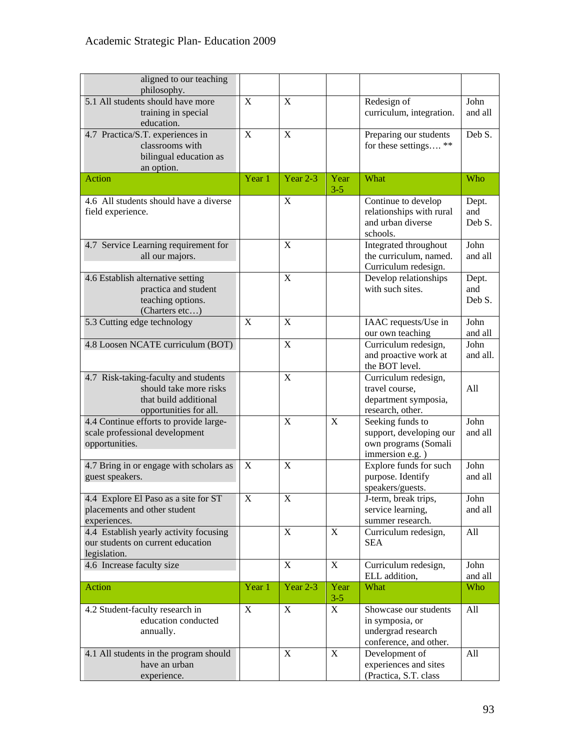| aligned to our teaching<br>philosophy.                                                                            |             |             |                 |                                                                                          |                        |
|-------------------------------------------------------------------------------------------------------------------|-------------|-------------|-----------------|------------------------------------------------------------------------------------------|------------------------|
| 5.1 All students should have more<br>training in special<br>education.                                            | X           | X           |                 | Redesign of<br>curriculum, integration.                                                  | John<br>and all        |
| 4.7 Practica/S.T. experiences in<br>classrooms with<br>bilingual education as<br>an option.                       | X           | X           |                 | Preparing our students<br>for these settings **                                          | Deb S.                 |
| Action                                                                                                            | Year 1      | Year $2-3$  | Year<br>$3 - 5$ | What                                                                                     | Who                    |
| 4.6 All students should have a diverse<br>field experience.                                                       |             | X           |                 | Continue to develop<br>relationships with rural<br>and urban diverse<br>schools.         | Dept.<br>and<br>Deb S. |
| 4.7 Service Learning requirement for<br>all our majors.                                                           |             | X           |                 | Integrated throughout<br>the curriculum, named.<br>Curriculum redesign.                  | John<br>and all        |
| 4.6 Establish alternative setting<br>practica and student<br>teaching options.<br>(Charters etc)                  |             | X           |                 | Develop relationships<br>with such sites.                                                | Dept.<br>and<br>Deb S. |
| 5.3 Cutting edge technology                                                                                       | X           | X           |                 | IAAC requests/Use in<br>our own teaching                                                 | John<br>and all        |
| 4.8 Loosen NCATE curriculum (BOT)                                                                                 |             | $\mathbf X$ |                 | Curriculum redesign,<br>and proactive work at<br>the BOT level.                          | John<br>and all.       |
| 4.7 Risk-taking-faculty and students<br>should take more risks<br>that build additional<br>opportunities for all. |             | X           |                 | Curriculum redesign,<br>travel course,<br>department symposia,<br>research, other.       | All                    |
| 4.4 Continue efforts to provide large-<br>scale professional development<br>opportunities.                        |             | X           | X               | Seeking funds to<br>support, developing our<br>own programs (Somali<br>immersion e.g.)   | John<br>and all        |
| 4.7 Bring in or engage with scholars as<br>guest speakers.                                                        | X           | X           |                 | Explore funds for such<br>purpose. Identify<br>speakers/guests.                          | John<br>and all        |
| 4.4 Explore El Paso as a site for ST<br>placements and other student<br>experiences.                              | X.          | X           |                 | J-term, break trips,<br>service learning,<br>summer research.                            | John<br>and all        |
| 4.4 Establish yearly activity focusing<br>our students on current education<br>legislation.                       |             | X           | X               | Curriculum redesign,<br><b>SEA</b>                                                       | All                    |
| 4.6 Increase faculty size                                                                                         |             | X           | X               | Curriculum redesign,<br>ELL addition,                                                    | John<br>and all        |
| Action                                                                                                            | Year 1      | Year $2-3$  | Year<br>$3 - 5$ | What                                                                                     | Who                    |
| 4.2 Student-faculty research in<br>education conducted<br>annually.                                               | $\mathbf X$ | $\mathbf X$ | X               | Showcase our students<br>in symposia, or<br>undergrad research<br>conference, and other. | All                    |
| 4.1 All students in the program should<br>have an urban<br>experience.                                            |             | X           | X               | Development of<br>experiences and sites<br>(Practica, S.T. class                         | All                    |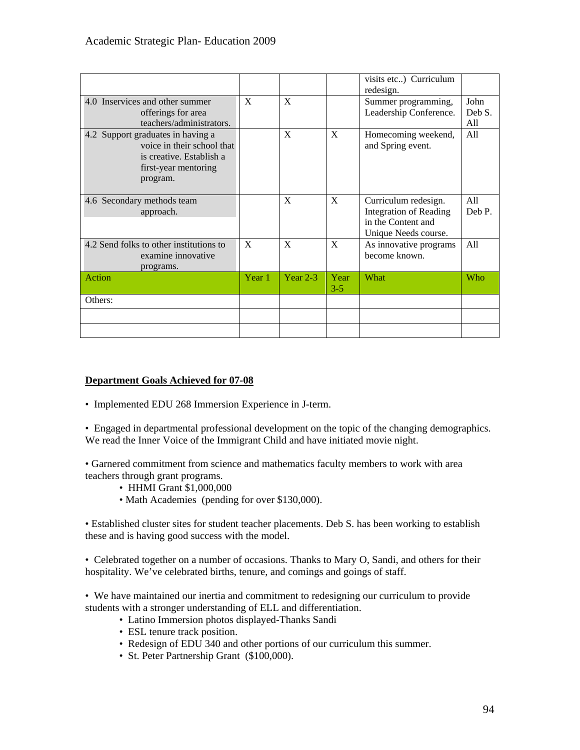|                                         |        |            |       | visits etc) Curriculum        |            |
|-----------------------------------------|--------|------------|-------|-------------------------------|------------|
|                                         |        |            |       | redesign.                     |            |
| 4.0 Inservices and other summer         | X      | X          |       | Summer programming,           | John       |
| offerings for area                      |        |            |       | Leadership Conference.        | Deb S.     |
| teachers/administrators.                |        |            |       |                               | All        |
| 4.2 Support graduates in having a       |        | X          | X     | Homecoming weekend,           | All        |
| voice in their school that              |        |            |       | and Spring event.             |            |
| is creative. Establish a                |        |            |       |                               |            |
| first-year mentoring                    |        |            |       |                               |            |
| program.                                |        |            |       |                               |            |
|                                         |        |            |       |                               |            |
| 4.6 Secondary methods team              |        | X          | X     | Curriculum redesign.          | All        |
| approach.                               |        |            |       | <b>Integration of Reading</b> | Deb P.     |
|                                         |        |            |       | in the Content and            |            |
|                                         |        |            |       |                               |            |
|                                         |        |            |       | Unique Needs course.          |            |
| 4.2 Send folks to other institutions to | X      | X          | X     | As innovative programs        | All        |
| examine innovative                      |        |            |       | become known.                 |            |
| programs.                               |        |            |       |                               |            |
| Action                                  | Year 1 | Year $2-3$ | Year  | What                          | <b>Who</b> |
|                                         |        |            | $3-5$ |                               |            |
| Others:                                 |        |            |       |                               |            |
|                                         |        |            |       |                               |            |
|                                         |        |            |       |                               |            |

# **Department Goals Achieved for 07-08**

• Implemented EDU 268 Immersion Experience in J-term.

• Engaged in departmental professional development on the topic of the changing demographics. We read the Inner Voice of the Immigrant Child and have initiated movie night.

• Garnered commitment from science and mathematics faculty members to work with area teachers through grant programs.

- HHMI Grant \$1,000,000
- Math Academies (pending for over \$130,000).

• Established cluster sites for student teacher placements. Deb S. has been working to establish these and is having good success with the model.

• Celebrated together on a number of occasions. Thanks to Mary O, Sandi, and others for their hospitality. We've celebrated births, tenure, and comings and goings of staff.

• We have maintained our inertia and commitment to redesigning our curriculum to provide students with a stronger understanding of ELL and differentiation.

- Latino Immersion photos displayed-Thanks Sandi
- ESL tenure track position.
- Redesign of EDU 340 and other portions of our curriculum this summer.
- St. Peter Partnership Grant (\$100,000).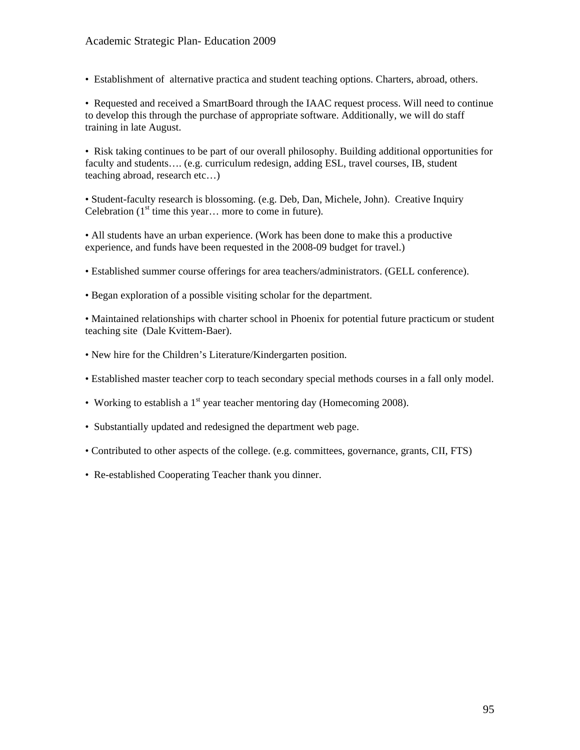# Academic Strategic Plan- Education 2009

• Establishment of alternative practica and student teaching options. Charters, abroad, others.

• Requested and received a SmartBoard through the IAAC request process. Will need to continue to develop this through the purchase of appropriate software. Additionally, we will do staff training in late August.

• Risk taking continues to be part of our overall philosophy. Building additional opportunities for faculty and students…. (e.g. curriculum redesign, adding ESL, travel courses, IB, student teaching abroad, research etc…)

• Student-faculty research is blossoming. (e.g. Deb, Dan, Michele, John). Creative Inquiry Celebration  $(1<sup>st</sup>$  time this year... more to come in future).

• All students have an urban experience. (Work has been done to make this a productive experience, and funds have been requested in the 2008-09 budget for travel.)

- Established summer course offerings for area teachers/administrators. (GELL conference).
- Began exploration of a possible visiting scholar for the department.

• Maintained relationships with charter school in Phoenix for potential future practicum or student teaching site (Dale Kvittem-Baer).

- New hire for the Children's Literature/Kindergarten position.
- Established master teacher corp to teach secondary special methods courses in a fall only model.
- Working to establish a  $1<sup>st</sup>$  year teacher mentoring day (Homecoming 2008).
- Substantially updated and redesigned the department web page.
- Contributed to other aspects of the college. (e.g. committees, governance, grants, CII, FTS)
- Re-established Cooperating Teacher thank you dinner.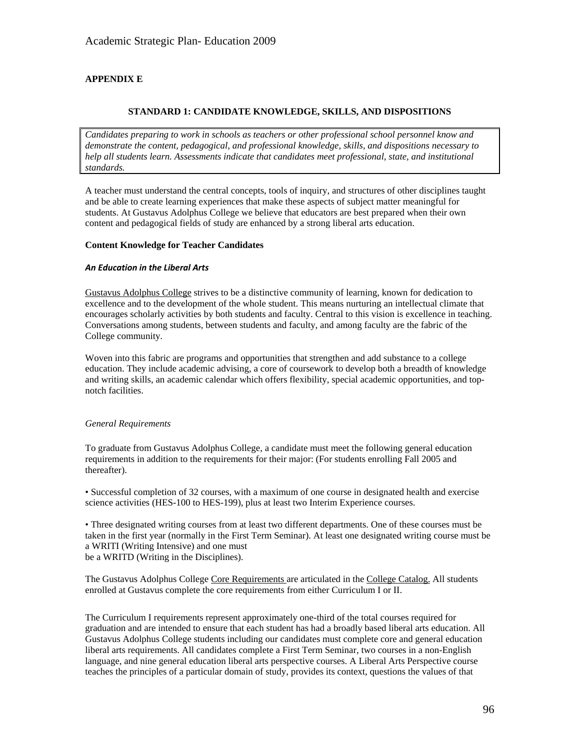# **APPENDIX E**

### **STANDARD 1: CANDIDATE KNOWLEDGE, SKILLS, AND DISPOSITIONS**

*Candidates preparing to work in schools as teachers or other professional school personnel know and demonstrate the content, pedagogical, and professional knowledge, skills, and dispositions necessary to help all students learn. Assessments indicate that candidates meet professional, state, and institutional standards.* 

A teacher must understand the central concepts, tools of inquiry, and structures of other disciplines taught and be able to create learning experiences that make these aspects of subject matter meaningful for students. At Gustavus Adolphus College we believe that educators are best prepared when their own content and pedagogical fields of study are enhanced by a strong liberal arts education.

### **Content Knowledge for Teacher Candidates**

### *An Education in the Liberal Arts*

Gustavus Adolphus College strives to be a distinctive community of learning, known for dedication to excellence and to the development of the whole student. This means nurturing an intellectual climate that encourages scholarly activities by both students and faculty. Central to this vision is excellence in teaching. Conversations among students, between students and faculty, and among faculty are the fabric of the College community.

Woven into this fabric are programs and opportunities that strengthen and add substance to a college education. They include academic advising, a core of coursework to develop both a breadth of knowledge and writing skills, an academic calendar which offers flexibility, special academic opportunities, and topnotch facilities.

#### *General Requirements*

To graduate from Gustavus Adolphus College, a candidate must meet the following general education requirements in addition to the requirements for their major: (For students enrolling Fall 2005 and thereafter).

• Successful completion of 32 courses, with a maximum of one course in designated health and exercise science activities (HES-100 to HES-199), plus at least two Interim Experience courses.

• Three designated writing courses from at least two different departments. One of these courses must be taken in the first year (normally in the First Term Seminar). At least one designated writing course must be a WRITI (Writing Intensive) and one must be a WRITD (Writing in the Disciplines).

The Gustavus Adolphus College Core Requirements are articulated in the College Catalog. All students enrolled at Gustavus complete the core requirements from either Curriculum I or II.

The Curriculum I requirements represent approximately one-third of the total courses required for graduation and are intended to ensure that each student has had a broadly based liberal arts education. All Gustavus Adolphus College students including our candidates must complete core and general education liberal arts requirements. All candidates complete a First Term Seminar, two courses in a non-English language, and nine general education liberal arts perspective courses. A Liberal Arts Perspective course teaches the principles of a particular domain of study, provides its context, questions the values of that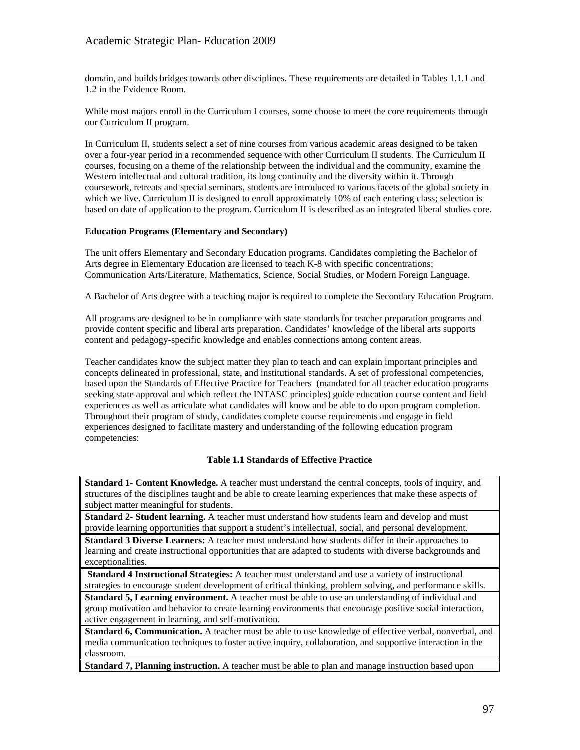domain, and builds bridges towards other disciplines. These requirements are detailed in Tables 1.1.1 and 1.2 in the Evidence Room.

While most majors enroll in the Curriculum I courses, some choose to meet the core requirements through our Curriculum II program.

In Curriculum II, students select a set of nine courses from various academic areas designed to be taken over a four-year period in a recommended sequence with other Curriculum II students. The Curriculum II courses, focusing on a theme of the relationship between the individual and the community, examine the Western intellectual and cultural tradition, its long continuity and the diversity within it. Through coursework, retreats and special seminars, students are introduced to various facets of the global society in which we live. Curriculum II is designed to enroll approximately 10% of each entering class; selection is based on date of application to the program. Curriculum II is described as an integrated liberal studies core.

### **Education Programs (Elementary and Secondary)**

The unit offers Elementary and Secondary Education programs. Candidates completing the Bachelor of Arts degree in Elementary Education are licensed to teach K-8 with specific concentrations; Communication Arts/Literature, Mathematics, Science, Social Studies, or Modern Foreign Language.

A Bachelor of Arts degree with a teaching major is required to complete the Secondary Education Program.

All programs are designed to be in compliance with state standards for teacher preparation programs and provide content specific and liberal arts preparation. Candidates' knowledge of the liberal arts supports content and pedagogy-specific knowledge and enables connections among content areas.

Teacher candidates know the subject matter they plan to teach and can explain important principles and concepts delineated in professional, state, and institutional standards. A set of professional competencies, based upon the Standards of Effective Practice for Teachers (mandated for all teacher education programs seeking state approval and which reflect the **INTASC** principles) guide education course content and field experiences as well as articulate what candidates will know and be able to do upon program completion. Throughout their program of study, candidates complete course requirements and engage in field experiences designed to facilitate mastery and understanding of the following education program competencies:

### **Table 1.1 Standards of Effective Practice**

**Standard 1- Content Knowledge.** A teacher must understand the central concepts, tools of inquiry, and structures of the disciplines taught and be able to create learning experiences that make these aspects of subject matter meaningful for students.

**Standard 2- Student learning.** A teacher must understand how students learn and develop and must provide learning opportunities that support a student's intellectual, social, and personal development.

**Standard 3 Diverse Learners:** A teacher must understand how students differ in their approaches to learning and create instructional opportunities that are adapted to students with diverse backgrounds and exceptionalities.

**Standard 4 Instructional Strategies:** A teacher must understand and use a variety of instructional strategies to encourage student development of critical thinking, problem solving, and performance skills.

**Standard 5, Learning environment.** A teacher must be able to use an understanding of individual and group motivation and behavior to create learning environments that encourage positive social interaction, active engagement in learning, and self-motivation.

**Standard 6, Communication.** A teacher must be able to use knowledge of effective verbal, nonverbal, and media communication techniques to foster active inquiry, collaboration, and supportive interaction in the classroom.

**Standard 7, Planning instruction.** A teacher must be able to plan and manage instruction based upon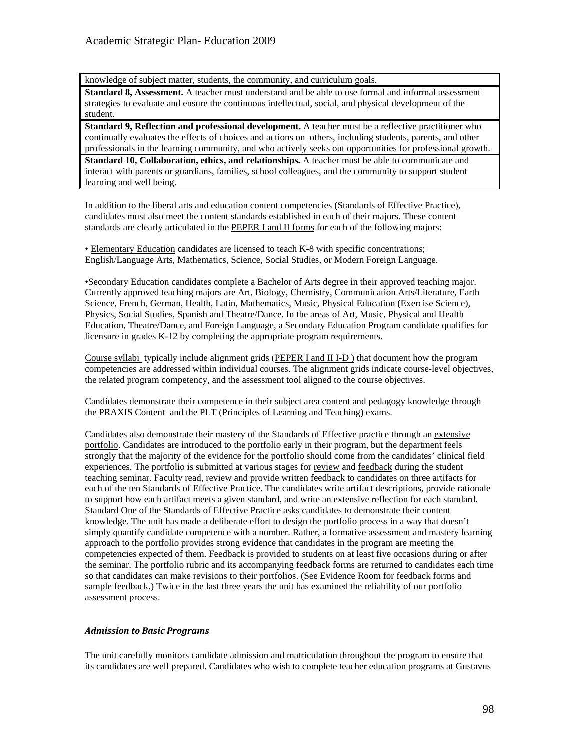knowledge of subject matter, students, the community, and curriculum goals.

**Standard 8, Assessment.** A teacher must understand and be able to use formal and informal assessment strategies to evaluate and ensure the continuous intellectual, social, and physical development of the student.

**Standard 9, Reflection and professional development.** A teacher must be a reflective practitioner who continually evaluates the effects of choices and actions on others, including students, parents, and other professionals in the learning community, and who actively seeks out opportunities for professional growth.

**Standard 10, Collaboration, ethics, and relationships.** A teacher must be able to communicate and interact with parents or guardians, families, school colleagues, and the community to support student learning and well being.

In addition to the liberal arts and education content competencies (Standards of Effective Practice), candidates must also meet the content standards established in each of their majors. These content standards are clearly articulated in the PEPER I and II forms for each of the following majors:

• Elementary Education candidates are licensed to teach K-8 with specific concentrations; English/Language Arts, Mathematics, Science, Social Studies, or Modern Foreign Language.

•Secondary Education candidates complete a Bachelor of Arts degree in their approved teaching major. Currently approved teaching majors are Art, Biology, Chemistry, Communication Arts/Literature, Earth Science, French, German, Health, Latin, Mathematics, Music, Physical Education (Exercise Science), Physics, Social Studies, Spanish and Theatre/Dance. In the areas of Art, Music, Physical and Health Education, Theatre/Dance, and Foreign Language, a Secondary Education Program candidate qualifies for licensure in grades K-12 by completing the appropriate program requirements.

Course syllabi typically include alignment grids (PEPER I and II I-D ) that document how the program competencies are addressed within individual courses. The alignment grids indicate course-level objectives, the related program competency, and the assessment tool aligned to the course objectives.

Candidates demonstrate their competence in their subject area content and pedagogy knowledge through the PRAXIS Content and the PLT (Principles of Learning and Teaching) exams.

Candidates also demonstrate their mastery of the Standards of Effective practice through an extensive portfolio. Candidates are introduced to the portfolio early in their program, but the department feels strongly that the majority of the evidence for the portfolio should come from the candidates' clinical field experiences. The portfolio is submitted at various stages for review and feedback during the student teaching seminar. Faculty read, review and provide written feedback to candidates on three artifacts for each of the ten Standards of Effective Practice. The candidates write artifact descriptions, provide rationale to support how each artifact meets a given standard, and write an extensive reflection for each standard. Standard One of the Standards of Effective Practice asks candidates to demonstrate their content knowledge. The unit has made a deliberate effort to design the portfolio process in a way that doesn't simply quantify candidate competence with a number. Rather, a formative assessment and mastery learning approach to the portfolio provides strong evidence that candidates in the program are meeting the competencies expected of them. Feedback is provided to students on at least five occasions during or after the seminar. The portfolio rubric and its accompanying feedback forms are returned to candidates each time so that candidates can make revisions to their portfolios. (See Evidence Room for feedback forms and sample feedback.) Twice in the last three years the unit has examined the reliability of our portfolio assessment process.

### *Admission to Basic Programs*

The unit carefully monitors candidate admission and matriculation throughout the program to ensure that its candidates are well prepared. Candidates who wish to complete teacher education programs at Gustavus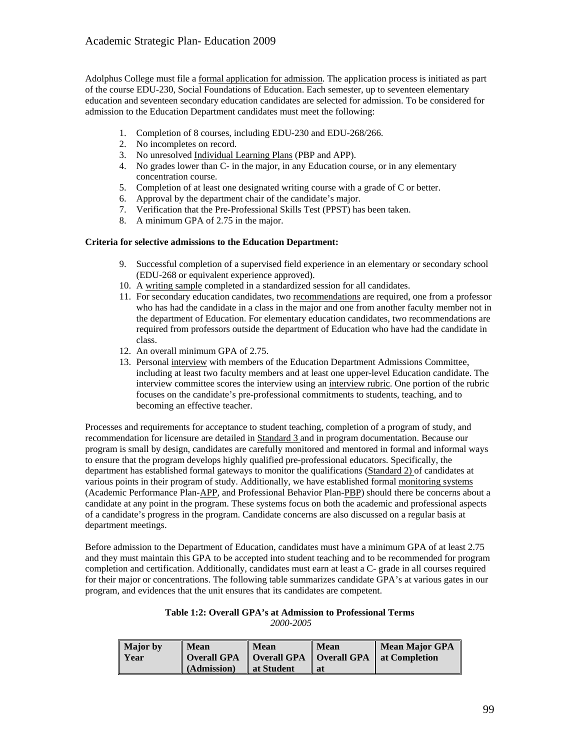Adolphus College must file a formal application for admission. The application process is initiated as part of the course EDU-230, Social Foundations of Education. Each semester, up to seventeen elementary education and seventeen secondary education candidates are selected for admission. To be considered for admission to the Education Department candidates must meet the following:

- 1. Completion of 8 courses, including EDU-230 and EDU-268/266.
- 2. No incompletes on record.
- 3. No unresolved Individual Learning Plans (PBP and APP).
- 4. No grades lower than C- in the major, in any Education course, or in any elementary concentration course.
- 5. Completion of at least one designated writing course with a grade of C or better.
- 6. Approval by the department chair of the candidate's major.
- 7. Verification that the Pre-Professional Skills Test (PPST) has been taken.
- 8. A minimum GPA of 2.75 in the major.

### **Criteria for selective admissions to the Education Department:**

- 9. Successful completion of a supervised field experience in an elementary or secondary school (EDU-268 or equivalent experience approved).
- 10. A writing sample completed in a standardized session for all candidates.
- 11. For secondary education candidates, two recommendations are required, one from a professor who has had the candidate in a class in the major and one from another faculty member not in the department of Education. For elementary education candidates, two recommendations are required from professors outside the department of Education who have had the candidate in class.
- 12. An overall minimum GPA of 2.75.
- 13. Personal interview with members of the Education Department Admissions Committee, including at least two faculty members and at least one upper-level Education candidate. The interview committee scores the interview using an interview rubric. One portion of the rubric focuses on the candidate's pre-professional commitments to students, teaching, and to becoming an effective teacher.

Processes and requirements for acceptance to student teaching, completion of a program of study, and recommendation for licensure are detailed in Standard 3 and in program documentation. Because our program is small by design, candidates are carefully monitored and mentored in formal and informal ways to ensure that the program develops highly qualified pre-professional educators. Specifically, the department has established formal gateways to monitor the qualifications (Standard 2) of candidates at various points in their program of study. Additionally, we have established formal monitoring systems (Academic Performance Plan-APP, and Professional Behavior Plan-PBP) should there be concerns about a candidate at any point in the program. These systems focus on both the academic and professional aspects of a candidate's progress in the program. Candidate concerns are also discussed on a regular basis at department meetings.

Before admission to the Department of Education, candidates must have a minimum GPA of at least 2.75 and they must maintain this GPA to be accepted into student teaching and to be recommended for program completion and certification. Additionally, candidates must earn at least a C- grade in all courses required for their major or concentrations. The following table summarizes candidate GPA's at various gates in our program, and evidences that the unit ensures that its candidates are competent.

#### **Table 1:2: Overall GPA's at Admission to Professional Terms**  *2000-2005*

| <b>Major</b> by | <b>Mean</b> | <b>Mean</b> | <b>Mean</b> | Mean Major GPA                                                 |
|-----------------|-------------|-------------|-------------|----------------------------------------------------------------|
| Year            |             |             |             | <b>Overall GPA</b>   Overall GPA   Overall GPA   at Completion |
|                 | (Admission) | lat Student | <b>at</b>   |                                                                |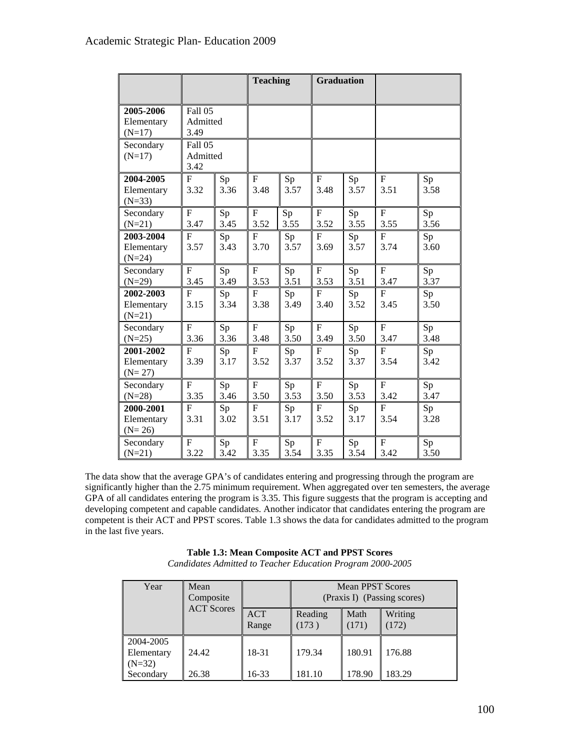|                                     |                             |            | <b>Teaching</b>        |            | <b>Graduation</b>      |            |                        |            |
|-------------------------------------|-----------------------------|------------|------------------------|------------|------------------------|------------|------------------------|------------|
| 2005-2006<br>Elementary<br>$(N=17)$ | Fall 05<br>Admitted<br>3.49 |            |                        |            |                        |            |                        |            |
| Secondary<br>$(N=17)$               | Fall 05<br>Admitted<br>3.42 |            |                        |            |                        |            |                        |            |
| 2004-2005<br>Elementary<br>$(N=33)$ | $\mathbf{F}$<br>3.32        | Sp<br>3.36 | $\mathbf F$<br>3.48    | Sp<br>3.57 | $\mathbf F$<br>3.48    | Sp<br>3.57 | $\mathbf{F}$<br>3.51   | Sp<br>3.58 |
| Secondary<br>$(N=21)$               | $\overline{F}$<br>3.47      | Sp<br>3.45 | $\overline{F}$<br>3.52 | Sp<br>3.55 | $\overline{F}$<br>3.52 | Sp<br>3.55 | $\overline{F}$<br>3.55 | Sp<br>3.56 |
| 2003-2004<br>Elementary<br>$(N=24)$ | F<br>3.57                   | Sp<br>3.43 | F<br>3.70              | Sp<br>3.57 | $\overline{F}$<br>3.69 | Sp<br>3.57 | F<br>3.74              | Sp<br>3.60 |
| Secondary<br>$(N=29)$               | $\overline{F}$<br>3.45      | Sp<br>3.49 | $\overline{F}$<br>3.53 | Sp<br>3.51 | $\overline{F}$<br>3.53 | Sp<br>3.51 | $\overline{F}$<br>3.47 | Sp<br>3.37 |
| 2002-2003<br>Elementary<br>$(N=21)$ | $\mathbf{F}$<br>3.15        | Sp<br>3.34 | F<br>3.38              | Sp<br>3.49 | $\overline{F}$<br>3.40 | Sp<br>3.52 | F<br>3.45              | Sp<br>3.50 |
| Secondary<br>$(N=25)$               | $F_{\rm}$<br>3.36           | Sp<br>3.36 | $\mathbf{F}$<br>3.48   | Sp<br>3.50 | $\mathbf{F}$<br>3.49   | Sp<br>3.50 | $\mathbf{F}$<br>3.47   | Sp<br>3.48 |
| 2001-2002<br>Elementary<br>$(N=27)$ | F<br>3.39                   | Sp<br>3.17 | $\mathbf{F}$<br>3.52   | Sp<br>3.37 | $\mathbf{F}$<br>3.52   | Sp<br>3.37 | $\mathbf{F}$<br>3.54   | Sp<br>3.42 |
| Secondary<br>$(N=28)$               | $\mathbf{F}$<br>3.35        | Sp<br>3.46 | $\mathbf{F}$<br>3.50   | Sp<br>3.53 | $F_{\rm}$<br>3.50      | Sp<br>3.53 | $\mathbf{F}$<br>3.42   | Sp<br>3.47 |
| 2000-2001<br>Elementary<br>$(N=26)$ | $\overline{F}$<br>3.31      | Sp<br>3.02 | $\overline{F}$<br>3.51 | Sp<br>3.17 | F<br>3.52              | Sp<br>3.17 | $\mathbf{F}$<br>3.54   | Sp<br>3.28 |
| Secondary<br>$(N=21)$               | $\mathbf{F}$<br>3.22        | Sp<br>3.42 | $\overline{F}$<br>3.35 | Sp<br>3.54 | $\overline{F}$<br>3.35 | Sp<br>3.54 | $\overline{F}$<br>3.42 | Sp<br>3.50 |

The data show that the average GPA's of candidates entering and progressing through the program are significantly higher than the 2.75 minimum requirement. When aggregated over ten semesters, the average GPA of all candidates entering the program is 3.35. This figure suggests that the program is accepting and developing competent and capable candidates. Another indicator that candidates entering the program are competent is their ACT and PPST scores. Table 1.3 shows the data for candidates admitted to the program in the last five years.

| Table 1.3: Mean Composite ACT and PPST Scores              |
|------------------------------------------------------------|
| Candidates Admitted to Teacher Education Program 2000-2005 |

| Year                                | Mean<br>Composite |                     |                  | Mean PPST Scores | (Praxis I) (Passing scores) |
|-------------------------------------|-------------------|---------------------|------------------|------------------|-----------------------------|
|                                     | <b>ACT Scores</b> | <b>ACT</b><br>Range | Reading<br>(173) | Math<br>(171)    | Writing<br>(172)            |
| 2004-2005<br>Elementary<br>$(N=32)$ | 24.42             | 18-31               | 179.34           | 180.91           | 176.88                      |
| Secondary                           | 26.38             | 16-33               | 181.10           | 178.90           | 183.29                      |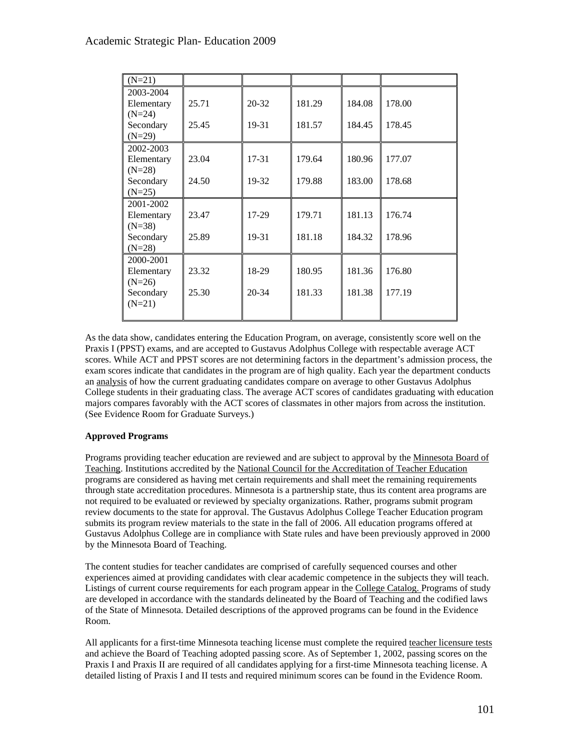| $(N=21)$              |       |           |        |        |        |
|-----------------------|-------|-----------|--------|--------|--------|
| 2003-2004             |       |           |        |        |        |
| Elementary            | 25.71 | $20 - 32$ | 181.29 | 184.08 | 178.00 |
| $(N=24)$<br>Secondary | 25.45 | 19-31     | 181.57 | 184.45 | 178.45 |
| $(N=29)$              |       |           |        |        |        |
| 2002-2003             |       |           |        |        |        |
| Elementary            | 23.04 | $17 - 31$ | 179.64 | 180.96 | 177.07 |
| $(N=28)$              |       |           |        |        |        |
| Secondary<br>$(N=25)$ | 24.50 | 19-32     | 179.88 | 183.00 | 178.68 |
|                       |       |           |        |        |        |
| 2001-2002             |       |           |        |        |        |
| Elementary            | 23.47 | $17-29$   | 179.71 | 181.13 | 176.74 |
| $(N=38)$              |       |           |        |        |        |
| Secondary             | 25.89 | 19-31     | 181.18 | 184.32 | 178.96 |
| $(N=28)$              |       |           |        |        |        |
| 2000-2001             |       |           |        |        |        |
| Elementary            | 23.32 | 18-29     | 180.95 | 181.36 | 176.80 |
| $(N=26)$<br>Secondary | 25.30 | 20-34     | 181.33 | 181.38 | 177.19 |
| $(N=21)$              |       |           |        |        |        |
|                       |       |           |        |        |        |
|                       |       |           |        |        |        |

As the data show, candidates entering the Education Program, on average, consistently score well on the Praxis I (PPST) exams, and are accepted to Gustavus Adolphus College with respectable average ACT scores. While ACT and PPST scores are not determining factors in the department's admission process, the exam scores indicate that candidates in the program are of high quality. Each year the department conducts an analysis of how the current graduating candidates compare on average to other Gustavus Adolphus College students in their graduating class. The average ACT scores of candidates graduating with education majors compares favorably with the ACT scores of classmates in other majors from across the institution. (See Evidence Room for Graduate Surveys.)

# **Approved Programs**

Programs providing teacher education are reviewed and are subject to approval by the Minnesota Board of Teaching. Institutions accredited by the National Council for the Accreditation of Teacher Education programs are considered as having met certain requirements and shall meet the remaining requirements through state accreditation procedures. Minnesota is a partnership state, thus its content area programs are not required to be evaluated or reviewed by specialty organizations. Rather, programs submit program review documents to the state for approval. The Gustavus Adolphus College Teacher Education program submits its program review materials to the state in the fall of 2006. All education programs offered at Gustavus Adolphus College are in compliance with State rules and have been previously approved in 2000 by the Minnesota Board of Teaching.

The content studies for teacher candidates are comprised of carefully sequenced courses and other experiences aimed at providing candidates with clear academic competence in the subjects they will teach. Listings of current course requirements for each program appear in the College Catalog. Programs of study are developed in accordance with the standards delineated by the Board of Teaching and the codified laws of the State of Minnesota. Detailed descriptions of the approved programs can be found in the Evidence Room.

All applicants for a first-time Minnesota teaching license must complete the required teacher licensure tests and achieve the Board of Teaching adopted passing score. As of September 1, 2002, passing scores on the Praxis I and Praxis II are required of all candidates applying for a first-time Minnesota teaching license. A detailed listing of Praxis I and II tests and required minimum scores can be found in the Evidence Room.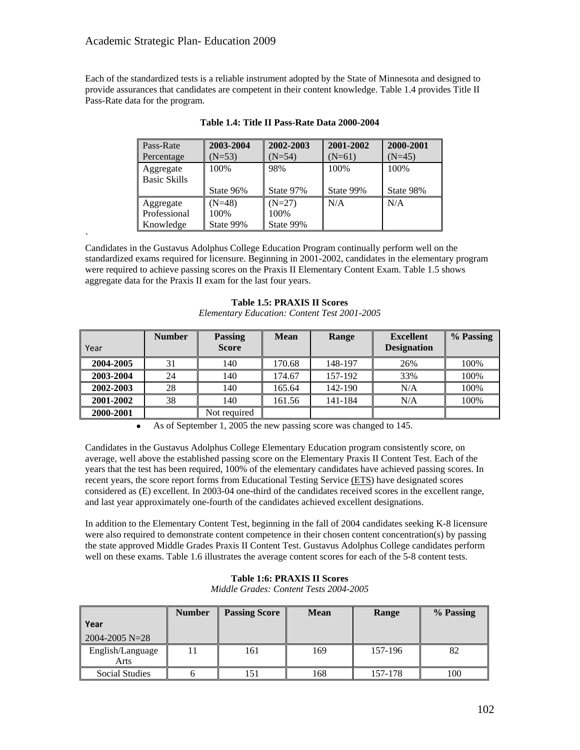`

Each of the standardized tests is a reliable instrument adopted by the State of Minnesota and designed to provide assurances that candidates are competent in their content knowledge. Table 1.4 provides Title II Pass-Rate data for the program.

| Pass-Rate           | 2003-2004 | 2002-2003 | 2001-2002 | 2000-2001 |
|---------------------|-----------|-----------|-----------|-----------|
|                     | $N = 53$  |           | $(N=61)$  | $(N=45)$  |
| Percentage          |           | $(N=54)$  |           |           |
| Aggregate           | 100%      | 98%       | 100%      | 100%      |
| <b>Basic Skills</b> |           |           |           |           |
|                     | State 96% | State 97% | State 99% | State 98% |
| Aggregate           | $N=48$    | $(N=27)$  | N/A       | N/A       |
| Professional        | 100%      | 100\%     |           |           |
|                     | State 99% | State 99% |           |           |

**Table 1.4: Title II Pass-Rate Data 2000-2004**

Candidates in the Gustavus Adolphus College Education Program continually perform well on the standardized exams required for licensure. Beginning in 2001-2002, candidates in the elementary program were required to achieve passing scores on the Praxis II Elementary Content Exam. Table 1.5 shows aggregate data for the Praxis II exam for the last four years.

|           | <b>Number</b> | <b>Passing</b> | <b>Mean</b> | Range   | <b>Excellent</b>   | % Passing |
|-----------|---------------|----------------|-------------|---------|--------------------|-----------|
| Year      |               | <b>Score</b>   |             |         | <b>Designation</b> |           |
| 2004-2005 | 31            | 140            | 170.68      | 148-197 | 26%                | 100%      |
| 2003-2004 | 24            | 140            | 174.67      | 157-192 | 33%                | 100%      |
| 2002-2003 | 28            | 140            | 165.64      | 142-190 | N/A                | 100%      |
| 2001-2002 | 38            | 140            | 161.56      | 141-184 | N/A                | 100%      |
| 2000-2001 |               | Not required   |             |         |                    |           |

# **Table 1.5: PRAXIS II Scores**

*Elementary Education: Content Test 2001-2005* 

As of September 1, 2005 the new passing score was changed to 145.

Candidates in the Gustavus Adolphus College Elementary Education program consistently score, on average, well above the established passing score on the Elementary Praxis II Content Test. Each of the years that the test has been required, 100% of the elementary candidates have achieved passing scores. In recent years, the score report forms from Educational Testing Service (ETS) have designated scores considered as (E) excellent. In 2003-04 one-third of the candidates received scores in the excellent range, and last year approximately one-fourth of the candidates achieved excellent designations.

In addition to the Elementary Content Test, beginning in the fall of 2004 candidates seeking K-8 licensure were also required to demonstrate content competence in their chosen content concentration(s) by passing the state approved Middle Grades Praxis II Content Test. Gustavus Adolphus College candidates perform well on these exams. Table 1.6 illustrates the average content scores for each of the 5-8 content tests.

| Year<br>$2004 - 2005 N = 28$ | <b>Number</b> | <b>Passing Score</b> | <b>Mean</b> | Range   | % Passing |
|------------------------------|---------------|----------------------|-------------|---------|-----------|
| English/Language<br>Arts     |               | 161                  | 169         | 157-196 | 82        |
| Social Studies               | n             |                      | 168         | 157-178 | 100       |

# **Table 1:6: PRAXIS II Scores**

*Middle Grades: Content Tests 2004-2005*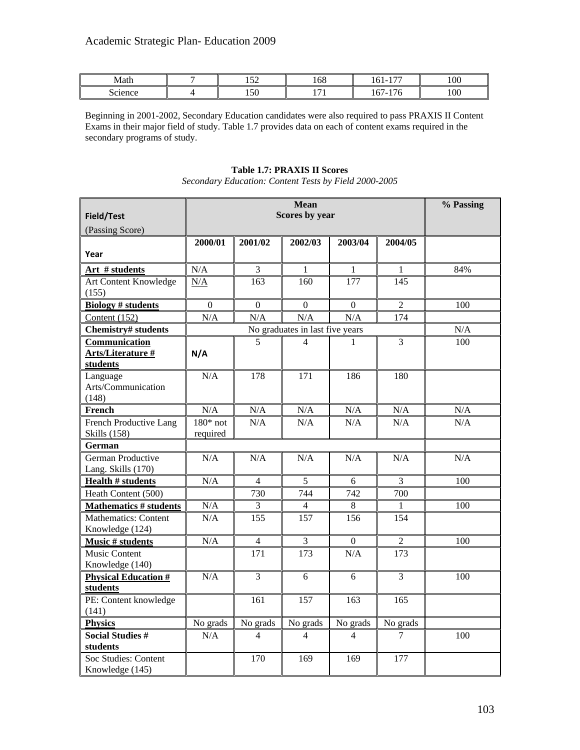| Math    | --<br>1 J J         | 168                           | $-$<br>- -<br>1 V 1                      | 100 |
|---------|---------------------|-------------------------------|------------------------------------------|-----|
| science | $\epsilon$<br>1 J U | $\cdot$ $ \cdot$<br>. .<br>-- | $\sim$<br>--<br>. .<br>1 V 7<br><b>.</b> | 100 |

Beginning in 2001-2002, Secondary Education candidates were also required to pass PRAXIS II Content Exams in their major field of study. Table 1.7 provides data on each of content exams required in the secondary programs of study.

#### **Field/Test** (Passing Score) **Mean Scores by year % Passing Year 2000/01 2001/02 2002/03 2003/04 2004/05 Art # students** N/A 3 1 1 1 1 84% Art Content Knowledge (155)  $N/A$  163 160 177 145 **Biology # students** 0 0 0 0 0 0 2 100 Content (152)  $N/A$  N/A  $N/A$  N/A  $174$ **Chemistry# students** No graduates in last five years N/A **Communication Arts/Literature # students N/A** 5 | 4 | 1 | 3 | 100 Language Arts/Communication (148) N/A 178 171 186 180 **French**  $N/A$   $N/A$   $N/A$   $N/A$   $N/A$   $N/A$   $N/A$ French Productive Lang Skills (158) 180\* not required  $N/A$   $N/A$   $N/A$   $N/A$   $N/A$ **German**  German Productive Lang. Skills (170)  $N/A$   $N/A$   $N/A$   $N/A$   $N/A$   $N/A$ **Health # students** N/A 4 5 6 3 100 Heath Content (500) 730 744 742 700 **Mathematics # students** N/A 3 4 8 1 1 100 Mathematics: Content Knowledge (124) N/A 155 157 156 154 **Music # students** N/A 4 3 0 2 100 Music Content Knowledge (140) 171 173 N/A 173 **Physical Education # students**  $N/A$  3 6 6 3 100 PE: Content knowledge (141) 161 | 157 | 163 | 165 **Physics** No grads No grads No grads No grads No grads No grads No grads No grads **Social Studies # students**   $N/A$  4 4 4 4 7 100 Soc Studies: Content Knowledge (145) 170 169 169 177

# **Table 1.7: PRAXIS II Scores**

*Secondary Education: Content Tests by Field 2000-2005*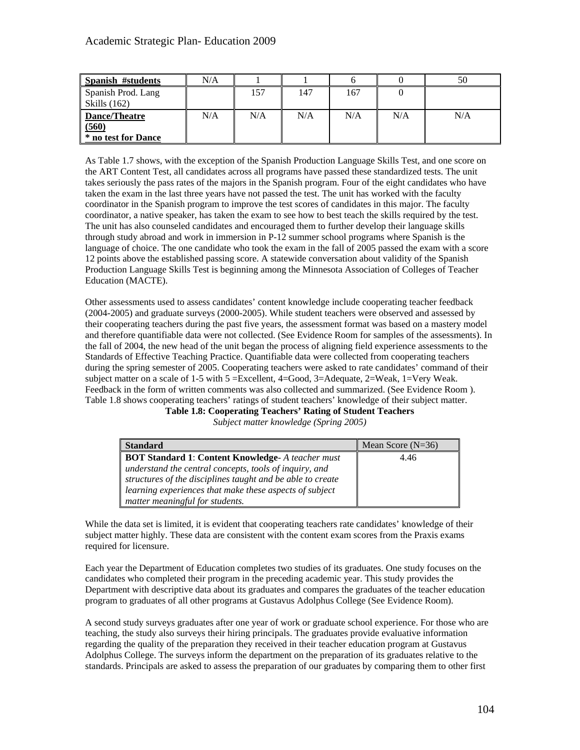| Spanish #students                                       | N/A |     |     |     |     | 50  |
|---------------------------------------------------------|-----|-----|-----|-----|-----|-----|
| Spanish Prod. Lang<br>$\mathsf{Skills}\left(162\right)$ |     | 157 | 147 | 167 |     |     |
| Dance/Theatre<br>(560)<br>* no test for Dance           | N/A | N/A | N/A | N/A | N/A | N/A |

As Table 1.7 shows, with the exception of the Spanish Production Language Skills Test, and one score on the ART Content Test, all candidates across all programs have passed these standardized tests. The unit takes seriously the pass rates of the majors in the Spanish program. Four of the eight candidates who have taken the exam in the last three years have not passed the test. The unit has worked with the faculty coordinator in the Spanish program to improve the test scores of candidates in this major. The faculty coordinator, a native speaker, has taken the exam to see how to best teach the skills required by the test. The unit has also counseled candidates and encouraged them to further develop their language skills through study abroad and work in immersion in P-12 summer school programs where Spanish is the language of choice. The one candidate who took the exam in the fall of 2005 passed the exam with a score 12 points above the established passing score. A statewide conversation about validity of the Spanish Production Language Skills Test is beginning among the Minnesota Association of Colleges of Teacher Education (MACTE).

Other assessments used to assess candidates' content knowledge include cooperating teacher feedback (2004-2005) and graduate surveys (2000-2005). While student teachers were observed and assessed by their cooperating teachers during the past five years, the assessment format was based on a mastery model and therefore quantifiable data were not collected. (See Evidence Room for samples of the assessments). In the fall of 2004, the new head of the unit began the process of aligning field experience assessments to the Standards of Effective Teaching Practice. Quantifiable data were collected from cooperating teachers during the spring semester of 2005. Cooperating teachers were asked to rate candidates' command of their subject matter on a scale of 1-5 with 5 =Excellent, 4=Good, 3=Adequate, 2=Weak, 1=Very Weak. Feedback in the form of written comments was also collected and summarized. (See Evidence Room ). Table 1.8 shows cooperating teachers' ratings of student teachers' knowledge of their subject matter.

**Table 1.8: Cooperating Teachers' Rating of Student Teachers** 

*Subject matter knowledge (Spring 2005)* 

| <b>Standard</b>                                            | Mean Score $(N=36)$ |
|------------------------------------------------------------|---------------------|
| <b>BOT Standard 1: Content Knowledge- A teacher must</b>   | 4.46                |
| understand the central concepts, tools of inquiry, and     |                     |
| structures of the disciplines taught and be able to create |                     |
| learning experiences that make these aspects of subject    |                     |
| matter meaningful for students.                            |                     |

While the data set is limited, it is evident that cooperating teachers rate candidates' knowledge of their subject matter highly. These data are consistent with the content exam scores from the Praxis exams required for licensure.

Each year the Department of Education completes two studies of its graduates. One study focuses on the candidates who completed their program in the preceding academic year. This study provides the Department with descriptive data about its graduates and compares the graduates of the teacher education program to graduates of all other programs at Gustavus Adolphus College (See Evidence Room).

A second study surveys graduates after one year of work or graduate school experience. For those who are teaching, the study also surveys their hiring principals. The graduates provide evaluative information regarding the quality of the preparation they received in their teacher education program at Gustavus Adolphus College. The surveys inform the department on the preparation of its graduates relative to the standards. Principals are asked to assess the preparation of our graduates by comparing them to other first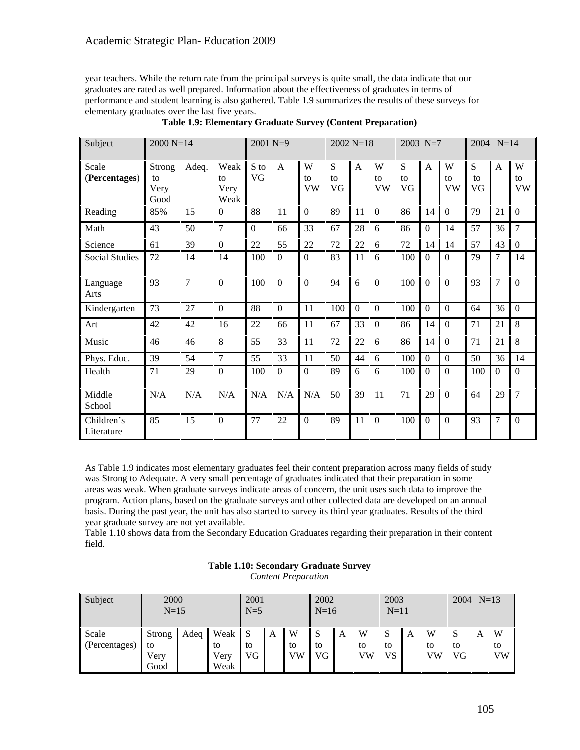year teachers. While the return rate from the principal surveys is quite small, the data indicate that our graduates are rated as well prepared. Information about the effectiveness of graduates in terms of performance and student learning is also gathered. Table 1.9 summarizes the results of these surveys for elementary graduates over the last five years.

| Subject                  | 2000 N=14                    |       |                            | 2001 N=9         |              |                      | $2002 N=18$   |                  |                  | 2003 N=7      |                |                      | 2004 N=14     |                  |                      |
|--------------------------|------------------------------|-------|----------------------------|------------------|--------------|----------------------|---------------|------------------|------------------|---------------|----------------|----------------------|---------------|------------------|----------------------|
| Scale<br>(Percentages)   | Strong<br>to<br>Very<br>Good | Adeq. | Weak<br>to<br>Very<br>Weak | S to<br>VG       | A            | W<br>to<br><b>VW</b> | S<br>to<br>VG | $\mathbf{A}$     | W<br>to<br>VW    | S<br>to<br>VG | $\mathbf{A}$   | W<br>to<br><b>VW</b> | S<br>to<br>VG | $\mathbf{A}$     | W<br>to<br><b>VW</b> |
| Reading                  | 85%                          | 15    | $\overline{0}$             | 88               | 11           | $\mathbf{0}$         | 89            | 11               | $\boldsymbol{0}$ | 86            | 14             | $\boldsymbol{0}$     | 79            | 21               | $\mathbf{0}$         |
| Math                     | 43                           | 50    | 7                          | $\boldsymbol{0}$ | 66           | 33                   | 67            | 28               | 6                | 86            | $\overline{0}$ | 14                   | 57            | 36               | $\overline{7}$       |
| Science                  | 61                           | 39    | $\theta$                   | 22               | 55           | 22                   | 72            | 22               | 6                | 72            | 14             | 14                   | 57            | 43               | $\mathbf{0}$         |
| <b>Social Studies</b>    | 72                           | 14    | 14                         | 100              | $\Omega$     | $\Omega$             | 83            | 11               | 6                | 100           | $\Omega$       | $\Omega$             | 79            | 7                | 14                   |
| Language<br>Arts         | 93                           | 7     | $\boldsymbol{0}$           | 100              | $\mathbf{0}$ | $\overline{0}$       | 94            | 6                | $\overline{0}$   | 100           | $\mathbf{0}$   | $\boldsymbol{0}$     | 93            | $\overline{7}$   | $\mathbf{0}$         |
| Kindergarten             | 73                           | 27    | $\boldsymbol{0}$           | 88               | $\Omega$     | 11                   | 100           | $\boldsymbol{0}$ | $\boldsymbol{0}$ | 100           | $\Omega$       | $\mathbf{0}$         | 64            | 36               | $\mathbf{0}$         |
| Art                      | 42                           | 42    | 16                         | 22               | 66           | 11                   | 67            | 33               | $\Omega$         | 86            | 14             | $\boldsymbol{0}$     | 71            | 21               | 8                    |
| Music                    | 46                           | 46    | 8                          | 55               | 33           | 11                   | 72            | 22               | 6                | 86            | 14             | $\mathbf{0}$         | 71            | 21               | 8                    |
| Phys. Educ.              | 39                           | 54    | 7                          | 55               | 33           | 11                   | 50            | 44               | 6                | 100           | $\Omega$       | $\overline{0}$       | 50            | 36               | 14                   |
| Health                   | 71                           | 29    | $\Omega$                   | 100              | $\Omega$     | $\Omega$             | 89            | 6                | 6                | 100           | $\Omega$       | $\mathbf{0}$         | 100           | $\boldsymbol{0}$ | $\boldsymbol{0}$     |
| Middle<br>School         | N/A                          | N/A   | N/A                        | N/A              | N/A          | N/A                  | 50            | 39               | 11               | 71            | 29             | $\boldsymbol{0}$     | 64            | 29               | $\overline{7}$       |
| Children's<br>Literature | 85                           | 15    | $\Omega$                   | 77               | 22           | $\Omega$             | 89            | 11               | $\theta$         | 100           | $\Omega$       | $\mathbf{0}$         | 93            | $\overline{7}$   | $\mathbf{0}$         |

**Table 1.9: Elementary Graduate Survey (Content Preparation)** 

As Table 1.9 indicates most elementary graduates feel their content preparation across many fields of study was Strong to Adequate. A very small percentage of graduates indicated that their preparation in some areas was weak. When graduate surveys indicate areas of concern, the unit uses such data to improve the program. Action plans, based on the graduate surveys and other collected data are developed on an annual basis. During the past year, the unit has also started to survey its third year graduates. Results of the third year graduate survey are not yet available.

Table 1.10 shows data from the Secondary Education Graduates regarding their preparation in their content field.

| Subject                | 2000<br>$N=15$               |      |                                                     | 2001<br>$N=5$ |   |               | 2002<br>$\mathsf{N}=16$ |   |                      | 2003<br>$N=11$ |   |               | $2004$ N=13              |   |               |
|------------------------|------------------------------|------|-----------------------------------------------------|---------------|---|---------------|-------------------------|---|----------------------|----------------|---|---------------|--------------------------|---|---------------|
| Scale<br>(Percentages) | Strong<br>to<br>Very<br>Good | Adeq | $\mathbf{W}$ eak $\mathbf{S}$<br>to<br>Very<br>Weak | to<br>VG      | А | W<br>to<br>VW | to<br>VG                | A | W<br>to<br><b>VW</b> | to<br>VS.      | A | W<br>to<br>VW | <sub>S</sub><br>to<br>VG | A | W<br>to<br>VW |

### **Table 1.10: Secondary Graduate Survey**  *Content Preparation*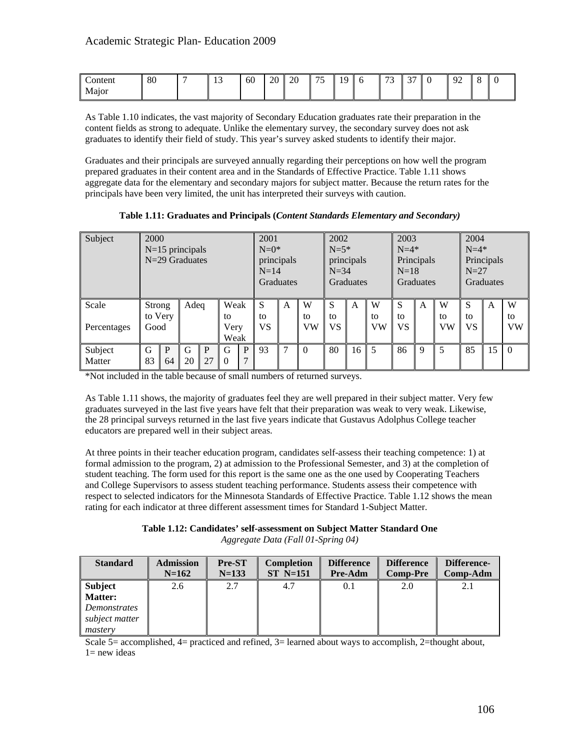| ontent | 80 | - | $\overline{\phantom{a}}$<br>м<br><b>T</b><br>__ | 60 | 20 | ററ<br>ZU | $\overline{\phantom{0}}$<br>$\overline{\phantom{0}}$ | 10<br>I<br>. . | $\sqrt{2}$<br>◡ | $\sim$<br>ັ | $\Omega$<br>∼<br>. | $\Omega$ |  |
|--------|----|---|-------------------------------------------------|----|----|----------|------------------------------------------------------|----------------|-----------------|-------------|--------------------|----------|--|
| Major  |    |   |                                                 |    |    |          |                                                      |                |                 |             |                    |          |  |

As Table 1.10 indicates, the vast majority of Secondary Education graduates rate their preparation in the content fields as strong to adequate. Unlike the elementary survey, the secondary survey does not ask graduates to identify their field of study. This year's survey asked students to identify their major.

Graduates and their principals are surveyed annually regarding their perceptions on how well the program prepared graduates in their content area and in the Standards of Effective Practice. Table 1.11 shows aggregate data for the elementary and secondary majors for subject matter. Because the return rates for the principals have been very limited, the unit has interpreted their surveys with caution.

**Table 1.11: Graduates and Principals (***Content Standards Elementary and Secondary)*

| Subject              | 2000<br>$N=15$ principals<br>N=29 Graduates |         |         |         | 2001<br>$N=0$ *<br>principals<br>$N=14$<br>Graduates |        |               | 2002<br>$N = 5*$<br>principals<br>$N=34$<br>Graduates |                      |               | 2003<br>$N=4*$<br>Principals<br>$N=18$<br>Graduates |                      |                      | 2004<br>$N=4*$<br>Principals<br>$N=27$<br>Graduates |               |               |    |                      |
|----------------------|---------------------------------------------|---------|---------|---------|------------------------------------------------------|--------|---------------|-------------------------------------------------------|----------------------|---------------|-----------------------------------------------------|----------------------|----------------------|-----------------------------------------------------|---------------|---------------|----|----------------------|
| Scale<br>Percentages | Strong<br>Good                              | to Very | Adeq    |         | Weak<br>to<br>Very<br>Weak                           |        | S<br>to<br>VS | A                                                     | W<br>to<br><b>VW</b> | S<br>to<br>VS | A                                                   | W<br>to<br><b>VW</b> | S<br>to<br><b>VS</b> | A                                                   | W<br>to<br>VW | S<br>to<br>VS | A  | W<br>to<br><b>VW</b> |
| Subject<br>Matter    | G<br>83                                     | P<br>64 | G<br>20 | P<br>27 | G<br>$\Omega$                                        | P<br>7 | 93            | ⇁                                                     | $\Omega$             | 80            | 16                                                  | 5                    | 86                   | q                                                   | 5             | 85            | 15 | $\Omega$             |

\*Not included in the table because of small numbers of returned surveys.

As Table 1.11 shows, the majority of graduates feel they are well prepared in their subject matter. Very few graduates surveyed in the last five years have felt that their preparation was weak to very weak. Likewise, the 28 principal surveys returned in the last five years indicate that Gustavus Adolphus College teacher educators are prepared well in their subject areas.

At three points in their teacher education program, candidates self-assess their teaching competence: 1) at formal admission to the program, 2) at admission to the Professional Semester, and 3) at the completion of student teaching. The form used for this report is the same one as the one used by Cooperating Teachers and College Supervisors to assess student teaching performance. Students assess their competence with respect to selected indicators for the Minnesota Standards of Effective Practice. Table 1.12 shows the mean rating for each indicator at three different assessment times for Standard 1-Subject Matter.

**Table 1.12: Candidates' self-assessment on Subject Matter Standard One**  *Aggregate Data (Fall 01-Spring 04)* 

| <b>Standard</b>     | <b>Admission</b> | <b>Pre-ST</b> | <b>Completion</b> | <b>Difference</b> | <b>Difference</b> | Difference- |
|---------------------|------------------|---------------|-------------------|-------------------|-------------------|-------------|
|                     | $N=162$          | $N = 133$     | $ST$ N=151        | <b>Pre-Adm</b>    | <b>Comp-Pre</b>   | Comp-Adm    |
| <b>Subject</b>      | 2.6              | 2.7           | 4.7               | 0.1               | 2.0               |             |
| <b>Matter:</b>      |                  |               |                   |                   |                   |             |
| <i>Demonstrates</i> |                  |               |                   |                   |                   |             |
| subject matter      |                  |               |                   |                   |                   |             |
| mastery             |                  |               |                   |                   |                   |             |

Scale  $5=$  accomplished,  $4=$  practiced and refined,  $3=$  learned about ways to accomplish,  $2=$ thought about,  $1=$  new ideas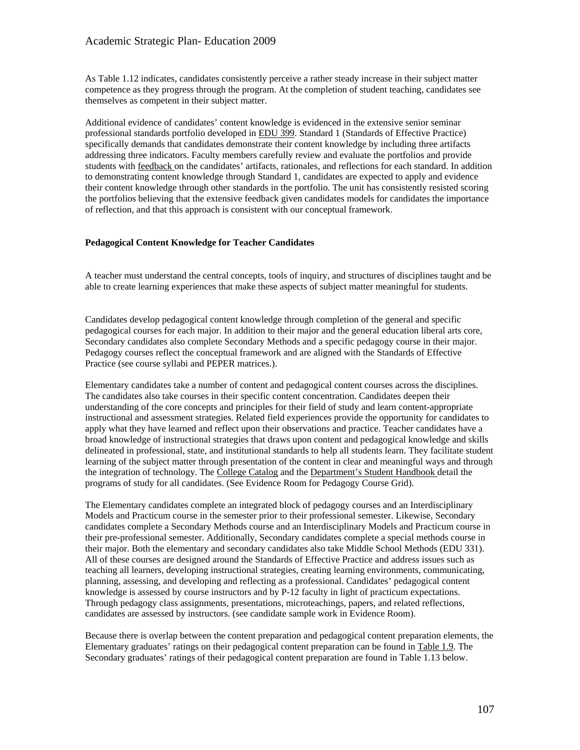As Table 1.12 indicates, candidates consistently perceive a rather steady increase in their subject matter competence as they progress through the program. At the completion of student teaching, candidates see themselves as competent in their subject matter.

Additional evidence of candidates' content knowledge is evidenced in the extensive senior seminar professional standards portfolio developed in EDU 399. Standard 1 (Standards of Effective Practice) specifically demands that candidates demonstrate their content knowledge by including three artifacts addressing three indicators. Faculty members carefully review and evaluate the portfolios and provide students with feedback on the candidates' artifacts, rationales, and reflections for each standard. In addition to demonstrating content knowledge through Standard 1, candidates are expected to apply and evidence their content knowledge through other standards in the portfolio. The unit has consistently resisted scoring the portfolios believing that the extensive feedback given candidates models for candidates the importance of reflection, and that this approach is consistent with our conceptual framework.

#### **Pedagogical Content Knowledge for Teacher Candidates**

A teacher must understand the central concepts, tools of inquiry, and structures of disciplines taught and be able to create learning experiences that make these aspects of subject matter meaningful for students.

Candidates develop pedagogical content knowledge through completion of the general and specific pedagogical courses for each major. In addition to their major and the general education liberal arts core, Secondary candidates also complete Secondary Methods and a specific pedagogy course in their major. Pedagogy courses reflect the conceptual framework and are aligned with the Standards of Effective Practice (see course syllabi and PEPER matrices.).

Elementary candidates take a number of content and pedagogical content courses across the disciplines. The candidates also take courses in their specific content concentration. Candidates deepen their understanding of the core concepts and principles for their field of study and learn content-appropriate instructional and assessment strategies. Related field experiences provide the opportunity for candidates to apply what they have learned and reflect upon their observations and practice. Teacher candidates have a broad knowledge of instructional strategies that draws upon content and pedagogical knowledge and skills delineated in professional, state, and institutional standards to help all students learn. They facilitate student learning of the subject matter through presentation of the content in clear and meaningful ways and through the integration of technology. The College Catalog and the Department's Student Handbook detail the programs of study for all candidates. (See Evidence Room for Pedagogy Course Grid).

The Elementary candidates complete an integrated block of pedagogy courses and an Interdisciplinary Models and Practicum course in the semester prior to their professional semester. Likewise, Secondary candidates complete a Secondary Methods course and an Interdisciplinary Models and Practicum course in their pre-professional semester. Additionally, Secondary candidates complete a special methods course in their major. Both the elementary and secondary candidates also take Middle School Methods (EDU 331). All of these courses are designed around the Standards of Effective Practice and address issues such as teaching all learners, developing instructional strategies, creating learning environments, communicating, planning, assessing, and developing and reflecting as a professional. Candidates' pedagogical content knowledge is assessed by course instructors and by P-12 faculty in light of practicum expectations. Through pedagogy class assignments, presentations, microteachings, papers, and related reflections, candidates are assessed by instructors. (see candidate sample work in Evidence Room).

Because there is overlap between the content preparation and pedagogical content preparation elements, the Elementary graduates' ratings on their pedagogical content preparation can be found in Table 1.9. The Secondary graduates' ratings of their pedagogical content preparation are found in Table 1.13 below.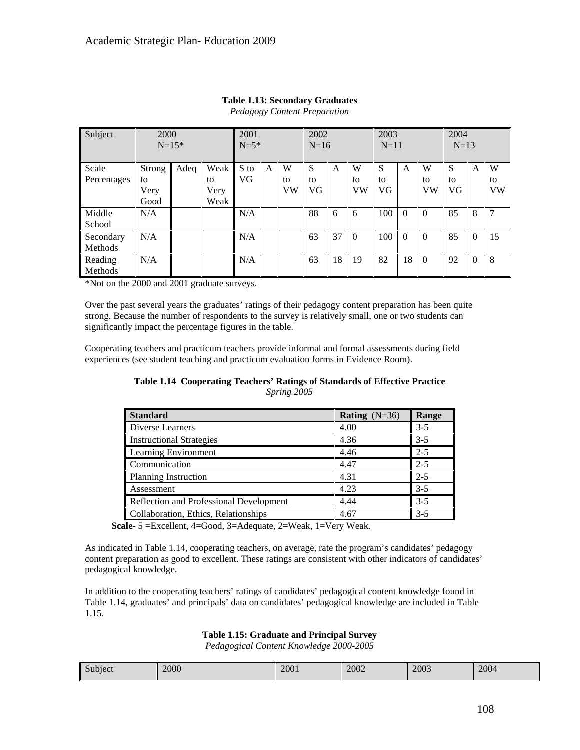| Subject              | 2000<br>$N=15*$              |      | 2001<br>$N=5*$             |                   | 2002<br>$N=16$ |               | 2003<br>$N=11$ |    | 2004<br>$N=13$ |               |          |               |                |          |                      |
|----------------------|------------------------------|------|----------------------------|-------------------|----------------|---------------|----------------|----|----------------|---------------|----------|---------------|----------------|----------|----------------------|
| Scale<br>Percentages | Strong<br>to<br>Very<br>Good | Adeq | Weak<br>to<br>Very<br>Weak | S to<br><b>VG</b> | A              | W<br>to<br>VW | S<br>to<br>VG  | A  | W<br>to<br>VW  | S<br>to<br>VG | A        | W<br>to<br>VW | S<br>to<br>VG. | A        | W<br>to<br><b>VW</b> |
| Middle<br>School     | N/A                          |      |                            | N/A               |                |               | 88             | 6  | 6              | 100           | $\Omega$ | $\Omega$      | 85             | 8        |                      |
| Secondary<br>Methods | N/A                          |      |                            | N/A               |                |               | 63             | 37 | $\Omega$       | 100           | $\Omega$ | $\Omega$      | 85             | $\theta$ | 15                   |
| Reading<br>Methods   | N/A                          |      |                            | N/A               |                |               | 63             | 18 | 19             | 82            | 18       | $\Omega$      | 92             | $\Omega$ | 8                    |

### **Table 1.13: Secondary Graduates**  *Pedagogy Content Preparation*

\*Not on the 2000 and 2001 graduate surveys.

Over the past several years the graduates' ratings of their pedagogy content preparation has been quite strong. Because the number of respondents to the survey is relatively small, one or two students can significantly impact the percentage figures in the table.

Cooperating teachers and practicum teachers provide informal and formal assessments during field experiences (see student teaching and practicum evaluation forms in Evidence Room).

### **Table 1.14 Cooperating Teachers' Ratings of Standards of Effective Practice**  *Spring 2005*

| <b>Standard</b>                         | <b>Rating</b> $(N=36)$ | Range   |
|-----------------------------------------|------------------------|---------|
| Diverse Learners                        | 4.00                   | $3 - 5$ |
| <b>Instructional Strategies</b>         | 4.36                   | $3 - 5$ |
| Learning Environment                    | 4.46                   | $2 - 5$ |
| Communication                           | 4.47                   | $2 - 5$ |
| <b>Planning Instruction</b>             | 4.31                   | $2 - 5$ |
| Assessment                              | 4.23                   | $3 - 5$ |
| Reflection and Professional Development | 4.44                   | $3 - 5$ |
| Collaboration, Ethics, Relationships    | 4.67                   | $3 - 5$ |

 **Scale-** 5 =Excellent, 4=Good, 3=Adequate, 2=Weak, 1=Very Weak.

As indicated in Table 1.14, cooperating teachers, on average, rate the program's candidates' pedagogy content preparation as good to excellent. These ratings are consistent with other indicators of candidates' pedagogical knowledge.

In addition to the cooperating teachers' ratings of candidates' pedagogical content knowledge found in Table 1.14, graduates' and principals' data on candidates' pedagogical knowledge are included in Table 1.15.

# **Table 1.15: Graduate and Principal Survey**

*Pedagogical Content Knowledge 2000-2005* 

| $\sim$<br>Subject | 2000 | 2001 | 2002 | 2003 | 2004 |
|-------------------|------|------|------|------|------|
|-------------------|------|------|------|------|------|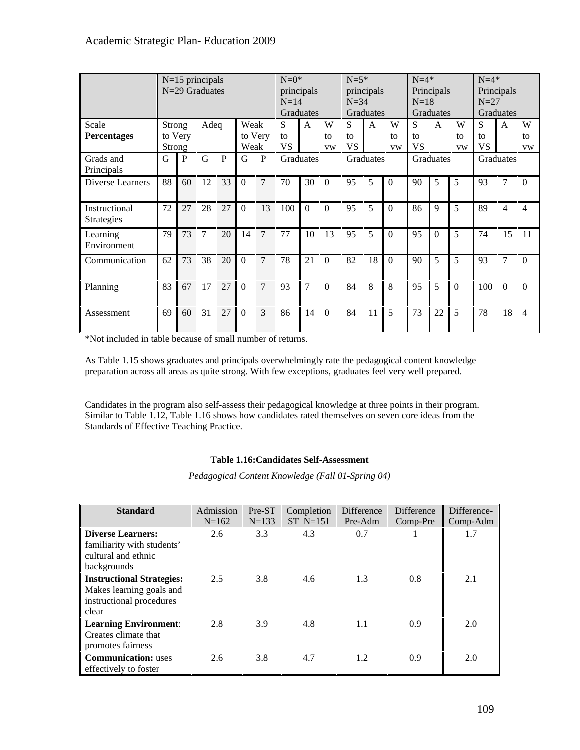|                                    |                  | $N=15$ principals<br>N=29 Graduates |                |              |                |                | $N=0$ *<br>principals<br>$N=14$<br>Graduates |              |                      | $N = 5*$<br>principals<br>$N=34$<br>Graduates |              | $N=4*$<br>Principals<br>$N=18$<br>Graduates |                      | $N=4*$<br>Principals<br>$N=27$<br>Graduates |                      |                      |                |                      |
|------------------------------------|------------------|-------------------------------------|----------------|--------------|----------------|----------------|----------------------------------------------|--------------|----------------------|-----------------------------------------------|--------------|---------------------------------------------|----------------------|---------------------------------------------|----------------------|----------------------|----------------|----------------------|
| Scale<br><b>Percentages</b>        | Strong<br>Strong | to Very                             | Adeq           |              | Weak<br>Weak   | to Very        | S<br>f <sub>O</sub><br><b>VS</b>             | $\mathsf{A}$ | W<br>to<br><b>VW</b> | S<br>to<br>VS                                 | $\mathsf{A}$ | W<br>to<br><b>VW</b>                        | S<br>to<br><b>VS</b> | $\mathsf{A}$                                | W<br>to<br><b>VW</b> | S<br>to<br><b>VS</b> | A              | W<br>to<br><b>VW</b> |
| Grads and<br>Principals            | G                | $\mathbf{P}$                        | G              | $\mathbf{P}$ | G              | P              |                                              | Graduates    |                      |                                               | Graduates    |                                             |                      | Graduates                                   |                      |                      | Graduates      |                      |
| Diverse Learners                   | 88               | 60                                  | 12             | 33           | $\Omega$       | 7              | 70                                           | 30           | $\Omega$             | 95                                            | 5            | $\Omega$                                    | 90                   | 5                                           | 5                    | 93                   | 7              | $\Omega$             |
| Instructional<br><b>Strategies</b> | 72               | 27                                  | 28             | 27           | $\Omega$       | 13             | 100                                          | $\Omega$     | $\Omega$             | 95                                            | 5            | $\Omega$                                    | 86                   | 9                                           | 5                    | 89                   | 4              | $\overline{4}$       |
| Learning<br>Environment            | 79               | 73                                  | $\overline{7}$ | 20           | 14             | $\overline{7}$ | 77                                           | 10           | 13                   | 95                                            | 5            | $\Omega$                                    | 95                   | $\Omega$                                    | 5                    | 74                   | 15             | 11                   |
| Communication                      | 62               | 73                                  | 38             | 20           | $\mathbf{0}$   | 7              | 78                                           | 21           | $\Omega$             | 82                                            | 18           | $\Omega$                                    | 90                   | 5                                           | 5                    | 93                   | $\overline{7}$ | $\Omega$             |
| Planning                           | 83               | 67                                  | 17             | 27           | $\theta$       | 7              | 93                                           | 7            | $\Omega$             | 84                                            | 8            | 8                                           | 95                   | 5                                           | $\Omega$             | 100                  | $\Omega$       | $\Omega$             |
| Assessment                         | 69               | 60                                  | 31             | 27           | $\overline{0}$ | 3              | 86                                           | 14           | $\Omega$             | 84                                            | 11           | 5                                           | 73                   | 22                                          | 5                    | 78                   | 18             | $\overline{4}$       |

\*Not included in table because of small number of returns.

As Table 1.15 shows graduates and principals overwhelmingly rate the pedagogical content knowledge preparation across all areas as quite strong. With few exceptions, graduates feel very well prepared.

Candidates in the program also self-assess their pedagogical knowledge at three points in their program. Similar to Table 1.12, Table 1.16 shows how candidates rated themselves on seven core ideas from the Standards of Effective Teaching Practice.

## **Table 1.16:Candidates Self-Assessment**

*Pedagogical Content Knowledge (Fall 01-Spring 04)* 

| <b>Standard</b>                                                                                   | Admission<br>$N=162$ | Pre-ST<br>$N = 133$ | Completion<br>$ST$ N=151 | <b>Difference</b><br>Pre-Adm | Difference<br>Comp-Pre | Difference-<br>Comp-Adm |
|---------------------------------------------------------------------------------------------------|----------------------|---------------------|--------------------------|------------------------------|------------------------|-------------------------|
| <b>Diverse Learners:</b><br>familiarity with students'<br>cultural and ethnic<br>backgrounds      | 2.6                  | 3.3                 | 4.3                      | 0.7                          |                        | 1.7                     |
| <b>Instructional Strategies:</b><br>Makes learning goals and<br>instructional procedures<br>clear | 2.5                  | 3.8                 | 4.6                      | 1.3                          | 0.8                    | 2.1                     |
| <b>Learning Environment:</b><br>Creates climate that<br>promotes fairness                         | 2.8                  | 3.9                 | 4.8                      | 1.1                          | 0.9                    | 2.0                     |
| <b>Communication:</b> uses<br>effectively to foster                                               | 2.6                  | 3.8                 | 4.7                      | 1.2                          | 0.9                    | 2.0                     |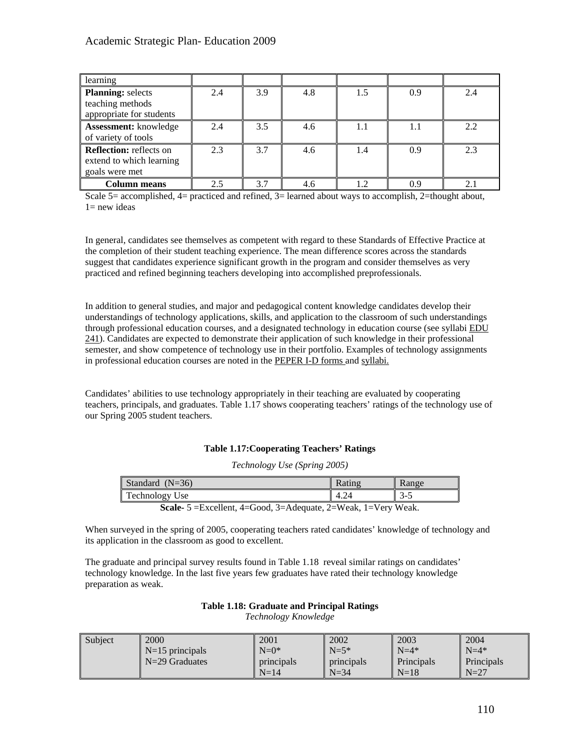| learning                                                                     |     |     |     |     |     |     |
|------------------------------------------------------------------------------|-----|-----|-----|-----|-----|-----|
| <b>Planning:</b> selects<br>teaching methods<br>appropriate for students     | 2.4 | 3.9 | 4.8 | 1.5 | 0.9 | 2.4 |
| <b>Assessment:</b> knowledge<br>of variety of tools                          | 2.4 | 3.5 | 4.6 | 1.1 | 1.1 | 2.2 |
| <b>Reflection:</b> reflects on<br>extend to which learning<br>goals were met | 2.3 | 3.7 | 4.6 | 1.4 | 0.9 | 2.3 |
| Column means                                                                 | 2.5 | 3.7 | 4.6 | 1.2 | 09  | 2.1 |

Scale 5= accomplished, 4= practiced and refined, 3= learned about ways to accomplish, 2=thought about,  $1=$  new ideas

In general, candidates see themselves as competent with regard to these Standards of Effective Practice at the completion of their student teaching experience. The mean difference scores across the standards suggest that candidates experience significant growth in the program and consider themselves as very practiced and refined beginning teachers developing into accomplished preprofessionals.

In addition to general studies, and major and pedagogical content knowledge candidates develop their understandings of technology applications, skills, and application to the classroom of such understandings through professional education courses, and a designated technology in education course (see syllabi EDU 241). Candidates are expected to demonstrate their application of such knowledge in their professional semester, and show competence of technology use in their portfolio. Examples of technology assignments in professional education courses are noted in the PEPER I-D forms and syllabi.

Candidates' abilities to use technology appropriately in their teaching are evaluated by cooperating teachers, principals, and graduates. Table 1.17 shows cooperating teachers' ratings of the technology use of our Spring 2005 student teachers.

## **Table 1.17:Cooperating Teachers' Ratings**

*Technology Use (Spring 2005)*

| Standard $(N=36)$     |                                                       | Rating                                                                                                                                                                                                                                                                                                                                                 | Range   |
|-----------------------|-------------------------------------------------------|--------------------------------------------------------------------------------------------------------------------------------------------------------------------------------------------------------------------------------------------------------------------------------------------------------------------------------------------------------|---------|
| <b>Technology Use</b> |                                                       | 4.24                                                                                                                                                                                                                                                                                                                                                   | $3 - 5$ |
| $\sim$ $\sim$         | $\Gamma$ 11 $\left($ $\right)$ 1 $\Omega$<br>$\cdots$ | $1 \quad \mathbf{V}$ $\mathbf{V}$ $\mathbf{V}$ $\mathbf{V}$ $\mathbf{V}$ $\mathbf{V}$ $\mathbf{V}$ $\mathbf{V}$ $\mathbf{V}$ $\mathbf{V}$ $\mathbf{V}$ $\mathbf{V}$ $\mathbf{V}$ $\mathbf{V}$ $\mathbf{V}$ $\mathbf{V}$ $\mathbf{V}$ $\mathbf{V}$ $\mathbf{V}$ $\mathbf{V}$ $\mathbf{V}$ $\mathbf{V}$ $\mathbf{V}$ $\mathbf{V}$ $\$<br>$\bigcap$ III 1 |         |

**Scale-** 5 =Excellent, 4=Good, 3=Adequate, 2=Weak, 1=Very Weak.

When surveyed in the spring of 2005, cooperating teachers rated candidates' knowledge of technology and its application in the classroom as good to excellent.

The graduate and principal survey results found in Table 1.18 reveal similar ratings on candidates' technology knowledge. In the last five years few graduates have rated their technology knowledge preparation as weak.

## **Table 1.18: Graduate and Principal Ratings**

*Technology Knowledge* 

| Subject | 2000                        | 2001              | 2002       | 2003       | 2004               |
|---------|-----------------------------|-------------------|------------|------------|--------------------|
|         | $\mathbb{N}$ =15 principals | $N=0^*$           | $N=5*$     | $N=4*$     | $\mathsf{N} = 4^*$ |
|         | $N=29$ Graduates            | l principals      | principals | Principals | <b>Principals</b>  |
|         |                             | $\mathsf{N} = 14$ | $N = 34$   | $N=18$     | $N=27$             |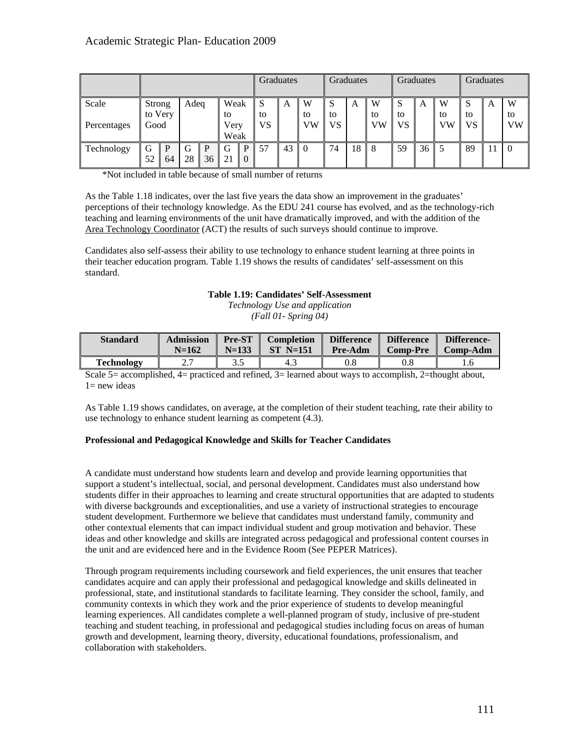|                      |                           |         |         | Graduates |                            | Graduates    |                          | Graduates |               |               | Graduates |               |          |    |               |          |   |                      |
|----------------------|---------------------------|---------|---------|-----------|----------------------------|--------------|--------------------------|-----------|---------------|---------------|-----------|---------------|----------|----|---------------|----------|---|----------------------|
| Scale<br>Percentages | Strong<br>to Very<br>Good |         | Adeq    |           | Weak<br>to<br>Very<br>Weak |              | <sub>S</sub><br>to<br>VS | A         | W<br>to<br>VW | S<br>to<br>VS | A         | W<br>to<br>VW | to<br>VS | A  | W<br>to<br>VW | to<br>VS | A | W<br>to<br><b>VW</b> |
| Technology           | G<br>52                   | P<br>64 | G<br>28 | p<br>36   | G                          | $\mathbf{0}$ | 57                       | 43        | l 0           | 74            | 18        | 8             | 59       | 36 |               | 89       |   | $\theta$             |

\*Not included in table because of small number of returns

As the Table 1.18 indicates, over the last five years the data show an improvement in the graduates' perceptions of their technology knowledge. As the EDU 241 course has evolved, and as the technology-rich teaching and learning environments of the unit have dramatically improved, and with the addition of the Area Technology Coordinator (ACT) the results of such surveys should continue to improve.

Candidates also self-assess their ability to use technology to enhance student learning at three points in their teacher education program. Table 1.19 shows the results of candidates' self-assessment on this standard.

# **Table 1.19: Candidates' Self-Assessment**

*Technology Use and application (Fall 01- Spring 04)* 

| <b>Standard</b> | <b>Admission</b> | <b>Pre-ST</b> | <b>Completion</b> | <b>Difference</b> | <b>Difference</b> | Difference-          |
|-----------------|------------------|---------------|-------------------|-------------------|-------------------|----------------------|
|                 | $N=162$          | $N = 133$     | $ST$ N=151        | <b>Pre-Adm</b>    | <b>Comp-Pre</b>   | $\parallel$ Comp-Adm |
| Technology      | n n<br>.         | ر. ر          | د.4               | 0.8               | $\rm 0.8$         |                      |

Scale  $5=$  accomplished,  $4=$  practiced and refined,  $3=$  learned about ways to accomplish,  $2=$  thought about,  $1=$  new ideas

As Table 1.19 shows candidates, on average, at the completion of their student teaching, rate their ability to use technology to enhance student learning as competent (4.3).

## **Professional and Pedagogical Knowledge and Skills for Teacher Candidates**

A candidate must understand how students learn and develop and provide learning opportunities that support a student's intellectual, social, and personal development. Candidates must also understand how students differ in their approaches to learning and create structural opportunities that are adapted to students with diverse backgrounds and exceptionalities, and use a variety of instructional strategies to encourage student development. Furthermore we believe that candidates must understand family, community and other contextual elements that can impact individual student and group motivation and behavior. These ideas and other knowledge and skills are integrated across pedagogical and professional content courses in the unit and are evidenced here and in the Evidence Room (See PEPER Matrices).

Through program requirements including coursework and field experiences, the unit ensures that teacher candidates acquire and can apply their professional and pedagogical knowledge and skills delineated in professional, state, and institutional standards to facilitate learning. They consider the school, family, and community contexts in which they work and the prior experience of students to develop meaningful learning experiences. All candidates complete a well-planned program of study, inclusive of pre-student teaching and student teaching, in professional and pedagogical studies including focus on areas of human growth and development, learning theory, diversity, educational foundations, professionalism, and collaboration with stakeholders.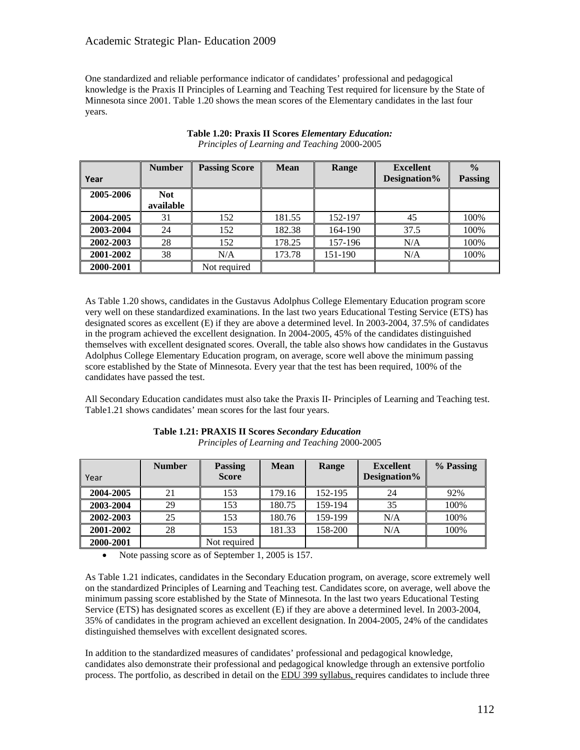One standardized and reliable performance indicator of candidates' professional and pedagogical knowledge is the Praxis II Principles of Learning and Teaching Test required for licensure by the State of Minnesota since 2001. Table 1.20 shows the mean scores of the Elementary candidates in the last four years.

|           | <b>Number</b> | <b>Passing Score</b> | <b>Mean</b> | Range   | <b>Excellent</b> | $\frac{0}{0}$  |
|-----------|---------------|----------------------|-------------|---------|------------------|----------------|
| Year      |               |                      |             |         | Designation%     | <b>Passing</b> |
| 2005-2006 | <b>Not</b>    |                      |             |         |                  |                |
|           | available     |                      |             |         |                  |                |
| 2004-2005 | 31            | 152                  | 181.55      | 152-197 | 45               | 100%           |
| 2003-2004 | 24            | 152                  | 182.38      | 164-190 | 37.5             | 100%           |
| 2002-2003 | 28            | 152                  | 178.25      | 157-196 | N/A              | 100%           |
| 2001-2002 | 38            | N/A                  | 173.78      | 151-190 | N/A              | 100%           |
| 2000-2001 |               | Not required         |             |         |                  |                |

# **Table 1.20: Praxis II Scores** *Elementary Education: Principles of Learning and Teaching* 2000-2005

As Table 1.20 shows, candidates in the Gustavus Adolphus College Elementary Education program score very well on these standardized examinations. In the last two years Educational Testing Service (ETS) has designated scores as excellent (E) if they are above a determined level. In 2003-2004, 37.5% of candidates in the program achieved the excellent designation. In 2004-2005, 45% of the candidates distinguished themselves with excellent designated scores. Overall, the table also shows how candidates in the Gustavus Adolphus College Elementary Education program, on average, score well above the minimum passing score established by the State of Minnesota. Every year that the test has been required, 100% of the candidates have passed the test.

All Secondary Education candidates must also take the Praxis II- Principles of Learning and Teaching test. Table1.21 shows candidates' mean scores for the last four years.

| Year      | <b>Number</b> | <b>Passing</b><br><b>Score</b> | <b>Mean</b> | Range   | <b>Excellent</b><br>Designation% | % Passing |
|-----------|---------------|--------------------------------|-------------|---------|----------------------------------|-----------|
| 2004-2005 | 21            | 153                            | 179.16      | 152-195 | 24                               | 92%       |
| 2003-2004 | 29            | 153                            | 180.75      | 159-194 | 35                               | 100%      |
| 2002-2003 | 25            | 153                            | 180.76      | 159-199 | N/A                              | 100%      |
| 2001-2002 | 28            | 153                            | 181.33      | 158-200 | N/A                              | 100%      |
| 2000-2001 |               | Not required                   |             |         |                                  |           |

#### **Table 1.21: PRAXIS II Scores** *Secondary Education Principles of Learning and Teaching* 2000-2005

• Note passing score as of September 1, 2005 is 157.

As Table 1.21 indicates, candidates in the Secondary Education program, on average, score extremely well on the standardized Principles of Learning and Teaching test. Candidates score, on average, well above the minimum passing score established by the State of Minnesota. In the last two years Educational Testing Service (ETS) has designated scores as excellent (E) if they are above a determined level. In 2003-2004, 35% of candidates in the program achieved an excellent designation. In 2004-2005, 24% of the candidates distinguished themselves with excellent designated scores.

In addition to the standardized measures of candidates' professional and pedagogical knowledge, candidates also demonstrate their professional and pedagogical knowledge through an extensive portfolio process. The portfolio, as described in detail on the EDU 399 syllabus, requires candidates to include three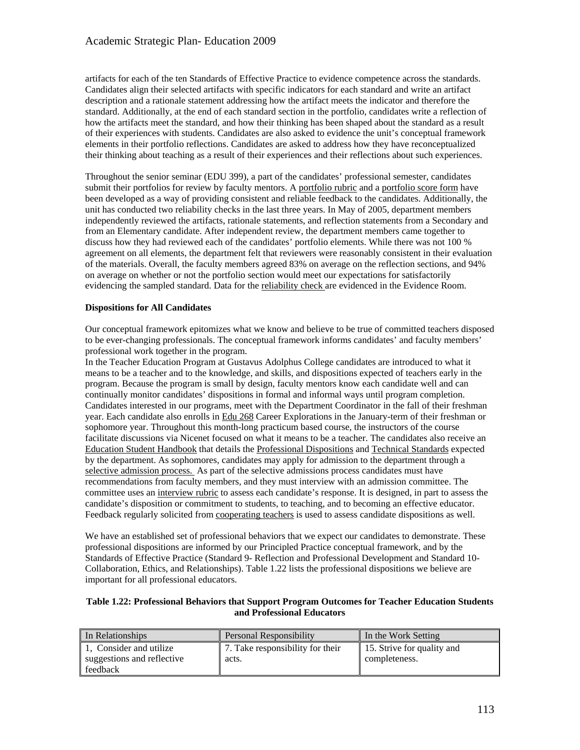artifacts for each of the ten Standards of Effective Practice to evidence competence across the standards. Candidates align their selected artifacts with specific indicators for each standard and write an artifact description and a rationale statement addressing how the artifact meets the indicator and therefore the standard. Additionally, at the end of each standard section in the portfolio, candidates write a reflection of how the artifacts meet the standard, and how their thinking has been shaped about the standard as a result of their experiences with students. Candidates are also asked to evidence the unit's conceptual framework elements in their portfolio reflections. Candidates are asked to address how they have reconceptualized their thinking about teaching as a result of their experiences and their reflections about such experiences.

Throughout the senior seminar (EDU 399), a part of the candidates' professional semester, candidates submit their portfolios for review by faculty mentors. A portfolio rubric and a portfolio score form have been developed as a way of providing consistent and reliable feedback to the candidates. Additionally, the unit has conducted two reliability checks in the last three years. In May of 2005, department members independently reviewed the artifacts, rationale statements, and reflection statements from a Secondary and from an Elementary candidate. After independent review, the department members came together to discuss how they had reviewed each of the candidates' portfolio elements. While there was not 100 % agreement on all elements, the department felt that reviewers were reasonably consistent in their evaluation of the materials. Overall, the faculty members agreed 83% on average on the reflection sections, and 94% on average on whether or not the portfolio section would meet our expectations for satisfactorily evidencing the sampled standard. Data for the reliability check are evidenced in the Evidence Room.

## **Dispositions for All Candidates**

Our conceptual framework epitomizes what we know and believe to be true of committed teachers disposed to be ever-changing professionals. The conceptual framework informs candidates' and faculty members' professional work together in the program.

In the Teacher Education Program at Gustavus Adolphus College candidates are introduced to what it means to be a teacher and to the knowledge, and skills, and dispositions expected of teachers early in the program. Because the program is small by design, faculty mentors know each candidate well and can continually monitor candidates' dispositions in formal and informal ways until program completion. Candidates interested in our programs, meet with the Department Coordinator in the fall of their freshman year. Each candidate also enrolls in Edu 268 Career Explorations in the January-term of their freshman or sophomore year. Throughout this month-long practicum based course, the instructors of the course facilitate discussions via Nicenet focused on what it means to be a teacher. The candidates also receive an Education Student Handbook that details the Professional Dispositions and Technical Standards expected by the department. As sophomores, candidates may apply for admission to the department through a selective admission process. As part of the selective admissions process candidates must have recommendations from faculty members, and they must interview with an admission committee. The committee uses an interview rubric to assess each candidate's response. It is designed, in part to assess the candidate's disposition or commitment to students, to teaching, and to becoming an effective educator. Feedback regularly solicited from cooperating teachers is used to assess candidate dispositions as well.

We have an established set of professional behaviors that we expect our candidates to demonstrate. These professional dispositions are informed by our Principled Practice conceptual framework, and by the Standards of Effective Practice (Standard 9- Reflection and Professional Development and Standard 10- Collaboration, Ethics, and Relationships). Table 1.22 lists the professional dispositions we believe are important for all professional educators.

#### **Table 1.22: Professional Behaviors that Support Program Outcomes for Teacher Education Students and Professional Educators**

| In Relationships           | <b>Personal Responsibility</b>   | In the Work Setting        |
|----------------------------|----------------------------------|----------------------------|
| 1. Consider and utilize    | 7. Take responsibility for their | 15. Strive for quality and |
| suggestions and reflective | acts.                            | completeness.              |
| feedback                   |                                  |                            |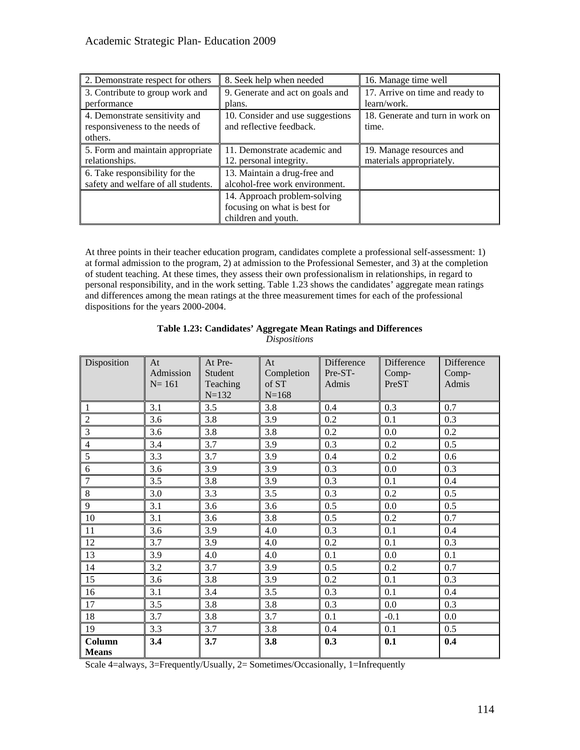| 2. Demonstrate respect for others                                           | 8. Seek help when needed                                                            | 16. Manage time well                                 |
|-----------------------------------------------------------------------------|-------------------------------------------------------------------------------------|------------------------------------------------------|
| 3. Contribute to group work and<br>performance                              | 9. Generate and act on goals and<br>plans.                                          | 17. Arrive on time and ready to<br>learn/work.       |
| 4. Demonstrate sensitivity and<br>responsiveness to the needs of<br>others. | 10. Consider and use suggestions<br>and reflective feedback.                        | 18. Generate and turn in work on<br>time.            |
| 5. Form and maintain appropriate<br>relationships.                          | 11. Demonstrate academic and<br>12. personal integrity.                             | 19. Manage resources and<br>materials appropriately. |
| 6. Take responsibility for the<br>safety and welfare of all students.       | 13. Maintain a drug-free and<br>alcohol-free work environment.                      |                                                      |
|                                                                             | 14. Approach problem-solving<br>focusing on what is best for<br>children and youth. |                                                      |

At three points in their teacher education program, candidates complete a professional self-assessment: 1) at formal admission to the program, 2) at admission to the Professional Semester, and 3) at the completion of student teaching. At these times, they assess their own professionalism in relationships, in regard to personal responsibility, and in the work setting. Table 1.23 shows the candidates' aggregate mean ratings and differences among the mean ratings at the three measurement times for each of the professional dispositions for the years 2000-2004.

| Disposition            | At<br>Admission<br>$N = 161$ | At Pre-<br>Student<br>Teaching<br>$N = 132$ | At<br>Completion<br>of ST<br>$N = 168$ | Difference<br>Pre-ST-<br>Admis | Difference<br>Comp-<br>PreST | Difference<br>Comp-<br>Admis |
|------------------------|------------------------------|---------------------------------------------|----------------------------------------|--------------------------------|------------------------------|------------------------------|
| $\mathbf{1}$           | 3.1                          | 3.5                                         | 3.8                                    | 0.4                            | 0.3                          | 0.7                          |
| $\overline{2}$         | 3.6                          | 3.8                                         | 3.9                                    | 0.2                            | 0.1                          | 0.3                          |
| $\overline{3}$         | 3.6                          | 3.8                                         | 3.8                                    | 0.2                            | 0.0                          | 0.2                          |
| $\overline{4}$         | 3.4                          | 3.7                                         | 3.9                                    | 0.3                            | 0.2                          | 0.5                          |
| 5                      | 3.3                          | 3.7                                         | 3.9                                    | 0.4                            | 0.2                          | 0.6                          |
| $6\,$                  | 3.6                          | 3.9                                         | 3.9                                    | 0.3                            | 0.0                          | 0.3                          |
| $\overline{7}$         | 3.5                          | 3.8                                         | 3.9                                    | 0.3                            | 0.1                          | 0.4                          |
| $\,8\,$                | 3.0                          | 3.3                                         | 3.5                                    | 0.3                            | 0.2                          | 0.5                          |
| 9                      | 3.1                          | 3.6                                         | 3.6                                    | 0.5                            | 0.0                          | 0.5                          |
| 10                     | 3.1                          | 3.6                                         | 3.8                                    | 0.5                            | 0.2                          | 0.7                          |
| $11\,$                 | 3.6                          | 3.9                                         | 4.0                                    | 0.3                            | 0.1                          | 0.4                          |
| 12                     | 3.7                          | 3.9                                         | 4.0                                    | 0.2                            | 0.1                          | 0.3                          |
| 13                     | 3.9                          | 4.0                                         | 4.0                                    | 0.1                            | 0.0                          | 0.1                          |
| 14                     | 3.2                          | 3.7                                         | 3.9                                    | 0.5                            | 0.2                          | 0.7                          |
| 15                     | 3.6                          | 3.8                                         | 3.9                                    | 0.2                            | 0.1                          | 0.3                          |
| 16                     | 3.1                          | 3.4                                         | 3.5                                    | 0.3                            | 0.1                          | 0.4                          |
| 17                     | 3.5                          | 3.8                                         | 3.8                                    | 0.3                            | 0.0                          | 0.3                          |
| 18                     | 3.7                          | 3.8                                         | 3.7                                    | 0.1                            | $-0.1$                       | 0.0                          |
| 19                     | 3.3                          | 3.7                                         | 3.8                                    | 0.4                            | 0.1                          | 0.5                          |
| Column<br><b>Means</b> | 3.4                          | 3.7                                         | 3.8                                    | 0.3                            | 0.1                          | 0.4                          |

# **Table 1.23: Candidates' Aggregate Mean Ratings and Differences**  *Dispositions*

Scale 4=always, 3=Frequently/Usually, 2= Sometimes/Occasionally, 1=Infrequently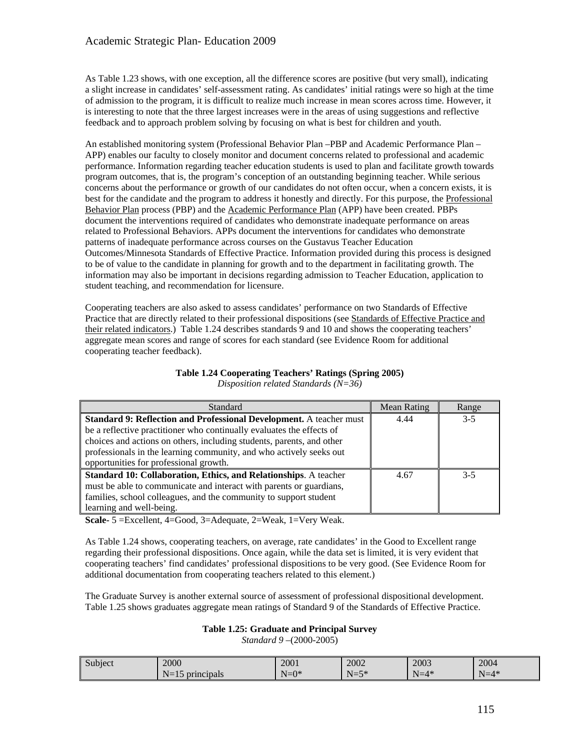As Table 1.23 shows, with one exception, all the difference scores are positive (but very small), indicating a slight increase in candidates' self-assessment rating. As candidates' initial ratings were so high at the time of admission to the program, it is difficult to realize much increase in mean scores across time. However, it is interesting to note that the three largest increases were in the areas of using suggestions and reflective feedback and to approach problem solving by focusing on what is best for children and youth.

An established monitoring system (Professional Behavior Plan –PBP and Academic Performance Plan – APP) enables our faculty to closely monitor and document concerns related to professional and academic performance. Information regarding teacher education students is used to plan and facilitate growth towards program outcomes, that is, the program's conception of an outstanding beginning teacher. While serious concerns about the performance or growth of our candidates do not often occur, when a concern exists, it is best for the candidate and the program to address it honestly and directly. For this purpose, the Professional Behavior Plan process (PBP) and the Academic Performance Plan (APP) have been created. PBPs document the interventions required of candidates who demonstrate inadequate performance on areas related to Professional Behaviors. APPs document the interventions for candidates who demonstrate patterns of inadequate performance across courses on the Gustavus Teacher Education Outcomes/Minnesota Standards of Effective Practice. Information provided during this process is designed to be of value to the candidate in planning for growth and to the department in facilitating growth. The information may also be important in decisions regarding admission to Teacher Education, application to student teaching, and recommendation for licensure.

Cooperating teachers are also asked to assess candidates' performance on two Standards of Effective Practice that are directly related to their professional dispositions (see Standards of Effective Practice and their related indicators.) Table 1.24 describes standards 9 and 10 and shows the cooperating teachers' aggregate mean scores and range of scores for each standard (see Evidence Room for additional cooperating teacher feedback).

| Standard                                                                   | <b>Mean Rating</b> | Range   |
|----------------------------------------------------------------------------|--------------------|---------|
| <b>Standard 9: Reflection and Professional Development.</b> A teacher must | 4.44               | $3 - 5$ |
| be a reflective practitioner who continually evaluates the effects of      |                    |         |
| choices and actions on others, including students, parents, and other      |                    |         |
| professionals in the learning community, and who actively seeks out        |                    |         |
| opportunities for professional growth.                                     |                    |         |
| Standard 10: Collaboration, Ethics, and Relationships. A teacher           | 4.67               | $3-5$   |
| must be able to communicate and interact with parents or guardians,        |                    |         |
| families, school colleagues, and the community to support student          |                    |         |
| learning and well-being.                                                   |                    |         |

#### **Table 1.24 Cooperating Teachers' Ratings (Spring 2005)**  *Disposition related Standards (N=36)*

**Scale-** 5 =Excellent, 4=Good, 3=Adequate, 2=Weak, 1=Very Weak.

As Table 1.24 shows, cooperating teachers, on average, rate candidates' in the Good to Excellent range regarding their professional dispositions. Once again, while the data set is limited, it is very evident that cooperating teachers' find candidates' professional dispositions to be very good. (See Evidence Room for additional documentation from cooperating teachers related to this element.)

The Graduate Survey is another external source of assessment of professional dispositional development. Table 1.25 shows graduates aggregate mean ratings of Standard 9 of the Standards of Effective Practice.

## **Table 1.25: Graduate and Principal Survey**

*Standard 9 –*(2000-2005)

| Subject | 2000                            | 2001    | 2002     | 2003   | 2004   |
|---------|---------------------------------|---------|----------|--------|--------|
|         | $N-$<br>principals<br>$11 - 13$ | $N=0^*$ | $N = 5*$ | $N=4*$ | $N=4*$ |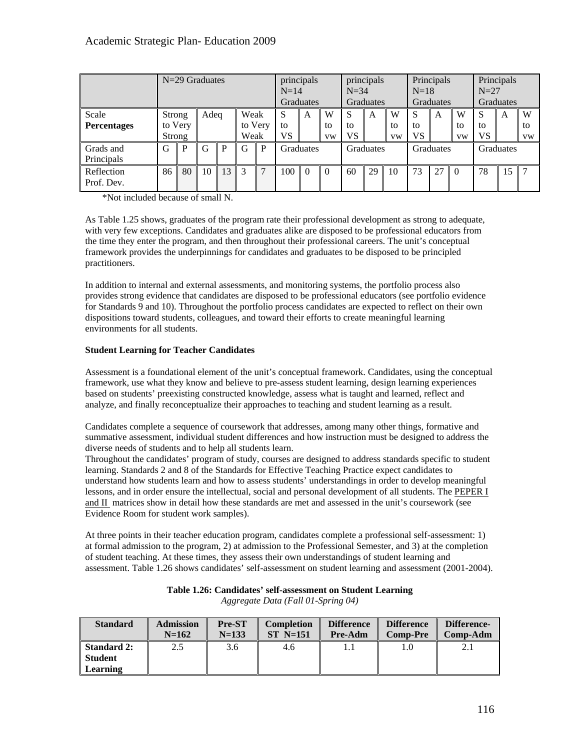|                             | N=29 Graduates              |    |      |    |              | principals<br>principals<br>$N=14$<br>$N=34$<br><b>Graduates</b><br><b>Graduates</b> |                |          | Principals<br>$N=18$<br>Graduates |               |           | Principals<br>$N=27$<br>Graduates |                      |           |                      |                      |    |                      |
|-----------------------------|-----------------------------|----|------|----|--------------|--------------------------------------------------------------------------------------|----------------|----------|-----------------------------------|---------------|-----------|-----------------------------------|----------------------|-----------|----------------------|----------------------|----|----------------------|
| Scale<br><b>Percentages</b> | Strong<br>to Very<br>Strong |    | Adeq |    | Weak<br>Weak | to Very                                                                              | S<br>to<br>VS. | A        | W<br>to<br><b>VW</b>              | S<br>to<br>VS | A         | W<br>tο<br><b>VW</b>              | S<br>to<br><b>VS</b> | A         | W<br>to<br><b>VW</b> | S<br>to<br><b>VS</b> | A  | W<br>to<br><b>VW</b> |
| Grads and<br>Principals     | G                           | р  | G    | P  | G            | P                                                                                    | Graduates      |          | <b>Graduates</b>                  |               | Graduates |                                   |                      | Graduates |                      |                      |    |                      |
| Reflection<br>Prof. Dev.    | 86                          | 80 | 10   | 13 | 3            |                                                                                      | 100            | $\Omega$ | $\theta$                          | 60            | 29        | 10                                | 73                   | 27        | $\Omega$             | 78                   | 15 | 7                    |

\*Not included because of small N.

As Table 1.25 shows, graduates of the program rate their professional development as strong to adequate, with very few exceptions. Candidates and graduates alike are disposed to be professional educators from the time they enter the program, and then throughout their professional careers. The unit's conceptual framework provides the underpinnings for candidates and graduates to be disposed to be principled practitioners.

In addition to internal and external assessments, and monitoring systems, the portfolio process also provides strong evidence that candidates are disposed to be professional educators (see portfolio evidence for Standards 9 and 10). Throughout the portfolio process candidates are expected to reflect on their own dispositions toward students, colleagues, and toward their efforts to create meaningful learning environments for all students.

# **Student Learning for Teacher Candidates**

Assessment is a foundational element of the unit's conceptual framework. Candidates, using the conceptual framework, use what they know and believe to pre-assess student learning, design learning experiences based on students' preexisting constructed knowledge, assess what is taught and learned, reflect and analyze, and finally reconceptualize their approaches to teaching and student learning as a result.

Candidates complete a sequence of coursework that addresses, among many other things, formative and summative assessment, individual student differences and how instruction must be designed to address the diverse needs of students and to help all students learn.

Throughout the candidates' program of study, courses are designed to address standards specific to student learning. Standards 2 and 8 of the Standards for Effective Teaching Practice expect candidates to understand how students learn and how to assess students' understandings in order to develop meaningful lessons, and in order ensure the intellectual, social and personal development of all students. The PEPER I and II matrices show in detail how these standards are met and assessed in the unit's coursework (see Evidence Room for student work samples).

At three points in their teacher education program, candidates complete a professional self-assessment: 1) at formal admission to the program, 2) at admission to the Professional Semester, and 3) at the completion of student teaching. At these times, they assess their own understandings of student learning and assessment. Table 1.26 shows candidates' self-assessment on student learning and assessment (2001-2004).

| <b>Standard</b> | <b>Admission</b><br>$N=162$ | Pre-ST<br>$N=133$ | <b>Completion</b><br>$ST$ N=151 | <b>Difference</b><br>Pre-Adm | <b>Difference</b><br><b>Comp-Pre</b> | Difference-<br>Comp-Adm |  |
|-----------------|-----------------------------|-------------------|---------------------------------|------------------------------|--------------------------------------|-------------------------|--|
| Standard 2:     | 2.5                         | 3.6               | 4.6                             | 1.1                          |                                      |                         |  |
| Student         |                             |                   |                                 |                              |                                      |                         |  |
| Learning        |                             |                   |                                 |                              |                                      |                         |  |

#### **Table 1.26: Candidates' self-assessment on Student Learning**  *Aggregate Data (Fall 01-Spring 04)*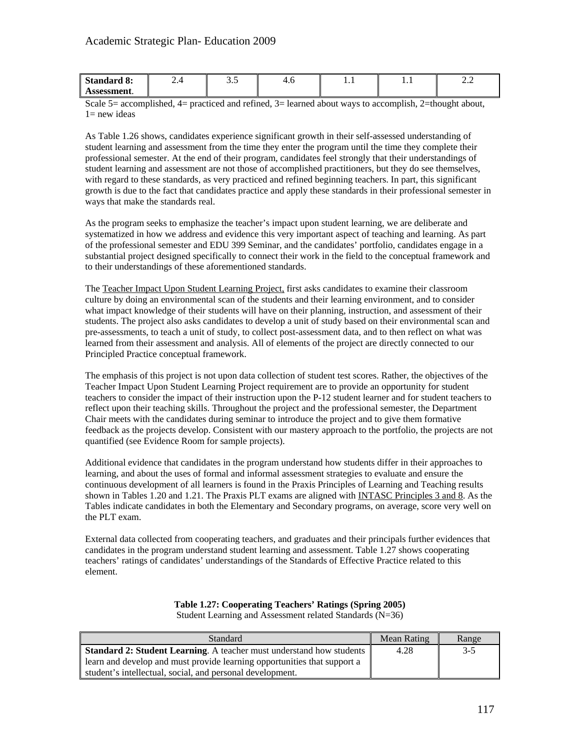| <b>Standard 8:</b> | $\cdots$ | $\sim$<br>ن. ب | 4.U | . | . | $\overline{\phantom{a}}$ |
|--------------------|----------|----------------|-----|---|---|--------------------------|
| Assessment.        |          |                |     |   |   |                          |

Scale 5= accomplished, 4= practiced and refined, 3= learned about ways to accomplish, 2=thought about,  $1=$  new ideas

As Table 1.26 shows, candidates experience significant growth in their self-assessed understanding of student learning and assessment from the time they enter the program until the time they complete their professional semester. At the end of their program, candidates feel strongly that their understandings of student learning and assessment are not those of accomplished practitioners, but they do see themselves, with regard to these standards, as very practiced and refined beginning teachers. In part, this significant growth is due to the fact that candidates practice and apply these standards in their professional semester in ways that make the standards real.

As the program seeks to emphasize the teacher's impact upon student learning, we are deliberate and systematized in how we address and evidence this very important aspect of teaching and learning. As part of the professional semester and EDU 399 Seminar, and the candidates' portfolio, candidates engage in a substantial project designed specifically to connect their work in the field to the conceptual framework and to their understandings of these aforementioned standards.

The Teacher Impact Upon Student Learning Project, first asks candidates to examine their classroom culture by doing an environmental scan of the students and their learning environment, and to consider what impact knowledge of their students will have on their planning, instruction, and assessment of their students. The project also asks candidates to develop a unit of study based on their environmental scan and pre-assessments, to teach a unit of study, to collect post-assessment data, and to then reflect on what was learned from their assessment and analysis. All of elements of the project are directly connected to our Principled Practice conceptual framework.

The emphasis of this project is not upon data collection of student test scores. Rather, the objectives of the Teacher Impact Upon Student Learning Project requirement are to provide an opportunity for student teachers to consider the impact of their instruction upon the P-12 student learner and for student teachers to reflect upon their teaching skills. Throughout the project and the professional semester, the Department Chair meets with the candidates during seminar to introduce the project and to give them formative feedback as the projects develop. Consistent with our mastery approach to the portfolio, the projects are not quantified (see Evidence Room for sample projects).

Additional evidence that candidates in the program understand how students differ in their approaches to learning, and about the uses of formal and informal assessment strategies to evaluate and ensure the continuous development of all learners is found in the Praxis Principles of Learning and Teaching results shown in Tables 1.20 and 1.21. The Praxis PLT exams are aligned with INTASC Principles 3 and 8. As the Tables indicate candidates in both the Elementary and Secondary programs, on average, score very well on the PLT exam.

External data collected from cooperating teachers, and graduates and their principals further evidences that candidates in the program understand student learning and assessment. Table 1.27 shows cooperating teachers' ratings of candidates' understandings of the Standards of Effective Practice related to this element.

# **Table 1.27: Cooperating Teachers' Ratings (Spring 2005)**

Student Learning and Assessment related Standards (N=36)

| <b>Standard</b>                                                         | Mean Rating | Range |
|-------------------------------------------------------------------------|-------------|-------|
| Standard 2: Student Learning. A teacher must understand how students    | 4.28        | $3-5$ |
| earn and develop and must provide learning opportunities that support a |             |       |
| student's intellectual, social, and personal development.               |             |       |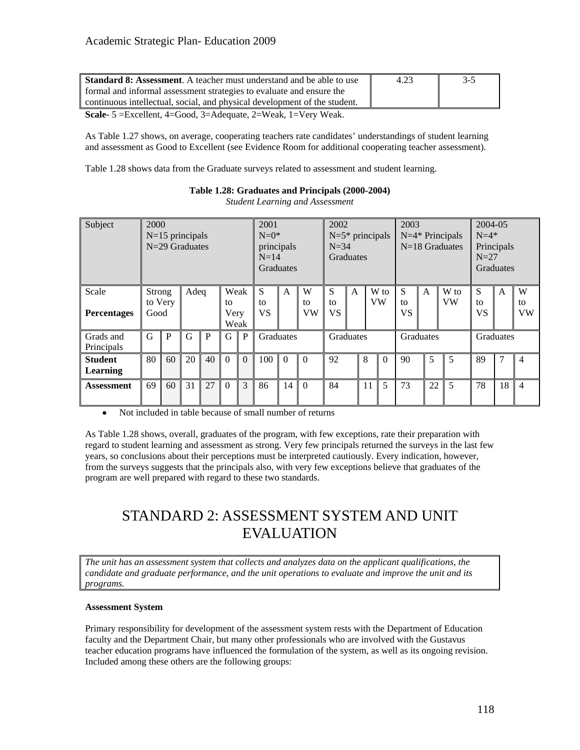| Standard 8: Assessment. A teacher must understand and be able to use      | 4.23 | $3-5$ |
|---------------------------------------------------------------------------|------|-------|
| formal and informal assessment strategies to evaluate and ensure the      |      |       |
| continuous intellectual, social, and physical development of the student. |      |       |

**Scale-** 5 =Excellent, 4=Good, 3=Adequate, 2=Weak, 1=Very Weak.

As Table 1.27 shows, on average, cooperating teachers rate candidates' understandings of student learning and assessment as Good to Excellent (see Evidence Room for additional cooperating teacher assessment).

Table 1.28 shows data from the Graduate surveys related to assessment and student learning.

| Subject                           | 2000           |         | $N=15$ principals<br>N=29 Graduates |    |                    |          | 2001<br>$N=0^*$<br>principals<br>$N=14$<br>Graduates |              |               |                      | 2002<br>2003<br>$N=5*$ principals<br>$N=4*$ Principals<br>$N=18$ Graduates<br>$N = 34$<br>Graduates |    |            |               | 2004-05<br>$N=4*$<br>Principals<br>$N=27$<br><b>Graduates</b> |                   |               |                |                      |
|-----------------------------------|----------------|---------|-------------------------------------|----|--------------------|----------|------------------------------------------------------|--------------|---------------|----------------------|-----------------------------------------------------------------------------------------------------|----|------------|---------------|---------------------------------------------------------------|-------------------|---------------|----------------|----------------------|
| Scale<br><b>Percentages</b>       | Strong<br>Good | to Very | Adeq                                |    | Weak<br>to<br>Very | Weak     | S<br>to<br><b>VS</b>                                 | $\mathsf{A}$ | W<br>tο<br>VW | S<br>to<br><b>VS</b> | $\mathsf{A}$                                                                                        |    | W to<br>VW | S<br>tΩ<br>VS | A                                                             | W to<br><b>VW</b> | S<br>to<br>VS | $\overline{A}$ | W<br>to<br><b>VW</b> |
| Grads and<br>Principals           | G              | P       | G                                   | P  | G                  | P        | Graduates                                            |              |               | Graduates            |                                                                                                     |    |            |               | <b>Graduates</b>                                              |                   |               | Graduates      |                      |
| <b>Student</b><br><b>Learning</b> | 80             | 60      | 20                                  | 40 | $\Omega$           | $\Omega$ | 100                                                  | $\Omega$     | $\Omega$      | 92                   |                                                                                                     | 8  | $\Omega$   | 90            | 5                                                             | 5                 | 89            | 7              | $\overline{4}$       |
| <b>Assessment</b>                 | 69             | 60      | 31                                  | 27 | $\Omega$           | 3        | 86                                                   | 14           | $\Omega$      | 84                   |                                                                                                     | 11 | 5          | 73            | 22                                                            | 5                 | 78            | 18             | $\overline{4}$       |

# **Table 1.28: Graduates and Principals (2000-2004)**

*Student Learning and Assessment* 

• Not included in table because of small number of returns

As Table 1.28 shows, overall, graduates of the program, with few exceptions, rate their preparation with regard to student learning and assessment as strong. Very few principals returned the surveys in the last few years, so conclusions about their perceptions must be interpreted cautiously. Every indication, however, from the surveys suggests that the principals also, with very few exceptions believe that graduates of the program are well prepared with regard to these two standards.

# STANDARD 2: ASSESSMENT SYSTEM AND UNIT EVALUATION

*The unit has an assessment system that collects and analyzes data on the applicant qualifications, the candidate and graduate performance, and the unit operations to evaluate and improve the unit and its programs.* 

## **Assessment System**

Primary responsibility for development of the assessment system rests with the Department of Education faculty and the Department Chair, but many other professionals who are involved with the Gustavus teacher education programs have influenced the formulation of the system, as well as its ongoing revision. Included among these others are the following groups: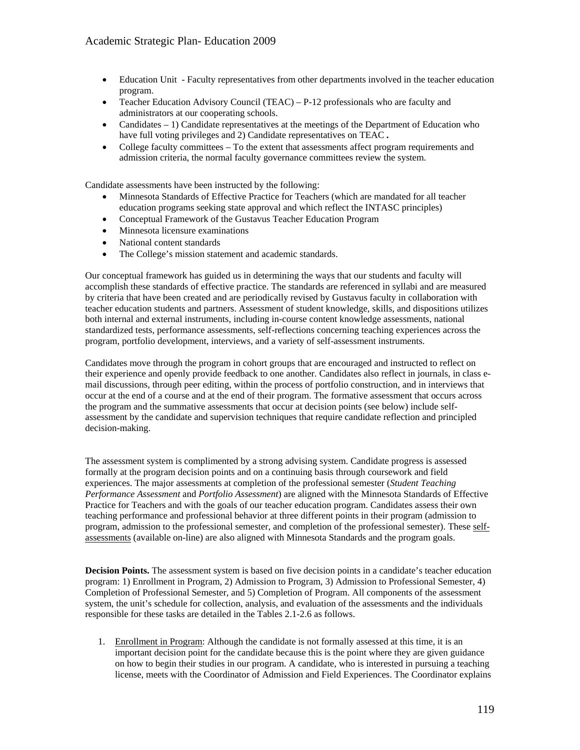- Education Unit Faculty representatives from other departments involved in the teacher education program.
- Teacher Education Advisory Council (TEAC) P-12 professionals who are faculty and administrators at our cooperating schools.
- Candidates 1) Candidate representatives at the meetings of the Department of Education who have full voting privileges and 2) Candidate representatives on TEAC **.**
- College faculty committees To the extent that assessments affect program requirements and admission criteria, the normal faculty governance committees review the system.

Candidate assessments have been instructed by the following:

- Minnesota Standards of Effective Practice for Teachers (which are mandated for all teacher education programs seeking state approval and which reflect the INTASC principles)
- Conceptual Framework of the Gustavus Teacher Education Program
- Minnesota licensure examinations
- National content standards
- The College's mission statement and academic standards.

Our conceptual framework has guided us in determining the ways that our students and faculty will accomplish these standards of effective practice. The standards are referenced in syllabi and are measured by criteria that have been created and are periodically revised by Gustavus faculty in collaboration with teacher education students and partners. Assessment of student knowledge, skills, and dispositions utilizes both internal and external instruments, including in-course content knowledge assessments, national standardized tests, performance assessments, self-reflections concerning teaching experiences across the program, portfolio development, interviews, and a variety of self-assessment instruments.

Candidates move through the program in cohort groups that are encouraged and instructed to reflect on their experience and openly provide feedback to one another. Candidates also reflect in journals, in class email discussions, through peer editing, within the process of portfolio construction, and in interviews that occur at the end of a course and at the end of their program. The formative assessment that occurs across the program and the summative assessments that occur at decision points (see below) include selfassessment by the candidate and supervision techniques that require candidate reflection and principled decision-making.

The assessment system is complimented by a strong advising system. Candidate progress is assessed formally at the program decision points and on a continuing basis through coursework and field experiences. The major assessments at completion of the professional semester (*Student Teaching Performance Assessment* and *Portfolio Assessment*) are aligned with the Minnesota Standards of Effective Practice for Teachers and with the goals of our teacher education program. Candidates assess their own teaching performance and professional behavior at three different points in their program (admission to program, admission to the professional semester, and completion of the professional semester). These selfassessments (available on-line) are also aligned with Minnesota Standards and the program goals.

**Decision Points.** The assessment system is based on five decision points in a candidate's teacher education program: 1) Enrollment in Program, 2) Admission to Program, 3) Admission to Professional Semester, 4) Completion of Professional Semester, and 5) Completion of Program. All components of the assessment system, the unit's schedule for collection, analysis, and evaluation of the assessments and the individuals responsible for these tasks are detailed in the Tables 2.1-2.6 as follows.

1. Enrollment in Program: Although the candidate is not formally assessed at this time, it is an important decision point for the candidate because this is the point where they are given guidance on how to begin their studies in our program. A candidate, who is interested in pursuing a teaching license, meets with the Coordinator of Admission and Field Experiences. The Coordinator explains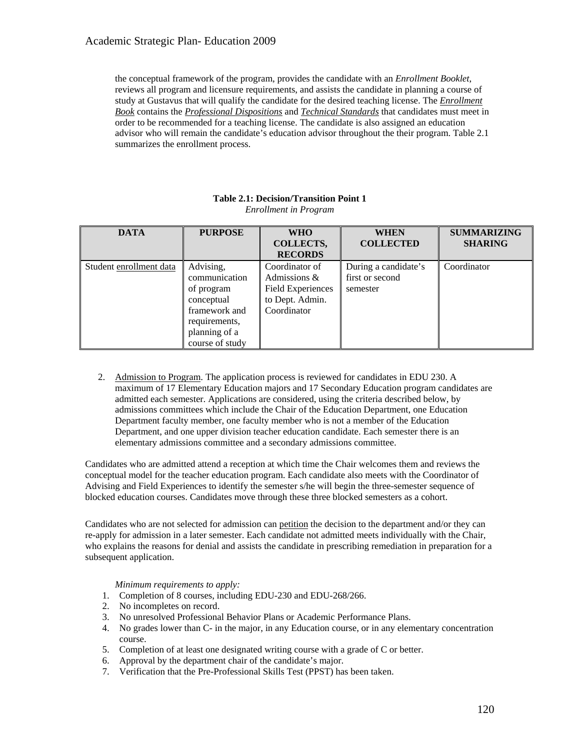the conceptual framework of the program, provides the candidate with an *Enrollment Booklet*, reviews all program and licensure requirements, and assists the candidate in planning a course of study at Gustavus that will qualify the candidate for the desired teaching license. The *Enrollment Book* contains the *Professional Dispositions* and *Technical Standards* that candidates must meet in order to be recommended for a teaching license. The candidate is also assigned an education advisor who will remain the candidate's education advisor throughout the their program. Table 2.1 summarizes the enrollment process.

| <b>DATA</b>             | <b>PURPOSE</b>  | <b>WHO</b>               | <b>WHEN</b>          | <b>SUMMARIZING</b> |
|-------------------------|-----------------|--------------------------|----------------------|--------------------|
|                         |                 | COLLECTS,                | <b>COLLECTED</b>     | <b>SHARING</b>     |
|                         |                 | <b>RECORDS</b>           |                      |                    |
| Student enrollment data | Advising,       | Coordinator of           | During a candidate's | Coordinator        |
|                         | communication   | Admissions &             | first or second      |                    |
|                         | of program      | <b>Field Experiences</b> | semester             |                    |
|                         | conceptual      | to Dept. Admin.          |                      |                    |
|                         | framework and   | Coordinator              |                      |                    |
|                         | requirements,   |                          |                      |                    |
|                         | planning of a   |                          |                      |                    |
|                         | course of study |                          |                      |                    |

#### **Table 2.1: Decision/Transition Point 1**  *Enrollment in Program*

2. Admission to Program. The application process is reviewed for candidates in EDU 230. A maximum of 17 Elementary Education majors and 17 Secondary Education program candidates are admitted each semester. Applications are considered, using the criteria described below, by admissions committees which include the Chair of the Education Department, one Education Department faculty member, one faculty member who is not a member of the Education Department, and one upper division teacher education candidate. Each semester there is an elementary admissions committee and a secondary admissions committee.

Candidates who are admitted attend a reception at which time the Chair welcomes them and reviews the conceptual model for the teacher education program. Each candidate also meets with the Coordinator of Advising and Field Experiences to identify the semester s/he will begin the three-semester sequence of blocked education courses. Candidates move through these three blocked semesters as a cohort.

Candidates who are not selected for admission can petition the decision to the department and/or they can re-apply for admission in a later semester. Each candidate not admitted meets individually with the Chair, who explains the reasons for denial and assists the candidate in prescribing remediation in preparation for a subsequent application.

*Minimum requirements to apply:* 

- 1. Completion of 8 courses, including EDU-230 and EDU-268/266.
- 2. No incompletes on record.
- 3. No unresolved Professional Behavior Plans or Academic Performance Plans.
- 4. No grades lower than C- in the major, in any Education course, or in any elementary concentration course.
- 5. Completion of at least one designated writing course with a grade of C or better.
- 6. Approval by the department chair of the candidate's major.
- 7. Verification that the Pre-Professional Skills Test (PPST) has been taken.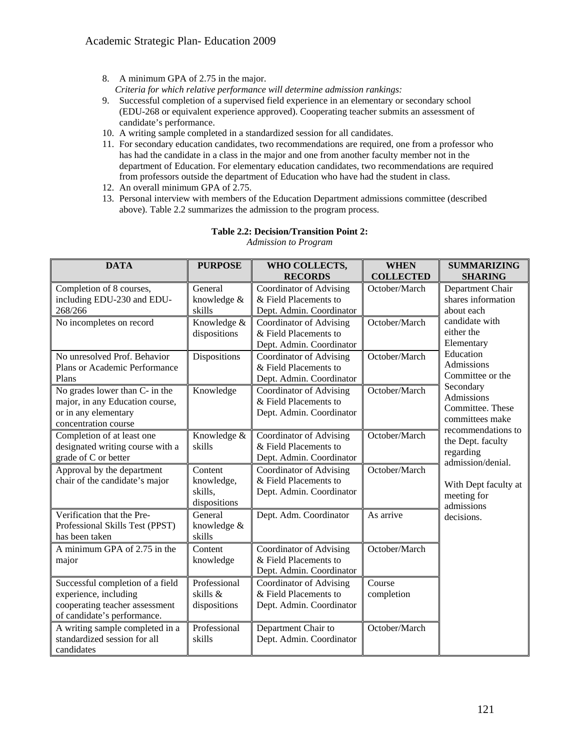8. A minimum GPA of 2.75 in the major.

*Criteria for which relative performance will determine admission rankings:* 

- 9. Successful completion of a supervised field experience in an elementary or secondary school (EDU-268 or equivalent experience approved). Cooperating teacher submits an assessment of candidate's performance.
- 10. A writing sample completed in a standardized session for all candidates.
- 11. For secondary education candidates, two recommendations are required, one from a professor who has had the candidate in a class in the major and one from another faculty member not in the department of Education. For elementary education candidates, two recommendations are required from professors outside the department of Education who have had the student in class.
- 12. An overall minimum GPA of 2.75.
- 13. Personal interview with members of the Education Department admissions committee (described above). Table 2.2 summarizes the admission to the program process.

| <b>DATA</b>                                                                                                                | <b>PURPOSE</b>                                   | WHO COLLECTS,<br><b>RECORDS</b>                                                     | <b>WHEN</b><br><b>COLLECTED</b> | <b>SUMMARIZING</b><br><b>SHARING</b>                                      |
|----------------------------------------------------------------------------------------------------------------------------|--------------------------------------------------|-------------------------------------------------------------------------------------|---------------------------------|---------------------------------------------------------------------------|
| Completion of 8 courses,<br>including EDU-230 and EDU-<br>268/266                                                          | General<br>knowledge &<br>skills                 | Coordinator of Advising<br>& Field Placements to<br>Dept. Admin. Coordinator        | October/March                   | Department Chair<br>shares information<br>about each                      |
| No incompletes on record                                                                                                   | Knowledge &<br>dispositions                      | Coordinator of Advising<br>& Field Placements to<br>Dept. Admin. Coordinator        | October/March                   | candidate with<br>either the<br>Elementary                                |
| No unresolved Prof. Behavior<br>Plans or Academic Performance<br>Plans                                                     | Dispositions                                     | Coordinator of Advising<br>& Field Placements to<br>Dept. Admin. Coordinator        | October/March                   | Education<br>Admissions<br>Committee or the                               |
| No grades lower than C- in the<br>major, in any Education course,<br>or in any elementary<br>concentration course          | Knowledge                                        | <b>Coordinator of Advising</b><br>& Field Placements to<br>Dept. Admin. Coordinator | October/March                   | Secondary<br>Admissions<br>Committee. These<br>committees make            |
| Completion of at least one<br>designated writing course with a<br>grade of C or better                                     | Knowledge &<br>skills                            | Coordinator of Advising<br>& Field Placements to<br>Dept. Admin. Coordinator        | October/March                   | recommendations to<br>the Dept. faculty<br>regarding<br>admission/denial. |
| Approval by the department<br>chair of the candidate's major                                                               | Content<br>knowledge,<br>skills,<br>dispositions | Coordinator of Advising<br>& Field Placements to<br>Dept. Admin. Coordinator        | October/March                   | With Dept faculty at<br>meeting for<br>admissions                         |
| Verification that the Pre-<br>Professional Skills Test (PPST)<br>has been taken                                            | General<br>knowledge &<br>skills                 | Dept. Adm. Coordinator                                                              | As arrive                       | decisions.                                                                |
| A minimum GPA of 2.75 in the<br>major                                                                                      | Content<br>knowledge                             | Coordinator of Advising<br>& Field Placements to<br>Dept. Admin. Coordinator        | October/March                   |                                                                           |
| Successful completion of a field<br>experience, including<br>cooperating teacher assessment<br>of candidate's performance. | Professional<br>skills &<br>dispositions         | Coordinator of Advising<br>& Field Placements to<br>Dept. Admin. Coordinator        | Course<br>completion            |                                                                           |
| A writing sample completed in a<br>standardized session for all<br>candidates                                              | Professional<br>skills                           | Department Chair to<br>Dept. Admin. Coordinator                                     | October/March                   |                                                                           |

# **Table 2.2: Decision/Transition Point 2:**

*Admission to Program*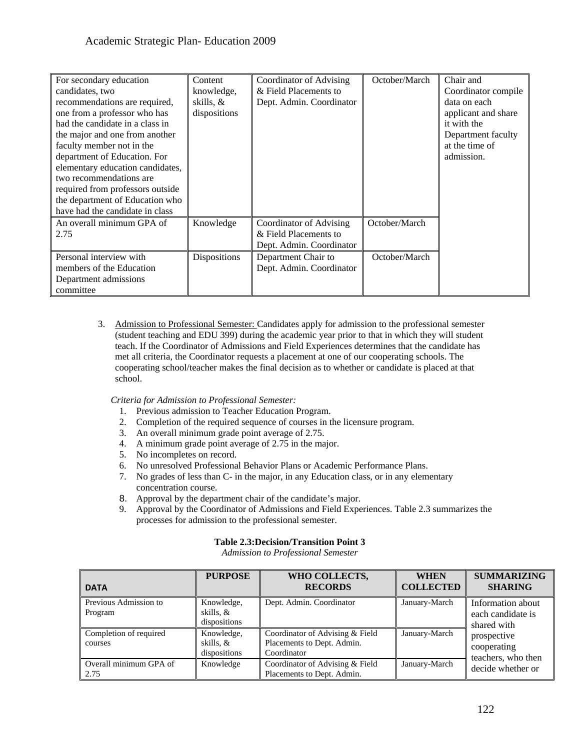| For secondary education          | Content      | Coordinator of Advising  | October/March | Chair and           |
|----------------------------------|--------------|--------------------------|---------------|---------------------|
| candidates, two                  | knowledge,   | & Field Placements to    |               | Coordinator compile |
| recommendations are required,    | skills, &    | Dept. Admin. Coordinator |               | data on each        |
| one from a professor who has     | dispositions |                          |               | applicant and share |
| had the candidate in a class in  |              |                          |               | it with the         |
| the major and one from another   |              |                          |               | Department faculty  |
| faculty member not in the        |              |                          |               | at the time of      |
| department of Education. For     |              |                          |               | admission.          |
| elementary education candidates, |              |                          |               |                     |
| two recommendations are          |              |                          |               |                     |
| required from professors outside |              |                          |               |                     |
| the department of Education who  |              |                          |               |                     |
| have had the candidate in class  |              |                          |               |                     |
| An overall minimum GPA of        | Knowledge    | Coordinator of Advising  | October/March |                     |
| 2.75                             |              | & Field Placements to    |               |                     |
|                                  |              | Dept. Admin. Coordinator |               |                     |
| Personal interview with          | Dispositions | Department Chair to      | October/March |                     |
| members of the Education         |              | Dept. Admin. Coordinator |               |                     |
| Department admissions            |              |                          |               |                     |
| committee                        |              |                          |               |                     |

3. Admission to Professional Semester: Candidates apply for admission to the professional semester (student teaching and EDU 399) during the academic year prior to that in which they will student teach. If the Coordinator of Admissions and Field Experiences determines that the candidate has met all criteria, the Coordinator requests a placement at one of our cooperating schools. The cooperating school/teacher makes the final decision as to whether or candidate is placed at that school.

*Criteria for Admission to Professional Semester:* 

- 1. Previous admission to Teacher Education Program.
- 2. Completion of the required sequence of courses in the licensure program.
- 3. An overall minimum grade point average of 2.75.
- 4. A minimum grade point average of 2.75 in the major.
- 5. No incompletes on record.
- 6. No unresolved Professional Behavior Plans or Academic Performance Plans.
- 7. No grades of less than C- in the major, in any Education class, or in any elementary concentration course.
- 8. Approval by the department chair of the candidate's major.
- 9. Approval by the Coordinator of Admissions and Field Experiences. Table 2.3 summarizes the processes for admission to the professional semester.

## **Table 2.3:Decision/Transition Point 3**

*Admission to Professional Semester* 

| <b>DATA</b>                       | <b>PURPOSE</b>                          | WHO COLLECTS,<br><b>RECORDS</b>                                              | <b>WHEN</b><br><b>COLLECTED</b> | <b>SUMMARIZING</b><br><b>SHARING</b>                  |  |
|-----------------------------------|-----------------------------------------|------------------------------------------------------------------------------|---------------------------------|-------------------------------------------------------|--|
| Previous Admission to<br>Program  | Knowledge,<br>skills, &<br>dispositions | Dept. Admin. Coordinator                                                     | January-March                   | Information about<br>each candidate is<br>shared with |  |
| Completion of required<br>courses | Knowledge,<br>skills, &<br>dispositions | Coordinator of Advising & Field<br>Placements to Dept. Admin.<br>Coordinator | January-March                   | prospective<br>cooperating<br>teachers, who then      |  |
| Overall minimum GPA of<br>2.75    | Knowledge                               | Coordinator of Advising & Field<br>Placements to Dept. Admin.                | January-March                   | decide whether or                                     |  |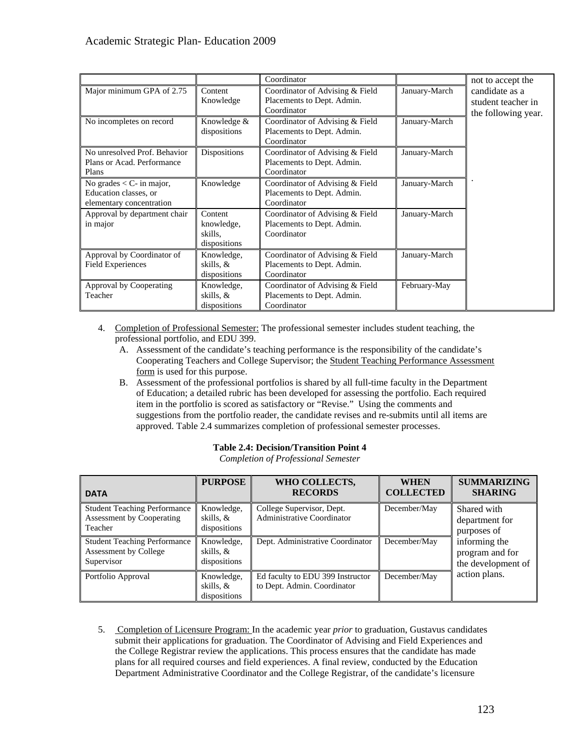|                                                                                 |                                                  | Coordinator                                                                  |               | not to accept the                                           |
|---------------------------------------------------------------------------------|--------------------------------------------------|------------------------------------------------------------------------------|---------------|-------------------------------------------------------------|
| Major minimum GPA of 2.75                                                       | Content<br>Knowledge                             | Coordinator of Advising & Field<br>Placements to Dept. Admin.<br>Coordinator | January-March | candidate as a<br>student teacher in<br>the following year. |
| No incompletes on record                                                        | Knowledge &<br>dispositions                      | Coordinator of Advising & Field<br>Placements to Dept. Admin.<br>Coordinator | January-March |                                                             |
| No unresolved Prof. Behavior<br>Plans or Acad. Performance<br>Plans             | Dispositions                                     | Coordinator of Advising & Field<br>Placements to Dept. Admin.<br>Coordinator | January-March |                                                             |
| No grades $<$ C- in major,<br>Education classes, or<br>elementary concentration | Knowledge                                        | Coordinator of Advising & Field<br>Placements to Dept. Admin.<br>Coordinator | January-March |                                                             |
| Approval by department chair<br>in major                                        | Content<br>knowledge,<br>skills.<br>dispositions | Coordinator of Advising & Field<br>Placements to Dept. Admin.<br>Coordinator | January-March |                                                             |
| Approval by Coordinator of<br><b>Field Experiences</b>                          | Knowledge,<br>skills, &<br>dispositions          | Coordinator of Advising & Field<br>Placements to Dept. Admin.<br>Coordinator | January-March |                                                             |
| Approval by Cooperating<br>Teacher                                              | Knowledge,<br>skills, &<br>dispositions          | Coordinator of Advising & Field<br>Placements to Dept. Admin.<br>Coordinator | February-May  |                                                             |

- 4. Completion of Professional Semester: The professional semester includes student teaching, the professional portfolio, and EDU 399.
	- A. Assessment of the candidate's teaching performance is the responsibility of the candidate's Cooperating Teachers and College Supervisor; the Student Teaching Performance Assessment form is used for this purpose.
	- B. Assessment of the professional portfolios is shared by all full-time faculty in the Department of Education; a detailed rubric has been developed for assessing the portfolio. Each required item in the portfolio is scored as satisfactory or "Revise." Using the comments and suggestions from the portfolio reader, the candidate revises and re-submits until all items are approved. Table 2.4 summarizes completion of professional semester processes.

| <b>DATA</b>                                                                        | <b>PURPOSE</b>                          | WHO COLLECTS,<br><b>RECORDS</b>                                 | <b>WHEN</b><br><b>COLLECTED</b> | <b>SUMMARIZING</b><br><b>SHARING</b>                   |
|------------------------------------------------------------------------------------|-----------------------------------------|-----------------------------------------------------------------|---------------------------------|--------------------------------------------------------|
| <b>Student Teaching Performance</b><br><b>Assessment by Cooperating</b><br>Teacher | Knowledge,<br>skills, &<br>dispositions | College Supervisor, Dept.<br><b>Administrative Coordinator</b>  | December/May                    | Shared with<br>department for<br>purposes of           |
| <b>Student Teaching Performance</b><br>Assessment by College<br>Supervisor         | Knowledge,<br>skills, &<br>dispositions | Dept. Administrative Coordinator                                | December/May                    | informing the<br>program and for<br>the development of |
| Portfolio Approval                                                                 | Knowledge,<br>skills, &<br>dispositions | Ed faculty to EDU 399 Instructor<br>to Dept. Admin. Coordinator | December/May                    | action plans.                                          |

## **Table 2.4: Decision/Transition Point 4**

*Completion of Professional Semester* 

5. Completion of Licensure Program: In the academic year *prior* to graduation, Gustavus candidates submit their applications for graduation. The Coordinator of Advising and Field Experiences and the College Registrar review the applications. This process ensures that the candidate has made plans for all required courses and field experiences. A final review, conducted by the Education Department Administrative Coordinator and the College Registrar, of the candidate's licensure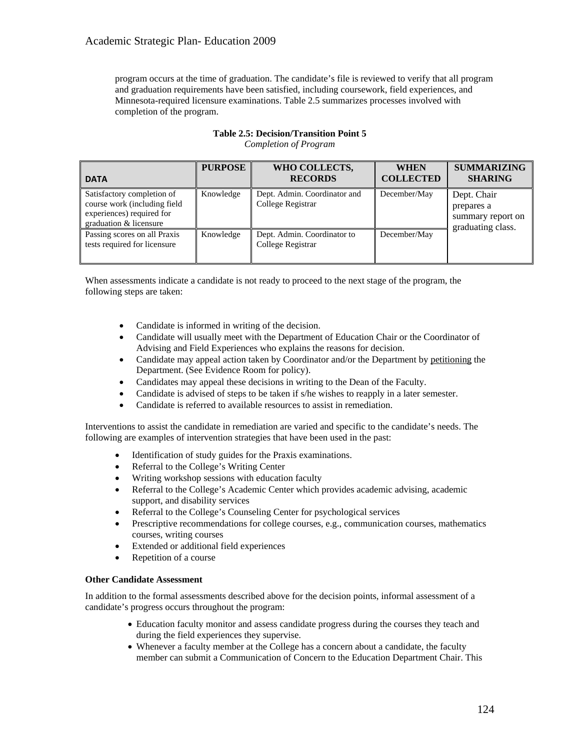program occurs at the time of graduation. The candidate's file is reviewed to verify that all program and graduation requirements have been satisfied, including coursework, field experiences, and Minnesota-required licensure examinations. Table 2.5 summarizes processes involved with completion of the program.

# **Table 2.5: Decision/Transition Point 5**

*Completion of Program* 

| <b>DATA</b>                                                                                                       | <b>PURPOSE</b> | WHO COLLECTS,<br><b>RECORDS</b>                   | <b>WHEN</b><br><b>COLLECTED</b> | <b>SUMMARIZING</b><br><b>SHARING</b>                                |
|-------------------------------------------------------------------------------------------------------------------|----------------|---------------------------------------------------|---------------------------------|---------------------------------------------------------------------|
| Satisfactory completion of<br>course work (including field<br>experiences) required for<br>graduation & licensure | Knowledge      | Dept. Admin. Coordinator and<br>College Registrar | December/May                    | Dept. Chair<br>prepares a<br>summary report on<br>graduating class. |
| Passing scores on all Praxis<br>tests required for licensure                                                      | Knowledge      | Dept. Admin. Coordinator to<br>College Registrar  | December/May                    |                                                                     |

When assessments indicate a candidate is not ready to proceed to the next stage of the program, the following steps are taken:

- Candidate is informed in writing of the decision.
- Candidate will usually meet with the Department of Education Chair or the Coordinator of Advising and Field Experiences who explains the reasons for decision.
- Candidate may appeal action taken by Coordinator and/or the Department by petitioning the Department. (See Evidence Room for policy).
- Candidates may appeal these decisions in writing to the Dean of the Faculty.
- Candidate is advised of steps to be taken if s/he wishes to reapply in a later semester.
- Candidate is referred to available resources to assist in remediation.

Interventions to assist the candidate in remediation are varied and specific to the candidate's needs. The following are examples of intervention strategies that have been used in the past:

- Identification of study guides for the Praxis examinations.
- Referral to the College's Writing Center
- Writing workshop sessions with education faculty
- Referral to the College's Academic Center which provides academic advising, academic support, and disability services
- Referral to the College's Counseling Center for psychological services
- Prescriptive recommendations for college courses, e.g., communication courses, mathematics courses, writing courses
- Extended or additional field experiences
- Repetition of a course

# **Other Candidate Assessment**

In addition to the formal assessments described above for the decision points, informal assessment of a candidate's progress occurs throughout the program:

- Education faculty monitor and assess candidate progress during the courses they teach and during the field experiences they supervise.
- Whenever a faculty member at the College has a concern about a candidate, the faculty member can submit a Communication of Concern to the Education Department Chair. This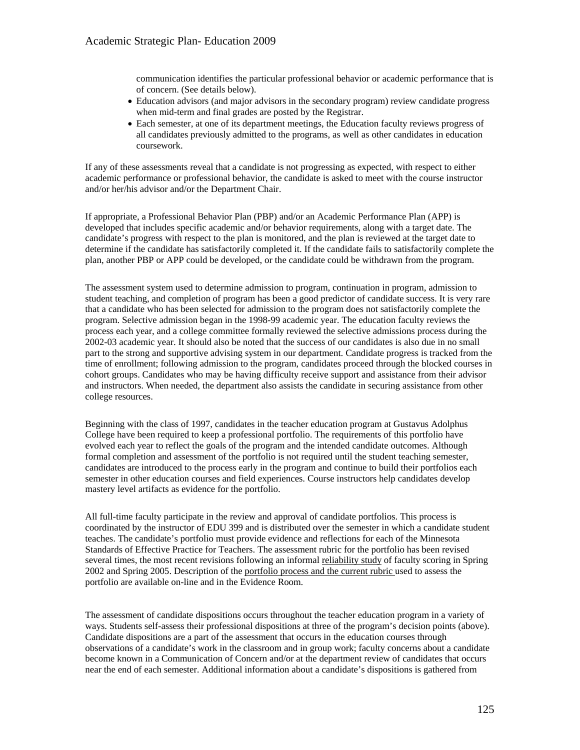communication identifies the particular professional behavior or academic performance that is of concern. (See details below).

- Education advisors (and major advisors in the secondary program) review candidate progress when mid-term and final grades are posted by the Registrar.
- Each semester, at one of its department meetings, the Education faculty reviews progress of all candidates previously admitted to the programs, as well as other candidates in education coursework.

If any of these assessments reveal that a candidate is not progressing as expected, with respect to either academic performance or professional behavior, the candidate is asked to meet with the course instructor and/or her/his advisor and/or the Department Chair.

If appropriate, a Professional Behavior Plan (PBP) and/or an Academic Performance Plan (APP) is developed that includes specific academic and/or behavior requirements, along with a target date. The candidate's progress with respect to the plan is monitored, and the plan is reviewed at the target date to determine if the candidate has satisfactorily completed it. If the candidate fails to satisfactorily complete the plan, another PBP or APP could be developed, or the candidate could be withdrawn from the program.

The assessment system used to determine admission to program, continuation in program, admission to student teaching, and completion of program has been a good predictor of candidate success. It is very rare that a candidate who has been selected for admission to the program does not satisfactorily complete the program. Selective admission began in the 1998-99 academic year. The education faculty reviews the process each year, and a college committee formally reviewed the selective admissions process during the 2002-03 academic year. It should also be noted that the success of our candidates is also due in no small part to the strong and supportive advising system in our department. Candidate progress is tracked from the time of enrollment; following admission to the program, candidates proceed through the blocked courses in cohort groups. Candidates who may be having difficulty receive support and assistance from their advisor and instructors. When needed, the department also assists the candidate in securing assistance from other college resources.

Beginning with the class of 1997, candidates in the teacher education program at Gustavus Adolphus College have been required to keep a professional portfolio. The requirements of this portfolio have evolved each year to reflect the goals of the program and the intended candidate outcomes. Although formal completion and assessment of the portfolio is not required until the student teaching semester, candidates are introduced to the process early in the program and continue to build their portfolios each semester in other education courses and field experiences. Course instructors help candidates develop mastery level artifacts as evidence for the portfolio.

All full-time faculty participate in the review and approval of candidate portfolios. This process is coordinated by the instructor of EDU 399 and is distributed over the semester in which a candidate student teaches. The candidate's portfolio must provide evidence and reflections for each of the Minnesota Standards of Effective Practice for Teachers. The assessment rubric for the portfolio has been revised several times, the most recent revisions following an informal reliability study of faculty scoring in Spring 2002 and Spring 2005. Description of the portfolio process and the current rubric used to assess the portfolio are available on-line and in the Evidence Room.

The assessment of candidate dispositions occurs throughout the teacher education program in a variety of ways. Students self-assess their professional dispositions at three of the program's decision points (above). Candidate dispositions are a part of the assessment that occurs in the education courses through observations of a candidate's work in the classroom and in group work; faculty concerns about a candidate become known in a Communication of Concern and/or at the department review of candidates that occurs near the end of each semester. Additional information about a candidate's dispositions is gathered from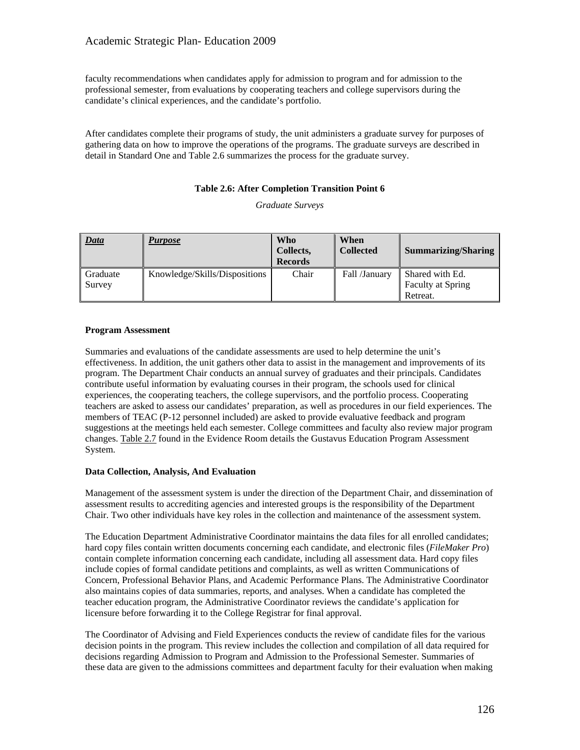faculty recommendations when candidates apply for admission to program and for admission to the professional semester, from evaluations by cooperating teachers and college supervisors during the candidate's clinical experiences, and the candidate's portfolio.

After candidates complete their programs of study, the unit administers a graduate survey for purposes of gathering data on how to improve the operations of the programs. The graduate surveys are described in detail in Standard One and Table 2.6 summarizes the process for the graduate survey.

#### **Table 2.6: After Completion Transition Point 6**

*Graduate Surveys* 

| <b>Data</b>           | <b>Purpose</b>                | <b>Who</b><br>Collects,<br><b>Records</b> | When<br><b>Collected</b> | <b>Summarizing/Sharing</b>                              |
|-----------------------|-------------------------------|-------------------------------------------|--------------------------|---------------------------------------------------------|
| ll Graduate<br>Survey | Knowledge/Skills/Dispositions | Chair                                     | Fall /January            | Shared with Ed.<br><b>Faculty at Spring</b><br>Retreat. |

#### **Program Assessment**

Summaries and evaluations of the candidate assessments are used to help determine the unit's effectiveness. In addition, the unit gathers other data to assist in the management and improvements of its program. The Department Chair conducts an annual survey of graduates and their principals. Candidates contribute useful information by evaluating courses in their program, the schools used for clinical experiences, the cooperating teachers, the college supervisors, and the portfolio process. Cooperating teachers are asked to assess our candidates' preparation, as well as procedures in our field experiences. The members of TEAC (P-12 personnel included) are asked to provide evaluative feedback and program suggestions at the meetings held each semester. College committees and faculty also review major program changes. Table 2.7 found in the Evidence Room details the Gustavus Education Program Assessment System.

#### **Data Collection, Analysis, And Evaluation**

Management of the assessment system is under the direction of the Department Chair, and dissemination of assessment results to accrediting agencies and interested groups is the responsibility of the Department Chair. Two other individuals have key roles in the collection and maintenance of the assessment system.

The Education Department Administrative Coordinator maintains the data files for all enrolled candidates; hard copy files contain written documents concerning each candidate, and electronic files (*FileMaker Pro*) contain complete information concerning each candidate, including all assessment data. Hard copy files include copies of formal candidate petitions and complaints, as well as written Communications of Concern, Professional Behavior Plans, and Academic Performance Plans. The Administrative Coordinator also maintains copies of data summaries, reports, and analyses. When a candidate has completed the teacher education program, the Administrative Coordinator reviews the candidate's application for licensure before forwarding it to the College Registrar for final approval.

The Coordinator of Advising and Field Experiences conducts the review of candidate files for the various decision points in the program. This review includes the collection and compilation of all data required for decisions regarding Admission to Program and Admission to the Professional Semester. Summaries of these data are given to the admissions committees and department faculty for their evaluation when making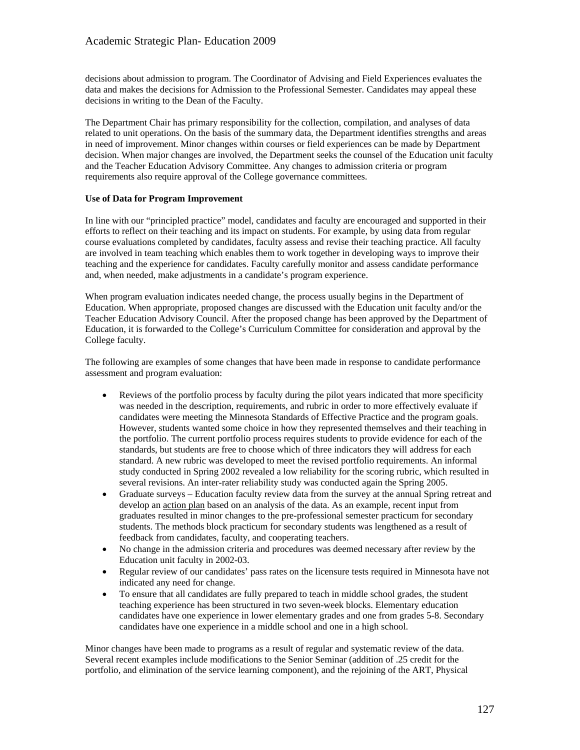decisions about admission to program. The Coordinator of Advising and Field Experiences evaluates the data and makes the decisions for Admission to the Professional Semester. Candidates may appeal these decisions in writing to the Dean of the Faculty.

The Department Chair has primary responsibility for the collection, compilation, and analyses of data related to unit operations. On the basis of the summary data, the Department identifies strengths and areas in need of improvement. Minor changes within courses or field experiences can be made by Department decision. When major changes are involved, the Department seeks the counsel of the Education unit faculty and the Teacher Education Advisory Committee. Any changes to admission criteria or program requirements also require approval of the College governance committees.

#### **Use of Data for Program Improvement**

In line with our "principled practice" model, candidates and faculty are encouraged and supported in their efforts to reflect on their teaching and its impact on students. For example, by using data from regular course evaluations completed by candidates, faculty assess and revise their teaching practice. All faculty are involved in team teaching which enables them to work together in developing ways to improve their teaching and the experience for candidates. Faculty carefully monitor and assess candidate performance and, when needed, make adjustments in a candidate's program experience.

When program evaluation indicates needed change, the process usually begins in the Department of Education. When appropriate, proposed changes are discussed with the Education unit faculty and/or the Teacher Education Advisory Council. After the proposed change has been approved by the Department of Education, it is forwarded to the College's Curriculum Committee for consideration and approval by the College faculty.

The following are examples of some changes that have been made in response to candidate performance assessment and program evaluation:

- Reviews of the portfolio process by faculty during the pilot years indicated that more specificity was needed in the description, requirements, and rubric in order to more effectively evaluate if candidates were meeting the Minnesota Standards of Effective Practice and the program goals. However, students wanted some choice in how they represented themselves and their teaching in the portfolio. The current portfolio process requires students to provide evidence for each of the standards, but students are free to choose which of three indicators they will address for each standard. A new rubric was developed to meet the revised portfolio requirements. An informal study conducted in Spring 2002 revealed a low reliability for the scoring rubric, which resulted in several revisions. An inter-rater reliability study was conducted again the Spring 2005.
- Graduate surveys Education faculty review data from the survey at the annual Spring retreat and develop an action plan based on an analysis of the data. As an example, recent input from graduates resulted in minor changes to the pre-professional semester practicum for secondary students. The methods block practicum for secondary students was lengthened as a result of feedback from candidates, faculty, and cooperating teachers.
- No change in the admission criteria and procedures was deemed necessary after review by the Education unit faculty in 2002-03.
- Regular review of our candidates' pass rates on the licensure tests required in Minnesota have not indicated any need for change.
- To ensure that all candidates are fully prepared to teach in middle school grades, the student teaching experience has been structured in two seven-week blocks. Elementary education candidates have one experience in lower elementary grades and one from grades 5-8. Secondary candidates have one experience in a middle school and one in a high school.

Minor changes have been made to programs as a result of regular and systematic review of the data. Several recent examples include modifications to the Senior Seminar (addition of .25 credit for the portfolio, and elimination of the service learning component), and the rejoining of the ART, Physical